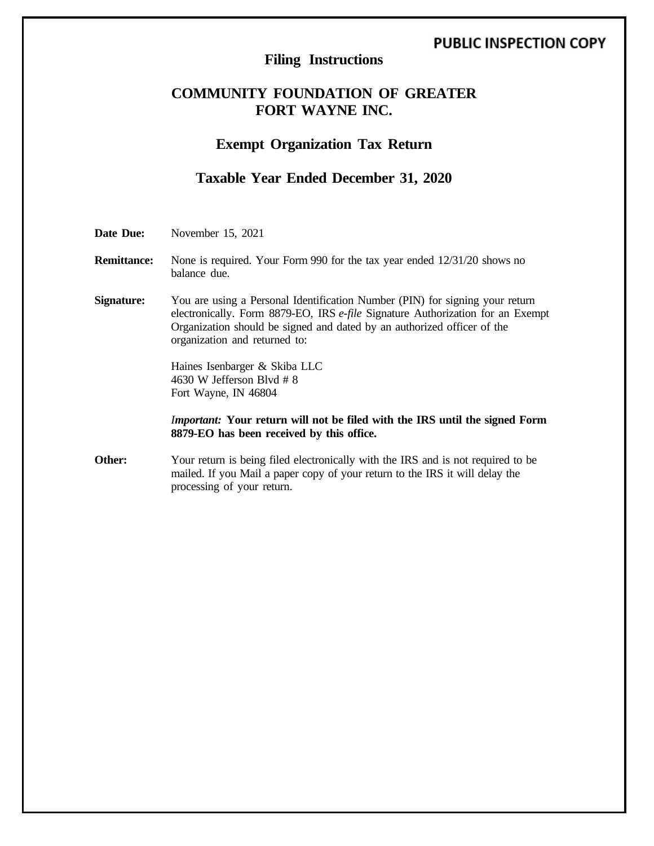# **PUBLIC INSPECTION COPY**

# **Filing Instructions**

# **COMMUNITY FOUNDATION OF GREATER FORT WAYNE INC.**

## **Exempt Organization Tax Return**

# **Taxable Year Ended December 31, 2020**

**Date Due:** November 15, 2021

**Remittance:** None is required. Your Form 990 for the tax year ended 12/31/20 shows no balance due.

**Signature:** You are using a Personal Identification Number (PIN) for signing your return electronically. Form 8879-EO, IRS *e-file* Signature Authorization for an Exempt Organization should be signed and dated by an authorized officer of the organization and returned to:

> Haines Isenbarger & Skiba LLC 4630 W Jefferson Blvd # 8 Fort Wayne, IN 46804

*Important:* **Your return will not be filed with the IRS until the signed Form 8879-EO has been received by this office.**

**Other:** Your return is being filed electronically with the IRS and is not required to be mailed. If you Mail a paper copy of your return to the IRS it will delay the processing of your return.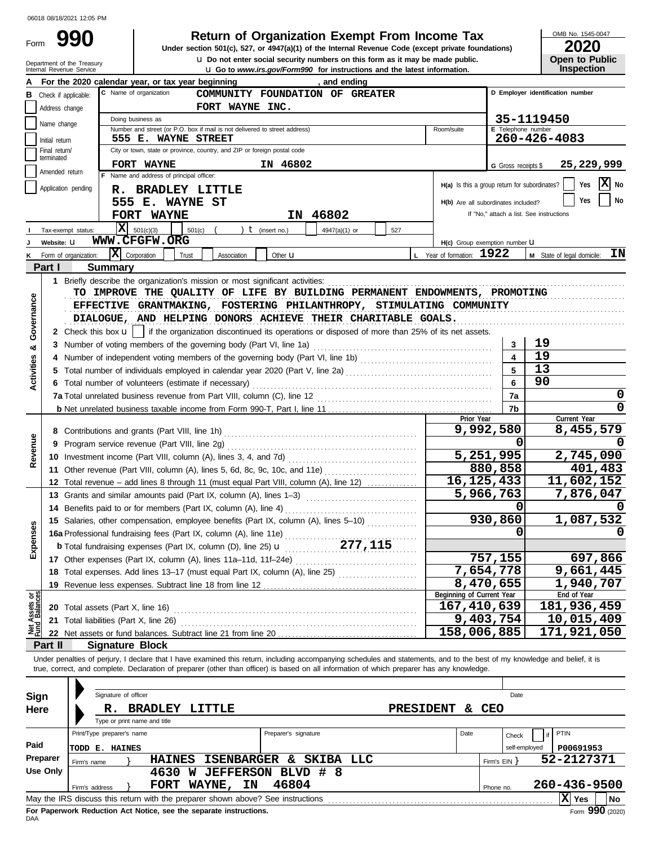Form

# **990 2020 Return of Organization Exempt From Income Tax**

**u** Go to *www.irs.gov/Form990* for instructions and the latest information. **u** Do not enter social security numbers on this form as it may be made public. **Under section 501(c), 527, or 4947(a)(1) of the Internal Revenue Code (except private foundations)** OMB No. 1545-0047

| ZUZU                  |  |  |  |  |  |  |  |  |  |
|-----------------------|--|--|--|--|--|--|--|--|--|
| <b>Open to Public</b> |  |  |  |  |  |  |  |  |  |
| <b>Inspection</b>     |  |  |  |  |  |  |  |  |  |

|                           | Internal Revenue Service        | Department of the Treasury                                                                      |                                                                                                                                                                                                                                                                                                                          | <b>Let</b> Do not enter social security numbers on this form as it may be made public.<br><b>u</b> Go to <i>www.irs.gov/Form990</i> for instructions and the latest information. |                           |                                                 | <b>Open to Public</b><br><b>Inspection</b>     |
|---------------------------|---------------------------------|-------------------------------------------------------------------------------------------------|--------------------------------------------------------------------------------------------------------------------------------------------------------------------------------------------------------------------------------------------------------------------------------------------------------------------------|----------------------------------------------------------------------------------------------------------------------------------------------------------------------------------|---------------------------|-------------------------------------------------|------------------------------------------------|
|                           |                                 |                                                                                                 | For the 2020 calendar year, or tax year beginning                                                                                                                                                                                                                                                                        | , and ending                                                                                                                                                                     |                           |                                                 |                                                |
| в                         | Check if applicable:            |                                                                                                 | C Name of organization                                                                                                                                                                                                                                                                                                   | COMMUNITY FOUNDATION OF GREATER                                                                                                                                                  |                           |                                                 | D Employer identification number               |
|                           | Address change                  |                                                                                                 | FORT WAYNE INC.                                                                                                                                                                                                                                                                                                          |                                                                                                                                                                                  |                           |                                                 |                                                |
|                           | Name change                     | Doing business as                                                                               |                                                                                                                                                                                                                                                                                                                          | 35-1119450                                                                                                                                                                       |                           |                                                 |                                                |
|                           |                                 | Number and street (or P.O. box if mail is not delivered to street address)                      | E Telephone number                                                                                                                                                                                                                                                                                                       |                                                                                                                                                                                  |                           |                                                 |                                                |
|                           | Initial return<br>Final return/ | 555 E. WAYNE STREET<br>City or town, state or province, country, and ZIP or foreign postal code |                                                                                                                                                                                                                                                                                                                          | 260-426-4083                                                                                                                                                                     |                           |                                                 |                                                |
|                           | terminated                      | FORT WAYNE                                                                                      |                                                                                                                                                                                                                                                                                                                          | 25,229,999                                                                                                                                                                       |                           |                                                 |                                                |
|                           | Amended return                  |                                                                                                 | G Gross receipts \$                                                                                                                                                                                                                                                                                                      |                                                                                                                                                                                  |                           |                                                 |                                                |
|                           | Application pending             |                                                                                                 | Name and address of principal officer:<br><b>BRADLEY LITTLE</b><br>R.                                                                                                                                                                                                                                                    |                                                                                                                                                                                  |                           | $H(a)$ is this a group return for subordinates? | $ \mathbf{X} $ No<br>Yes                       |
|                           |                                 |                                                                                                 | 555 E. WAYNE ST                                                                                                                                                                                                                                                                                                          |                                                                                                                                                                                  |                           | H(b) Are all subordinates included?             | No<br>Yes                                      |
|                           |                                 |                                                                                                 | <b>FORT WAYNE</b>                                                                                                                                                                                                                                                                                                        | IN 46802                                                                                                                                                                         |                           | If "No," attach a list. See instructions        |                                                |
|                           | Tax-exempt status:              |                                                                                                 | $\mathbf{X}$ 501(c)(3)<br>501(c)                                                                                                                                                                                                                                                                                         | $t$ (insert no.)<br>4947(a)(1) or<br>527                                                                                                                                         |                           |                                                 |                                                |
|                           | Website: U                      |                                                                                                 | WWW.CFGFW.ORG                                                                                                                                                                                                                                                                                                            |                                                                                                                                                                                  |                           | H(c) Group exemption number LI                  |                                                |
|                           |                                 | Form of organization:                                                                           | $ \mathbf{X} $ Corporation<br>Trust<br>Association                                                                                                                                                                                                                                                                       | Other <b>u</b>                                                                                                                                                                   | L Year of formation: 1922 |                                                 | ΙN<br>M State of legal domicile:               |
|                           | Part I                          | <b>Summary</b>                                                                                  |                                                                                                                                                                                                                                                                                                                          |                                                                                                                                                                                  |                           |                                                 |                                                |
|                           |                                 |                                                                                                 | 1 Briefly describe the organization's mission or most significant activities:                                                                                                                                                                                                                                            |                                                                                                                                                                                  |                           |                                                 |                                                |
|                           |                                 |                                                                                                 | TO IMPROVE THE QUALITY OF LIFE BY BUILDING PERMANENT ENDOWMENTS, PROMOTING                                                                                                                                                                                                                                               |                                                                                                                                                                                  |                           |                                                 |                                                |
|                           |                                 |                                                                                                 | EFFECTIVE GRANTMAKING, FOSTERING PHILANTHROPY, STIMULATING COMMUNITY                                                                                                                                                                                                                                                     |                                                                                                                                                                                  |                           |                                                 |                                                |
|                           |                                 |                                                                                                 | DIALOGUE, AND HELPING DONORS ACHIEVE THEIR CHARITABLE GOALS.                                                                                                                                                                                                                                                             |                                                                                                                                                                                  |                           |                                                 |                                                |
| Governance                |                                 |                                                                                                 | 2 Check this box $\mathbf{u}$   if the organization discontinued its operations or disposed of more than 25% of its net assets.                                                                                                                                                                                          |                                                                                                                                                                                  |                           |                                                 |                                                |
| య                         |                                 |                                                                                                 | 3 Number of voting members of the governing body (Part VI, line 1a)                                                                                                                                                                                                                                                      |                                                                                                                                                                                  |                           | 3                                               | 19                                             |
|                           | 4                               |                                                                                                 |                                                                                                                                                                                                                                                                                                                          |                                                                                                                                                                                  |                           | $\overline{\mathbf{4}}$                         | 19                                             |
| Activities                |                                 |                                                                                                 |                                                                                                                                                                                                                                                                                                                          |                                                                                                                                                                                  |                           | 5                                               | 13                                             |
|                           |                                 |                                                                                                 | 6 Total number of volunteers (estimate if necessary)                                                                                                                                                                                                                                                                     |                                                                                                                                                                                  |                           | 6                                               | 90                                             |
|                           |                                 |                                                                                                 |                                                                                                                                                                                                                                                                                                                          |                                                                                                                                                                                  |                           | 7a                                              | 0                                              |
|                           |                                 |                                                                                                 |                                                                                                                                                                                                                                                                                                                          |                                                                                                                                                                                  |                           | 7b                                              | 0                                              |
|                           |                                 |                                                                                                 |                                                                                                                                                                                                                                                                                                                          |                                                                                                                                                                                  | Prior Year                | 9,992,580                                       | Current Year                                   |
|                           |                                 |                                                                                                 |                                                                                                                                                                                                                                                                                                                          |                                                                                                                                                                                  |                           | 0                                               | 8,455,579                                      |
| Revenue                   | 9                               |                                                                                                 |                                                                                                                                                                                                                                                                                                                          |                                                                                                                                                                                  |                           | 5,251,995                                       | 2,745,090                                      |
|                           |                                 |                                                                                                 | 11 Other revenue (Part VIII, column (A), lines 5, 6d, 8c, 9c, 10c, and 11e)                                                                                                                                                                                                                                              |                                                                                                                                                                                  |                           | 880,858                                         | 401,483                                        |
|                           |                                 |                                                                                                 | 12 Total revenue – add lines 8 through 11 (must equal Part VIII, column (A), line 12)                                                                                                                                                                                                                                    |                                                                                                                                                                                  |                           | $\overline{16, 125, 433}$                       | 11,602,152                                     |
|                           |                                 |                                                                                                 | 13 Grants and similar amounts paid (Part IX, column (A), lines 1-3)                                                                                                                                                                                                                                                      |                                                                                                                                                                                  |                           | 5,966,763                                       | 7,876,047                                      |
|                           |                                 |                                                                                                 |                                                                                                                                                                                                                                                                                                                          |                                                                                                                                                                                  |                           | O                                               |                                                |
|                           |                                 |                                                                                                 | 15 Salaries, other compensation, employee benefits (Part IX, column (A), lines 5-10)                                                                                                                                                                                                                                     |                                                                                                                                                                                  |                           | 930,860                                         | 1,087,532                                      |
| ses                       |                                 |                                                                                                 | 16a Professional fundraising fees (Part IX, column (A), line 11e)                                                                                                                                                                                                                                                        |                                                                                                                                                                                  |                           | 0                                               | 0                                              |
| Expen                     |                                 |                                                                                                 |                                                                                                                                                                                                                                                                                                                          |                                                                                                                                                                                  |                           |                                                 |                                                |
|                           |                                 |                                                                                                 |                                                                                                                                                                                                                                                                                                                          |                                                                                                                                                                                  |                           | 757,155                                         | 697,866                                        |
|                           |                                 |                                                                                                 | 18 Total expenses. Add lines 13-17 (must equal Part IX, column (A), line 25) [                                                                                                                                                                                                                                           |                                                                                                                                                                                  |                           | 7,654,778                                       | 9,661,445                                      |
|                           |                                 |                                                                                                 | 19 Revenue less expenses. Subtract line 18 from line 12                                                                                                                                                                                                                                                                  |                                                                                                                                                                                  |                           | 8,470,655                                       | 1,940,707                                      |
| ර පි                      |                                 |                                                                                                 |                                                                                                                                                                                                                                                                                                                          |                                                                                                                                                                                  | Beginning of Current Year |                                                 | End of Year                                    |
| Net Assets<br>Fund Balanc |                                 |                                                                                                 |                                                                                                                                                                                                                                                                                                                          |                                                                                                                                                                                  |                           | 167, 410, 639                                   | 181,936,459                                    |
|                           | 21                              |                                                                                                 | Total liabilities (Part X, line 26)                                                                                                                                                                                                                                                                                      |                                                                                                                                                                                  |                           | 9,403,754                                       | 10,015,409                                     |
|                           |                                 |                                                                                                 |                                                                                                                                                                                                                                                                                                                          |                                                                                                                                                                                  |                           | 158,006,885                                     | 171,921,050                                    |
|                           | Part II                         |                                                                                                 | <b>Signature Block</b>                                                                                                                                                                                                                                                                                                   |                                                                                                                                                                                  |                           |                                                 |                                                |
|                           |                                 |                                                                                                 | Under penalties of perjury, I declare that I have examined this return, including accompanying schedules and statements, and to the best of my knowledge and belief, it is<br>true, correct, and complete. Declaration of preparer (other than officer) is based on all information of which preparer has any knowledge. |                                                                                                                                                                                  |                           |                                                 |                                                |
|                           |                                 |                                                                                                 |                                                                                                                                                                                                                                                                                                                          |                                                                                                                                                                                  |                           |                                                 |                                                |
| Sign                      |                                 |                                                                                                 | Signature of officer                                                                                                                                                                                                                                                                                                     |                                                                                                                                                                                  |                           | Date                                            |                                                |
| Here                      |                                 | R.                                                                                              | <b>BRADLEY LITTLE</b>                                                                                                                                                                                                                                                                                                    |                                                                                                                                                                                  | <b>PRESIDENT</b><br>&.    | CEO                                             |                                                |
|                           |                                 |                                                                                                 | Type or print name and title                                                                                                                                                                                                                                                                                             |                                                                                                                                                                                  |                           |                                                 |                                                |
|                           |                                 | Print/Type preparer's name                                                                      |                                                                                                                                                                                                                                                                                                                          | Preparer's signature                                                                                                                                                             | Date                      | Check                                           | PTIN<br>if                                     |
| Paid                      |                                 | <b>TODD E. HAINES</b>                                                                           |                                                                                                                                                                                                                                                                                                                          |                                                                                                                                                                                  |                           | self-employed                                   | P00691953                                      |
|                           | Preparer                        | Firm's name                                                                                     | <b>HAINES</b>                                                                                                                                                                                                                                                                                                            | ISENBARGER & SKIBA LLC                                                                                                                                                           |                           | Firm's $EIN$ }                                  | 52-2127371                                     |
|                           | <b>Use Only</b>                 |                                                                                                 | 4630 W JEFFERSON BLVD # 8                                                                                                                                                                                                                                                                                                |                                                                                                                                                                                  |                           |                                                 |                                                |
|                           |                                 | Firm's address                                                                                  | FORT WAYNE, IN                                                                                                                                                                                                                                                                                                           | 46804                                                                                                                                                                            |                           | Phone no.                                       | 260-436-9500                                   |
|                           |                                 |                                                                                                 | May the IRS discuss this return with the preparer shown above? See instructions [11] [11] May the IRS discuss this return with the preparer shown above? See instructions                                                                                                                                                |                                                                                                                                                                                  |                           |                                                 | $ \overline{\mathrm{\textbf{X}}} \,$ Yes<br>No |

| Sign     | Signature of officer                                                            | Date                    |               |                 |  |  |  |
|----------|---------------------------------------------------------------------------------|-------------------------|---------------|-----------------|--|--|--|
| Here     | <b>BRADLEY</b><br>T.TTTT.R<br>R.<br>Type or print name and title                | <b>PRESIDENT</b><br>δc. | <b>CEO</b>    |                 |  |  |  |
|          | Preparer's signature<br>Print/Type preparer's name                              | Date                    | Check         | PTIN            |  |  |  |
| Paid     | <b>E. HAINES</b><br>TODD                                                        |                         | self-employed | P00691953       |  |  |  |
| Preparer | <b>ISENBARGER</b><br>SKIBA LLC<br><b>HAINES</b><br>s.<br>Firm's name            |                         | Firm's EIN Y  | 52-2127371      |  |  |  |
| Use Only | <b>JEFFERSON</b><br>BLVD # 8<br>4630<br>W                                       |                         |               |                 |  |  |  |
|          | 46804<br>WAYNE,<br>ΙN<br><b>FORT</b><br>Firm's address                          |                         | Phone no.     | 260-436-9500    |  |  |  |
|          | May the IRS discuss this return with the preparer shown above? See instructions |                         |               | X Yes<br>  No   |  |  |  |
|          | For Paperwork Reduction Act Notice, see the separate instructions.              |                         |               | Form 990 (2020) |  |  |  |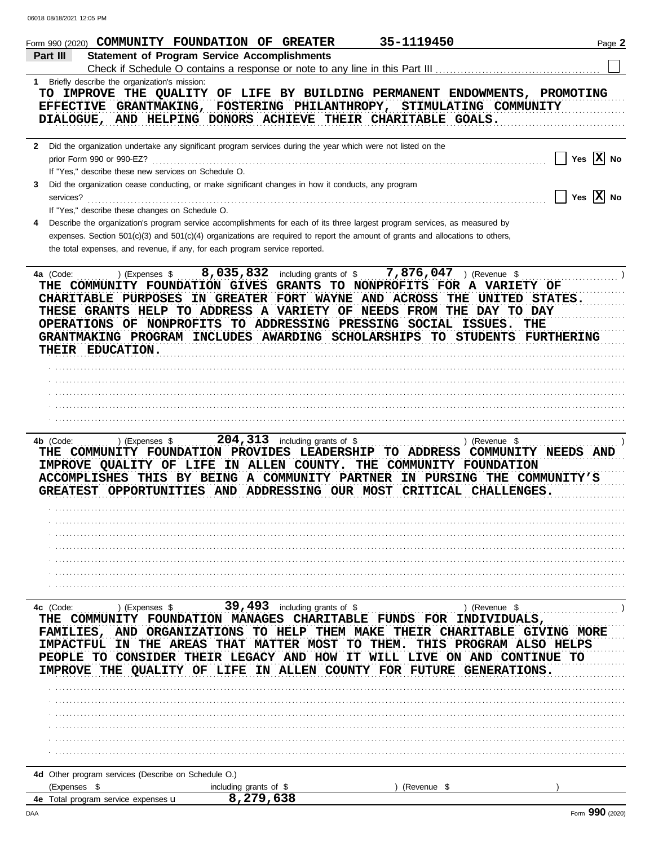| Form 990 (2020) COMMUNITY FOUNDATION OF GREATER                                                                                                                                                                                                                                                                                                                                                       |                                                                                                                   | 35-1119450                                                             | Page 2                                                                                                                     |
|-------------------------------------------------------------------------------------------------------------------------------------------------------------------------------------------------------------------------------------------------------------------------------------------------------------------------------------------------------------------------------------------------------|-------------------------------------------------------------------------------------------------------------------|------------------------------------------------------------------------|----------------------------------------------------------------------------------------------------------------------------|
| Part III                                                                                                                                                                                                                                                                                                                                                                                              | <b>Statement of Program Service Accomplishments</b>                                                               |                                                                        |                                                                                                                            |
|                                                                                                                                                                                                                                                                                                                                                                                                       | Check if Schedule O contains a response or note to any line in this Part III                                      |                                                                        |                                                                                                                            |
| 1 Briefly describe the organization's mission:<br>TO IMPROVE THE QUALITY OF LIFE BY BUILDING PERMANENT ENDOWMENTS, PROMOTING<br>EFFECTIVE GRANTMAKING, FOSTERING PHILANTHROPY, STIMULATING COMMUNITY<br>DIALOGUE, AND HELPING DONORS ACHIEVE THEIR CHARITABLE GOALS.                                                                                                                                  |                                                                                                                   |                                                                        |                                                                                                                            |
| Did the organization undertake any significant program services during the year which were not listed on the<br>$\mathbf{2}$<br>prior Form 990 or 990-EZ?<br>If "Yes," describe these new services on Schedule O.                                                                                                                                                                                     |                                                                                                                   |                                                                        | Yes $ \mathbf{X} $ No                                                                                                      |
| Did the organization cease conducting, or make significant changes in how it conducts, any program<br>3<br>services?<br>If "Yes," describe these changes on Schedule O.                                                                                                                                                                                                                               |                                                                                                                   |                                                                        | Yes $ \mathbf{X} $ No                                                                                                      |
| Describe the organization's program service accomplishments for each of its three largest program services, as measured by<br>4<br>expenses. Section 501(c)(3) and 501(c)(4) organizations are required to report the amount of grants and allocations to others,<br>the total expenses, and revenue, if any, for each program service reported.                                                      |                                                                                                                   |                                                                        |                                                                                                                            |
| ) (Expenses \$<br>4a (Code:<br>THE COMMUNITY FOUNDATION GIVES GRANTS TO NONPROFITS FOR A VARIETY OF<br>CHARITABLE PURPOSES IN GREATER FORT WAYNE AND ACROSS<br>THESE GRANTS HELP TO ADDRESS A VARIETY OF NEEDS FROM THE DAY TO DAY<br>OPERATIONS OF NONPROFITS TO ADDRESSING PRESSING SOCIAL ISSUES.<br>GRANTMAKING PROGRAM INCLUDES AWARDING SCHOLARSHIPS TO STUDENTS FURTHERING<br>THEIR EDUCATION. | 8,035,832 including grants of \$                                                                                  | 7,876,047 ) (Revenue \$                                                | THE UNITED STATES.<br>THE                                                                                                  |
|                                                                                                                                                                                                                                                                                                                                                                                                       |                                                                                                                   |                                                                        |                                                                                                                            |
| 4b (Code:<br>) (Expenses \$<br>THE COMMUNITY FOUNDATION PROVIDES LEADERSHIP TO ADDRESS COMMUNITY NEEDS AND<br>IMPROVE QUALITY OF LIFE IN ALLEN COUNTY. THE COMMUNITY FOUNDATION<br>ACCOMPLISHES THIS BY BEING A COMMUNITY PARTNER IN PURSING THE COMMUNITY'S<br>GREATEST OPPORTUNITIES AND ADDRESSING OUR MOST CRITICAL CHALLENGES.                                                                   | $204, 313$ including grants of \$                                                                                 |                                                                        | ) (Revenue \$                                                                                                              |
| 4c (Code:<br>) (Expenses $$$<br>THE<br>FAMILIES, AND ORGANIZATIONS TO HELP THEM MAKE<br>IMPACTFUL IN THE AREAS<br>PEOPLE TO CONSIDER THEIR LEGACY AND HOW<br><b>OUALITY OF LIFE</b><br><b>IMPROVE THE</b>                                                                                                                                                                                             | 39, 493 including grants of \$<br>COMMUNITY FOUNDATION MANAGES CHARITABLE FUNDS FOR<br>THAT<br><b>MATTER MOST</b> | THIS<br>TO.<br>THEM.<br>IT.<br>IN ALLEN COUNTY FOR FUTURE GENERATIONS. | ) (Revenue \$<br>INDIVIDUALS,<br><b>THEIR CHARITABLE GIVING MORE</b><br>PROGRAM ALSO HELPS<br>WILL LIVE ON AND CONTINUE TO |
| 4d Other program services (Describe on Schedule O.)                                                                                                                                                                                                                                                                                                                                                   |                                                                                                                   |                                                                        |                                                                                                                            |
| (Expenses \$                                                                                                                                                                                                                                                                                                                                                                                          | including grants of \$                                                                                            | (Revenue \$                                                            |                                                                                                                            |
| 4e Total program service expenses <b>u</b>                                                                                                                                                                                                                                                                                                                                                            | 8,279,638                                                                                                         |                                                                        |                                                                                                                            |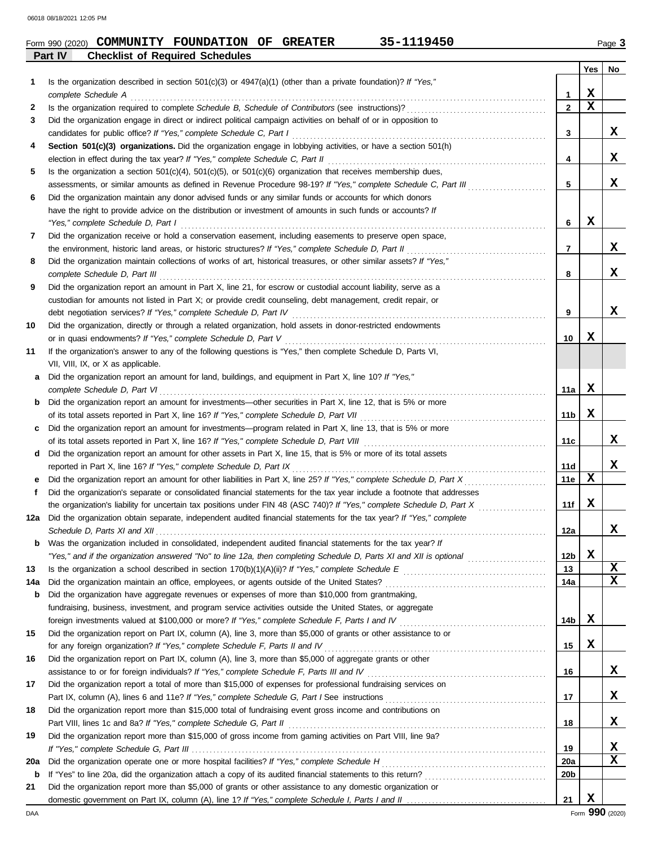|     |         |                                    | Form 990 (2020) COMMUNITY FOUNDATION OF GREATER                                                                                                                                                                        |  |  | 35-1119450 |  |                   |             | Page 3      |
|-----|---------|------------------------------------|------------------------------------------------------------------------------------------------------------------------------------------------------------------------------------------------------------------------|--|--|------------|--|-------------------|-------------|-------------|
|     | Part IV |                                    | <b>Checklist of Required Schedules</b>                                                                                                                                                                                 |  |  |            |  |                   |             |             |
|     |         |                                    |                                                                                                                                                                                                                        |  |  |            |  |                   | Yes         | No          |
| 1   |         | complete Schedule A                | Is the organization described in section $501(c)(3)$ or $4947(a)(1)$ (other than a private foundation)? If "Yes,"                                                                                                      |  |  |            |  | 1                 | $\mathbf x$ |             |
| 2   |         |                                    |                                                                                                                                                                                                                        |  |  |            |  | $\overline{2}$    | $\mathbf x$ |             |
| 3   |         |                                    | Did the organization engage in direct or indirect political campaign activities on behalf of or in opposition to                                                                                                       |  |  |            |  |                   |             |             |
|     |         |                                    | candidates for public office? If "Yes," complete Schedule C, Part I                                                                                                                                                    |  |  |            |  | 3                 |             | X           |
| 4   |         |                                    | Section 501(c)(3) organizations. Did the organization engage in lobbying activities, or have a section 501(h)                                                                                                          |  |  |            |  |                   |             |             |
|     |         |                                    | election in effect during the tax year? If "Yes," complete Schedule C, Part II                                                                                                                                         |  |  |            |  | 4                 |             | x           |
| 5   |         |                                    | Is the organization a section $501(c)(4)$ , $501(c)(5)$ , or $501(c)(6)$ organization that receives membership dues,                                                                                                   |  |  |            |  |                   |             |             |
|     |         |                                    | assessments, or similar amounts as defined in Revenue Procedure 98-19? If "Yes," complete Schedule C, Part III                                                                                                         |  |  |            |  | 5                 |             | x           |
| 6   |         |                                    | Did the organization maintain any donor advised funds or any similar funds or accounts for which donors<br>have the right to provide advice on the distribution or investment of amounts in such funds or accounts? If |  |  |            |  |                   |             |             |
|     |         | "Yes," complete Schedule D, Part I |                                                                                                                                                                                                                        |  |  |            |  | 6                 | X           |             |
| 7   |         |                                    | Did the organization receive or hold a conservation easement, including easements to preserve open space,                                                                                                              |  |  |            |  |                   |             |             |
|     |         |                                    | the environment, historic land areas, or historic structures? If "Yes," complete Schedule D, Part II                                                                                                                   |  |  |            |  | 7                 |             | X           |
| 8   |         |                                    | Did the organization maintain collections of works of art, historical treasures, or other similar assets? If "Yes,"                                                                                                    |  |  |            |  |                   |             |             |
|     |         | complete Schedule D, Part III      |                                                                                                                                                                                                                        |  |  |            |  | 8                 |             | x           |
| 9   |         |                                    | Did the organization report an amount in Part X, line 21, for escrow or custodial account liability, serve as a                                                                                                        |  |  |            |  |                   |             |             |
|     |         |                                    | custodian for amounts not listed in Part X; or provide credit counseling, debt management, credit repair, or                                                                                                           |  |  |            |  |                   |             |             |
|     |         |                                    | debt negotiation services? If "Yes," complete Schedule D, Part IV                                                                                                                                                      |  |  |            |  | 9                 |             | X           |
| 10  |         |                                    | Did the organization, directly or through a related organization, hold assets in donor-restricted endowments<br>or in quasi endowments? If "Yes," complete Schedule D, Part V                                          |  |  |            |  | 10                | X           |             |
| 11  |         |                                    | If the organization's answer to any of the following questions is "Yes," then complete Schedule D, Parts VI,                                                                                                           |  |  |            |  |                   |             |             |
|     |         | VII, VIII, IX, or X as applicable. |                                                                                                                                                                                                                        |  |  |            |  |                   |             |             |
| а   |         |                                    | Did the organization report an amount for land, buildings, and equipment in Part X, line 10? If "Yes,"                                                                                                                 |  |  |            |  |                   |             |             |
|     |         | complete Schedule D, Part VI       |                                                                                                                                                                                                                        |  |  |            |  | 11a               | х           |             |
| b   |         |                                    | Did the organization report an amount for investments—other securities in Part X, line 12, that is 5% or more                                                                                                          |  |  |            |  |                   |             |             |
|     |         |                                    | of its total assets reported in Part X, line 16? If "Yes," complete Schedule D, Part VII                                                                                                                               |  |  |            |  | 11b               | X           |             |
| c   |         |                                    | Did the organization report an amount for investments—program related in Part X, line 13, that is 5% or more                                                                                                           |  |  |            |  |                   |             |             |
|     |         |                                    | of its total assets reported in Part X, line 16? If "Yes," complete Schedule D, Part VIII                                                                                                                              |  |  |            |  | 11c               |             | x           |
| d   |         |                                    | Did the organization report an amount for other assets in Part X, line 15, that is 5% or more of its total assets                                                                                                      |  |  |            |  |                   |             | $\mathbf x$ |
|     |         |                                    | reported in Part X, line 16? If "Yes," complete Schedule D, Part IX<br>Did the organization report an amount for other liabilities in Part X, line 25? If "Yes," complete Schedule D, Part X                           |  |  |            |  | <b>11d</b><br>11e | X           |             |
| е   |         |                                    | Did the organization's separate or consolidated financial statements for the tax year include a footnote that addresses                                                                                                |  |  |            |  |                   |             |             |
|     |         |                                    | the organization's liability for uncertain tax positions under FIN 48 (ASC 740)? If "Yes," complete Schedule D, Part X                                                                                                 |  |  |            |  | 11f               | X           |             |
|     |         |                                    | Did the organization obtain separate, independent audited financial statements for the tax year? If "Yes," complete                                                                                                    |  |  |            |  |                   |             |             |
|     |         |                                    |                                                                                                                                                                                                                        |  |  |            |  | 12a               |             | X           |
| b   |         |                                    | Was the organization included in consolidated, independent audited financial statements for the tax year? If                                                                                                           |  |  |            |  |                   |             |             |
|     |         |                                    | "Yes," and if the organization answered "No" to line 12a, then completing Schedule D, Parts XI and XII is optional                                                                                                     |  |  |            |  | 12 <sub>b</sub>   | $\mathbf x$ |             |
| 13  |         |                                    |                                                                                                                                                                                                                        |  |  |            |  | 13                |             | X           |
| 14a |         |                                    | Did the organization maintain an office, employees, or agents outside of the United States?                                                                                                                            |  |  |            |  | 14a               |             | X           |
| b   |         |                                    | Did the organization have aggregate revenues or expenses of more than \$10,000 from grantmaking,<br>fundraising, business, investment, and program service activities outside the United States, or aggregate          |  |  |            |  |                   |             |             |
|     |         |                                    | foreign investments valued at \$100,000 or more? If "Yes," complete Schedule F, Parts I and IV [[[[[[[[[[[[[[[                                                                                                         |  |  |            |  | 14b               | х           |             |
| 15  |         |                                    | Did the organization report on Part IX, column (A), line 3, more than \$5,000 of grants or other assistance to or                                                                                                      |  |  |            |  |                   |             |             |
|     |         |                                    | for any foreign organization? If "Yes," complete Schedule F, Parts II and IV                                                                                                                                           |  |  |            |  | 15                | X           |             |
| 16  |         |                                    | Did the organization report on Part IX, column (A), line 3, more than \$5,000 of aggregate grants or other                                                                                                             |  |  |            |  |                   |             |             |
|     |         |                                    | assistance to or for foreign individuals? If "Yes," complete Schedule F, Parts III and IV [[[[[[[[[[[[[[[[[[[                                                                                                          |  |  |            |  | 16                |             | X           |
| 17  |         |                                    | Did the organization report a total of more than \$15,000 of expenses for professional fundraising services on                                                                                                         |  |  |            |  |                   |             |             |
|     |         |                                    |                                                                                                                                                                                                                        |  |  |            |  | 17                |             | X           |
| 18  |         |                                    | Did the organization report more than \$15,000 total of fundraising event gross income and contributions on                                                                                                            |  |  |            |  |                   |             |             |
|     |         |                                    | Part VIII, lines 1c and 8a? If "Yes," complete Schedule G, Part II                                                                                                                                                     |  |  |            |  | 18                |             | X           |
| 19  |         |                                    | Did the organization report more than \$15,000 of gross income from gaming activities on Part VIII, line 9a?                                                                                                           |  |  |            |  | 19                |             | X           |
| 20a |         |                                    | Did the organization operate one or more hospital facilities? If "Yes," complete Schedule H                                                                                                                            |  |  |            |  | <b>20a</b>        |             | X           |
| b   |         |                                    |                                                                                                                                                                                                                        |  |  |            |  | 20 <sub>b</sub>   |             |             |
| 21  |         |                                    | Did the organization report more than \$5,000 of grants or other assistance to any domestic organization or                                                                                                            |  |  |            |  |                   |             |             |
|     |         |                                    |                                                                                                                                                                                                                        |  |  |            |  | 21                | X           |             |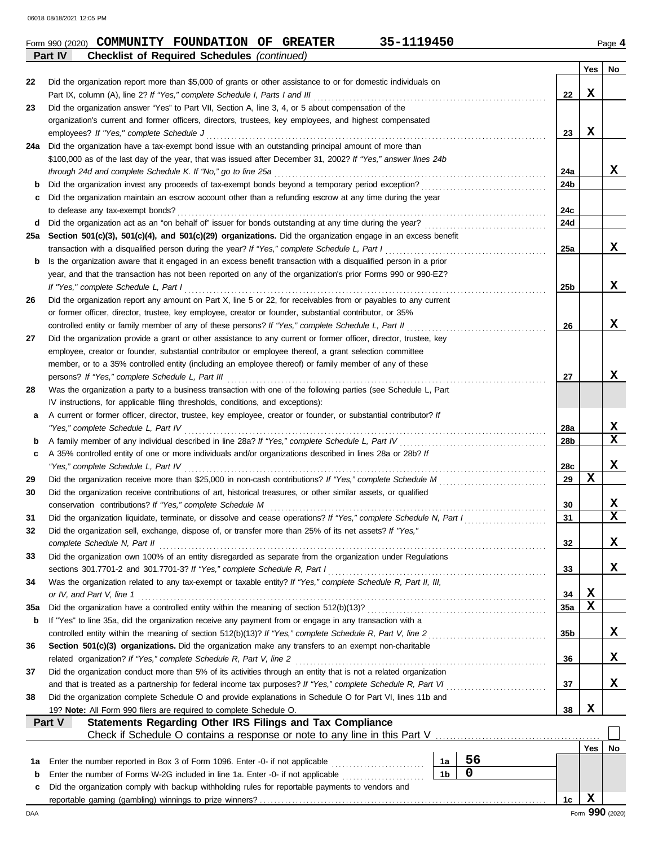|     | <b>Checklist of Required Schedules (continued)</b><br>Part IV                                                                                              |                 |             |                         |  |  |  |  |  |  |  |  |
|-----|------------------------------------------------------------------------------------------------------------------------------------------------------------|-----------------|-------------|-------------------------|--|--|--|--|--|--|--|--|
|     |                                                                                                                                                            |                 | Yes         | No                      |  |  |  |  |  |  |  |  |
| 22  | Did the organization report more than \$5,000 of grants or other assistance to or for domestic individuals on                                              |                 |             |                         |  |  |  |  |  |  |  |  |
|     | Part IX, column (A), line 2? If "Yes," complete Schedule I, Parts I and III                                                                                | 22              | x           |                         |  |  |  |  |  |  |  |  |
| 23  | Did the organization answer "Yes" to Part VII, Section A, line 3, 4, or 5 about compensation of the                                                        |                 |             |                         |  |  |  |  |  |  |  |  |
|     | organization's current and former officers, directors, trustees, key employees, and highest compensated                                                    |                 |             |                         |  |  |  |  |  |  |  |  |
|     | employees? If "Yes," complete Schedule J                                                                                                                   | 23              | x           |                         |  |  |  |  |  |  |  |  |
| 24a | Did the organization have a tax-exempt bond issue with an outstanding principal amount of more than                                                        |                 |             |                         |  |  |  |  |  |  |  |  |
|     | \$100,000 as of the last day of the year, that was issued after December 31, 2002? If "Yes," answer lines 24b                                              |                 |             |                         |  |  |  |  |  |  |  |  |
|     | through 24d and complete Schedule K. If "No," go to line 25a                                                                                               |                 |             |                         |  |  |  |  |  |  |  |  |
| b   |                                                                                                                                                            |                 |             |                         |  |  |  |  |  |  |  |  |
| c   | Did the organization maintain an escrow account other than a refunding escrow at any time during the year                                                  |                 |             |                         |  |  |  |  |  |  |  |  |
|     | to defease any tax-exempt bonds?                                                                                                                           |                 |             |                         |  |  |  |  |  |  |  |  |
| d   |                                                                                                                                                            |                 |             |                         |  |  |  |  |  |  |  |  |
| 25a | Section 501(c)(3), 501(c)(4), and 501(c)(29) organizations. Did the organization engage in an excess benefit                                               | 24d             |             |                         |  |  |  |  |  |  |  |  |
|     | transaction with a disqualified person during the year? If "Yes," complete Schedule L, Part I                                                              | 25a             |             | x                       |  |  |  |  |  |  |  |  |
| b   | Is the organization aware that it engaged in an excess benefit transaction with a disqualified person in a prior                                           |                 |             |                         |  |  |  |  |  |  |  |  |
|     | year, and that the transaction has not been reported on any of the organization's prior Forms 990 or 990-EZ?                                               |                 |             |                         |  |  |  |  |  |  |  |  |
|     | If "Yes," complete Schedule L, Part I                                                                                                                      | 25 <sub>b</sub> |             | X                       |  |  |  |  |  |  |  |  |
|     | Did the organization report any amount on Part X, line 5 or 22, for receivables from or payables to any current                                            |                 |             |                         |  |  |  |  |  |  |  |  |
| 26  |                                                                                                                                                            |                 |             |                         |  |  |  |  |  |  |  |  |
|     | or former officer, director, trustee, key employee, creator or founder, substantial contributor, or 35%                                                    |                 |             |                         |  |  |  |  |  |  |  |  |
|     | controlled entity or family member of any of these persons? If "Yes," complete Schedule L, Part II                                                         | 26              |             | x                       |  |  |  |  |  |  |  |  |
| 27  | Did the organization provide a grant or other assistance to any current or former officer, director, trustee, key                                          |                 |             |                         |  |  |  |  |  |  |  |  |
|     | employee, creator or founder, substantial contributor or employee thereof, a grant selection committee                                                     |                 |             |                         |  |  |  |  |  |  |  |  |
|     | member, or to a 35% controlled entity (including an employee thereof) or family member of any of these                                                     |                 |             |                         |  |  |  |  |  |  |  |  |
|     | persons? If "Yes," complete Schedule L, Part III                                                                                                           | 27              |             | x                       |  |  |  |  |  |  |  |  |
| 28  | Was the organization a party to a business transaction with one of the following parties (see Schedule L, Part                                             |                 |             |                         |  |  |  |  |  |  |  |  |
|     | IV instructions, for applicable filing thresholds, conditions, and exceptions):                                                                            |                 |             |                         |  |  |  |  |  |  |  |  |
| а   | A current or former officer, director, trustee, key employee, creator or founder, or substantial contributor? If                                           |                 |             |                         |  |  |  |  |  |  |  |  |
|     | "Yes," complete Schedule L, Part IV                                                                                                                        | 28a             |             | X                       |  |  |  |  |  |  |  |  |
| b   | A family member of any individual described in line 28a? If "Yes," complete Schedule L, Part IV [[[[[[[[[[[[[                                              | 28b             |             | $\overline{\mathbf{x}}$ |  |  |  |  |  |  |  |  |
| c   | A 35% controlled entity of one or more individuals and/or organizations described in lines 28a or 28b? If                                                  |                 |             |                         |  |  |  |  |  |  |  |  |
|     | "Yes," complete Schedule L, Part IV                                                                                                                        | 28c             |             | x                       |  |  |  |  |  |  |  |  |
| 29  |                                                                                                                                                            | 29              | X           |                         |  |  |  |  |  |  |  |  |
| 30  | Did the organization receive contributions of art, historical treasures, or other similar assets, or qualified                                             |                 |             |                         |  |  |  |  |  |  |  |  |
|     | conservation contributions? If "Yes," complete Schedule M                                                                                                  | 30              |             | X                       |  |  |  |  |  |  |  |  |
| 31  | Did the organization liquidate, terminate, or dissolve and cease operations? If "Yes," complete Schedule N, Part I                                         | 31              |             | $\overline{\mathbf{x}}$ |  |  |  |  |  |  |  |  |
| 32  | Did the organization sell, exchange, dispose of, or transfer more than 25% of its net assets? If "Yes,"                                                    |                 |             |                         |  |  |  |  |  |  |  |  |
|     | complete Schedule N, Part II                                                                                                                               | 32              |             | X                       |  |  |  |  |  |  |  |  |
| 33  | Did the organization own 100% of an entity disregarded as separate from the organization under Regulations                                                 |                 |             |                         |  |  |  |  |  |  |  |  |
|     | sections 301.7701-2 and 301.7701-3? If "Yes," complete Schedule R, Part I                                                                                  | 33              |             | X,                      |  |  |  |  |  |  |  |  |
| 34  | Was the organization related to any tax-exempt or taxable entity? If "Yes," complete Schedule R, Part II, III,                                             |                 |             |                         |  |  |  |  |  |  |  |  |
|     | or IV, and Part V, line 1                                                                                                                                  | 34              | X           |                         |  |  |  |  |  |  |  |  |
| 35a |                                                                                                                                                            | 35a             | $\mathbf x$ |                         |  |  |  |  |  |  |  |  |
| b   | If "Yes" to line 35a, did the organization receive any payment from or engage in any transaction with a                                                    |                 |             |                         |  |  |  |  |  |  |  |  |
|     | controlled entity within the meaning of section 512(b)(13)? If "Yes," complete Schedule R, Part V, line 2                                                  | 35 <sub>b</sub> |             | X,                      |  |  |  |  |  |  |  |  |
| 36  | Section 501(c)(3) organizations. Did the organization make any transfers to an exempt non-charitable                                                       |                 |             |                         |  |  |  |  |  |  |  |  |
|     | related organization? If "Yes," complete Schedule R, Part V, line 2                                                                                        | 36              |             | X.                      |  |  |  |  |  |  |  |  |
| 37  | Did the organization conduct more than 5% of its activities through an entity that is not a related organization                                           |                 |             |                         |  |  |  |  |  |  |  |  |
|     | and that is treated as a partnership for federal income tax purposes? If "Yes," complete Schedule R, Part VI                                               | 37              |             | X.                      |  |  |  |  |  |  |  |  |
| 38  | Did the organization complete Schedule O and provide explanations in Schedule O for Part VI, lines 11b and                                                 |                 |             |                         |  |  |  |  |  |  |  |  |
|     | 19? Note: All Form 990 filers are required to complete Schedule O.                                                                                         | 38              | x           |                         |  |  |  |  |  |  |  |  |
|     | Statements Regarding Other IRS Filings and Tax Compliance<br>Part V                                                                                        |                 |             |                         |  |  |  |  |  |  |  |  |
|     | Check if Schedule O contains a response or note to any line in this Part V [11] Check if Schedule O contains a response or note to any line in this Part V |                 |             |                         |  |  |  |  |  |  |  |  |
|     |                                                                                                                                                            |                 | Yes         | No                      |  |  |  |  |  |  |  |  |
| 1a  | 56<br>Enter the number reported in Box 3 of Form 1096. Enter -0- if not applicable <i>mummers</i><br>1a                                                    |                 |             |                         |  |  |  |  |  |  |  |  |
| b   | 0<br>1 <sub>b</sub><br>Enter the number of Forms W-2G included in line 1a. Enter -0- if not applicable                                                     |                 |             |                         |  |  |  |  |  |  |  |  |
| c   | Did the organization comply with backup withholding rules for reportable payments to vendors and                                                           |                 |             |                         |  |  |  |  |  |  |  |  |
|     |                                                                                                                                                            | 1c              | $\mathbf x$ |                         |  |  |  |  |  |  |  |  |
| DAA |                                                                                                                                                            |                 |             | Form 990 (2020)         |  |  |  |  |  |  |  |  |
|     |                                                                                                                                                            |                 |             |                         |  |  |  |  |  |  |  |  |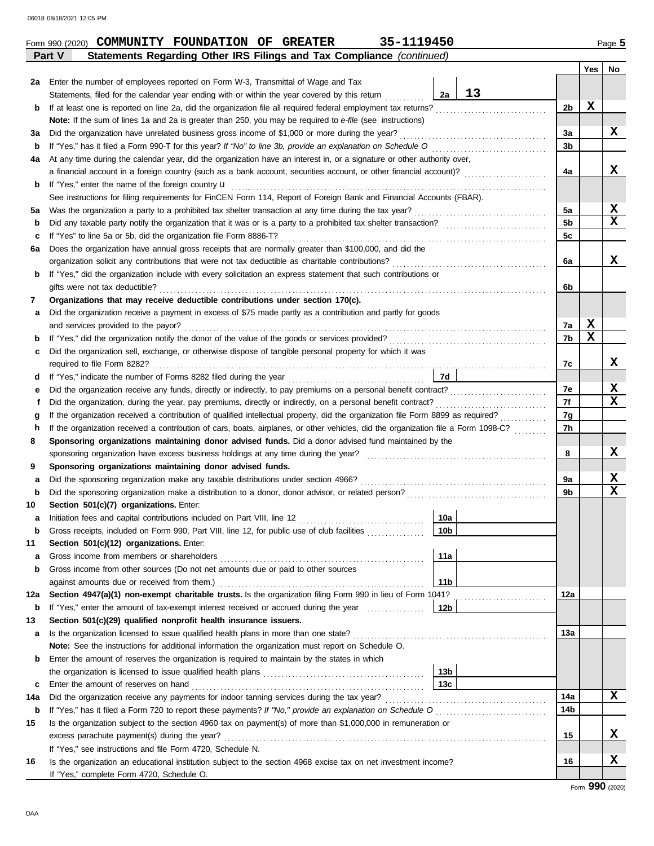|     |                                                                                                                                    |                 |    |                | <b>Yes</b> | No.             |  |  |  |  |  |  |  |
|-----|------------------------------------------------------------------------------------------------------------------------------------|-----------------|----|----------------|------------|-----------------|--|--|--|--|--|--|--|
| 2a  | Enter the number of employees reported on Form W-3, Transmittal of Wage and Tax                                                    |                 |    |                |            |                 |  |  |  |  |  |  |  |
|     | Statements, filed for the calendar year ending with or within the year covered by this return                                      | 2a              | 13 |                |            |                 |  |  |  |  |  |  |  |
| b   |                                                                                                                                    |                 |    | 2b             | X          |                 |  |  |  |  |  |  |  |
|     | Note: If the sum of lines 1a and 2a is greater than 250, you may be required to e-file (see instructions)                          |                 |    |                |            |                 |  |  |  |  |  |  |  |
| За  | Did the organization have unrelated business gross income of \$1,000 or more during the year?                                      |                 |    | 3a             |            | X               |  |  |  |  |  |  |  |
| b   |                                                                                                                                    |                 |    | 3b             |            |                 |  |  |  |  |  |  |  |
| 4a  | At any time during the calendar year, did the organization have an interest in, or a signature or other authority over,            |                 |    |                |            |                 |  |  |  |  |  |  |  |
|     | a financial account in a foreign country (such as a bank account, securities account, or other financial account)?                 |                 |    | 4a             |            | x               |  |  |  |  |  |  |  |
| b   |                                                                                                                                    |                 |    |                |            |                 |  |  |  |  |  |  |  |
|     | See instructions for filing requirements for FinCEN Form 114, Report of Foreign Bank and Financial Accounts (FBAR).                |                 |    |                |            |                 |  |  |  |  |  |  |  |
| 5а  |                                                                                                                                    |                 |    | 5a             |            | X               |  |  |  |  |  |  |  |
| b   |                                                                                                                                    |                 |    | 5 <sub>b</sub> |            | $\mathbf x$     |  |  |  |  |  |  |  |
| c   |                                                                                                                                    |                 |    |                |            |                 |  |  |  |  |  |  |  |
| 6a  | Does the organization have annual gross receipts that are normally greater than \$100,000, and did the                             |                 |    |                |            |                 |  |  |  |  |  |  |  |
|     |                                                                                                                                    |                 |    | 6a             |            | x               |  |  |  |  |  |  |  |
| b   | If "Yes," did the organization include with every solicitation an express statement that such contributions or                     |                 |    |                |            |                 |  |  |  |  |  |  |  |
|     | gifts were not tax deductible?                                                                                                     |                 |    | 6b             |            |                 |  |  |  |  |  |  |  |
| 7   | Organizations that may receive deductible contributions under section 170(c).                                                      |                 |    |                |            |                 |  |  |  |  |  |  |  |
| а   | Did the organization receive a payment in excess of \$75 made partly as a contribution and partly for goods                        |                 |    |                |            |                 |  |  |  |  |  |  |  |
|     | and services provided to the payor?                                                                                                |                 |    | 7a             | X          |                 |  |  |  |  |  |  |  |
| b   |                                                                                                                                    |                 |    | 7b             | X          |                 |  |  |  |  |  |  |  |
| c   | Did the organization sell, exchange, or otherwise dispose of tangible personal property for which it was                           |                 |    |                |            |                 |  |  |  |  |  |  |  |
|     |                                                                                                                                    |                 |    | 7c             |            | x               |  |  |  |  |  |  |  |
| d   |                                                                                                                                    | 7d              |    |                |            |                 |  |  |  |  |  |  |  |
| е   |                                                                                                                                    |                 |    | 7e             |            | X               |  |  |  |  |  |  |  |
| f   |                                                                                                                                    |                 |    | 7f             |            | x               |  |  |  |  |  |  |  |
| g   |                                                                                                                                    |                 |    | 7g             |            |                 |  |  |  |  |  |  |  |
| h   | If the organization received a contribution of cars, boats, airplanes, or other vehicles, did the organization file a Form 1098-C? |                 |    | 7h             |            |                 |  |  |  |  |  |  |  |
| 8   | Sponsoring organizations maintaining donor advised funds. Did a donor advised fund maintained by the                               |                 |    |                |            |                 |  |  |  |  |  |  |  |
|     |                                                                                                                                    |                 |    | 8              |            | X               |  |  |  |  |  |  |  |
| 9   | Sponsoring organizations maintaining donor advised funds.                                                                          |                 |    |                |            |                 |  |  |  |  |  |  |  |
| а   |                                                                                                                                    |                 |    | 9a             |            | X               |  |  |  |  |  |  |  |
| b   |                                                                                                                                    |                 |    | 9b             |            | $\mathbf x$     |  |  |  |  |  |  |  |
| 10  | Section 501(c)(7) organizations. Enter:                                                                                            |                 |    |                |            |                 |  |  |  |  |  |  |  |
| а   |                                                                                                                                    | 10a             |    |                |            |                 |  |  |  |  |  |  |  |
| b   | Gross receipts, included on Form 990, Part VIII, line 12, for public use of club facilities                                        | 10 <sub>b</sub> |    |                |            |                 |  |  |  |  |  |  |  |
| 11  | Section 501(c)(12) organizations. Enter:                                                                                           |                 |    |                |            |                 |  |  |  |  |  |  |  |
| a   |                                                                                                                                    | 11a             |    |                |            |                 |  |  |  |  |  |  |  |
| b   | Gross income from other sources (Do not net amounts due or paid to other sources                                                   |                 |    |                |            |                 |  |  |  |  |  |  |  |
|     | against amounts due or received from them.)                                                                                        | 11 b            |    |                |            |                 |  |  |  |  |  |  |  |
| 12a | Section 4947(a)(1) non-exempt charitable trusts. Is the organization filing Form 990 in lieu of Form 1041?                         |                 |    | 12a            |            |                 |  |  |  |  |  |  |  |
| b   | If "Yes," enter the amount of tax-exempt interest received or accrued during the year conservance of                               | 12b             |    |                |            |                 |  |  |  |  |  |  |  |
| 13  | Section 501(c)(29) qualified nonprofit health insurance issuers.                                                                   |                 |    |                |            |                 |  |  |  |  |  |  |  |
| а   | Is the organization licensed to issue qualified health plans in more than one state?                                               |                 |    | 13a            |            |                 |  |  |  |  |  |  |  |
|     | Note: See the instructions for additional information the organization must report on Schedule O.                                  |                 |    |                |            |                 |  |  |  |  |  |  |  |
| b   | Enter the amount of reserves the organization is required to maintain by the states in which                                       |                 |    |                |            |                 |  |  |  |  |  |  |  |
|     |                                                                                                                                    | 13 <sub>b</sub> |    |                |            |                 |  |  |  |  |  |  |  |
| c   | Enter the amount of reserves on hand                                                                                               | 13 <sub>c</sub> |    |                |            |                 |  |  |  |  |  |  |  |
| 14a |                                                                                                                                    |                 |    | 14a            |            | X               |  |  |  |  |  |  |  |
| b   | If "Yes," has it filed a Form 720 to report these payments? If "No," provide an explanation on Schedule O                          |                 |    | 14b            |            |                 |  |  |  |  |  |  |  |
| 15  | Is the organization subject to the section 4960 tax on payment(s) of more than \$1,000,000 in remuneration or                      |                 |    |                |            |                 |  |  |  |  |  |  |  |
|     | excess parachute payment(s) during the year?                                                                                       |                 |    | 15             |            | x               |  |  |  |  |  |  |  |
|     | If "Yes," see instructions and file Form 4720, Schedule N.                                                                         |                 |    |                |            |                 |  |  |  |  |  |  |  |
| 16  | Is the organization an educational institution subject to the section 4968 excise tax on net investment income?                    |                 |    | 16             |            | X               |  |  |  |  |  |  |  |
|     | If "Yes," complete Form 4720, Schedule O.                                                                                          |                 |    |                |            |                 |  |  |  |  |  |  |  |
|     |                                                                                                                                    |                 |    |                |            | Form 990 (2020) |  |  |  |  |  |  |  |

**Part V Statements Regarding Other IRS Filings and Tax Compliance** *(continued)* **Form 990 (2020) COMMUNITY FOUNDATION OF GREATER** 35-1119450 **120 COMMUNITY FOUNDATION OF GREATER**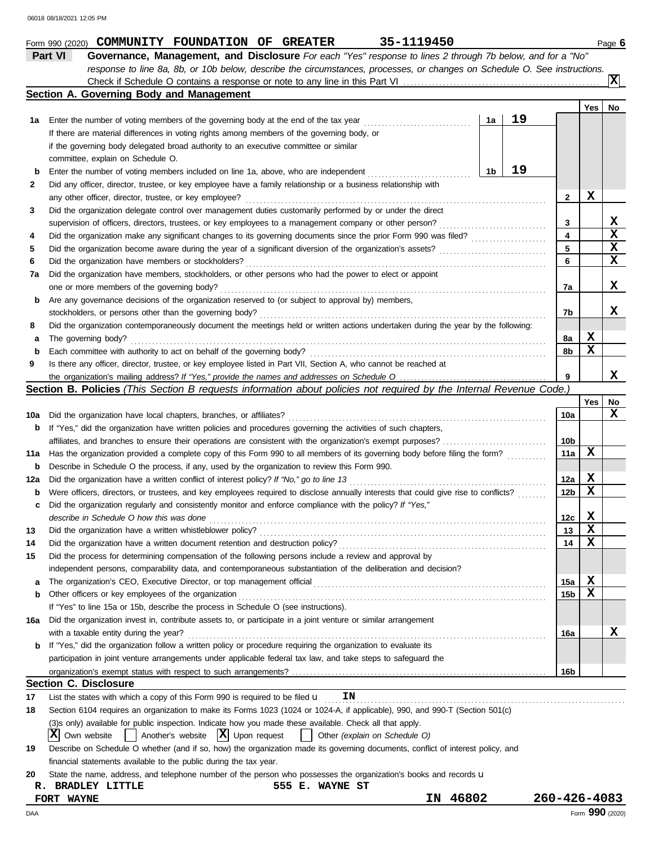|     | Part VI<br>Governance, Management, and Disclosure For each "Yes" response to lines 2 through 7b below, and for a "No"                           |    |    |                         |                         |             |
|-----|-------------------------------------------------------------------------------------------------------------------------------------------------|----|----|-------------------------|-------------------------|-------------|
|     | response to line 8a, 8b, or 10b below, describe the circumstances, processes, or changes on Schedule O. See instructions.                       |    |    |                         |                         |             |
|     |                                                                                                                                                 |    |    |                         |                         | ΙxΙ         |
|     | Section A. Governing Body and Management                                                                                                        |    |    |                         |                         |             |
|     |                                                                                                                                                 |    |    |                         | Yes                     | No          |
| 1a  | Enter the number of voting members of the governing body at the end of the tax year                                                             | 1a | 19 |                         |                         |             |
|     | If there are material differences in voting rights among members of the governing body, or                                                      |    |    |                         |                         |             |
|     | if the governing body delegated broad authority to an executive committee or similar                                                            |    |    |                         |                         |             |
|     | committee, explain on Schedule O.                                                                                                               |    |    |                         |                         |             |
| b   | Enter the number of voting members included on line 1a, above, who are independent                                                              | 1b | 19 |                         |                         |             |
| 2   | Did any officer, director, trustee, or key employee have a family relationship or a business relationship with                                  |    |    |                         |                         |             |
|     | any other officer, director, trustee, or key employee?                                                                                          |    |    | $\mathbf{2}$            | X                       |             |
| 3   | Did the organization delegate control over management duties customarily performed by or under the direct                                       |    |    |                         |                         |             |
|     | supervision of officers, directors, trustees, or key employees to a management company or other person?                                         |    |    | 3                       |                         | X           |
| 4   |                                                                                                                                                 |    |    | $\overline{\mathbf{4}}$ |                         | $\mathbf x$ |
| 5   |                                                                                                                                                 |    |    | 5                       |                         | $\mathbf x$ |
| 6   | Did the organization have members or stockholders?                                                                                              |    |    | 6                       |                         | $\mathbf x$ |
| 7a  | Did the organization have members, stockholders, or other persons who had the power to elect or appoint                                         |    |    |                         |                         |             |
|     |                                                                                                                                                 |    |    | 7a                      |                         | x           |
|     | one or more members of the governing body?<br>Are any governance decisions of the organization reserved to (or subject to approval by) members, |    |    |                         |                         |             |
| b   |                                                                                                                                                 |    |    | 7b                      |                         | x           |
|     | stockholders, or persons other than the governing body?                                                                                         |    |    |                         |                         |             |
| 8   | Did the organization contemporaneously document the meetings held or written actions undertaken during the year by the following:               |    |    |                         |                         |             |
| а   | The governing body?                                                                                                                             |    |    | 8a                      | X<br>$\mathbf x$        |             |
| b   | Each committee with authority to act on behalf of the governing body?                                                                           |    |    | 8b                      |                         |             |
| 9   | Is there any officer, director, trustee, or key employee listed in Part VII, Section A, who cannot be reached at                                |    |    |                         |                         |             |
|     |                                                                                                                                                 |    |    | 9                       |                         | x           |
|     | Section B. Policies (This Section B requests information about policies not required by the Internal Revenue Code.)                             |    |    |                         |                         |             |
|     |                                                                                                                                                 |    |    |                         | Yes                     | No          |
| 10a | Did the organization have local chapters, branches, or affiliates?                                                                              |    |    | 10a                     |                         | X           |
| b   | If "Yes," did the organization have written policies and procedures governing the activities of such chapters,                                  |    |    |                         |                         |             |
|     | affiliates, and branches to ensure their operations are consistent with the organization's exempt purposes?                                     |    |    | 10b                     |                         |             |
| 11a | Has the organization provided a complete copy of this Form 990 to all members of its governing body before filing the form?                     |    |    | 11a                     | X                       |             |
| b   | Describe in Schedule O the process, if any, used by the organization to review this Form 990.                                                   |    |    |                         |                         |             |
| 12a | Did the organization have a written conflict of interest policy? If "No," go to line 13                                                         |    |    | 12a                     | X                       |             |
| b   | Were officers, directors, or trustees, and key employees required to disclose annually interests that could give rise to conflicts?             |    |    | 12 <sub>b</sub>         | $\mathbf x$             |             |
| c   | Did the organization regularly and consistently monitor and enforce compliance with the policy? If "Yes,"                                       |    |    |                         |                         |             |
|     | describe in Schedule O how this was done <i>communically contained in Schedule O how this was done</i>                                          |    |    | 12c                     | X                       |             |
| 13  | Did the organization have a written whistleblower policy?                                                                                       |    |    | 13                      | $\overline{\mathbf{x}}$ |             |
| 14  | Did the organization have a written document retention and destruction policy?                                                                  |    |    | 14                      | X                       |             |
| 15  | Did the process for determining compensation of the following persons include a review and approval by                                          |    |    |                         |                         |             |
|     | independent persons, comparability data, and contemporaneous substantiation of the deliberation and decision?                                   |    |    |                         |                         |             |
| а   | The organization's CEO, Executive Director, or top management official                                                                          |    |    | 15a                     | X                       |             |
| b   | Other officers or key employees of the organization                                                                                             |    |    | 15 <sub>b</sub>         | X                       |             |
|     | If "Yes" to line 15a or 15b, describe the process in Schedule O (see instructions).                                                             |    |    |                         |                         |             |
| 16a | Did the organization invest in, contribute assets to, or participate in a joint venture or similar arrangement                                  |    |    |                         |                         |             |
|     | with a taxable entity during the year?                                                                                                          |    |    | 16a                     |                         | x           |
| b   | If "Yes," did the organization follow a written policy or procedure requiring the organization to evaluate its                                  |    |    |                         |                         |             |
|     | participation in joint venture arrangements under applicable federal tax law, and take steps to safeguard the                                   |    |    |                         |                         |             |
|     |                                                                                                                                                 |    |    | 16b                     |                         |             |
|     | Section C. Disclosure                                                                                                                           |    |    |                         |                         |             |
| 17  | ΙN<br>List the states with which a copy of this Form 990 is required to be filed $\mathbf u$                                                    |    |    |                         |                         |             |
|     |                                                                                                                                                 |    |    |                         |                         |             |
| 18  | Section 6104 requires an organization to make its Forms 1023 (1024 or 1024-A, if applicable), 990, and 990-T (Section 501(c)                    |    |    |                         |                         |             |
|     | (3) sonly) available for public inspection. Indicate how you made these available. Check all that apply.                                        |    |    |                         |                         |             |
|     | $ \mathbf{X} $ Upon request<br>ΙX<br>Another's website<br>Own website<br>Other (explain on Schedule O)                                          |    |    |                         |                         |             |
| 19  | Describe on Schedule O whether (and if so, how) the organization made its governing documents, conflict of interest policy, and                 |    |    |                         |                         |             |
|     | financial statements available to the public during the tax year.                                                                               |    |    |                         |                         |             |
| 20  | State the name, address, and telephone number of the person who possesses the organization's books and records u                                |    |    |                         |                         |             |
| R.  | <b>BRADLEY LITTLE</b><br>555 E. WAYNE ST                                                                                                        |    |    |                         |                         |             |
|     | 46802<br>ΙN<br>FORT WAYNE                                                                                                                       |    |    | 260-426-4083            |                         |             |
| DAA |                                                                                                                                                 |    |    |                         | Form 990 (2020)         |             |

**Form 990 (2020) COMMUNITY FOUNDATION OF GREATER** 35-1119450 **120 COMMUNITY FOUNDATION OF GREATER**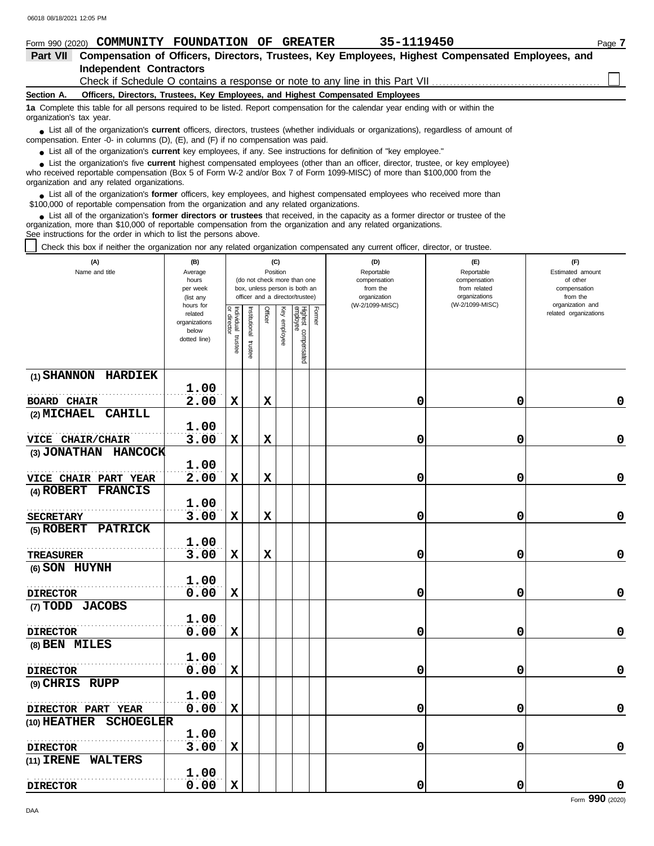| Form 990 (2020)          | 35-1119450<br>COMMUNITY FOUNDATION<br><b>GREATER</b><br>OF                                                                                                                                                                                 | Page 7 |
|--------------------------|--------------------------------------------------------------------------------------------------------------------------------------------------------------------------------------------------------------------------------------------|--------|
| <b>Part VII</b>          | Compensation of Officers, Directors, Trustees, Key Employees, Highest Compensated Employees, and                                                                                                                                           |        |
|                          | <b>Independent Contractors</b>                                                                                                                                                                                                             |        |
|                          |                                                                                                                                                                                                                                            |        |
| Section A.               | Officers, Directors, Trustees, Key Employees, and Highest Compensated Employees                                                                                                                                                            |        |
| organization's tax year. | 1a Complete this table for all persons required to be listed. Report compensation for the calendar year ending with or within the                                                                                                          |        |
|                          | • List all of the organization's <b>current</b> officers, directors, trustees (whether individuals or organizations), regardless of amount of<br>compensation. Enter -0- in columns $(D)$ , $(E)$ , and $(F)$ if no compensation was paid. |        |
|                          | • List all of the organization's current key employees, if any. See instructions for definition of "key employee."                                                                                                                         |        |
|                          | List the organization's five <b>current</b> highest compensated employees (other than an officer, director, trustee, or key employee)                                                                                                      |        |

who received reportable compensation (Box 5 of Form W-2 and/or Box 7 of Form 1099-MISC) of more than \$100,000 from the organization and any related organizations. ■ List the organization's five **current** highest compensated employees (other than an officer, director, trustee, or key employee)<br> **•** Pregiund reportable compensation (Box 5 of Ferm W 2 and/or Box 7 of Ferm 1000 MISC) o

■ List all of the organization's **former** officers, key employees, and highest compensated employees who received more than<br> **•** 00.000 of reportable compensation from the examization and any related erganizations \$100,000 of reportable compensation from the organization and any related organizations.

List all of the organization's **former directors or trustees** that received, in the capacity as a former director or trustee of the organization, more than \$10,000 of reportable compensation from the organization and any related organizations. See instructions for the order in which to list the persons above. **•**

Check this box if neither the organization nor any related organization compensated any current officer, director, or trustee.

| (A)<br>Name and title            | (B)<br>Average<br>hours<br>per week<br>(list any<br>hours for |                                   |                          | Position    | (C)          | (do not check more than one<br>box, unless person is both an<br>officer and a director/trustee) |        | (D)<br>Reportable<br>compensation<br>from the<br>organization<br>(W-2/1099-MISC) | (E)<br>Reportable<br>compensation<br>from related<br>organizations<br>(W-2/1099-MISC) | (F)<br>Estimated amount<br>of other<br>compensation<br>from the<br>organization and |
|----------------------------------|---------------------------------------------------------------|-----------------------------------|--------------------------|-------------|--------------|-------------------------------------------------------------------------------------------------|--------|----------------------------------------------------------------------------------|---------------------------------------------------------------------------------------|-------------------------------------------------------------------------------------|
|                                  | related<br>organizations<br>below<br>dotted line)             | Individual trustee<br>or director | Institutional<br>trustee | Officer     | Key employee | Highest compensated<br>employee                                                                 | Former |                                                                                  |                                                                                       | related organizations                                                               |
| (1) SHANNON HARDIEK              | 1.00                                                          |                                   |                          |             |              |                                                                                                 |        |                                                                                  |                                                                                       |                                                                                     |
| <b>BOARD CHAIR</b>               | 2.00                                                          | $\mathbf x$                       |                          | $\mathbf x$ |              |                                                                                                 |        | 0                                                                                | 0                                                                                     | $\mathbf 0$                                                                         |
| (2) MICHAEL CAHILL               | 1.00                                                          |                                   |                          |             |              |                                                                                                 |        |                                                                                  |                                                                                       |                                                                                     |
| VICE CHAIR/CHAIR                 | 3.00                                                          | $\mathbf x$                       |                          | $\mathbf x$ |              |                                                                                                 |        | 0                                                                                | 0                                                                                     | $\mathbf 0$                                                                         |
| (3) JONATHAN HANCOCK             |                                                               |                                   |                          |             |              |                                                                                                 |        |                                                                                  |                                                                                       |                                                                                     |
| <b>VICE CHAIR PART YEAR</b>      | 1.00<br>2.00                                                  | $\mathbf x$                       |                          | $\mathbf x$ |              |                                                                                                 |        | 0                                                                                | 0                                                                                     | 0                                                                                   |
| (4) ROBERT FRANCIS               |                                                               |                                   |                          |             |              |                                                                                                 |        |                                                                                  |                                                                                       |                                                                                     |
|                                  | 1.00                                                          |                                   |                          |             |              |                                                                                                 |        |                                                                                  |                                                                                       |                                                                                     |
| <b>SECRETARY</b>                 | 3.00                                                          | $\mathbf x$                       |                          | $\mathbf x$ |              |                                                                                                 |        | 0                                                                                | 0                                                                                     | $\mathbf 0$                                                                         |
| (5) ROBERT PATRICK               |                                                               |                                   |                          |             |              |                                                                                                 |        |                                                                                  |                                                                                       |                                                                                     |
|                                  | 1.00                                                          |                                   |                          |             |              |                                                                                                 |        |                                                                                  |                                                                                       |                                                                                     |
| <b>TREASURER</b>                 | 3.00                                                          | $\mathbf x$                       |                          | $\mathbf x$ |              |                                                                                                 |        | 0                                                                                | 0                                                                                     | 0                                                                                   |
| (6) SON HUYNH                    |                                                               |                                   |                          |             |              |                                                                                                 |        |                                                                                  |                                                                                       |                                                                                     |
|                                  | 1.00                                                          |                                   |                          |             |              |                                                                                                 |        |                                                                                  |                                                                                       |                                                                                     |
| <b>DIRECTOR</b>                  | 0.00                                                          | $\mathbf x$                       |                          |             |              |                                                                                                 |        | 0                                                                                | 0                                                                                     | $\mathbf 0$                                                                         |
| (7) TODD JACOBS                  |                                                               |                                   |                          |             |              |                                                                                                 |        |                                                                                  |                                                                                       |                                                                                     |
|                                  | 1.00                                                          |                                   |                          |             |              |                                                                                                 |        |                                                                                  |                                                                                       |                                                                                     |
| <b>DIRECTOR</b>                  | 0.00                                                          | $\mathbf x$                       |                          |             |              |                                                                                                 |        | 0                                                                                | 0                                                                                     | $\mathbf 0$                                                                         |
| (8) BEN MILES                    |                                                               |                                   |                          |             |              |                                                                                                 |        |                                                                                  |                                                                                       |                                                                                     |
|                                  | 1.00                                                          |                                   |                          |             |              |                                                                                                 |        |                                                                                  |                                                                                       |                                                                                     |
| <b>DIRECTOR</b>                  | 0.00                                                          | $\mathbf x$                       |                          |             |              |                                                                                                 |        | 0                                                                                | 0                                                                                     | 0                                                                                   |
| (9) CHRIS RUPP                   |                                                               |                                   |                          |             |              |                                                                                                 |        |                                                                                  |                                                                                       |                                                                                     |
|                                  | 1.00                                                          |                                   |                          |             |              |                                                                                                 |        |                                                                                  |                                                                                       |                                                                                     |
| DIRECTOR PART YEAR               | 0.00                                                          | $\mathbf x$                       |                          |             |              |                                                                                                 |        | 0                                                                                | 0                                                                                     | $\mathbf 0$                                                                         |
| (10) HEATHER<br><b>SCHOEGLER</b> |                                                               |                                   |                          |             |              |                                                                                                 |        |                                                                                  |                                                                                       |                                                                                     |
|                                  | 1.00                                                          |                                   |                          |             |              |                                                                                                 |        |                                                                                  |                                                                                       |                                                                                     |
| <b>DIRECTOR</b>                  | 3.00                                                          | $\mathbf x$                       |                          |             |              |                                                                                                 |        | 0                                                                                | 0                                                                                     | $\mathbf 0$                                                                         |
| <b>WALTERS</b><br>(11) IRENE     |                                                               |                                   |                          |             |              |                                                                                                 |        |                                                                                  |                                                                                       |                                                                                     |
|                                  | 1.00                                                          |                                   |                          |             |              |                                                                                                 |        |                                                                                  |                                                                                       |                                                                                     |
| <b>DIRECTOR</b>                  | 0.00                                                          | $\mathbf x$                       |                          |             |              |                                                                                                 |        | 0                                                                                | 0                                                                                     | 0                                                                                   |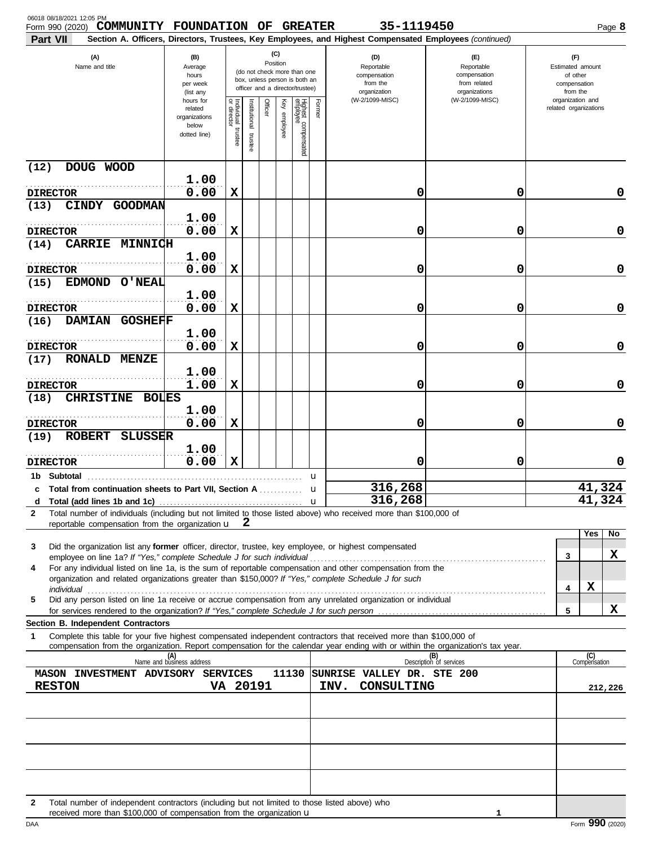| 06018 08/18/2021 12:05 PM<br>COMMUNITY FOUNDATION OF GREATER<br>Form 990 (2020)                                                                                                                                                                                                                                                    |                                                                |                                      |                         |         |                 |                                                                                                 |              | 35-1119450                                                                                             |                                                                    |   |                                                                 | Page 8  |
|------------------------------------------------------------------------------------------------------------------------------------------------------------------------------------------------------------------------------------------------------------------------------------------------------------------------------------|----------------------------------------------------------------|--------------------------------------|-------------------------|---------|-----------------|-------------------------------------------------------------------------------------------------|--------------|--------------------------------------------------------------------------------------------------------|--------------------------------------------------------------------|---|-----------------------------------------------------------------|---------|
| <b>Part VII</b>                                                                                                                                                                                                                                                                                                                    |                                                                |                                      |                         |         |                 |                                                                                                 |              | Section A. Officers, Directors, Trustees, Key Employees, and Highest Compensated Employees (continued) |                                                                    |   |                                                                 |         |
| (A)<br>Name and title                                                                                                                                                                                                                                                                                                              | (B)<br>Average<br>hours<br>per week<br>(list any               |                                      |                         |         | (C)<br>Position | (do not check more than one<br>box, unless person is both an<br>officer and a director/trustee) |              | (D)<br>Reportable<br>compensation<br>from the<br>organization                                          | (E)<br>Reportable<br>compensation<br>from related<br>organizations |   | (F)<br>Estimated amount<br>of other<br>compensation<br>from the |         |
|                                                                                                                                                                                                                                                                                                                                    | hours for<br>related<br>organizations<br>below<br>dotted line) | Individual<br>or director<br>trustee | nstitutional<br>trustee | Officer | Ķey<br>employee | Highest compensated<br>employee                                                                 | Former       | (W-2/1099-MISC)                                                                                        | (W-2/1099-MISC)                                                    |   | organization and<br>related organizations                       |         |
| DOUG WOOD<br>(12)                                                                                                                                                                                                                                                                                                                  |                                                                |                                      |                         |         |                 |                                                                                                 |              |                                                                                                        |                                                                    |   |                                                                 |         |
| <b>DIRECTOR</b>                                                                                                                                                                                                                                                                                                                    | 1.00<br>0.00                                                   | X                                    |                         |         |                 |                                                                                                 |              | 0                                                                                                      | 0                                                                  |   |                                                                 | 0       |
| (13)<br>CINDY GOODMAN                                                                                                                                                                                                                                                                                                              |                                                                |                                      |                         |         |                 |                                                                                                 |              |                                                                                                        |                                                                    |   |                                                                 |         |
|                                                                                                                                                                                                                                                                                                                                    | 1.00                                                           |                                      |                         |         |                 |                                                                                                 |              |                                                                                                        |                                                                    |   |                                                                 |         |
| <b>DIRECTOR</b>                                                                                                                                                                                                                                                                                                                    | 0.00                                                           | X                                    |                         |         |                 |                                                                                                 |              | 0                                                                                                      | 0                                                                  |   |                                                                 | 0       |
| <b>CARRIE MINNICH</b><br>(14)<br><b>DIRECTOR</b>                                                                                                                                                                                                                                                                                   | 1.00<br>0.00                                                   | х                                    |                         |         |                 |                                                                                                 |              | 0                                                                                                      | 0                                                                  |   |                                                                 | 0       |
| <b>EDMOND</b><br>(15)<br><b>O'NEAL</b>                                                                                                                                                                                                                                                                                             |                                                                |                                      |                         |         |                 |                                                                                                 |              |                                                                                                        |                                                                    |   |                                                                 |         |
| <b>DIRECTOR</b>                                                                                                                                                                                                                                                                                                                    | 1.00<br>0.00                                                   | X                                    |                         |         |                 |                                                                                                 |              | 0                                                                                                      | 0                                                                  |   |                                                                 | 0       |
| DAMIAN GOSHEFF<br>(16)                                                                                                                                                                                                                                                                                                             |                                                                |                                      |                         |         |                 |                                                                                                 |              |                                                                                                        |                                                                    |   |                                                                 |         |
| <b>DIRECTOR</b>                                                                                                                                                                                                                                                                                                                    | 1.00<br>0.00                                                   | X                                    |                         |         |                 |                                                                                                 |              | 0                                                                                                      | 0                                                                  |   |                                                                 | 0       |
| RONALD MENZE<br>(17)                                                                                                                                                                                                                                                                                                               |                                                                |                                      |                         |         |                 |                                                                                                 |              |                                                                                                        |                                                                    |   |                                                                 |         |
| <b>DIRECTOR</b>                                                                                                                                                                                                                                                                                                                    | 1.00<br>1.00                                                   | х                                    |                         |         |                 |                                                                                                 |              | 0                                                                                                      | 0                                                                  |   |                                                                 | 0       |
| <b>CHRISTINE</b><br>(18)<br><b>BOLES</b>                                                                                                                                                                                                                                                                                           |                                                                |                                      |                         |         |                 |                                                                                                 |              |                                                                                                        |                                                                    |   |                                                                 |         |
|                                                                                                                                                                                                                                                                                                                                    | 1.00                                                           |                                      |                         |         |                 |                                                                                                 |              |                                                                                                        |                                                                    |   |                                                                 |         |
| <b>DIRECTOR</b><br><b>ROBERT</b><br><b>SLUSSER</b><br>(19)                                                                                                                                                                                                                                                                         | 0.00                                                           | х                                    |                         |         |                 |                                                                                                 |              | 0                                                                                                      | 0                                                                  |   |                                                                 | 0       |
| <b>DIRECTOR</b>                                                                                                                                                                                                                                                                                                                    | 1.00<br>0.00                                                   | $\mathbf x$                          |                         |         |                 |                                                                                                 |              | 0                                                                                                      | 0                                                                  |   |                                                                 | 0       |
| <b>Subtotal</b><br>1b.                                                                                                                                                                                                                                                                                                             |                                                                |                                      |                         |         |                 |                                                                                                 | u            |                                                                                                        |                                                                    |   |                                                                 |         |
| c Total from continuation sheets to Part VII, Section A <i>minimal</i>                                                                                                                                                                                                                                                             |                                                                |                                      |                         |         |                 |                                                                                                 | u            | 316,268                                                                                                |                                                                    |   | 41,324                                                          |         |
| d<br>Total number of individuals (including but not limited to those listed above) who received more than \$100,000 of<br>$\mathbf{2}$                                                                                                                                                                                             |                                                                |                                      |                         |         |                 |                                                                                                 | $\mathbf{u}$ | 316,268                                                                                                |                                                                    |   | 41,324                                                          |         |
| reportable compensation from the organization $\mathbf{u}$ $\mathbf{2}$                                                                                                                                                                                                                                                            |                                                                |                                      |                         |         |                 |                                                                                                 |              |                                                                                                        |                                                                    |   |                                                                 |         |
| Did the organization list any former officer, director, trustee, key employee, or highest compensated<br>3                                                                                                                                                                                                                         |                                                                |                                      |                         |         |                 |                                                                                                 |              |                                                                                                        |                                                                    |   | Yes                                                             | No      |
| employee on line 1a? If "Yes," complete Schedule J for such individual manufactured content to the 1at of the term of the schedule J for such individual manufactured in the set of the schedule $\frac{1}{2}$<br>For any individual listed on line 1a, is the sum of reportable compensation and other compensation from the<br>4 |                                                                |                                      |                         |         |                 |                                                                                                 |              |                                                                                                        |                                                                    |   | 3                                                               | x       |
| organization and related organizations greater than \$150,000? If "Yes," complete Schedule J for such                                                                                                                                                                                                                              |                                                                |                                      |                         |         |                 |                                                                                                 |              |                                                                                                        |                                                                    |   | х<br>4                                                          |         |
| Did any person listed on line 1a receive or accrue compensation from any unrelated organization or individual<br>5                                                                                                                                                                                                                 |                                                                |                                      |                         |         |                 |                                                                                                 |              |                                                                                                        |                                                                    |   |                                                                 |         |
| Section B. Independent Contractors                                                                                                                                                                                                                                                                                                 |                                                                |                                      |                         |         |                 |                                                                                                 |              |                                                                                                        |                                                                    | 5 |                                                                 | X       |
| Complete this table for your five highest compensated independent contractors that received more than \$100,000 of<br>1<br>compensation from the organization. Report compensation for the calendar year ending with or within the organization's tax year.                                                                        |                                                                |                                      |                         |         |                 |                                                                                                 |              |                                                                                                        |                                                                    |   |                                                                 |         |
|                                                                                                                                                                                                                                                                                                                                    | (A)<br>Name and business address                               |                                      |                         |         |                 |                                                                                                 |              |                                                                                                        | (B)<br>Description of services                                     |   | (C)<br>Compensation                                             |         |
| MASON INVESTMENT ADVISORY SERVICES<br><b>RESTON</b>                                                                                                                                                                                                                                                                                | VA 20191                                                       |                                      |                         |         |                 |                                                                                                 |              | 11130 SUNRISE VALLEY DR. STE 200<br>INV.<br>CONSULTING                                                 |                                                                    |   |                                                                 |         |
|                                                                                                                                                                                                                                                                                                                                    |                                                                |                                      |                         |         |                 |                                                                                                 |              |                                                                                                        |                                                                    |   |                                                                 | 212,226 |
|                                                                                                                                                                                                                                                                                                                                    |                                                                |                                      |                         |         |                 |                                                                                                 |              |                                                                                                        |                                                                    |   |                                                                 |         |
|                                                                                                                                                                                                                                                                                                                                    |                                                                |                                      |                         |         |                 |                                                                                                 |              |                                                                                                        |                                                                    |   |                                                                 |         |
|                                                                                                                                                                                                                                                                                                                                    |                                                                |                                      |                         |         |                 |                                                                                                 |              |                                                                                                        |                                                                    |   |                                                                 |         |
|                                                                                                                                                                                                                                                                                                                                    |                                                                |                                      |                         |         |                 |                                                                                                 |              |                                                                                                        |                                                                    |   |                                                                 |         |
| Total number of independent contractors (including but not limited to those listed above) who<br>2<br>received more than \$100,000 of compensation from the organization <b>u</b>                                                                                                                                                  |                                                                |                                      |                         |         |                 |                                                                                                 |              |                                                                                                        |                                                                    |   |                                                                 |         |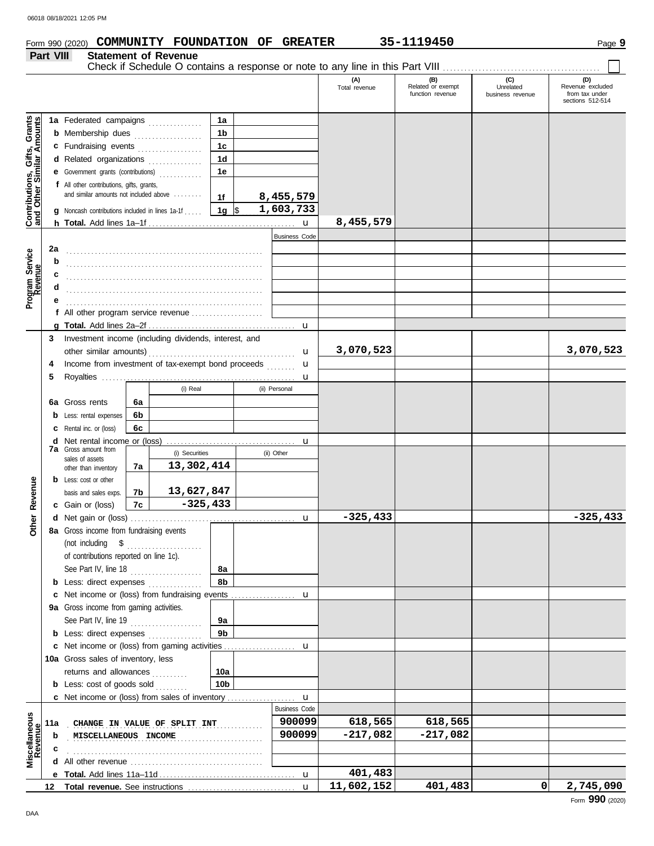| Form 990 (2020) |                             | COMMUNITY FOUNDATION OF GREATER |  | 35-1119450 | Page |
|-----------------|-----------------------------|---------------------------------|--|------------|------|
| Part VIII       | <b>Statement of Revenue</b> |                                 |  |            |      |

|                                                                  |     |                                                       |    |                              |               |                      | (A)<br>Total revenue | (B)<br>Related or exempt<br>function revenue | (C)<br>Unrelated<br>business revenue | (D)<br>Revenue excluded<br>from tax under<br>sections 512-514 |
|------------------------------------------------------------------|-----|-------------------------------------------------------|----|------------------------------|---------------|----------------------|----------------------|----------------------------------------------|--------------------------------------|---------------------------------------------------------------|
|                                                                  |     |                                                       |    |                              |               |                      |                      |                                              |                                      |                                                               |
|                                                                  |     | 1a Federated campaigns                                |    |                              | 1a            |                      |                      |                                              |                                      |                                                               |
|                                                                  |     | <b>b</b> Membership dues                              |    |                              | 1b            |                      |                      |                                              |                                      |                                                               |
|                                                                  |     | c Fundraising events                                  |    |                              | 1c            |                      |                      |                                              |                                      |                                                               |
|                                                                  |     | d Related organizations                               |    |                              | 1d            |                      |                      |                                              |                                      |                                                               |
|                                                                  |     | e Government grants (contributions)                   |    |                              | 1e            |                      |                      |                                              |                                      |                                                               |
| <b>Contributions, Gifts, Grants</b><br>and Other Similar Amounts |     | f All other contributions, gifts, grants,             |    |                              |               |                      |                      |                                              |                                      |                                                               |
|                                                                  |     | and similar amounts not included above                |    |                              | 1f            | 8,455,579            |                      |                                              |                                      |                                                               |
|                                                                  | a   | Noncash contributions included in lines 1a-1f         |    |                              | 1g $\sqrt{ }$ | 1,603,733            |                      |                                              |                                      |                                                               |
|                                                                  |     |                                                       |    |                              |               | $\mathbf{u}$         | 8,455,579            |                                              |                                      |                                                               |
|                                                                  |     |                                                       |    |                              |               | <b>Business Code</b> |                      |                                              |                                      |                                                               |
|                                                                  | 2a  |                                                       |    |                              |               |                      |                      |                                              |                                      |                                                               |
| Program Service<br>Revenue                                       | b   |                                                       |    |                              |               |                      |                      |                                              |                                      |                                                               |
|                                                                  |     |                                                       |    |                              |               |                      |                      |                                              |                                      |                                                               |
|                                                                  |     |                                                       |    |                              |               |                      |                      |                                              |                                      |                                                               |
|                                                                  |     |                                                       |    |                              |               |                      |                      |                                              |                                      |                                                               |
|                                                                  |     | f All other program service revenue                   |    |                              |               |                      |                      |                                              |                                      |                                                               |
|                                                                  |     |                                                       |    |                              |               |                      |                      |                                              |                                      |                                                               |
|                                                                  | 3   | Investment income (including dividends, interest, and |    |                              |               |                      |                      |                                              |                                      |                                                               |
|                                                                  |     |                                                       |    |                              |               |                      | 3,070,523            |                                              |                                      | 3,070,523                                                     |
|                                                                  |     |                                                       |    |                              |               | u                    |                      |                                              |                                      |                                                               |
|                                                                  | 4   | Income from investment of tax-exempt bond proceeds    |    |                              |               | u                    |                      |                                              |                                      |                                                               |
|                                                                  | 5   |                                                       |    |                              |               | u                    |                      |                                              |                                      |                                                               |
|                                                                  |     |                                                       |    | (i) Real                     |               | (ii) Personal        |                      |                                              |                                      |                                                               |
|                                                                  | 6а  | Gross rents                                           | 6a |                              |               |                      |                      |                                              |                                      |                                                               |
|                                                                  |     | <b>b</b> Less: rental expenses                        | 6b |                              |               |                      |                      |                                              |                                      |                                                               |
|                                                                  |     | <b>c</b> Rental inc. or (loss)                        | 6с |                              |               |                      |                      |                                              |                                      |                                                               |
|                                                                  |     | <b>d</b> Net rental income or (loss)                  |    |                              |               |                      |                      |                                              |                                      |                                                               |
|                                                                  |     | <b>7a</b> Gross amount from<br>sales of assets        |    | (i) Securities               |               | (ii) Other           |                      |                                              |                                      |                                                               |
|                                                                  |     | other than inventory                                  | 7a | 13,302,414                   |               |                      |                      |                                              |                                      |                                                               |
|                                                                  |     | <b>b</b> Less: cost or other                          |    |                              |               |                      |                      |                                              |                                      |                                                               |
| Revenue                                                          |     | basis and sales exps.                                 | 7b | 13,627,847                   |               |                      |                      |                                              |                                      |                                                               |
|                                                                  |     | c Gain or (loss)                                      | 7c | $-325,433$                   |               |                      |                      |                                              |                                      |                                                               |
|                                                                  |     |                                                       |    |                              |               | u                    | $-325,433$           |                                              |                                      | $-325,433$                                                    |
| Other                                                            |     | 8a Gross income from fundraising events               |    |                              |               |                      |                      |                                              |                                      |                                                               |
|                                                                  |     | (not including \$                                     |    |                              |               |                      |                      |                                              |                                      |                                                               |
|                                                                  |     | of contributions reported on line 1c).                |    |                              |               |                      |                      |                                              |                                      |                                                               |
|                                                                  |     | See Part IV, line $18$                                |    |                              | 8a            |                      |                      |                                              |                                      |                                                               |
|                                                                  |     | <b>b</b> Less: direct expenses                        |    |                              | 8b            |                      |                      |                                              |                                      |                                                               |
|                                                                  |     | c Net income or (loss) from fundraising events        |    |                              |               | u                    |                      |                                              |                                      |                                                               |
|                                                                  |     | 9a Gross income from gaming activities.               |    |                              |               |                      |                      |                                              |                                      |                                                               |
|                                                                  |     | See Part IV, line 19                                  |    |                              | 9a            |                      |                      |                                              |                                      |                                                               |
|                                                                  |     | <b>b</b> Less: direct expenses                        |    |                              | 9b            |                      |                      |                                              |                                      |                                                               |
|                                                                  |     | c Net income or (loss) from gaming activities         |    |                              |               | u                    |                      |                                              |                                      |                                                               |
|                                                                  |     | 10a Gross sales of inventory, less                    |    |                              |               |                      |                      |                                              |                                      |                                                               |
|                                                                  |     | returns and allowances                                |    |                              | 10a           |                      |                      |                                              |                                      |                                                               |
|                                                                  |     | <b>b</b> Less: cost of goods sold                     |    |                              | 10b           |                      |                      |                                              |                                      |                                                               |
|                                                                  |     | <b>c</b> Net income or (loss) from sales of inventory |    |                              |               | $\mathbf u$          |                      |                                              |                                      |                                                               |
|                                                                  |     |                                                       |    |                              |               | <b>Business Code</b> |                      |                                              |                                      |                                                               |
|                                                                  | 11a |                                                       |    | CHANGE IN VALUE OF SPLIT INT |               | 900099               | 618,565              | 618,565                                      |                                      |                                                               |
|                                                                  | b   | MISCELLANEOUS INCOME                                  |    |                              |               | 900099               | -217,082             | $-217,082$                                   |                                      |                                                               |
|                                                                  | c   |                                                       |    |                              |               |                      |                      |                                              |                                      |                                                               |
| Miscellaneous<br>Revenue                                         |     |                                                       |    |                              |               |                      |                      |                                              |                                      |                                                               |
|                                                                  |     |                                                       |    |                              |               | u                    | 401,483              |                                              |                                      |                                                               |
|                                                                  | 12  |                                                       |    |                              |               | $\mathbf u$          | 11,602,152           | 401,483                                      | 0                                    | 2,745,090                                                     |
|                                                                  |     |                                                       |    |                              |               |                      |                      |                                              |                                      |                                                               |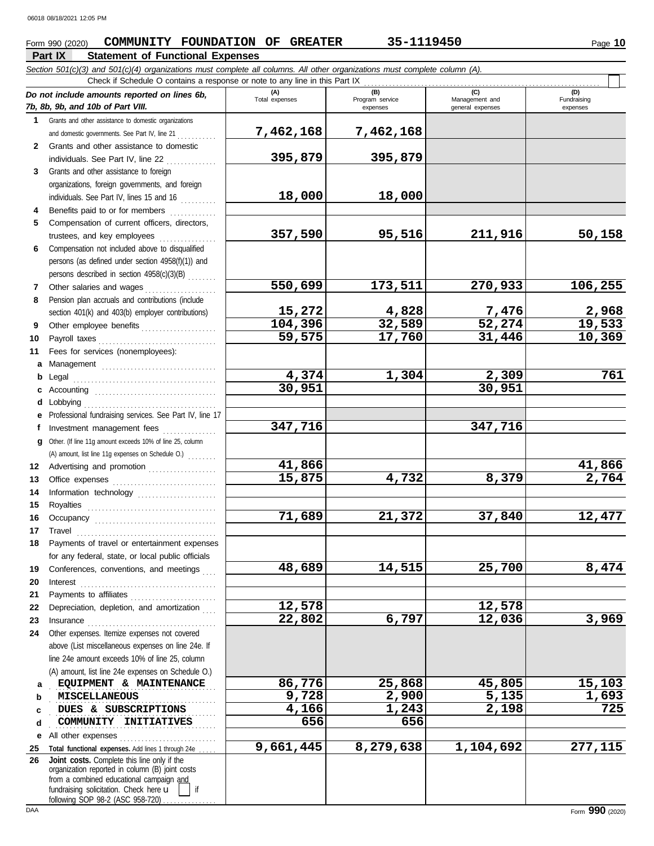## **Form 990 (2020) COMMUNITY FOUNDATION OF GREATER** 35-1119450 **10** Page 10

## **Part IX Statement of Functional Expenses**

*Section 501(c)(3) and 501(c)(4) organizations must complete all columns. All other organizations must complete column (A).*

|              | Check if Schedule O contains a response or note to any line in this Part IX                                                                                                     |                       |                                    |                                    |                                |  |  |  |  |  |  |
|--------------|---------------------------------------------------------------------------------------------------------------------------------------------------------------------------------|-----------------------|------------------------------------|------------------------------------|--------------------------------|--|--|--|--|--|--|
|              | Do not include amounts reported on lines 6b,<br>7b, 8b, 9b, and 10b of Part VIII.                                                                                               | (A)<br>Total expenses | (B)<br>Program service<br>expenses | Management and<br>general expenses | (D)<br>Fundraising<br>expenses |  |  |  |  |  |  |
|              | 1 Grants and other assistance to domestic organizations                                                                                                                         |                       |                                    |                                    |                                |  |  |  |  |  |  |
|              | and domestic governments. See Part IV, line 21                                                                                                                                  | 7,462,168             | 7,462,168                          |                                    |                                |  |  |  |  |  |  |
| $\mathbf{2}$ | Grants and other assistance to domestic                                                                                                                                         |                       |                                    |                                    |                                |  |  |  |  |  |  |
|              | individuals. See Part IV, line 22                                                                                                                                               | 395,879               | 395,879                            |                                    |                                |  |  |  |  |  |  |
| 3            | Grants and other assistance to foreign                                                                                                                                          |                       |                                    |                                    |                                |  |  |  |  |  |  |
|              | organizations, foreign governments, and foreign                                                                                                                                 |                       |                                    |                                    |                                |  |  |  |  |  |  |
|              | individuals. See Part IV, lines 15 and 16                                                                                                                                       | 18,000                | 18,000                             |                                    |                                |  |  |  |  |  |  |
| 4            | Benefits paid to or for members<br>.                                                                                                                                            |                       |                                    |                                    |                                |  |  |  |  |  |  |
| 5            | Compensation of current officers, directors,                                                                                                                                    |                       |                                    |                                    |                                |  |  |  |  |  |  |
|              | trustees, and key employees                                                                                                                                                     | 357,590               | 95,516                             | 211,916                            | 50,158                         |  |  |  |  |  |  |
| 6            | Compensation not included above to disqualified                                                                                                                                 |                       |                                    |                                    |                                |  |  |  |  |  |  |
|              | persons (as defined under section 4958(f)(1)) and                                                                                                                               |                       |                                    |                                    |                                |  |  |  |  |  |  |
|              | persons described in section 4958(c)(3)(B)                                                                                                                                      |                       |                                    |                                    |                                |  |  |  |  |  |  |
| 7            | Other salaries and wages                                                                                                                                                        | 550,699               | 173,511                            | 270,933                            | 106,255                        |  |  |  |  |  |  |
| 8            | Pension plan accruals and contributions (include                                                                                                                                |                       |                                    |                                    |                                |  |  |  |  |  |  |
|              | section 401(k) and 403(b) employer contributions)                                                                                                                               | 15,272                | 4,828                              | <u>7,476</u>                       | 2,968                          |  |  |  |  |  |  |
| 9            | Other employee benefits                                                                                                                                                         | 104,396               | 32,589                             | 52, 274                            | 19,533                         |  |  |  |  |  |  |
| 10           | Payroll taxes                                                                                                                                                                   | 59,575                | 17,760                             | 31,446                             | 10,369                         |  |  |  |  |  |  |
| 11           | Fees for services (nonemployees):                                                                                                                                               |                       |                                    |                                    |                                |  |  |  |  |  |  |
| a            |                                                                                                                                                                                 |                       |                                    |                                    |                                |  |  |  |  |  |  |
|              |                                                                                                                                                                                 | 4,374                 | 1,304                              | 2,309                              | 761                            |  |  |  |  |  |  |
|              |                                                                                                                                                                                 | 30,951                |                                    | 30,951                             |                                |  |  |  |  |  |  |
|              | Lobbying                                                                                                                                                                        |                       |                                    |                                    |                                |  |  |  |  |  |  |
|              | Professional fundraising services. See Part IV, line 17                                                                                                                         |                       |                                    |                                    |                                |  |  |  |  |  |  |
| f            | Investment management fees                                                                                                                                                      | 347,716               |                                    | 347,716                            |                                |  |  |  |  |  |  |
| g            | Other. (If line 11g amount exceeds 10% of line 25, column                                                                                                                       |                       |                                    |                                    |                                |  |  |  |  |  |  |
|              | (A) amount, list line 11g expenses on Schedule O.)                                                                                                                              |                       |                                    |                                    |                                |  |  |  |  |  |  |
| 12           | Advertising and promotion                                                                                                                                                       | 41,866                |                                    |                                    | 41,866                         |  |  |  |  |  |  |
| 13           |                                                                                                                                                                                 | 15,875                | 4,732                              | 8,379                              | 2,764                          |  |  |  |  |  |  |
| 14           | Information technology                                                                                                                                                          |                       |                                    |                                    |                                |  |  |  |  |  |  |
| 15           |                                                                                                                                                                                 |                       |                                    |                                    |                                |  |  |  |  |  |  |
| 16           |                                                                                                                                                                                 | 71,689                | 21,372                             | 37,840                             | 12,477                         |  |  |  |  |  |  |
| 17           | Travel                                                                                                                                                                          |                       |                                    |                                    |                                |  |  |  |  |  |  |
| 18           | Payments of travel or entertainment expenses                                                                                                                                    |                       |                                    |                                    |                                |  |  |  |  |  |  |
|              | for any federal, state, or local public officials                                                                                                                               |                       |                                    |                                    |                                |  |  |  |  |  |  |
| 19           | Conferences, conventions, and meetings                                                                                                                                          | 48,689                | 14,515                             | 25,700                             | 8,474                          |  |  |  |  |  |  |
| 20           | Interest                                                                                                                                                                        |                       |                                    |                                    |                                |  |  |  |  |  |  |
| 21           | Payments to affiliates                                                                                                                                                          |                       |                                    |                                    |                                |  |  |  |  |  |  |
| 22           | Depreciation, depletion, and amortization                                                                                                                                       | 12,578                |                                    | 12,578                             |                                |  |  |  |  |  |  |
| 23           | Insurance                                                                                                                                                                       | 22,802                | 6,797                              | 12,036                             | 3,969                          |  |  |  |  |  |  |
| 24           | Other expenses. Itemize expenses not covered                                                                                                                                    |                       |                                    |                                    |                                |  |  |  |  |  |  |
|              | above (List miscellaneous expenses on line 24e. If                                                                                                                              |                       |                                    |                                    |                                |  |  |  |  |  |  |
|              | line 24e amount exceeds 10% of line 25, column                                                                                                                                  |                       |                                    |                                    |                                |  |  |  |  |  |  |
|              | (A) amount, list line 24e expenses on Schedule O.)                                                                                                                              | 86,776                | 25,868                             | 45,805                             | 15,103                         |  |  |  |  |  |  |
| а            | EQUIPMENT & MAINTENANCE                                                                                                                                                         | 9,728                 | 2,900                              | 5,135                              | 1,693                          |  |  |  |  |  |  |
| b            | MISCELLANEOUS<br>DUES & SUBSCRIPTIONS                                                                                                                                           | 4,166                 | 1,243                              | 2,198                              | 725                            |  |  |  |  |  |  |
| c            | COMMUNITY INITIATIVES                                                                                                                                                           | 656                   | 656                                |                                    |                                |  |  |  |  |  |  |
| d            |                                                                                                                                                                                 |                       |                                    |                                    |                                |  |  |  |  |  |  |
| е            | All other expenses                                                                                                                                                              | 9,661,445             | 8,279,638                          | 1,104,692                          | 277,115                        |  |  |  |  |  |  |
| 25<br>26     | Total functional expenses. Add lines 1 through 24e<br>Joint costs. Complete this line only if the                                                                               |                       |                                    |                                    |                                |  |  |  |  |  |  |
|              | organization reported in column (B) joint costs<br>from a combined educational campaign and<br>fundraising solicitation. Check here u<br>if<br>following SOP 98-2 (ASC 958-720) |                       |                                    |                                    |                                |  |  |  |  |  |  |

 $\Box$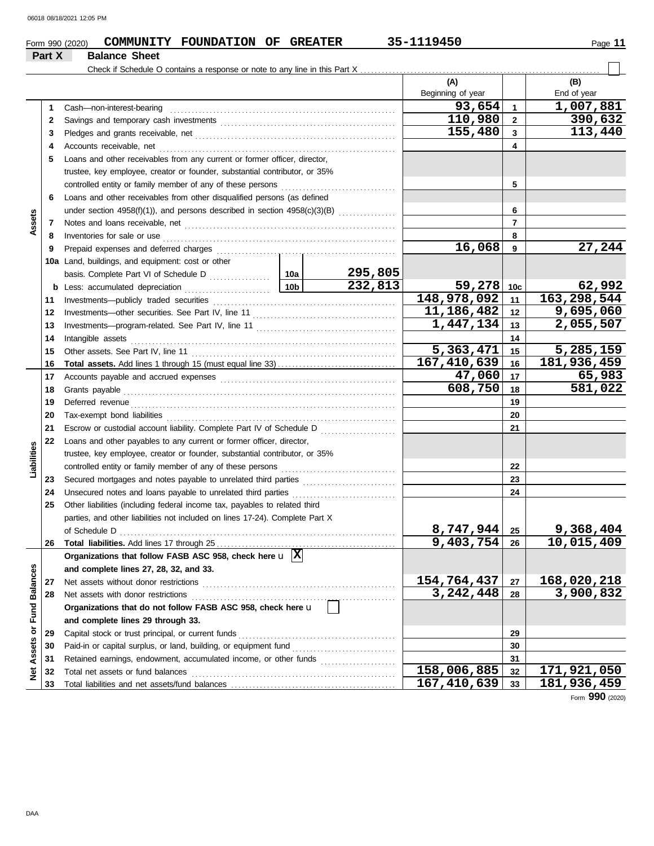|                             |        | COMMUNITY FOUNDATION OF GREATER<br>Form 990 (2020)                                      |                 |         | 35-1119450               |                | Page 11     |  |  |
|-----------------------------|--------|-----------------------------------------------------------------------------------------|-----------------|---------|--------------------------|----------------|-------------|--|--|
|                             | Part X | <b>Balance Sheet</b>                                                                    |                 |         |                          |                |             |  |  |
|                             |        |                                                                                         |                 |         |                          |                |             |  |  |
|                             |        |                                                                                         |                 |         | (A)                      |                | (B)         |  |  |
|                             |        |                                                                                         |                 |         | Beginning of year        |                | End of year |  |  |
|                             | 1      | Cash-non-interest-bearing                                                               |                 |         | 93,654                   | $\mathbf{1}$   | 1,007,881   |  |  |
|                             | 2      |                                                                                         |                 |         | 110,980                  | $\overline{2}$ | 390,632     |  |  |
|                             | 3      |                                                                                         |                 |         | 155,480                  | $\mathbf{3}$   | 113,440     |  |  |
|                             | 4      |                                                                                         |                 |         |                          | 4              |             |  |  |
|                             | 5      | Loans and other receivables from any current or former officer, director,               |                 |         |                          |                |             |  |  |
|                             |        | trustee, key employee, creator or founder, substantial contributor, or 35%              |                 |         |                          |                |             |  |  |
|                             |        |                                                                                         |                 |         |                          | 5              |             |  |  |
|                             | 6      | Loans and other receivables from other disqualified persons (as defined                 |                 |         |                          |                |             |  |  |
|                             |        | under section 4958(f)(1)), and persons described in section $4958(c)(3)(B)$             |                 |         |                          | 6              |             |  |  |
| Assets                      | 7      |                                                                                         |                 |         |                          | $\overline{7}$ |             |  |  |
|                             | 8      | Inventories for sale or use                                                             |                 |         |                          | 8              |             |  |  |
|                             | 9      | Prepaid expenses and deferred charges                                                   |                 |         | 16,068                   | 9              | 27,244      |  |  |
|                             |        | 10a Land, buildings, and equipment: cost or other                                       |                 |         |                          |                |             |  |  |
|                             |        |                                                                                         |                 | 295,805 |                          |                |             |  |  |
|                             |        | <b>b</b> Less: accumulated depreciation                                                 | 10 <sub>b</sub> | 232,813 | 59,278                   | 10c            | 62,992      |  |  |
|                             | 11     | Investments-publicly traded securities                                                  |                 |         | 148,978,092              | 11             | 163,298,544 |  |  |
|                             | 12     |                                                                                         |                 |         | 11, 186, 482             | 12             | 9,695,060   |  |  |
|                             | 13     |                                                                                         |                 |         | 1,447,134                | 13             | 2,055,507   |  |  |
|                             | 14     | Intangible assets                                                                       |                 |         |                          | 14             |             |  |  |
|                             | 15     | Other assets. See Part IV, line 11                                                      |                 |         | 5,363,471                | 15             | 5,285,159   |  |  |
|                             | 16     |                                                                                         |                 |         | $\overline{167,410,639}$ | 16             | 181,936,459 |  |  |
|                             | 17     |                                                                                         |                 |         |                          |                |             |  |  |
|                             | 18     | Grants payable                                                                          | 608,750         | 18      | 581,022                  |                |             |  |  |
|                             | 19     | Deferred revenue                                                                        |                 |         |                          | 19             |             |  |  |
|                             | 20     |                                                                                         |                 |         |                          | 20             |             |  |  |
|                             | 21     | Escrow or custodial account liability. Complete Part IV of Schedule D                   |                 |         |                          | 21             |             |  |  |
|                             | 22     | Loans and other payables to any current or former officer, director,                    |                 |         |                          |                |             |  |  |
| Liabilities                 |        | trustee, key employee, creator or founder, substantial contributor, or 35%              |                 |         |                          |                |             |  |  |
|                             |        | controlled entity or family member of any of these persons                              |                 |         |                          | 22             |             |  |  |
|                             | 23     |                                                                                         |                 |         |                          | 23             |             |  |  |
|                             | 24     | Unsecured notes and loans payable to unrelated third parties                            |                 |         |                          | 24             |             |  |  |
|                             | 25     | Other liabilities (including federal income tax, payables to related third              |                 |         |                          |                |             |  |  |
|                             |        | parties, and other liabilities not included on lines 17-24). Complete Part X            |                 |         |                          |                |             |  |  |
|                             |        | of Schedule D                                                                           |                 |         | 8,747,944                | 25             | 9,368,404   |  |  |
|                             | 26     |                                                                                         |                 |         | 9,403,754                | 26             | 10,015,409  |  |  |
|                             |        | Organizations that follow FASB ASC 958, check here $\mathbf{u}$ $\overline{\mathbf{X}}$ |                 |         |                          |                |             |  |  |
|                             |        | and complete lines 27, 28, 32, and 33.                                                  |                 |         |                          |                |             |  |  |
|                             | 27     | Net assets without donor restrictions                                                   |                 |         | 154,764,437              | 27             | 168,020,218 |  |  |
|                             | 28     | Net assets with donor restrictions                                                      |                 |         | 3,242,448                | 28             | 3,900,832   |  |  |
|                             |        | Organizations that do not follow FASB ASC 958, check here u                             |                 |         |                          |                |             |  |  |
|                             |        | and complete lines 29 through 33.                                                       |                 |         |                          |                |             |  |  |
|                             | 29     | Capital stock or trust principal, or current funds                                      |                 |         |                          | 29             |             |  |  |
| Net Assets or Fund Balances | 30     | Paid-in or capital surplus, or land, building, or equipment fund                        |                 |         |                          | 30             |             |  |  |
|                             | 31     | Retained earnings, endowment, accumulated income, or other funds                        |                 |         |                          | 31             |             |  |  |
|                             | 32     | Total net assets or fund balances                                                       |                 |         | 158,006,885              | 32             | 171,921,050 |  |  |
|                             | 33     |                                                                                         |                 |         | 167, 410, 639            | 33             | 181,936,459 |  |  |

Form **990** (2020)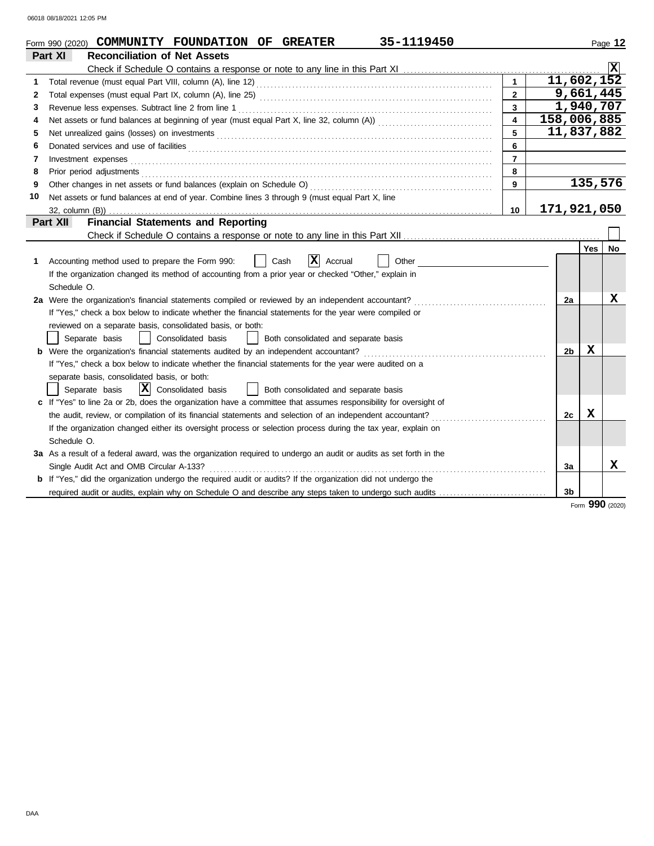|    | 35-1119450<br>Form 990 (2020) COMMUNITY FOUNDATION OF GREATER                                                                                                                                                                  |                  |           |                |         | Page 12   |  |  |  |
|----|--------------------------------------------------------------------------------------------------------------------------------------------------------------------------------------------------------------------------------|------------------|-----------|----------------|---------|-----------|--|--|--|
|    | Part XI<br><b>Reconciliation of Net Assets</b>                                                                                                                                                                                 |                  |           |                |         |           |  |  |  |
|    |                                                                                                                                                                                                                                |                  |           |                |         |           |  |  |  |
| 1  |                                                                                                                                                                                                                                | $\mathbf{1}$     |           | 11,602,152     |         |           |  |  |  |
| 2  |                                                                                                                                                                                                                                | $\overline{2}$   |           | 9,661,445      |         |           |  |  |  |
| 3  |                                                                                                                                                                                                                                | $\overline{3}$   | 1,940,707 |                |         |           |  |  |  |
| 4  |                                                                                                                                                                                                                                | $\blacktriangle$ |           | 158,006,885    |         |           |  |  |  |
| 5  | 11,837,882<br>5                                                                                                                                                                                                                |                  |           |                |         |           |  |  |  |
| 6  | Donated services and use of facilities <b>constructs</b> and the service of the service of the services and use of facilities                                                                                                  | 6                |           |                |         |           |  |  |  |
| 7  | Investment expenses <b>constant expenses</b>                                                                                                                                                                                   | $\overline{7}$   |           |                |         |           |  |  |  |
| 8  | Prior period adjustments [11] production of the contract of the contract of the contract of the contract of the contract of the contract of the contract of the contract of the contract of the contract of the contract of th | 8                |           |                |         |           |  |  |  |
| 9  |                                                                                                                                                                                                                                | 9                |           |                | 135,576 |           |  |  |  |
| 10 | Net assets or fund balances at end of year. Combine lines 3 through 9 (must equal Part X, line                                                                                                                                 |                  |           |                |         |           |  |  |  |
|    |                                                                                                                                                                                                                                | 10               |           | 171,921,050    |         |           |  |  |  |
|    | <b>Financial Statements and Reporting</b><br>Part XII                                                                                                                                                                          |                  |           |                |         |           |  |  |  |
|    |                                                                                                                                                                                                                                |                  |           |                |         |           |  |  |  |
|    |                                                                                                                                                                                                                                |                  |           |                | Yes     | <b>No</b> |  |  |  |
| 1  | X<br>Other<br>Accounting method used to prepare the Form 990:<br>Cash<br>Accrual                                                                                                                                               |                  |           |                |         |           |  |  |  |
|    | If the organization changed its method of accounting from a prior year or checked "Other," explain in                                                                                                                          |                  |           |                |         |           |  |  |  |
|    | Schedule O.                                                                                                                                                                                                                    |                  |           |                |         |           |  |  |  |
|    | 2a Were the organization's financial statements compiled or reviewed by an independent accountant?                                                                                                                             |                  |           | 2a             |         | X         |  |  |  |
|    | If "Yes," check a box below to indicate whether the financial statements for the year were compiled or                                                                                                                         |                  |           |                |         |           |  |  |  |
|    | reviewed on a separate basis, consolidated basis, or both:                                                                                                                                                                     |                  |           |                |         |           |  |  |  |
|    | Separate basis<br>Consolidated basis<br>Both consolidated and separate basis                                                                                                                                                   |                  |           |                |         |           |  |  |  |
|    | <b>b</b> Were the organization's financial statements audited by an independent accountant?                                                                                                                                    |                  |           | 2b             | x       |           |  |  |  |
|    | If "Yes," check a box below to indicate whether the financial statements for the year were audited on a                                                                                                                        |                  |           |                |         |           |  |  |  |
|    | separate basis, consolidated basis, or both:                                                                                                                                                                                   |                  |           |                |         |           |  |  |  |
|    | $ \mathbf{\overline{X}} $ Consolidated basis<br>Both consolidated and separate basis<br>Separate basis                                                                                                                         |                  |           |                |         |           |  |  |  |
|    | c If "Yes" to line 2a or 2b, does the organization have a committee that assumes responsibility for oversight of                                                                                                               |                  |           |                |         |           |  |  |  |
|    | the audit, review, or compilation of its financial statements and selection of an independent accountant?                                                                                                                      |                  |           | 2c             | x       |           |  |  |  |
|    | If the organization changed either its oversight process or selection process during the tax year, explain on                                                                                                                  |                  |           |                |         |           |  |  |  |
|    | Schedule O.                                                                                                                                                                                                                    |                  |           |                |         |           |  |  |  |
|    | 3a As a result of a federal award, was the organization required to undergo an audit or audits as set forth in the                                                                                                             |                  |           |                |         |           |  |  |  |
|    | Single Audit Act and OMB Circular A-133?                                                                                                                                                                                       |                  |           | 3a             |         | x         |  |  |  |
|    | <b>b</b> If "Yes," did the organization undergo the required audit or audits? If the organization did not undergo the                                                                                                          |                  |           |                |         |           |  |  |  |
|    | required audit or audits, explain why on Schedule O and describe any steps taken to undergo such audits                                                                                                                        |                  |           | 3 <sub>b</sub> |         |           |  |  |  |

Form **990** (2020)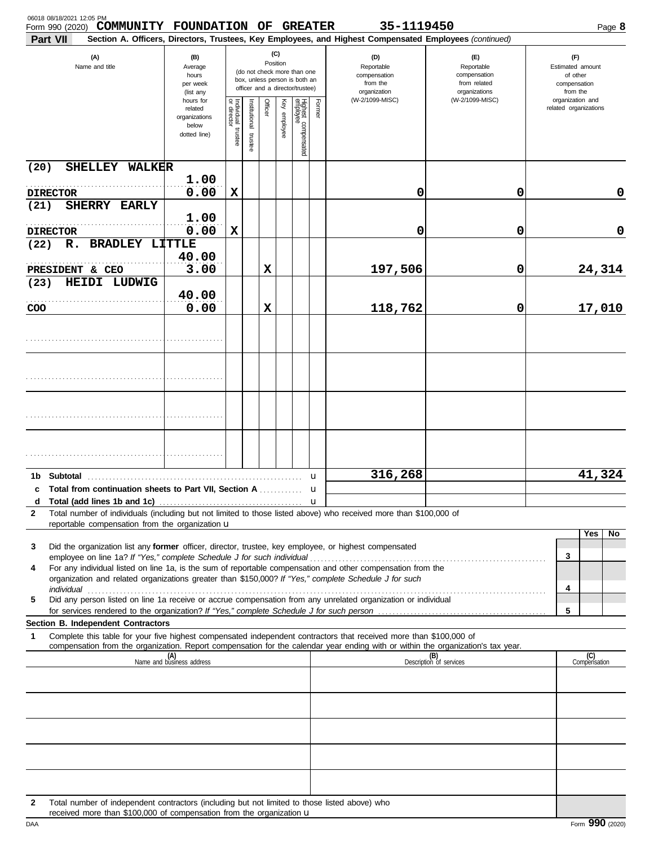| 06018 08/18/2021 12:05 PM<br>COMMUNITY FOUNDATION OF GREATER<br>Form 990 (2020)<br>Part VII                                                                                                                                                                 |                                                                |                                      |                          |             |                 |                                                                                                 |        | 35-1119450<br>Section A. Officers, Directors, Trustees, Key Employees, and Highest Compensated Employees (continued) |                                                                    | Page 8                                                          |
|-------------------------------------------------------------------------------------------------------------------------------------------------------------------------------------------------------------------------------------------------------------|----------------------------------------------------------------|--------------------------------------|--------------------------|-------------|-----------------|-------------------------------------------------------------------------------------------------|--------|----------------------------------------------------------------------------------------------------------------------|--------------------------------------------------------------------|-----------------------------------------------------------------|
| (A)<br>Name and title                                                                                                                                                                                                                                       | (B)<br>Average<br>hours<br>per week<br>(list any               |                                      |                          |             | (C)<br>Position | (do not check more than one<br>box, unless person is both an<br>officer and a director/trustee) |        | (D)<br>Reportable<br>compensation<br>from the<br>organization                                                        | (E)<br>Reportable<br>compensation<br>from related<br>organizations | (F)<br>Estimated amount<br>of other<br>compensation<br>from the |
|                                                                                                                                                                                                                                                             | hours for<br>related<br>organizations<br>below<br>dotted line) | Individual<br>or director<br>trustee | Institutional<br>trustee | Officer     | Key employee    | Highest compensated<br>employee                                                                 | Former | (W-2/1099-MISC)                                                                                                      | (W-2/1099-MISC)                                                    | organization and<br>related organizations                       |
| SHELLEY WALKER<br>(20)                                                                                                                                                                                                                                      |                                                                |                                      |                          |             |                 |                                                                                                 |        |                                                                                                                      |                                                                    |                                                                 |
| <b>DIRECTOR</b>                                                                                                                                                                                                                                             | 1.00<br>0.00                                                   | X                                    |                          |             |                 |                                                                                                 |        | 0                                                                                                                    | 0                                                                  | 0                                                               |
| SHERRY EARLY<br>(21)<br><b>DIRECTOR</b>                                                                                                                                                                                                                     | 1.00<br>0.00                                                   | X                                    |                          |             |                 |                                                                                                 |        | 0                                                                                                                    | 0                                                                  | 0                                                               |
| R. BRADLEY LITTLE<br>(22)                                                                                                                                                                                                                                   |                                                                |                                      |                          |             |                 |                                                                                                 |        |                                                                                                                      |                                                                    |                                                                 |
| PRESIDENT & CEO<br>HEIDI LUDWIG<br>(23)                                                                                                                                                                                                                     | 40.00<br>3.00                                                  |                                      |                          | X           |                 |                                                                                                 |        | 197,506                                                                                                              | 0                                                                  | 24,314                                                          |
| COO                                                                                                                                                                                                                                                         | 40.00<br>0.00                                                  |                                      |                          | $\mathbf x$ |                 |                                                                                                 |        | 118,762                                                                                                              | 0                                                                  | 17,010                                                          |
|                                                                                                                                                                                                                                                             |                                                                |                                      |                          |             |                 |                                                                                                 |        |                                                                                                                      |                                                                    |                                                                 |
|                                                                                                                                                                                                                                                             |                                                                |                                      |                          |             |                 |                                                                                                 |        |                                                                                                                      |                                                                    |                                                                 |
|                                                                                                                                                                                                                                                             |                                                                |                                      |                          |             |                 |                                                                                                 |        |                                                                                                                      |                                                                    |                                                                 |
|                                                                                                                                                                                                                                                             |                                                                |                                      |                          |             |                 |                                                                                                 |        |                                                                                                                      |                                                                    |                                                                 |
| c Total from continuation sheets to Part VII. Section A                                                                                                                                                                                                     |                                                                |                                      |                          |             |                 |                                                                                                 | u<br>u | 316,268                                                                                                              |                                                                    | 41,324                                                          |
| d<br>Total number of individuals (including but not limited to those listed above) who received more than \$100,000 of<br>$\mathbf{2}$                                                                                                                      |                                                                |                                      |                          |             |                 |                                                                                                 |        |                                                                                                                      |                                                                    |                                                                 |
| reportable compensation from the organization $\mathbf u$<br>Did the organization list any former officer, director, trustee, key employee, or highest compensated<br>3                                                                                     |                                                                |                                      |                          |             |                 |                                                                                                 |        |                                                                                                                      |                                                                    | Yes<br>No                                                       |
| For any individual listed on line 1a, is the sum of reportable compensation and other compensation from the<br>4<br>organization and related organizations greater than \$150,000? If "Yes," complete Schedule J for such                                   |                                                                |                                      |                          |             |                 |                                                                                                 |        |                                                                                                                      |                                                                    | 3                                                               |
| individual <b>construents in the construction of the construction of the construction of the construction</b><br>Did any person listed on line 1a receive or accrue compensation from any unrelated organization or individual<br>5                         |                                                                |                                      |                          |             |                 |                                                                                                 |        |                                                                                                                      |                                                                    | 4<br>5                                                          |
| Section B. Independent Contractors                                                                                                                                                                                                                          |                                                                |                                      |                          |             |                 |                                                                                                 |        |                                                                                                                      |                                                                    |                                                                 |
| 1<br>Complete this table for your five highest compensated independent contractors that received more than \$100,000 of<br>compensation from the organization. Report compensation for the calendar year ending with or within the organization's tax year. |                                                                |                                      |                          |             |                 |                                                                                                 |        |                                                                                                                      |                                                                    |                                                                 |
|                                                                                                                                                                                                                                                             | (A)<br>Name and business address                               |                                      |                          |             |                 |                                                                                                 |        |                                                                                                                      | (B)<br>Description of services                                     | (C)<br>Compensation                                             |
|                                                                                                                                                                                                                                                             |                                                                |                                      |                          |             |                 |                                                                                                 |        |                                                                                                                      |                                                                    |                                                                 |
|                                                                                                                                                                                                                                                             |                                                                |                                      |                          |             |                 |                                                                                                 |        |                                                                                                                      |                                                                    |                                                                 |
|                                                                                                                                                                                                                                                             |                                                                |                                      |                          |             |                 |                                                                                                 |        |                                                                                                                      |                                                                    |                                                                 |
|                                                                                                                                                                                                                                                             |                                                                |                                      |                          |             |                 |                                                                                                 |        |                                                                                                                      |                                                                    |                                                                 |
| Total number of independent contractors (including but not limited to those listed above) who<br>$\mathbf{2}$<br>received more than \$100,000 of compensation from the organization u                                                                       |                                                                |                                      |                          |             |                 |                                                                                                 |        |                                                                                                                      |                                                                    |                                                                 |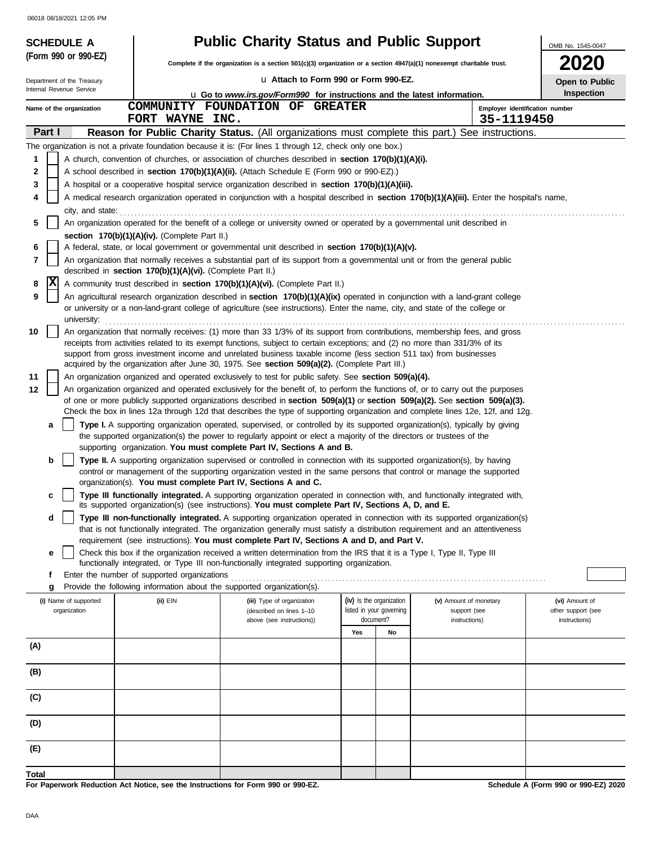|        | <b>SCHEDULE A</b>          |                                                                                  | <b>Public Charity Status and Public Support</b>                                                                                                                                                                                                           |      |                                       |                                | OMB No. 1545-0047                    |
|--------|----------------------------|----------------------------------------------------------------------------------|-----------------------------------------------------------------------------------------------------------------------------------------------------------------------------------------------------------------------------------------------------------|------|---------------------------------------|--------------------------------|--------------------------------------|
|        | (Form 990 or 990-EZ)       |                                                                                  | Complete if the organization is a section 501(c)(3) organization or a section 4947(a)(1) nonexempt charitable trust.                                                                                                                                      | 2020 |                                       |                                |                                      |
|        | Department of the Treasury |                                                                                  | La Attach to Form 990 or Form 990-EZ.                                                                                                                                                                                                                     |      |                                       |                                | Open to Public                       |
|        | Internal Revenue Service   |                                                                                  | <b>u</b> Go to www.irs.gov/Form990 for instructions and the latest information.                                                                                                                                                                           |      |                                       |                                | <b>Inspection</b>                    |
|        | Name of the organization   |                                                                                  | COMMUNITY FOUNDATION OF GREATER                                                                                                                                                                                                                           |      |                                       | Employer identification number |                                      |
| Part I |                            | FORT WAYNE INC.                                                                  | Reason for Public Charity Status. (All organizations must complete this part.) See instructions.                                                                                                                                                          |      |                                       | 35-1119450                     |                                      |
|        |                            |                                                                                  | The organization is not a private foundation because it is: (For lines 1 through 12, check only one box.)                                                                                                                                                 |      |                                       |                                |                                      |
| 1      |                            |                                                                                  | A church, convention of churches, or association of churches described in section 170(b)(1)(A)(i).                                                                                                                                                        |      |                                       |                                |                                      |
| 2      |                            |                                                                                  | A school described in <b>section 170(b)(1)(A)(ii).</b> (Attach Schedule E (Form 990 or 990-EZ).)                                                                                                                                                          |      |                                       |                                |                                      |
| 3      |                            |                                                                                  | A hospital or a cooperative hospital service organization described in section 170(b)(1)(A)(iii).                                                                                                                                                         |      |                                       |                                |                                      |
| 4      |                            |                                                                                  | A medical research organization operated in conjunction with a hospital described in section 170(b)(1)(A)(iii). Enter the hospital's name,                                                                                                                |      |                                       |                                |                                      |
| 5      | city, and state:           |                                                                                  | An organization operated for the benefit of a college or university owned or operated by a governmental unit described in                                                                                                                                 |      |                                       |                                |                                      |
|        |                            | section 170(b)(1)(A)(iv). (Complete Part II.)                                    |                                                                                                                                                                                                                                                           |      |                                       |                                |                                      |
| 6      |                            |                                                                                  | A federal, state, or local government or governmental unit described in section 170(b)(1)(A)(v).                                                                                                                                                          |      |                                       |                                |                                      |
| 7      |                            | described in section 170(b)(1)(A)(vi). (Complete Part II.)                       | An organization that normally receives a substantial part of its support from a governmental unit or from the general public                                                                                                                              |      |                                       |                                |                                      |
| X<br>8 |                            |                                                                                  | A community trust described in section 170(b)(1)(A)(vi). (Complete Part II.)                                                                                                                                                                              |      |                                       |                                |                                      |
| 9      |                            |                                                                                  | An agricultural research organization described in section 170(b)(1)(A)(ix) operated in conjunction with a land-grant college                                                                                                                             |      |                                       |                                |                                      |
|        |                            |                                                                                  | or university or a non-land-grant college of agriculture (see instructions). Enter the name, city, and state of the college or                                                                                                                            |      |                                       |                                |                                      |
| 10     | university:                |                                                                                  | An organization that normally receives: (1) more than 33 1/3% of its support from contributions, membership fees, and gross                                                                                                                               |      |                                       |                                |                                      |
|        |                            |                                                                                  | receipts from activities related to its exempt functions, subject to certain exceptions; and (2) no more than 331/3% of its                                                                                                                               |      |                                       |                                |                                      |
|        |                            |                                                                                  | support from gross investment income and unrelated business taxable income (less section 511 tax) from businesses                                                                                                                                         |      |                                       |                                |                                      |
| 11     |                            |                                                                                  | acquired by the organization after June 30, 1975. See section $509(a)(2)$ . (Complete Part III.)<br>An organization organized and operated exclusively to test for public safety. See section 509(a)(4).                                                  |      |                                       |                                |                                      |
| 12     |                            |                                                                                  | An organization organized and operated exclusively for the benefit of, to perform the functions of, or to carry out the purposes                                                                                                                          |      |                                       |                                |                                      |
|        |                            |                                                                                  | of one or more publicly supported organizations described in section $509(a)(1)$ or section $509(a)(2)$ . See section $509(a)(3)$ .                                                                                                                       |      |                                       |                                |                                      |
|        |                            |                                                                                  | Check the box in lines 12a through 12d that describes the type of supporting organization and complete lines 12e, 12f, and 12g.                                                                                                                           |      |                                       |                                |                                      |
| a      |                            |                                                                                  | Type I. A supporting organization operated, supervised, or controlled by its supported organization(s), typically by giving<br>the supported organization(s) the power to regularly appoint or elect a majority of the directors or trustees of the       |      |                                       |                                |                                      |
|        |                            |                                                                                  | supporting organization. You must complete Part IV, Sections A and B.                                                                                                                                                                                     |      |                                       |                                |                                      |
| b      |                            |                                                                                  | Type II. A supporting organization supervised or controlled in connection with its supported organization(s), by having                                                                                                                                   |      |                                       |                                |                                      |
|        |                            |                                                                                  | control or management of the supporting organization vested in the same persons that control or manage the supported<br>organization(s). You must complete Part IV, Sections A and C.                                                                     |      |                                       |                                |                                      |
| c      |                            |                                                                                  | Type III functionally integrated. A supporting organization operated in connection with, and functionally integrated with,                                                                                                                                |      |                                       |                                |                                      |
|        |                            |                                                                                  | its supported organization(s) (see instructions). You must complete Part IV, Sections A, D, and E.                                                                                                                                                        |      |                                       |                                |                                      |
| d      |                            |                                                                                  | Type III non-functionally integrated. A supporting organization operated in connection with its supported organization(s)<br>that is not functionally integrated. The organization generally must satisfy a distribution requirement and an attentiveness |      |                                       |                                |                                      |
|        |                            |                                                                                  | requirement (see instructions). You must complete Part IV, Sections A and D, and Part V.                                                                                                                                                                  |      |                                       |                                |                                      |
| е      |                            |                                                                                  | Check this box if the organization received a written determination from the IRS that it is a Type I, Type II, Type III<br>functionally integrated, or Type III non-functionally integrated supporting organization.                                      |      |                                       |                                |                                      |
| f      |                            | Enter the number of supported organizations                                      |                                                                                                                                                                                                                                                           |      |                                       |                                |                                      |
| g      |                            | Provide the following information about the supported organization(s).           |                                                                                                                                                                                                                                                           |      |                                       |                                |                                      |
|        | (i) Name of supported      | (ii) EIN                                                                         | (iii) Type of organization                                                                                                                                                                                                                                |      | (iv) Is the organization              | (v) Amount of monetary         | (vi) Amount of                       |
|        | organization               |                                                                                  | (described on lines 1-10<br>above (see instructions))                                                                                                                                                                                                     |      | listed in your governing<br>document? | support (see<br>instructions)  | other support (see<br>instructions)  |
|        |                            |                                                                                  |                                                                                                                                                                                                                                                           | Yes  | No                                    |                                |                                      |
| (A)    |                            |                                                                                  |                                                                                                                                                                                                                                                           |      |                                       |                                |                                      |
|        |                            |                                                                                  |                                                                                                                                                                                                                                                           |      |                                       |                                |                                      |
| (B)    |                            |                                                                                  |                                                                                                                                                                                                                                                           |      |                                       |                                |                                      |
| (C)    |                            |                                                                                  |                                                                                                                                                                                                                                                           |      |                                       |                                |                                      |
|        |                            |                                                                                  |                                                                                                                                                                                                                                                           |      |                                       |                                |                                      |
| (D)    |                            |                                                                                  |                                                                                                                                                                                                                                                           |      |                                       |                                |                                      |
|        |                            |                                                                                  |                                                                                                                                                                                                                                                           |      |                                       |                                |                                      |
| (E)    |                            |                                                                                  |                                                                                                                                                                                                                                                           |      |                                       |                                |                                      |
| Total  |                            |                                                                                  |                                                                                                                                                                                                                                                           |      |                                       |                                |                                      |
|        |                            | For Paperwork Reduction Act Notice, see the Instructions for Form 990 or 990-EZ. |                                                                                                                                                                                                                                                           |      |                                       |                                | Schedule A (Form 990 or 990-EZ) 2020 |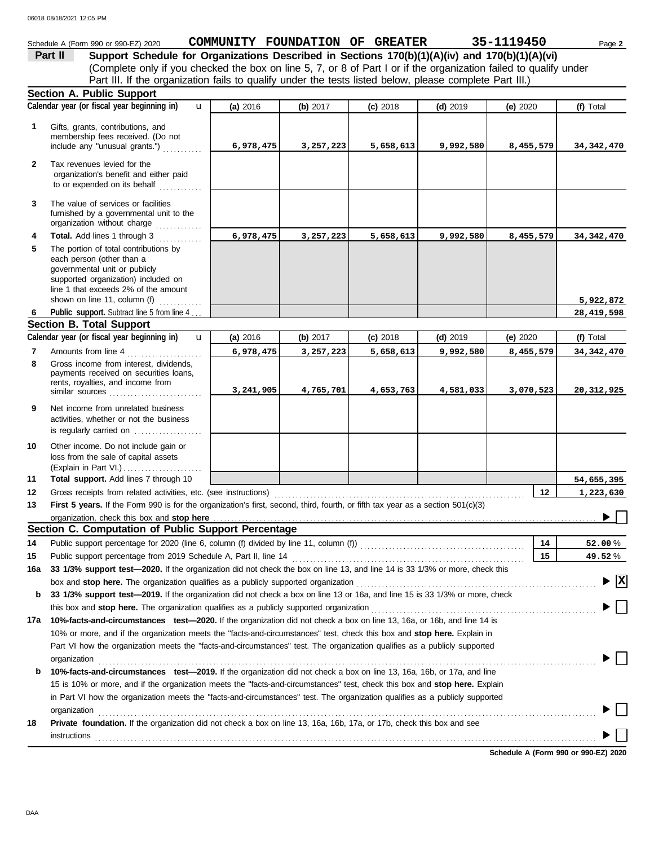#### Schedule A (Form 990 or 990-EZ) 2020 Page **2 COMMUNITY FOUNDATION OF GREATER 35-1119450 Part II Support Schedule for Organizations Described in Sections 170(b)(1)(A)(iv) and 170(b)(1)(A)(vi)** (Complete only if you checked the box on line 5, 7, or 8 of Part I or if the organization failed to qualify under Part III. If the organization fails to qualify under the tests listed below, please complete Part III.) **Section A. Public Support Calendar year (or fiscal year beginning in) (f)** Total u **(a)** 2016 **(b)** 2017 **(c)** 2018 **(d)** 2019 **(e)** 2020 Gifts, grants, contributions, and **1** membership fees received. (Do not **6,978,475 3,257,223 5,658,613 9,992,580 8,455,579 34,342,470** include any "unusual grants.") . . . . . . . . . . . **2** Tax revenues levied for the organization's benefit and either paid to or expended on its behalf ............ **3** The value of services or facilities furnished by a governmental unit to the organization without charge .............. **4 Total.** Add lines 1 through 3 **6,978,475 3,257,223 5,658,613 9,992,580 8,455,579 34,342,470 5** The portion of total contributions by each person (other than a governmental unit or publicly supported organization) included on line 1 that exceeds 2% of the amount **5,922,872** shown on line 11, column (f)  $\ldots$ Public support. Subtract line 5 from line 4... **28,419,598 6 Section B. Total Support Calendar year (or fiscal year beginning in) (f)** Total u **(b)** 2017 **(c)** 2018 **(d)** 2019 **(e)** 2020 **(a)** 2016 Amounts from line 4 . . . . . . . . . . . . . . . . . . . . . **7 6,978,475 3,257,223 5,658,613 9,992,580 8,455,579 34,342,470** Gross income from interest, dividends, **8** payments received on securities loans. rents, royalties, and income from **3,241,905 4,765,701 4,653,763 4,581,033 3,070,523 20,312,925** similar sources . . . . . . . . . . . . . . . . . . . . . . . . . . **9** Net income from unrelated business activities, whether or not the business is regularly carried on ................... Other income. Do not include gain or **10** loss from the sale of capital assets (Explain in Part VI.) . . . . . . . . . . . . . . . . . . . . . . **11 Total support.** Add lines 7 through 10 **54,655,395 12 12 1,223,630** Gross receipts from related activities, etc. (see instructions) . . . . . . . . . . . . . . . . . . . . . . . . . . . . . . . . . . . . . . . . . . . . . . . . . . . . . . . . . . . . . . . . . . . . . . **13** First 5 years. If the Form 990 is for the organization's first, second, third, fourth, or fifth tax year as a section 501(c)(3) organization, check this box and stop here ь **Section C. Computation of Public Support Percentage 14** Public support percentage for 2020 (line 6, column (f) divided by line 11, column (f)) . . . . . . . . . . . . . . . . . . . . . . . . . . . . . . . . . . . . . . . . . . . . . . **14** % **52.00 15** Public support percentage from 2019 Schedule A, Part II, line 14 . . . . . . . . . . . . . . . . . . . . . . . . . . . . . . . . . . . . . . . . . . . . . . . . . . . . . . . . . . . . . . . . . **15** % **49.52 16a 33 1/3% support test—2020.** If the organization did not check the box on line 13, and line 14 is 33 1/3% or more, check this box and **stop here.** The organization qualifies as a publicly supported organization . . . . . . . . . . . . . . . . . . . . . . . . . . . . . . . . . . . . . . . . . . . . . . . . . . . . . . . . . . . . . . . . . . . **X b 33 1/3% support test—2019.** If the organization did not check a box on line 13 or 16a, and line 15 is 33 1/3% or more, check this box and **stop here.** The organization qualifies as a publicly supported organization . . . . . . . . . . . . . . . . . . . . . . . . . . . . . . . . . . . . . . . . . . . . . . . . . . . . . . . . . . . . . . . **17a 10%-facts-and-circumstances test—2020.** If the organization did not check a box on line 13, 16a, or 16b, and line 14 is 10% or more, and if the organization meets the "facts-and-circumstances" test, check this box and **stop here.** Explain in Part VI how the organization meets the "facts-and-circumstances" test. The organization qualifies as a publicly supported organization www.commutation.com/www.commutation.com/www.commutation.com/www.commutation.com/www.commutation.com **b 10%-facts-and-circumstances test—2019.** If the organization did not check a box on line 13, 16a, 16b, or 17a, and line 15 is 10% or more, and if the organization meets the "facts-and-circumstances" test, check this box and **stop here.** Explain in Part VI how the organization meets the "facts-and-circumstances" test. The organization qualifies as a publicly supported organization www.commutation.com/www.commutation.com/www.commutation.com/www.commutation.com/www.commutation.com **18 Private foundation.** If the organization did not check a box on line 13, 16a, 16b, 17a, or 17b, check this box and see instructions . . . . . . . . . . . . . . . . . . . . . . . . . . . . . . . . . . . . . . . . . . . . . . . . . . . . . . . . . . . . . . . . . . . . . . . . . . . . . . . . . . . . . . . . . . . . . . . . . . . . . . . . . . . . . . . . . . . . . . . . . . . . . . . . . . . . . . . . . . . .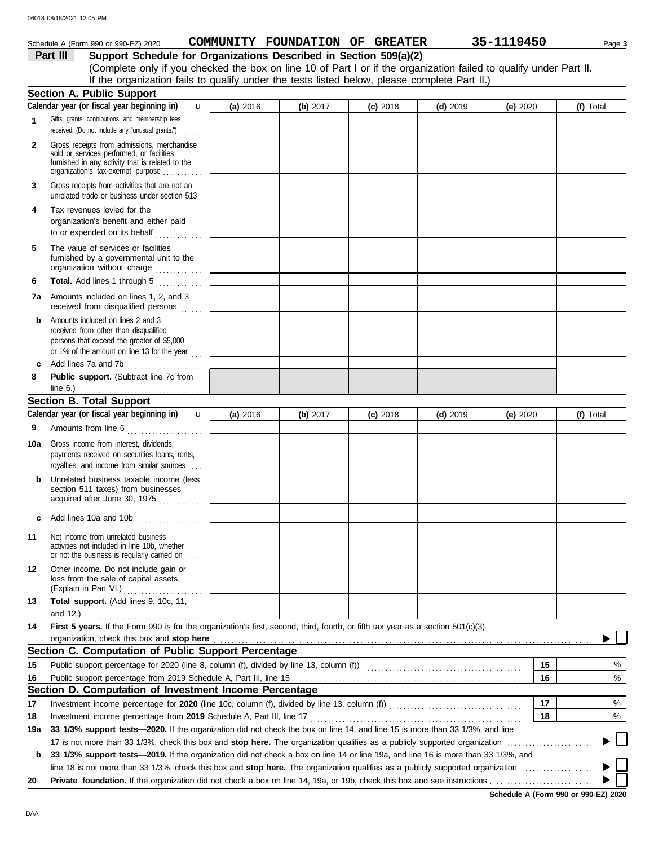#### **Part III Support Schedule for Organizations Described in Section 509(a)(2)** (Complete only if you checked the box on line 10 of Part I or if the organization failed to qualify under Part II. **1 2** Schedule A (Form 990 or 990-EZ) 2020 **COMMUNITY FOUNDATION OF GREATER** 35-1119450 Page 3 Gifts, grants, contributions, and membership fees received. (Do not include any "unusual grants.") . . . . . . Gross receipts from admissions, merchandise sold or services performed, or facilities **Section A. Public Support (a)** 2016 **(b)** 2017 **(c)** 2018 **(d)** 2019 **(e)** 2020 **(f)** Total **Calendar year (or fiscal year beginning in)**  If the organization fails to qualify under the tests listed below, please complete Part II.) u

|     | sold or services performed, or facilities<br>furnished in any activity that is related to the<br>organization's tax-exempt purpose                                               |          |          |            |            |          |           |  |
|-----|----------------------------------------------------------------------------------------------------------------------------------------------------------------------------------|----------|----------|------------|------------|----------|-----------|--|
| 3   | Gross receipts from activities that are not an<br>unrelated trade or business under section 513                                                                                  |          |          |            |            |          |           |  |
| 4   | Tax revenues levied for the<br>organization's benefit and either paid<br>to or expended on its behalf                                                                            |          |          |            |            |          |           |  |
| 5   | The value of services or facilities<br>furnished by a governmental unit to the<br>organization without charge                                                                    |          |          |            |            |          |           |  |
| 6   | Total. Add lines 1 through 5                                                                                                                                                     |          |          |            |            |          |           |  |
| 7а  | Amounts included on lines 1, 2, and 3<br>received from disqualified persons                                                                                                      |          |          |            |            |          |           |  |
| b   | Amounts included on lines 2 and 3<br>received from other than disqualified<br>persons that exceed the greater of \$5,000<br>or 1% of the amount on line 13 for the year $\ldots$ |          |          |            |            |          |           |  |
| c   | Add lines 7a and 7b                                                                                                                                                              |          |          |            |            |          |           |  |
| 8   | Public support. (Subtract line 7c from<br>line $6.$ )<br><u>.</u> .                                                                                                              |          |          |            |            |          |           |  |
|     | <b>Section B. Total Support</b>                                                                                                                                                  |          |          |            |            |          |           |  |
|     | Calendar year (or fiscal year beginning in)<br>$\mathbf{u}$                                                                                                                      | (a) 2016 | (b) 2017 | $(c)$ 2018 | $(d)$ 2019 | (e) 2020 | (f) Total |  |
| 9   | Amounts from line 6                                                                                                                                                              |          |          |            |            |          |           |  |
| 10a | Gross income from interest, dividends,<br>payments received on securities loans, rents,<br>royalties, and income from similar sources                                            |          |          |            |            |          |           |  |
| b   | Unrelated business taxable income (less<br>section 511 taxes) from businesses<br>acquired after June 30, 1975                                                                    |          |          |            |            |          |           |  |
| c   | Add lines 10a and 10b $\ldots$                                                                                                                                                   |          |          |            |            |          |           |  |
| 11  | Net income from unrelated business<br>activities not included in line 10b, whether<br>or not the business is regularly carried on                                                |          |          |            |            |          |           |  |
| 12  | Other income. Do not include gain or<br>loss from the sale of capital assets                                                                                                     |          |          |            |            |          |           |  |
| 13  | Total support. (Add lines 9, 10c, 11,                                                                                                                                            |          |          |            |            |          |           |  |
|     |                                                                                                                                                                                  |          |          |            |            |          |           |  |
| 14  | First 5 years. If the Form 990 is for the organization's first, second, third, fourth, or fifth tax year as a section 501(c)(3)                                                  |          |          |            |            |          |           |  |
|     | organization, check this box and stop here                                                                                                                                       |          |          |            |            |          |           |  |
|     | Section C. Computation of Public Support Percentage                                                                                                                              |          |          |            |            |          |           |  |
| 15  |                                                                                                                                                                                  |          |          |            |            | 15       | %         |  |
| 16  |                                                                                                                                                                                  |          |          |            |            | 16       | %         |  |
|     | Section D. Computation of Investment Income Percentage                                                                                                                           |          |          |            |            |          |           |  |
| 17  |                                                                                                                                                                                  |          |          |            |            |          |           |  |
| 18  |                                                                                                                                                                                  |          |          |            |            | 18       | %         |  |
| 19a | 33 1/3% support tests-2020. If the organization did not check the box on line 14, and line 15 is more than 33 1/3%, and line                                                     |          |          |            |            |          |           |  |
|     |                                                                                                                                                                                  |          |          |            |            |          |           |  |
| b   | 33 1/3% support tests—2019. If the organization did not check a box on line 14 or line 19a, and line 16 is more than 33 1/3%, and                                                |          |          |            |            |          |           |  |
|     |                                                                                                                                                                                  |          |          |            |            |          |           |  |
| 20  |                                                                                                                                                                                  |          |          |            |            |          |           |  |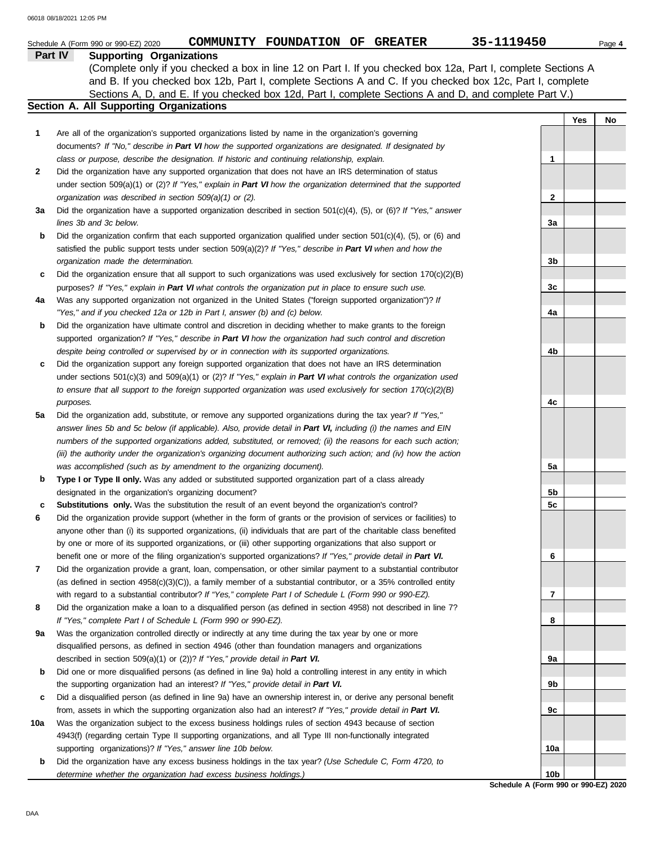|     | 35-1119450<br>COMMUNITY FOUNDATION OF GREATER<br>Schedule A (Form 990 or 990-EZ) 2020                                                                                                                                                 |                 |     | Page 4 |
|-----|---------------------------------------------------------------------------------------------------------------------------------------------------------------------------------------------------------------------------------------|-----------------|-----|--------|
|     | Part IV<br><b>Supporting Organizations</b>                                                                                                                                                                                            |                 |     |        |
|     | (Complete only if you checked a box in line 12 on Part I. If you checked box 12a, Part I, complete Sections A                                                                                                                         |                 |     |        |
|     | and B. If you checked box 12b, Part I, complete Sections A and C. If you checked box 12c, Part I, complete                                                                                                                            |                 |     |        |
|     | Sections A, D, and E. If you checked box 12d, Part I, complete Sections A and D, and complete Part V.)                                                                                                                                |                 |     |        |
|     | Section A. All Supporting Organizations                                                                                                                                                                                               |                 |     |        |
|     |                                                                                                                                                                                                                                       |                 | Yes | No     |
| 1   | Are all of the organization's supported organizations listed by name in the organization's governing                                                                                                                                  |                 |     |        |
|     | documents? If "No," describe in Part VI how the supported organizations are designated. If designated by                                                                                                                              |                 |     |        |
|     | class or purpose, describe the designation. If historic and continuing relationship, explain.                                                                                                                                         | $\mathbf 1$     |     |        |
| 2   | Did the organization have any supported organization that does not have an IRS determination of status                                                                                                                                |                 |     |        |
|     | under section 509(a)(1) or (2)? If "Yes," explain in Part VI how the organization determined that the supported                                                                                                                       |                 |     |        |
|     | organization was described in section 509(a)(1) or (2).                                                                                                                                                                               | 2               |     |        |
| За  | Did the organization have a supported organization described in section $501(c)(4)$ , (5), or (6)? If "Yes," answer                                                                                                                   |                 |     |        |
|     | lines 3b and 3c below.                                                                                                                                                                                                                | 3a              |     |        |
| b   | Did the organization confirm that each supported organization qualified under section $501(c)(4)$ , (5), or (6) and                                                                                                                   |                 |     |        |
|     | satisfied the public support tests under section 509(a)(2)? If "Yes," describe in Part VI when and how the                                                                                                                            |                 |     |        |
|     | organization made the determination.                                                                                                                                                                                                  | 3b              |     |        |
| c   | Did the organization ensure that all support to such organizations was used exclusively for section $170(c)(2)(B)$                                                                                                                    |                 |     |        |
|     | purposes? If "Yes," explain in Part VI what controls the organization put in place to ensure such use.                                                                                                                                | 3c              |     |        |
| 4a  | Was any supported organization not organized in the United States ("foreign supported organization")? If                                                                                                                              |                 |     |        |
|     | "Yes," and if you checked 12a or 12b in Part I, answer (b) and (c) below.                                                                                                                                                             | 4a              |     |        |
| b   | Did the organization have ultimate control and discretion in deciding whether to make grants to the foreign                                                                                                                           |                 |     |        |
|     | supported organization? If "Yes," describe in Part VI how the organization had such control and discretion                                                                                                                            |                 |     |        |
|     | despite being controlled or supervised by or in connection with its supported organizations.                                                                                                                                          | 4b              |     |        |
| c   | Did the organization support any foreign supported organization that does not have an IRS determination                                                                                                                               |                 |     |        |
|     | under sections $501(c)(3)$ and $509(a)(1)$ or $(2)?$ If "Yes," explain in Part VI what controls the organization used                                                                                                                 |                 |     |        |
|     | to ensure that all support to the foreign supported organization was used exclusively for section $170(c)(2)(B)$                                                                                                                      |                 |     |        |
|     | purposes.                                                                                                                                                                                                                             | 4c              |     |        |
| 5a  | Did the organization add, substitute, or remove any supported organizations during the tax year? If "Yes,"                                                                                                                            |                 |     |        |
|     | answer lines 5b and 5c below (if applicable). Also, provide detail in Part VI, including (i) the names and EIN                                                                                                                        |                 |     |        |
|     | numbers of the supported organizations added, substituted, or removed; (ii) the reasons for each such action;                                                                                                                         |                 |     |        |
|     | (iii) the authority under the organization's organizing document authorizing such action; and (iv) how the action                                                                                                                     |                 |     |        |
|     | was accomplished (such as by amendment to the organizing document).                                                                                                                                                                   | 5a              |     |        |
|     | Type I or Type II only. Was any added or substituted supported organization part of a class already                                                                                                                                   |                 |     |        |
| b   | designated in the organization's organizing document?                                                                                                                                                                                 | 5b              |     |        |
|     | Substitutions only. Was the substitution the result of an event beyond the organization's control?                                                                                                                                    | 5c              |     |        |
|     | Did the organization provide support (whether in the form of grants or the provision of services or facilities) to                                                                                                                    |                 |     |        |
| 6   |                                                                                                                                                                                                                                       |                 |     |        |
|     | anyone other than (i) its supported organizations, (ii) individuals that are part of the charitable class benefited<br>by one or more of its supported organizations, or (iii) other supporting organizations that also support or    |                 |     |        |
|     | benefit one or more of the filing organization's supported organizations? If "Yes," provide detail in Part VI.                                                                                                                        | 6               |     |        |
| 7   |                                                                                                                                                                                                                                       |                 |     |        |
|     | Did the organization provide a grant, loan, compensation, or other similar payment to a substantial contributor<br>(as defined in section $4958(c)(3)(C)$ ), a family member of a substantial contributor, or a 35% controlled entity |                 |     |        |
|     | with regard to a substantial contributor? If "Yes," complete Part I of Schedule L (Form 990 or 990-EZ).                                                                                                                               | 7               |     |        |
| 8   | Did the organization make a loan to a disqualified person (as defined in section 4958) not described in line 7?                                                                                                                       |                 |     |        |
|     | If "Yes," complete Part I of Schedule L (Form 990 or 990-EZ).                                                                                                                                                                         | 8               |     |        |
| 9a  |                                                                                                                                                                                                                                       |                 |     |        |
|     | Was the organization controlled directly or indirectly at any time during the tax year by one or more                                                                                                                                 |                 |     |        |
|     | disqualified persons, as defined in section 4946 (other than foundation managers and organizations                                                                                                                                    |                 |     |        |
|     | described in section 509(a)(1) or (2))? If "Yes," provide detail in Part VI.                                                                                                                                                          | 9а              |     |        |
| b   | Did one or more disqualified persons (as defined in line 9a) hold a controlling interest in any entity in which                                                                                                                       |                 |     |        |
|     | the supporting organization had an interest? If "Yes," provide detail in Part VI.                                                                                                                                                     | 9b              |     |        |
| c   | Did a disqualified person (as defined in line 9a) have an ownership interest in, or derive any personal benefit                                                                                                                       |                 |     |        |
|     | from, assets in which the supporting organization also had an interest? If "Yes," provide detail in Part VI.                                                                                                                          | 9c              |     |        |
| 10a | Was the organization subject to the excess business holdings rules of section 4943 because of section                                                                                                                                 |                 |     |        |
|     | 4943(f) (regarding certain Type II supporting organizations, and all Type III non-functionally integrated                                                                                                                             |                 |     |        |
|     | supporting organizations)? If "Yes," answer line 10b below.                                                                                                                                                                           | 10a             |     |        |
| b   | Did the organization have any excess business holdings in the tax year? (Use Schedule C, Form 4720, to                                                                                                                                |                 |     |        |
|     | determine whether the organization had excess business holdings.)                                                                                                                                                                     | 10 <sub>b</sub> |     |        |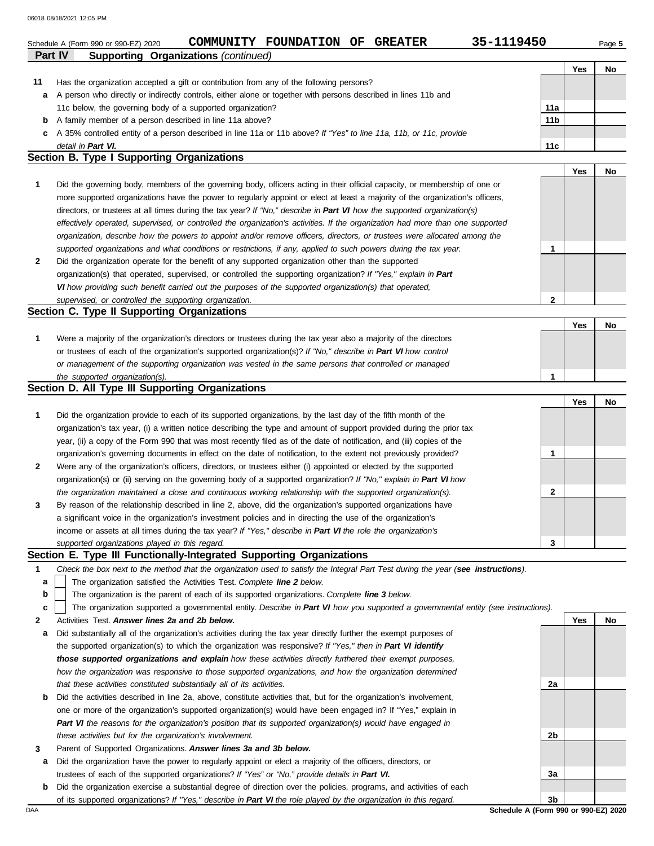|    | 06018 08/18/2021 12:05 PM                                                                                                      |                 |            |           |  |  |  |  |
|----|--------------------------------------------------------------------------------------------------------------------------------|-----------------|------------|-----------|--|--|--|--|
|    | 35-1119450<br>COMMUNITY FOUNDATION OF<br><b>GREATER</b><br>Schedule A (Form 990 or 990-EZ) 2020                                |                 |            | Page 5    |  |  |  |  |
|    | <b>Supporting Organizations (continued)</b><br>Part IV                                                                         |                 |            |           |  |  |  |  |
|    |                                                                                                                                |                 | Yes        | <b>No</b> |  |  |  |  |
| 11 | Has the organization accepted a gift or contribution from any of the following persons?                                        |                 |            |           |  |  |  |  |
| a  | A person who directly or indirectly controls, either alone or together with persons described in lines 11b and                 |                 |            |           |  |  |  |  |
|    | 11c below, the governing body of a supported organization?                                                                     | 11a             |            |           |  |  |  |  |
| b  | A family member of a person described in line 11a above?                                                                       | 11 <sub>b</sub> |            |           |  |  |  |  |
| c  | A 35% controlled entity of a person described in line 11a or 11b above? If "Yes" to line 11a, 11b, or 11c, provide             |                 |            |           |  |  |  |  |
|    | detail in Part VI.<br>11c                                                                                                      |                 |            |           |  |  |  |  |
|    | <b>Section B. Type I Supporting Organizations</b>                                                                              |                 |            |           |  |  |  |  |
|    |                                                                                                                                |                 | Yes        | <b>No</b> |  |  |  |  |
| 1  | Did the governing body, members of the governing body, officers acting in their official capacity, or membership of one or     |                 |            |           |  |  |  |  |
|    | more supported organizations have the power to regularly appoint or elect at least a majority of the organization's officers,  |                 |            |           |  |  |  |  |
|    | directors, or trustees at all times during the tax year? If "No," describe in Part VI how the supported organization(s)        |                 |            |           |  |  |  |  |
|    | effectively operated, supervised, or controlled the organization's activities. If the organization had more than one supported |                 |            |           |  |  |  |  |
|    | organization, describe how the powers to appoint and/or remove officers, directors, or trustees were allocated among the       |                 |            |           |  |  |  |  |
|    | supported organizations and what conditions or restrictions, if any, applied to such powers during the tax year.               | 1               |            |           |  |  |  |  |
| 2  | Did the organization operate for the benefit of any supported organization other than the supported                            |                 |            |           |  |  |  |  |
|    | organization(s) that operated, supervised, or controlled the supporting organization? If "Yes," explain in Part                |                 |            |           |  |  |  |  |
|    | VI how providing such benefit carried out the purposes of the supported organization(s) that operated,                         |                 |            |           |  |  |  |  |
|    | supervised, or controlled the supporting organization.                                                                         | 2               |            |           |  |  |  |  |
|    | Section C. Type II Supporting Organizations                                                                                    |                 |            |           |  |  |  |  |
|    |                                                                                                                                |                 | Yes        | <b>No</b> |  |  |  |  |
| 1  | Were a majority of the organization's directors or trustees during the tax year also a majority of the directors               |                 |            |           |  |  |  |  |
|    |                                                                                                                                |                 |            |           |  |  |  |  |
|    | or trustees of each of the organization's supported organization(s)? If "No," describe in Part VI how control                  |                 |            |           |  |  |  |  |
|    | or management of the supporting organization was vested in the same persons that controlled or managed                         |                 |            |           |  |  |  |  |
|    | the supported organization(s).                                                                                                 | 1               |            |           |  |  |  |  |
|    | Section D. All Type III Supporting Organizations                                                                               |                 |            |           |  |  |  |  |
|    |                                                                                                                                |                 | <b>Yes</b> | No        |  |  |  |  |
|    | Did the organization provide to each of its supported organizations, by the last day of the fifth month of the                 |                 |            |           |  |  |  |  |

| 1              | Did the organization provide to each of its supported organizations, by the last day of the fifth month of the<br>organization's tax year, (i) a written notice describing the type and amount of support provided during the prior tax<br>year, (ii) a copy of the Form 990 that was most recently filed as of the date of notification, and (iii) copies of the |   |  |
|----------------|-------------------------------------------------------------------------------------------------------------------------------------------------------------------------------------------------------------------------------------------------------------------------------------------------------------------------------------------------------------------|---|--|
|                | organization's governing documents in effect on the date of notification, to the extent not previously provided?                                                                                                                                                                                                                                                  |   |  |
| $\overline{2}$ | Were any of the organization's officers, directors, or trustees either (i) appointed or elected by the supported                                                                                                                                                                                                                                                  |   |  |
|                | organization(s) or (ii) serving on the governing body of a supported organization? If "No," explain in Part VI how                                                                                                                                                                                                                                                |   |  |
|                | the organization maintained a close and continuous working relationship with the supported organization(s).                                                                                                                                                                                                                                                       |   |  |
| $\mathbf{3}$   | By reason of the relationship described in line 2, above, did the organization's supported organizations have                                                                                                                                                                                                                                                     |   |  |
|                | a significant voice in the organization's investment policies and in directing the use of the organization's                                                                                                                                                                                                                                                      |   |  |
|                | income or assets at all times during the tax year? If "Yes," describe in Part VI the role the organization's                                                                                                                                                                                                                                                      |   |  |
|                | supported organizations played in this regard.                                                                                                                                                                                                                                                                                                                    | 3 |  |

## **Section E. Type III Functionally-Integrated Supporting Organizations**

|  | Check the box next to the method that the organization used to satisfy the Integral Part Test during the year (see instructions). |  |  |  |  |  |
|--|-----------------------------------------------------------------------------------------------------------------------------------|--|--|--|--|--|
|--|-----------------------------------------------------------------------------------------------------------------------------------|--|--|--|--|--|

The organization satisfied the Activities Test. *Complete line 2 below.* **a**

The organization is the parent of each of its supported organizations. *Complete line 3 below.* **b**

The organization supported a governmental entity. *Describe in Part VI how you supported a governmental entity (see instructions).* **c**

- **2** Activities Test. *Answer lines 2a and 2b below.*
- **a** Did substantially all of the organization's activities during the tax year directly further the exempt purposes of the supported organization(s) to which the organization was responsive? *If "Yes," then in Part VI identify those supported organizations and explain how these activities directly furthered their exempt purposes,*  how the organization was responsive to those supported organizations, and how the organization determined *that these activities constituted substantially all of its activities.*
- **b** Did the activities described in line 2a, above, constitute activities that, but for the organization's involvement, one or more of the organization's supported organization(s) would have been engaged in? If "Yes," explain in *Part VI the reasons for the organization's position that its supported organization(s) would have engaged in these activities but for the organization's involvement.*
- **3** Parent of Supported Organizations. *Answer lines 3a and 3b below.*
- **a** Did the organization have the power to regularly appoint or elect a majority of the officers, directors, or trustees of each of the supported organizations? *If "Yes" or "No," provide details in Part VI.*
- **b** Did the organization exercise a substantial degree of direction over the policies, programs, and activities of each of its supported organizations? *If "Yes," describe in Part VI the role played by the organization in this regard.*

**Yes No 2a 2b 3a 3b**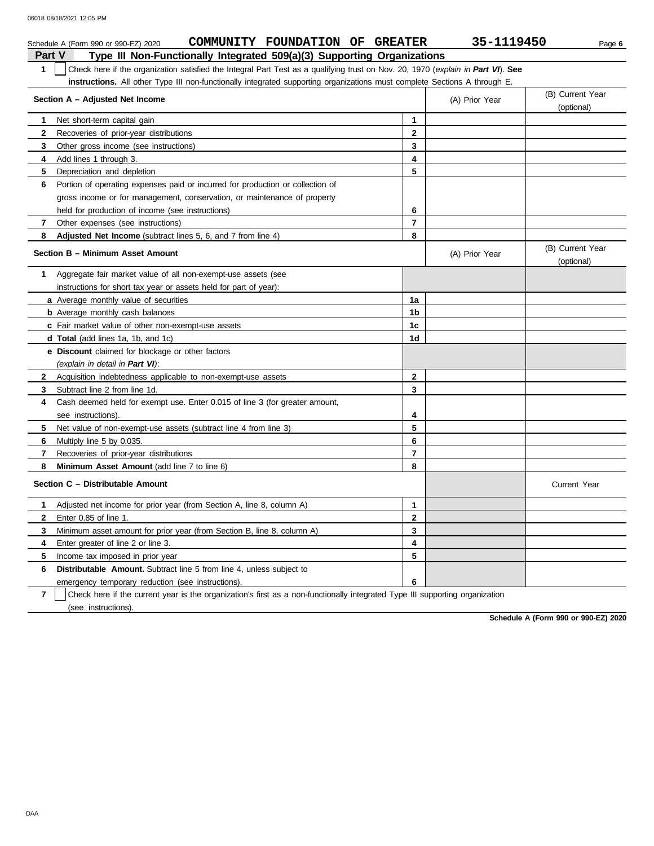|                | COMMUNITY FOUNDATION OF GREATER<br>Schedule A (Form 990 or 990-EZ) 2020                                                          |                         | 35-1119450     | Page 6                         |
|----------------|----------------------------------------------------------------------------------------------------------------------------------|-------------------------|----------------|--------------------------------|
| <b>Part V</b>  | Type III Non-Functionally Integrated 509(a)(3) Supporting Organizations                                                          |                         |                |                                |
| 1              | Check here if the organization satisfied the Integral Part Test as a qualifying trust on Nov. 20, 1970 (explain in Part VI). See |                         |                |                                |
|                | instructions. All other Type III non-functionally integrated supporting organizations must complete Sections A through E.        |                         |                |                                |
|                | Section A - Adjusted Net Income                                                                                                  |                         | (A) Prior Year | (B) Current Year<br>(optional) |
| 1.             | Net short-term capital gain                                                                                                      | 1                       |                |                                |
| $\mathbf{2}$   | Recoveries of prior-year distributions                                                                                           | $\overline{2}$          |                |                                |
| 3              | Other gross income (see instructions)                                                                                            | 3                       |                |                                |
| 4              | Add lines 1 through 3.                                                                                                           | 4                       |                |                                |
| 5              | Depreciation and depletion                                                                                                       | 5                       |                |                                |
| 6              | Portion of operating expenses paid or incurred for production or collection of                                                   |                         |                |                                |
|                | gross income or for management, conservation, or maintenance of property                                                         |                         |                |                                |
|                | held for production of income (see instructions)                                                                                 | 6                       |                |                                |
| 7              | Other expenses (see instructions)                                                                                                | $\overline{\mathbf{r}}$ |                |                                |
| 8              | Adjusted Net Income (subtract lines 5, 6, and 7 from line 4)                                                                     | 8                       |                |                                |
|                | Section B - Minimum Asset Amount                                                                                                 |                         | (A) Prior Year | (B) Current Year<br>(optional) |
| $\mathbf 1$    | Aggregate fair market value of all non-exempt-use assets (see                                                                    |                         |                |                                |
|                | instructions for short tax year or assets held for part of year):                                                                |                         |                |                                |
|                | a Average monthly value of securities                                                                                            | 1a                      |                |                                |
|                | <b>b</b> Average monthly cash balances                                                                                           | 1 <sub>b</sub>          |                |                                |
|                | <b>c</b> Fair market value of other non-exempt-use assets                                                                        | 1c                      |                |                                |
|                | d Total (add lines 1a, 1b, and 1c)                                                                                               | 1 <sub>d</sub>          |                |                                |
|                | <b>e</b> Discount claimed for blockage or other factors                                                                          |                         |                |                                |
|                | (explain in detail in Part VI):                                                                                                  |                         |                |                                |
| $\mathbf{2}$   | Acquisition indebtedness applicable to non-exempt-use assets                                                                     | $\mathbf{2}$            |                |                                |
| 3              | Subtract line 2 from line 1d.                                                                                                    | 3                       |                |                                |
| 4              | Cash deemed held for exempt use. Enter 0.015 of line 3 (for greater amount,                                                      |                         |                |                                |
|                | see instructions).                                                                                                               | 4                       |                |                                |
| 5              | Net value of non-exempt-use assets (subtract line 4 from line 3)                                                                 | 5                       |                |                                |
| 6              | Multiply line 5 by 0.035.                                                                                                        | 6                       |                |                                |
| $\overline{7}$ | Recoveries of prior-year distributions                                                                                           | $\overline{7}$          |                |                                |
| 8              | Minimum Asset Amount (add line 7 to line 6)                                                                                      | 8                       |                |                                |
|                | Section C - Distributable Amount                                                                                                 |                         |                | <b>Current Year</b>            |
| 1              | Adjusted net income for prior year (from Section A, line 8, column A)                                                            | 1                       |                |                                |
| $\mathbf{2}$   | Enter 0.85 of line 1.                                                                                                            | $\overline{2}$          |                |                                |
| 3              | Minimum asset amount for prior year (from Section B, line 8, column A)                                                           | 3                       |                |                                |
| 4              | Enter greater of line 2 or line 3.                                                                                               | 4                       |                |                                |
| 5              | Income tax imposed in prior year                                                                                                 | 5                       |                |                                |
| 6              | <b>Distributable Amount.</b> Subtract line 5 from line 4, unless subject to                                                      |                         |                |                                |
|                | emergency temporary reduction (see instructions).                                                                                | 6                       |                |                                |
|                |                                                                                                                                  |                         |                |                                |

**7** (see instructions). Check here if the current year is the organization's first as a non-functionally integrated Type III supporting organization

**Schedule A (Form 990 or 990-EZ) 2020**

DAA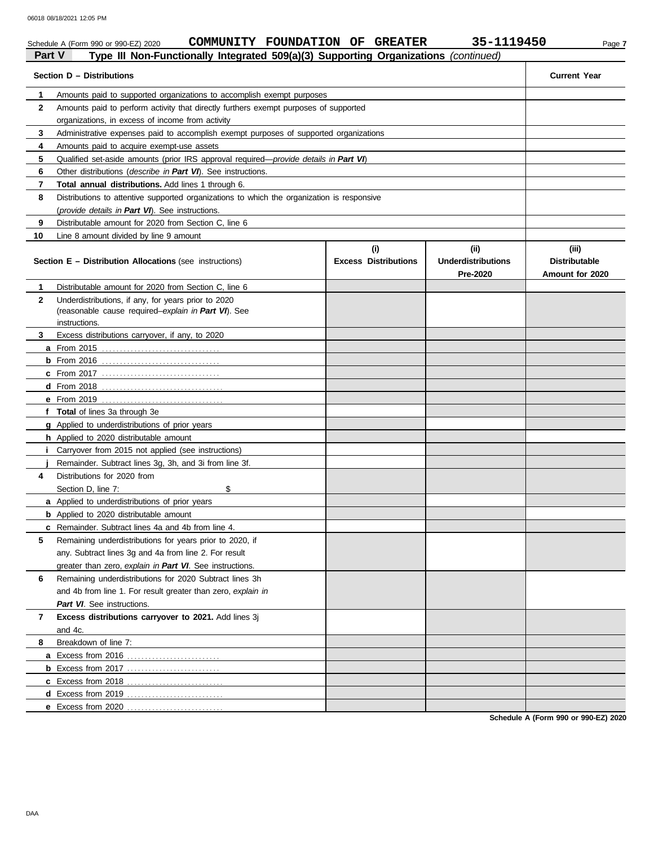|                | COMMUNITY FOUNDATION OF GREATER<br>Schedule A (Form 990 or 990-EZ) 2020                    |                             | 35-1119450                            | Page 7                                  |
|----------------|--------------------------------------------------------------------------------------------|-----------------------------|---------------------------------------|-----------------------------------------|
| <b>Part V</b>  | Type III Non-Functionally Integrated 509(a)(3) Supporting Organizations (continued)        |                             |                                       |                                         |
|                | Section D - Distributions                                                                  |                             |                                       | <b>Current Year</b>                     |
| 1              | Amounts paid to supported organizations to accomplish exempt purposes                      |                             |                                       |                                         |
| $\mathbf{2}$   | Amounts paid to perform activity that directly furthers exempt purposes of supported       |                             |                                       |                                         |
|                | organizations, in excess of income from activity                                           |                             |                                       |                                         |
| 3              | Administrative expenses paid to accomplish exempt purposes of supported organizations      |                             |                                       |                                         |
| 4              | Amounts paid to acquire exempt-use assets                                                  |                             |                                       |                                         |
| 5              | Qualified set-aside amounts (prior IRS approval required-provide details in Part VI)       |                             |                                       |                                         |
| 6              | Other distributions (describe in Part VI). See instructions.                               |                             |                                       |                                         |
| 7              | Total annual distributions. Add lines 1 through 6.                                         |                             |                                       |                                         |
| 8              | Distributions to attentive supported organizations to which the organization is responsive |                             |                                       |                                         |
|                | (provide details in Part VI). See instructions.                                            |                             |                                       |                                         |
| 9              | Distributable amount for 2020 from Section C, line 6                                       |                             |                                       |                                         |
| 10             | Line 8 amount divided by line 9 amount                                                     |                             |                                       |                                         |
|                |                                                                                            | (i)                         | (ii)                                  | (iii)                                   |
|                | <b>Section E – Distribution Allocations (see instructions)</b>                             | <b>Excess Distributions</b> | <b>Underdistributions</b><br>Pre-2020 | <b>Distributable</b><br>Amount for 2020 |
| 1              | Distributable amount for 2020 from Section C, line 6                                       |                             |                                       |                                         |
| $\mathbf{2}$   | Underdistributions, if any, for years prior to 2020                                        |                             |                                       |                                         |
|                | (reasonable cause required-explain in Part VI). See                                        |                             |                                       |                                         |
|                | instructions.                                                                              |                             |                                       |                                         |
| 3              | Excess distributions carryover, if any, to 2020                                            |                             |                                       |                                         |
|                |                                                                                            |                             |                                       |                                         |
|                |                                                                                            |                             |                                       |                                         |
|                |                                                                                            |                             |                                       |                                         |
|                |                                                                                            |                             |                                       |                                         |
|                |                                                                                            |                             |                                       |                                         |
|                | f Total of lines 3a through 3e                                                             |                             |                                       |                                         |
|                | <b>g</b> Applied to underdistributions of prior years                                      |                             |                                       |                                         |
|                | h Applied to 2020 distributable amount                                                     |                             |                                       |                                         |
| L              | Carryover from 2015 not applied (see instructions)                                         |                             |                                       |                                         |
|                | Remainder. Subtract lines 3g, 3h, and 3i from line 3f.                                     |                             |                                       |                                         |
| 4              | Distributions for 2020 from                                                                |                             |                                       |                                         |
|                | \$<br>Section D. line 7:                                                                   |                             |                                       |                                         |
|                | a Applied to underdistributions of prior years                                             |                             |                                       |                                         |
|                | <b>b</b> Applied to 2020 distributable amount                                              |                             |                                       |                                         |
|                | c Remainder. Subtract lines 4a and 4b from line 4.                                         |                             |                                       |                                         |
| 5              | Remaining underdistributions for years prior to 2020, if                                   |                             |                                       |                                         |
|                | any. Subtract lines 3g and 4a from line 2. For result                                      |                             |                                       |                                         |
|                | greater than zero, explain in Part VI. See instructions.                                   |                             |                                       |                                         |
| 6              | Remaining underdistributions for 2020 Subtract lines 3h                                    |                             |                                       |                                         |
|                | and 4b from line 1. For result greater than zero, explain in                               |                             |                                       |                                         |
|                | Part VI. See instructions.                                                                 |                             |                                       |                                         |
| $\overline{7}$ | Excess distributions carryover to 2021. Add lines 3j                                       |                             |                                       |                                         |
|                | and 4c.                                                                                    |                             |                                       |                                         |
| 8              | Breakdown of line 7:                                                                       |                             |                                       |                                         |
|                |                                                                                            |                             |                                       |                                         |
|                | <b>b</b> Excess from 2017                                                                  |                             |                                       |                                         |
|                |                                                                                            |                             |                                       |                                         |
|                |                                                                                            |                             |                                       |                                         |
|                | e Excess from 2020                                                                         |                             |                                       |                                         |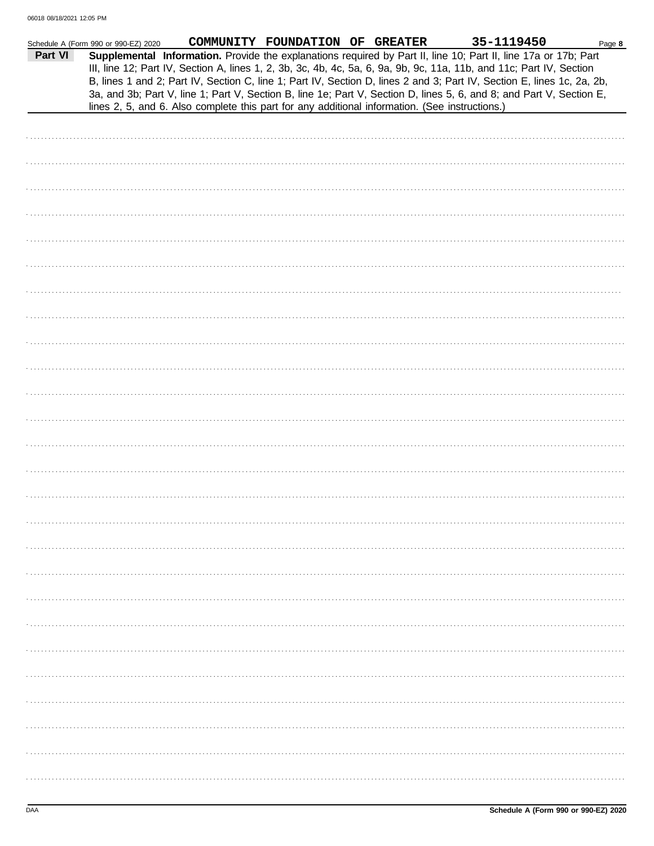|         | Schedule A (Form 990 or 990-EZ) 2020 |                                                                                                                                                                                                                                                                                                                                                                   | COMMUNITY FOUNDATION OF GREATER |  | 35-1119450 | Page 8 |
|---------|--------------------------------------|-------------------------------------------------------------------------------------------------------------------------------------------------------------------------------------------------------------------------------------------------------------------------------------------------------------------------------------------------------------------|---------------------------------|--|------------|--------|
| Part VI |                                      | Supplemental Information. Provide the explanations required by Part II, line 10; Part II, line 17a or 17b; Part<br>III, line 12; Part IV, Section A, lines 1, 2, 3b, 3c, 4b, 4c, 5a, 6, 9a, 9b, 9c, 11a, 11b, and 11c; Part IV, Section<br>B, lines 1 and 2; Part IV, Section C, line 1; Part IV, Section D, lines 2 and 3; Part IV, Section E, lines 1c, 2a, 2b, |                                 |  |            |        |
|         |                                      | 3a, and 3b; Part V, line 1; Part V, Section B, line 1e; Part V, Section D, lines 5, 6, and 8; and Part V, Section E,                                                                                                                                                                                                                                              |                                 |  |            |        |
|         |                                      | lines 2, 5, and 6. Also complete this part for any additional information. (See instructions.)                                                                                                                                                                                                                                                                    |                                 |  |            |        |
|         |                                      |                                                                                                                                                                                                                                                                                                                                                                   |                                 |  |            |        |
|         |                                      |                                                                                                                                                                                                                                                                                                                                                                   |                                 |  |            |        |
|         |                                      |                                                                                                                                                                                                                                                                                                                                                                   |                                 |  |            |        |
|         |                                      |                                                                                                                                                                                                                                                                                                                                                                   |                                 |  |            |        |
|         |                                      |                                                                                                                                                                                                                                                                                                                                                                   |                                 |  |            |        |
|         |                                      |                                                                                                                                                                                                                                                                                                                                                                   |                                 |  |            |        |
|         |                                      |                                                                                                                                                                                                                                                                                                                                                                   |                                 |  |            |        |
|         |                                      |                                                                                                                                                                                                                                                                                                                                                                   |                                 |  |            |        |
|         |                                      |                                                                                                                                                                                                                                                                                                                                                                   |                                 |  |            |        |
|         |                                      |                                                                                                                                                                                                                                                                                                                                                                   |                                 |  |            |        |
|         |                                      |                                                                                                                                                                                                                                                                                                                                                                   |                                 |  |            |        |
|         |                                      |                                                                                                                                                                                                                                                                                                                                                                   |                                 |  |            |        |
|         |                                      |                                                                                                                                                                                                                                                                                                                                                                   |                                 |  |            |        |
|         |                                      |                                                                                                                                                                                                                                                                                                                                                                   |                                 |  |            |        |
|         |                                      |                                                                                                                                                                                                                                                                                                                                                                   |                                 |  |            |        |
|         |                                      |                                                                                                                                                                                                                                                                                                                                                                   |                                 |  |            |        |
|         |                                      |                                                                                                                                                                                                                                                                                                                                                                   |                                 |  |            |        |
|         |                                      |                                                                                                                                                                                                                                                                                                                                                                   |                                 |  |            |        |
|         |                                      |                                                                                                                                                                                                                                                                                                                                                                   |                                 |  |            |        |
|         |                                      |                                                                                                                                                                                                                                                                                                                                                                   |                                 |  |            |        |
|         |                                      |                                                                                                                                                                                                                                                                                                                                                                   |                                 |  |            |        |
|         |                                      |                                                                                                                                                                                                                                                                                                                                                                   |                                 |  |            |        |
|         |                                      |                                                                                                                                                                                                                                                                                                                                                                   |                                 |  |            |        |
|         |                                      |                                                                                                                                                                                                                                                                                                                                                                   |                                 |  |            |        |
|         |                                      |                                                                                                                                                                                                                                                                                                                                                                   |                                 |  |            |        |
|         |                                      |                                                                                                                                                                                                                                                                                                                                                                   |                                 |  |            |        |
|         |                                      |                                                                                                                                                                                                                                                                                                                                                                   |                                 |  |            |        |
|         |                                      |                                                                                                                                                                                                                                                                                                                                                                   |                                 |  |            |        |
|         |                                      |                                                                                                                                                                                                                                                                                                                                                                   |                                 |  |            |        |
|         |                                      |                                                                                                                                                                                                                                                                                                                                                                   |                                 |  |            |        |
|         |                                      |                                                                                                                                                                                                                                                                                                                                                                   |                                 |  |            |        |
|         |                                      |                                                                                                                                                                                                                                                                                                                                                                   |                                 |  |            |        |
|         |                                      |                                                                                                                                                                                                                                                                                                                                                                   |                                 |  |            |        |
|         |                                      |                                                                                                                                                                                                                                                                                                                                                                   |                                 |  |            |        |
|         |                                      |                                                                                                                                                                                                                                                                                                                                                                   |                                 |  |            |        |
|         |                                      |                                                                                                                                                                                                                                                                                                                                                                   |                                 |  |            |        |
|         |                                      |                                                                                                                                                                                                                                                                                                                                                                   |                                 |  |            |        |
|         |                                      |                                                                                                                                                                                                                                                                                                                                                                   |                                 |  |            |        |
|         |                                      |                                                                                                                                                                                                                                                                                                                                                                   |                                 |  |            |        |
|         |                                      |                                                                                                                                                                                                                                                                                                                                                                   |                                 |  |            |        |
|         |                                      |                                                                                                                                                                                                                                                                                                                                                                   |                                 |  |            |        |
|         |                                      |                                                                                                                                                                                                                                                                                                                                                                   |                                 |  |            |        |
|         |                                      |                                                                                                                                                                                                                                                                                                                                                                   |                                 |  |            |        |
|         |                                      |                                                                                                                                                                                                                                                                                                                                                                   |                                 |  |            |        |
|         |                                      |                                                                                                                                                                                                                                                                                                                                                                   |                                 |  |            |        |
|         |                                      |                                                                                                                                                                                                                                                                                                                                                                   |                                 |  |            |        |
|         |                                      |                                                                                                                                                                                                                                                                                                                                                                   |                                 |  |            |        |
|         |                                      |                                                                                                                                                                                                                                                                                                                                                                   |                                 |  |            |        |
|         |                                      |                                                                                                                                                                                                                                                                                                                                                                   |                                 |  |            |        |
|         |                                      |                                                                                                                                                                                                                                                                                                                                                                   |                                 |  |            |        |
|         |                                      |                                                                                                                                                                                                                                                                                                                                                                   |                                 |  |            |        |
|         |                                      |                                                                                                                                                                                                                                                                                                                                                                   |                                 |  |            |        |
|         |                                      |                                                                                                                                                                                                                                                                                                                                                                   |                                 |  |            |        |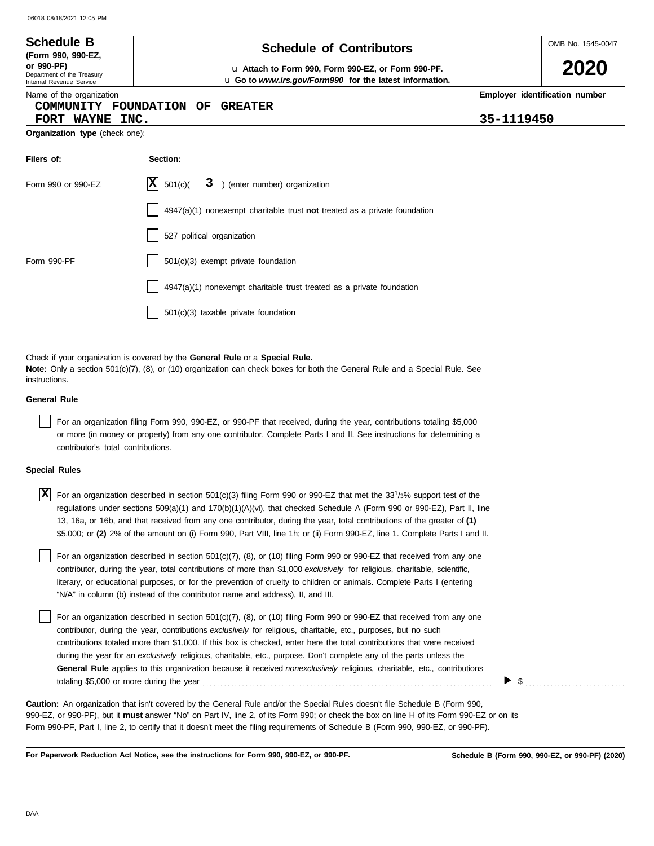| 2020<br>or 990-PF)<br>u Attach to Form 990, Form 990-EZ, or Form 990-PF.<br>Department of the Treasury<br>u Go to www.irs.gov/Form990 for the latest information.<br>Internal Revenue Service<br>Employer identification number<br>Name of the organization<br>COMMUNITY FOUNDATION OF<br><b>GREATER</b><br>35-1119450<br>FORT WAYNE INC. | OMB No. 1545-0047 |  |  |  |  |  |  |
|-------------------------------------------------------------------------------------------------------------------------------------------------------------------------------------------------------------------------------------------------------------------------------------------------------------------------------------------|-------------------|--|--|--|--|--|--|
|                                                                                                                                                                                                                                                                                                                                           |                   |  |  |  |  |  |  |
|                                                                                                                                                                                                                                                                                                                                           |                   |  |  |  |  |  |  |
| Organization type (check one):                                                                                                                                                                                                                                                                                                            |                   |  |  |  |  |  |  |
| Filers of:<br>Section:                                                                                                                                                                                                                                                                                                                    |                   |  |  |  |  |  |  |
| $ \mathbf{X} $ 501(c)(<br>3 ) (enter number) organization<br>Form 990 or 990-EZ                                                                                                                                                                                                                                                           |                   |  |  |  |  |  |  |
| $4947(a)(1)$ nonexempt charitable trust not treated as a private foundation                                                                                                                                                                                                                                                               |                   |  |  |  |  |  |  |
| 527 political organization                                                                                                                                                                                                                                                                                                                |                   |  |  |  |  |  |  |
| 501(c)(3) exempt private foundation<br>Form 990-PF                                                                                                                                                                                                                                                                                        |                   |  |  |  |  |  |  |
| 4947(a)(1) nonexempt charitable trust treated as a private foundation                                                                                                                                                                                                                                                                     |                   |  |  |  |  |  |  |
| $501(c)(3)$ taxable private foundation                                                                                                                                                                                                                                                                                                    |                   |  |  |  |  |  |  |

Check if your organization is covered by the **General Rule** or a **Special Rule. Note:** Only a section 501(c)(7), (8), or (10) organization can check boxes for both the General Rule and a Special Rule. See instructions.

#### **General Rule**

For an organization filing Form 990, 990-EZ, or 990-PF that received, during the year, contributions totaling \$5,000 or more (in money or property) from any one contributor. Complete Parts I and II. See instructions for determining a contributor's total contributions.

#### **Special Rules**

| $\overline{X}$ For an organization described in section 501(c)(3) filing Form 990 or 990-EZ that met the 33 <sup>1</sup> /3% support test of the |
|--------------------------------------------------------------------------------------------------------------------------------------------------|
| regulations under sections 509(a)(1) and 170(b)(1)(A)(vi), that checked Schedule A (Form 990 or 990-EZ), Part II, line                           |
| 13, 16a, or 16b, and that received from any one contributor, during the year, total contributions of the greater of (1)                          |
| \$5,000; or (2) 2% of the amount on (i) Form 990, Part VIII, line 1h; or (ii) Form 990-EZ, line 1. Complete Parts I and II.                      |

literary, or educational purposes, or for the prevention of cruelty to children or animals. Complete Parts I (entering For an organization described in section 501(c)(7), (8), or (10) filing Form 990 or 990-EZ that received from any one contributor, during the year, total contributions of more than \$1,000 *exclusively* for religious, charitable, scientific, "N/A" in column (b) instead of the contributor name and address), II, and III.

For an organization described in section 501(c)(7), (8), or (10) filing Form 990 or 990-EZ that received from any one contributor, during the year, contributions *exclusively* for religious, charitable, etc., purposes, but no such contributions totaled more than \$1,000. If this box is checked, enter here the total contributions that were received during the year for an *exclusively* religious, charitable, etc., purpose. Don't complete any of the parts unless the **General Rule** applies to this organization because it received *nonexclusively* religious, charitable, etc., contributions totaling \$5,000 or more during the year . . . . . . . . . . . . . . . . . . . . . . . . . . . . . . . . . . . . . . . . . . . . . . . . . . . . . . . . . . . . . . . . . . . . . . . . . . . . . . . . .

990-EZ, or 990-PF), but it **must** answer "No" on Part IV, line 2, of its Form 990; or check the box on line H of its Form 990-EZ or on its Form 990-PF, Part I, line 2, to certify that it doesn't meet the filing requirements of Schedule B (Form 990, 990-EZ, or 990-PF). **Caution:** An organization that isn't covered by the General Rule and/or the Special Rules doesn't file Schedule B (Form 990,

**For Paperwork Reduction Act Notice, see the instructions for Form 990, 990-EZ, or 990-PF.**

 $\triangleright$  \$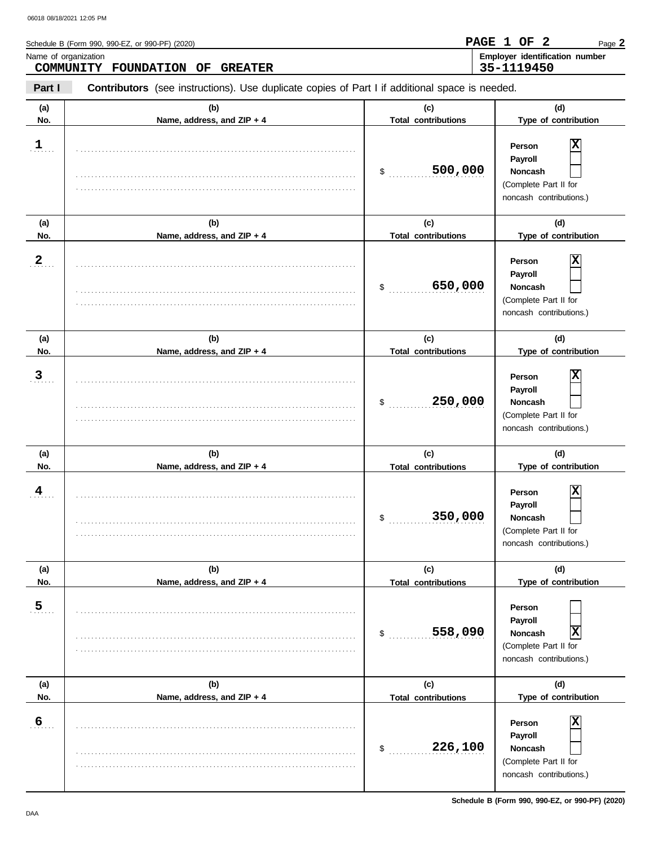$\overline{\phantom{0}}$ 

| Schedule B (Form 990, 990-EZ, or 990-PF) (2020)         | PAGE 1 OF 2 |  | Page 2                                |
|---------------------------------------------------------|-------------|--|---------------------------------------|
| Name of organization<br>COMMUNITY FOUNDATION OF GREATER | 35-1119450  |  | <b>Employer identification number</b> |
|                                                         |             |  |                                       |

**Part I Contributors** (see instructions). Use duplicate copies of Part I if additional space is needed.

| (a)<br>No.     | (b)<br>Name, address, and ZIP + 4 | (c)<br><b>Total contributions</b> | (d)<br>Type of contribution                                                           |
|----------------|-----------------------------------|-----------------------------------|---------------------------------------------------------------------------------------|
| $\frac{1}{2}$  |                                   | 500,000<br>\$                     | Χ<br>Person<br>Payroll<br>Noncash<br>(Complete Part II for<br>noncash contributions.) |
| (a)<br>No.     | (b)<br>Name, address, and ZIP + 4 | (c)<br><b>Total contributions</b> | (d)<br>Type of contribution                                                           |
| $\overline{2}$ |                                   | 650,000<br>\$                     | Χ<br>Person<br>Payroll<br>Noncash<br>(Complete Part II for<br>noncash contributions.) |
| (a)            | (b)                               | (c)                               | (d)                                                                                   |
| No.            | Name, address, and ZIP + 4        | <b>Total contributions</b>        | Type of contribution                                                                  |
| $\overline{3}$ |                                   | 250,000<br>\$                     | Χ<br>Person<br>Payroll<br>Noncash<br>(Complete Part II for<br>noncash contributions.) |
|                |                                   |                                   |                                                                                       |
| (a)            | (b)                               | (c)                               | (d)                                                                                   |
| No.            | Name, address, and ZIP + 4        | <b>Total contributions</b>        | Type of contribution                                                                  |
| 4              |                                   | 350,000<br>\$                     | Χ<br>Person<br>Payroll<br>Noncash<br>(Complete Part II for<br>noncash contributions.) |
| (a)            | (b)                               | (c)                               | (d)                                                                                   |
| No.            | Name, address, and ZIP + 4        | <b>Total contributions</b>        | Type of contribution                                                                  |
| 5              |                                   | 558,090<br>\$                     | Person<br>Payroll<br>X<br>Noncash<br>(Complete Part II for<br>noncash contributions.) |
| (a)            | (b)                               | (c)                               | (d)                                                                                   |
| No.            | Name, address, and ZIP + 4        | <b>Total contributions</b>        | Type of contribution                                                                  |

**Schedule B (Form 990, 990-EZ, or 990-PF) (2020)**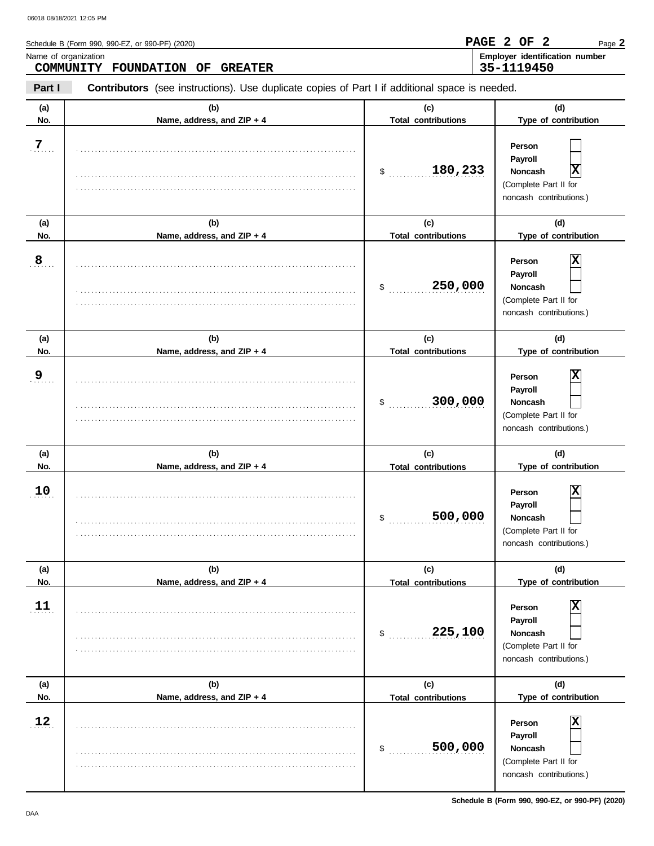| Schedule B (Form 990, 990-EZ, or 990-PF) (2020) | PAGE 2 OF 2 |  | Page 2                                |
|-------------------------------------------------|-------------|--|---------------------------------------|
| Name of organization                            |             |  | <b>Employer identification number</b> |
| COMMUNITY FOUNDATION OF GREATER                 | 35-1119450  |  |                                       |

**Part I Contributors** (see instructions). Use duplicate copies of Part I if additional space is needed.

| (a) | (b)                        | (c)                        | (d)                                                                                          |
|-----|----------------------------|----------------------------|----------------------------------------------------------------------------------------------|
| No. | Name, address, and ZIP + 4 | <b>Total contributions</b> | Type of contribution                                                                         |
| 7   |                            | 180,233<br>\$              | Person<br>Payroll<br> x<br>Noncash<br>(Complete Part II for<br>noncash contributions.)       |
| (a) | (b)                        | (c)                        | (d)                                                                                          |
| No. | Name, address, and ZIP + 4 | <b>Total contributions</b> | Type of contribution                                                                         |
| 8   |                            | 250,000<br>\$              | х<br>Person<br>Payroll<br><b>Noncash</b><br>(Complete Part II for<br>noncash contributions.) |
| (a) | (b)                        | (c)                        | (d)                                                                                          |
| No. | Name, address, and ZIP + 4 | <b>Total contributions</b> | Type of contribution                                                                         |
| 9   |                            | 300,000<br>\$              | х<br>Person<br>Payroll<br><b>Noncash</b><br>(Complete Part II for<br>noncash contributions.) |
| (a) | (b)                        | (c)                        | (d)                                                                                          |
| No. | Name, address, and ZIP + 4 | <b>Total contributions</b> | Type of contribution                                                                         |
| 10  |                            | 500,000<br>\$              | х<br>Person<br>Payroll<br>Noncash<br>(Complete Part II for<br>noncash contributions.)        |
| (a) | (b)                        | (c)                        | (d)                                                                                          |
| No. | Name, address, and ZIP + 4 | <b>Total contributions</b> | Type of contribution                                                                         |
| 11  |                            | 225,100<br>\$              | X<br>Person<br>Payroll<br>Noncash<br>(Complete Part II for<br>noncash contributions.)        |
| (a) | (b)                        | (c)                        | (d)                                                                                          |
| No. | Name, address, and ZIP + 4 | <b>Total contributions</b> | Type of contribution                                                                         |
| 12  |                            | 500,000<br>\$              | X<br>Person<br>Payroll<br>Noncash<br>(Complete Part II for<br>noncash contributions.)        |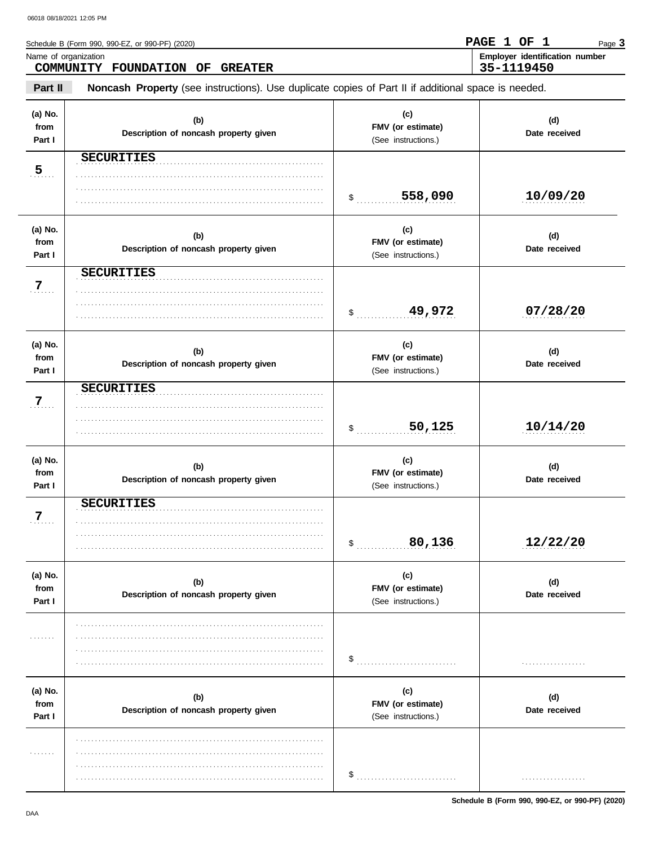| Schedule B (Form 990, 990-EZ, or 990-PF) (2020)                                                                | PAGE 1 OF 1 |  | Page 3                                |
|----------------------------------------------------------------------------------------------------------------|-------------|--|---------------------------------------|
| Name of organization<br>COMMUNITY FOUNDATION OF GREATER                                                        | 35-1119450  |  | <b>Employer identification number</b> |
| Part II<br>Noncash Property (see instructions). Use duplicate copies of Part II if additional space is needed. |             |  |                                       |

| (a) No.<br>from<br>Part I | (b)<br>Description of noncash property given | (c)<br>FMV (or estimate)<br>(See instructions.) | (d)<br>Date received |
|---------------------------|----------------------------------------------|-------------------------------------------------|----------------------|
| 5                         | <b>SECURITIES</b>                            | 558,090<br>$\frac{1}{2}$                        | 10/09/20             |
| (a) No.<br>from<br>Part I | (b)<br>Description of noncash property given | (c)<br>FMV (or estimate)<br>(See instructions.) | (d)<br>Date received |
| 7.                        | <b>SECURITIES</b>                            | \$ 49,972                                       | 07/28/20             |
| (a) No.<br>from<br>Part I | (b)<br>Description of noncash property given | (c)<br>FMV (or estimate)<br>(See instructions.) | (d)<br>Date received |
| 7                         | <b>SECURITIES</b>                            | 50,125<br>$\ddot{\text{S}}$                     | 10/14/20             |
| (a) No.<br>from<br>Part I | (b)<br>Description of noncash property given | (c)<br>FMV (or estimate)<br>(See instructions.) | (d)<br>Date received |
| $7$                       | <b>SECURITIES</b>                            | 80,136<br>$\mathsf{\$}$                         | 12/22/20             |
| (a) No.<br>from<br>Part I | (b)<br>Description of noncash property given | (c)<br>FMV (or estimate)<br>(See instructions.) | (d)<br>Date received |
| .                         |                                              | \$                                              | .                    |
| (a) No.<br>from<br>Part I | (b)<br>Description of noncash property given | (c)<br>FMV (or estimate)<br>(See instructions.) | (d)<br>Date received |
| .                         |                                              | \$                                              | . <b>.</b> .         |

Schedule B (Form 990, 990-EZ, or 990-PF) (2020)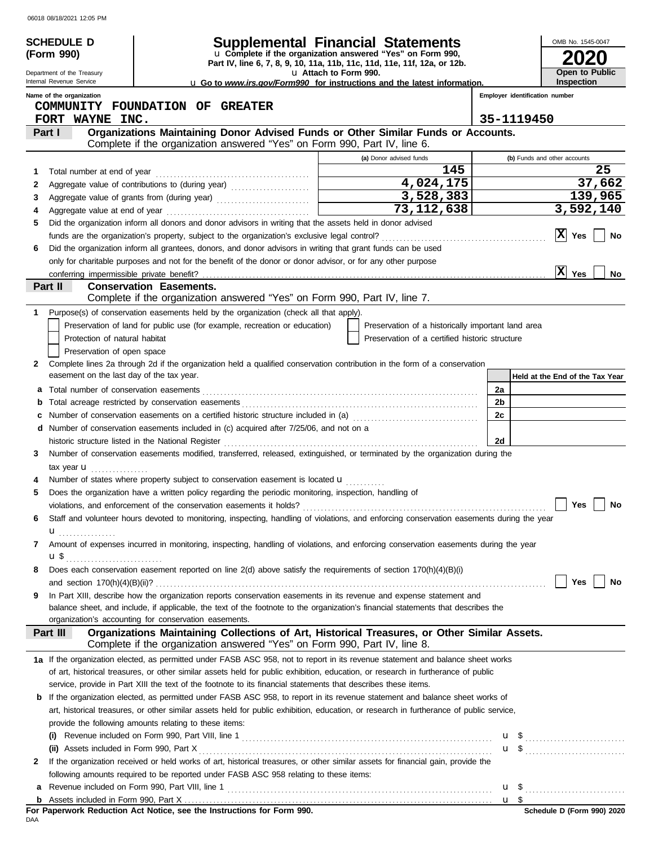|    | <b>SCHEDULE D</b>                         |                                                                                                                                                                                                                                | <b>Supplemental Financial Statements</b>                                                                                               |                                | OMB No. 1545-0047               |
|----|-------------------------------------------|--------------------------------------------------------------------------------------------------------------------------------------------------------------------------------------------------------------------------------|----------------------------------------------------------------------------------------------------------------------------------------|--------------------------------|---------------------------------|
|    | (Form 990)                                |                                                                                                                                                                                                                                | u Complete if the organization answered "Yes" on Form 990,<br>Part IV, line 6, 7, 8, 9, 10, 11a, 11b, 11c, 11d, 11e, 11f, 12a, or 12b. |                                |                                 |
|    | Department of the Treasury                |                                                                                                                                                                                                                                | u Attach to Form 990.                                                                                                                  |                                | Open to Public                  |
|    | Internal Revenue Service                  |                                                                                                                                                                                                                                | <b>u</b> Go to www.irs.gov/Form990 for instructions and the latest information.                                                        |                                | <b>Inspection</b>               |
|    | Name of the organization                  | COMMUNITY FOUNDATION OF GREATER                                                                                                                                                                                                |                                                                                                                                        | Employer identification number |                                 |
|    | FORT WAYNE INC.                           |                                                                                                                                                                                                                                |                                                                                                                                        | 35-1119450                     |                                 |
|    | Part I                                    | Organizations Maintaining Donor Advised Funds or Other Similar Funds or Accounts.<br>Complete if the organization answered "Yes" on Form 990, Part IV, line 6.                                                                 |                                                                                                                                        |                                |                                 |
|    |                                           |                                                                                                                                                                                                                                | (a) Donor advised funds                                                                                                                |                                | (b) Funds and other accounts    |
| 1  |                                           |                                                                                                                                                                                                                                | 145                                                                                                                                    |                                | 25                              |
| 2  |                                           | Aggregate value of contributions to (during year) [11] [11] Aggregate value of contributions to (during year)                                                                                                                  | 4,024,175                                                                                                                              |                                | 37,662                          |
| 3  |                                           | Aggregate value of grants from (during year)                                                                                                                                                                                   | 3,528,383<br><u> 1990 - Johann Barbara, martxa a</u>                                                                                   |                                | 139,965                         |
| 4  |                                           |                                                                                                                                                                                                                                | 73, 112, 638                                                                                                                           |                                | 3,592,140                       |
| 5  |                                           | Did the organization inform all donors and donor advisors in writing that the assets held in donor advised                                                                                                                     |                                                                                                                                        |                                | $ X $ Yes                       |
|    |                                           | Did the organization inform all grantees, donors, and donor advisors in writing that grant funds can be used                                                                                                                   |                                                                                                                                        |                                | No                              |
| 6  |                                           | only for charitable purposes and not for the benefit of the donor or donor advisor, or for any other purpose                                                                                                                   |                                                                                                                                        |                                |                                 |
|    | conferring impermissible private benefit? |                                                                                                                                                                                                                                |                                                                                                                                        |                                | X <br>Yes<br>No                 |
|    | Part II                                   | <b>Conservation Easements.</b>                                                                                                                                                                                                 |                                                                                                                                        |                                |                                 |
|    |                                           | Complete if the organization answered "Yes" on Form 990, Part IV, line 7.                                                                                                                                                      |                                                                                                                                        |                                |                                 |
| 1. |                                           | Purpose(s) of conservation easements held by the organization (check all that apply).                                                                                                                                          |                                                                                                                                        |                                |                                 |
|    |                                           | Preservation of land for public use (for example, recreation or education)                                                                                                                                                     | Preservation of a historically important land area                                                                                     |                                |                                 |
|    | Protection of natural habitat             |                                                                                                                                                                                                                                | Preservation of a certified historic structure                                                                                         |                                |                                 |
|    | Preservation of open space                |                                                                                                                                                                                                                                |                                                                                                                                        |                                |                                 |
| 2  | easement on the last day of the tax year. | Complete lines 2a through 2d if the organization held a qualified conservation contribution in the form of a conservation                                                                                                      |                                                                                                                                        |                                | Held at the End of the Tax Year |
| а  |                                           |                                                                                                                                                                                                                                |                                                                                                                                        | 2a                             |                                 |
| b  |                                           |                                                                                                                                                                                                                                |                                                                                                                                        | 2b                             |                                 |
|    |                                           | Number of conservation easements on a certified historic structure included in (a) conservation conservation exercises                                                                                                         |                                                                                                                                        | 2c                             |                                 |
| d  |                                           | Number of conservation easements included in (c) acquired after 7/25/06, and not on a                                                                                                                                          |                                                                                                                                        |                                |                                 |
|    |                                           | historic structure listed in the National Register [11] match and the National Register [11] match and the National Register [11] match and the National Register [11] match and the National Register [11] match and the Nati |                                                                                                                                        | 2d                             |                                 |
| 3  |                                           | Number of conservation easements modified, transferred, released, extinguished, or terminated by the organization during the                                                                                                   |                                                                                                                                        |                                |                                 |
|    | tax year $\mathbf{u}$ ,                   |                                                                                                                                                                                                                                |                                                                                                                                        |                                |                                 |
|    |                                           | Number of states where property subject to conservation easement is located u                                                                                                                                                  |                                                                                                                                        |                                |                                 |
| 5  |                                           | Does the organization have a written policy regarding the periodic monitoring, inspection, handling of                                                                                                                         |                                                                                                                                        |                                |                                 |
|    |                                           |                                                                                                                                                                                                                                |                                                                                                                                        |                                | Yes<br>No                       |
| 6  |                                           | Staff and volunteer hours devoted to monitoring, inspecting, handling of violations, and enforcing conservation easements during the year                                                                                      |                                                                                                                                        |                                |                                 |
|    | $\mathbf{u}$ <sub></sub>                  |                                                                                                                                                                                                                                |                                                                                                                                        |                                |                                 |
| 7  |                                           | Amount of expenses incurred in monitoring, inspecting, handling of violations, and enforcing conservation easements during the year                                                                                            |                                                                                                                                        |                                |                                 |
|    |                                           |                                                                                                                                                                                                                                |                                                                                                                                        |                                |                                 |
| 8  |                                           | Does each conservation easement reported on line 2(d) above satisfy the requirements of section 170(h)(4)(B)(i)                                                                                                                |                                                                                                                                        |                                | Yes<br>No                       |
| 9  |                                           | In Part XIII, describe how the organization reports conservation easements in its revenue and expense statement and                                                                                                            |                                                                                                                                        |                                |                                 |
|    |                                           | balance sheet, and include, if applicable, the text of the footnote to the organization's financial statements that describes the                                                                                              |                                                                                                                                        |                                |                                 |
|    |                                           | organization's accounting for conservation easements.                                                                                                                                                                          |                                                                                                                                        |                                |                                 |
|    | Part III                                  | Organizations Maintaining Collections of Art, Historical Treasures, or Other Similar Assets.                                                                                                                                   |                                                                                                                                        |                                |                                 |
|    |                                           | Complete if the organization answered "Yes" on Form 990, Part IV, line 8.                                                                                                                                                      |                                                                                                                                        |                                |                                 |
|    |                                           | 1a If the organization elected, as permitted under FASB ASC 958, not to report in its revenue statement and balance sheet works                                                                                                |                                                                                                                                        |                                |                                 |
|    |                                           | of art, historical treasures, or other similar assets held for public exhibition, education, or research in furtherance of public                                                                                              |                                                                                                                                        |                                |                                 |
|    |                                           | service, provide in Part XIII the text of the footnote to its financial statements that describes these items.                                                                                                                 |                                                                                                                                        |                                |                                 |
| b  |                                           | If the organization elected, as permitted under FASB ASC 958, to report in its revenue statement and balance sheet works of                                                                                                    |                                                                                                                                        |                                |                                 |
|    |                                           | art, historical treasures, or other similar assets held for public exhibition, education, or research in furtherance of public service,                                                                                        |                                                                                                                                        |                                |                                 |
|    |                                           | provide the following amounts relating to these items:                                                                                                                                                                         |                                                                                                                                        |                                |                                 |
|    |                                           |                                                                                                                                                                                                                                |                                                                                                                                        |                                |                                 |
|    |                                           |                                                                                                                                                                                                                                |                                                                                                                                        |                                |                                 |
| 2  |                                           | If the organization received or held works of art, historical treasures, or other similar assets for financial gain, provide the                                                                                               |                                                                                                                                        |                                |                                 |
|    |                                           | following amounts required to be reported under FASB ASC 958 relating to these items:                                                                                                                                          |                                                                                                                                        |                                |                                 |
|    |                                           |                                                                                                                                                                                                                                |                                                                                                                                        |                                |                                 |
|    |                                           |                                                                                                                                                                                                                                |                                                                                                                                        | u \$                           |                                 |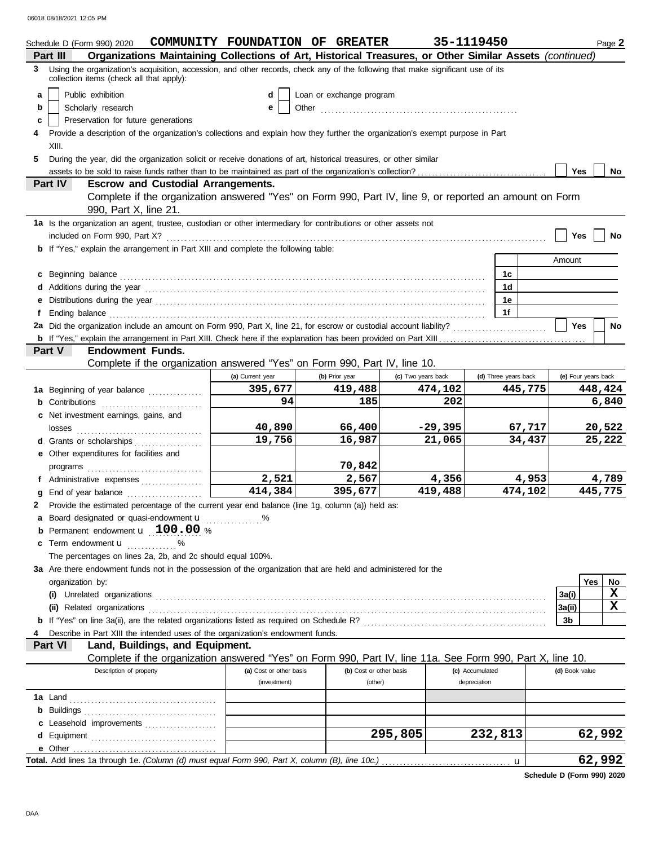|   | Schedule D (Form 990) 2020                                                                                                                                                                                                          | COMMUNITY FOUNDATION OF GREATER |                          |                    | 35-1119450           |         |                |                     | Page 2      |
|---|-------------------------------------------------------------------------------------------------------------------------------------------------------------------------------------------------------------------------------------|---------------------------------|--------------------------|--------------------|----------------------|---------|----------------|---------------------|-------------|
|   | Organizations Maintaining Collections of Art, Historical Treasures, or Other Similar Assets (continued)<br>Part III                                                                                                                 |                                 |                          |                    |                      |         |                |                     |             |
|   | 3 Using the organization's acquisition, accession, and other records, check any of the following that make significant use of its<br>collection items (check all that apply):                                                       |                                 |                          |                    |                      |         |                |                     |             |
| a | Public exhibition                                                                                                                                                                                                                   | d                               | Loan or exchange program |                    |                      |         |                |                     |             |
| b | Scholarly research                                                                                                                                                                                                                  | е                               | Other                    |                    |                      |         |                |                     |             |
| c | Preservation for future generations                                                                                                                                                                                                 |                                 |                          |                    |                      |         |                |                     |             |
| 4 | Provide a description of the organization's collections and explain how they further the organization's exempt purpose in Part                                                                                                      |                                 |                          |                    |                      |         |                |                     |             |
|   | XIII.                                                                                                                                                                                                                               |                                 |                          |                    |                      |         |                |                     |             |
| 5 | During the year, did the organization solicit or receive donations of art, historical treasures, or other similar                                                                                                                   |                                 |                          |                    |                      |         |                |                     |             |
|   |                                                                                                                                                                                                                                     |                                 |                          |                    |                      |         | <b>Yes</b>     |                     | No          |
|   | Part IV<br><b>Escrow and Custodial Arrangements.</b>                                                                                                                                                                                |                                 |                          |                    |                      |         |                |                     |             |
|   | Complete if the organization answered "Yes" on Form 990, Part IV, line 9, or reported an amount on Form<br>990, Part X, line 21.                                                                                                    |                                 |                          |                    |                      |         |                |                     |             |
|   | 1a Is the organization an agent, trustee, custodian or other intermediary for contributions or other assets not                                                                                                                     |                                 |                          |                    |                      |         |                |                     |             |
|   | included on Form 990, Part X?                                                                                                                                                                                                       |                                 |                          |                    |                      |         | Yes            |                     | No          |
|   | <b>b</b> If "Yes," explain the arrangement in Part XIII and complete the following table:                                                                                                                                           |                                 |                          |                    |                      |         |                |                     |             |
|   |                                                                                                                                                                                                                                     |                                 |                          |                    |                      |         | Amount         |                     |             |
| c |                                                                                                                                                                                                                                     |                                 |                          |                    | 1c                   |         |                |                     |             |
| d |                                                                                                                                                                                                                                     |                                 |                          |                    | 1d                   |         |                |                     |             |
| е |                                                                                                                                                                                                                                     |                                 |                          |                    | 1е                   |         |                |                     |             |
| f | Ending balance <b>construction and the construction of the construction</b> of the construction of the construction of the construction of the construction of the construction of the construction of the construction of the cons |                                 |                          |                    | 1f                   |         |                |                     |             |
|   | 2a Did the organization include an amount on Form 990, Part X, line 21, for escrow or custodial account liability?                                                                                                                  |                                 |                          |                    |                      |         | <b>Yes</b>     |                     | No          |
|   |                                                                                                                                                                                                                                     |                                 |                          |                    |                      |         |                |                     |             |
|   | <b>Endowment Funds.</b><br>Part V                                                                                                                                                                                                   |                                 |                          |                    |                      |         |                |                     |             |
|   | Complete if the organization answered "Yes" on Form 990, Part IV, line 10.                                                                                                                                                          |                                 |                          |                    |                      |         |                |                     |             |
|   |                                                                                                                                                                                                                                     | (a) Current year                | (b) Prior year           | (c) Two years back | (d) Three years back |         |                | (e) Four years back |             |
|   | 1a Beginning of year balance                                                                                                                                                                                                        | 395,677                         | 419,488                  | 474,102            |                      | 445,775 |                | 448,424             |             |
|   | <b>b</b> Contributions <b>contributions</b>                                                                                                                                                                                         | 94                              | 185                      | 202                |                      |         |                |                     | 6,840       |
|   | c Net investment earnings, gains, and                                                                                                                                                                                               |                                 |                          |                    |                      |         |                |                     |             |
|   |                                                                                                                                                                                                                                     | 40,890                          | 66,400                   | $-29,395$          |                      | 67,717  |                | 20,522              |             |
|   | d Grants or scholarships                                                                                                                                                                                                            | 19,756                          | 16,987                   | 21,065             |                      | 34,437  |                | 25,222              |             |
|   | e Other expenditures for facilities and                                                                                                                                                                                             |                                 |                          |                    |                      |         |                |                     |             |
|   |                                                                                                                                                                                                                                     |                                 | 70,842                   |                    |                      |         |                |                     |             |
|   | f Administrative expenses                                                                                                                                                                                                           | 2,521                           | 2,567                    | 4,356              |                      | 4,953   |                |                     | 4,789       |
| g | End of year balance                                                                                                                                                                                                                 | 414,384                         | 395,677                  | 419,488            |                      | 474,102 |                | 445,775             |             |
| 2 | Provide the estimated percentage of the current year end balance (line 1g, column (a)) held as:                                                                                                                                     |                                 |                          |                    |                      |         |                |                     |             |
| a | Board designated or quasi-endowment u                                                                                                                                                                                               | %                               |                          |                    |                      |         |                |                     |             |
| b | Permanent endowment <b>u</b> 100.00 %                                                                                                                                                                                               |                                 |                          |                    |                      |         |                |                     |             |
| c | Term endowment <b>u</b> %                                                                                                                                                                                                           |                                 |                          |                    |                      |         |                |                     |             |
|   | The percentages on lines 2a, 2b, and 2c should equal 100%.                                                                                                                                                                          |                                 |                          |                    |                      |         |                |                     |             |
|   | 3a Are there endowment funds not in the possession of the organization that are held and administered for the                                                                                                                       |                                 |                          |                    |                      |         |                |                     |             |
|   | organization by:                                                                                                                                                                                                                    |                                 |                          |                    |                      |         |                | <b>Yes</b>          | No          |
|   |                                                                                                                                                                                                                                     |                                 |                          |                    |                      |         | 3a(i)          |                     | $\mathbf x$ |
|   | (ii) Related organizations <b>contracts</b> and a set of the contract of the contract of the contract of the contract or the contract of the contract of the contract of the contract of the contract of the contract of the contra |                                 |                          |                    |                      |         | 3a(ii)         |                     | $\mathbf x$ |
|   |                                                                                                                                                                                                                                     |                                 |                          |                    |                      |         | 3b             |                     |             |
|   | Describe in Part XIII the intended uses of the organization's endowment funds.                                                                                                                                                      |                                 |                          |                    |                      |         |                |                     |             |
|   | Land, Buildings, and Equipment.<br>Part VI                                                                                                                                                                                          |                                 |                          |                    |                      |         |                |                     |             |
|   | Complete if the organization answered "Yes" on Form 990, Part IV, line 11a. See Form 990, Part X, line 10.                                                                                                                          |                                 |                          |                    |                      |         |                |                     |             |
|   | Description of property                                                                                                                                                                                                             | (a) Cost or other basis         | (b) Cost or other basis  |                    | (c) Accumulated      |         | (d) Book value |                     |             |
|   |                                                                                                                                                                                                                                     | (investment)                    | (other)                  |                    | depreciation         |         |                |                     |             |
|   |                                                                                                                                                                                                                                     |                                 |                          |                    |                      |         |                |                     |             |
|   |                                                                                                                                                                                                                                     |                                 |                          |                    |                      |         |                |                     |             |
| c | Leasehold improvements                                                                                                                                                                                                              |                                 |                          |                    |                      |         |                |                     |             |
| d |                                                                                                                                                                                                                                     |                                 |                          | 295,805            | 232,813              |         |                | 62,992              |             |
|   |                                                                                                                                                                                                                                     |                                 |                          |                    |                      |         |                |                     |             |
|   |                                                                                                                                                                                                                                     |                                 |                          |                    |                      | u       |                | 62,992              |             |

**Schedule D (Form 990) 2020**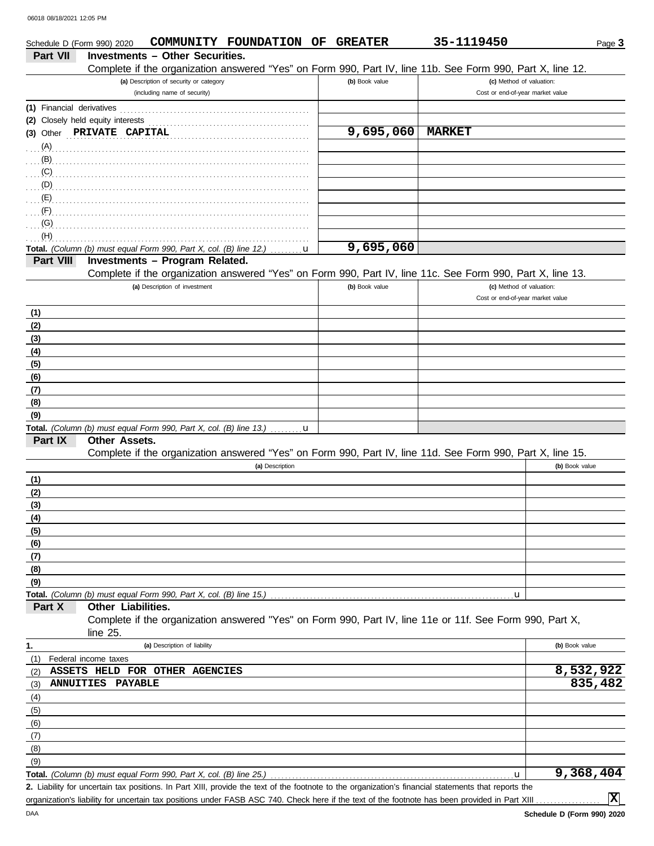| <b>Investments - Other Securities.</b><br>Part VII<br>Complete if the organization answered "Yes" on Form 990, Part IV, line 11b. See Form 990, Part X, line 12.<br>(a) Description of security or category<br>(b) Book value<br>(c) Method of valuation:<br>(including name of security)<br>Cost or end-of-year market value<br>(1) Financial derivatives<br>(2) Closely held equity interests<br>9,695,060<br><b>MARKET</b><br>(3) Other PRIVATE CAPITAL<br>(A)<br>(B)<br>(C)<br>(D)<br>(E)<br>(F)<br>(G)<br>(H)<br>9,695,060<br>Total. (Column (b) must equal Form 990, Part X, col. (B) line 12.)<br>u<br>Part VIII<br>Investments - Program Related.<br>Complete if the organization answered "Yes" on Form 990, Part IV, line 11c. See Form 990, Part X, line 13.<br>(a) Description of investment<br>(b) Book value<br>(c) Method of valuation: |                |
|--------------------------------------------------------------------------------------------------------------------------------------------------------------------------------------------------------------------------------------------------------------------------------------------------------------------------------------------------------------------------------------------------------------------------------------------------------------------------------------------------------------------------------------------------------------------------------------------------------------------------------------------------------------------------------------------------------------------------------------------------------------------------------------------------------------------------------------------------------|----------------|
|                                                                                                                                                                                                                                                                                                                                                                                                                                                                                                                                                                                                                                                                                                                                                                                                                                                        |                |
|                                                                                                                                                                                                                                                                                                                                                                                                                                                                                                                                                                                                                                                                                                                                                                                                                                                        |                |
|                                                                                                                                                                                                                                                                                                                                                                                                                                                                                                                                                                                                                                                                                                                                                                                                                                                        |                |
|                                                                                                                                                                                                                                                                                                                                                                                                                                                                                                                                                                                                                                                                                                                                                                                                                                                        |                |
|                                                                                                                                                                                                                                                                                                                                                                                                                                                                                                                                                                                                                                                                                                                                                                                                                                                        |                |
|                                                                                                                                                                                                                                                                                                                                                                                                                                                                                                                                                                                                                                                                                                                                                                                                                                                        |                |
|                                                                                                                                                                                                                                                                                                                                                                                                                                                                                                                                                                                                                                                                                                                                                                                                                                                        |                |
|                                                                                                                                                                                                                                                                                                                                                                                                                                                                                                                                                                                                                                                                                                                                                                                                                                                        |                |
|                                                                                                                                                                                                                                                                                                                                                                                                                                                                                                                                                                                                                                                                                                                                                                                                                                                        |                |
|                                                                                                                                                                                                                                                                                                                                                                                                                                                                                                                                                                                                                                                                                                                                                                                                                                                        |                |
|                                                                                                                                                                                                                                                                                                                                                                                                                                                                                                                                                                                                                                                                                                                                                                                                                                                        |                |
|                                                                                                                                                                                                                                                                                                                                                                                                                                                                                                                                                                                                                                                                                                                                                                                                                                                        |                |
|                                                                                                                                                                                                                                                                                                                                                                                                                                                                                                                                                                                                                                                                                                                                                                                                                                                        |                |
|                                                                                                                                                                                                                                                                                                                                                                                                                                                                                                                                                                                                                                                                                                                                                                                                                                                        |                |
|                                                                                                                                                                                                                                                                                                                                                                                                                                                                                                                                                                                                                                                                                                                                                                                                                                                        |                |
|                                                                                                                                                                                                                                                                                                                                                                                                                                                                                                                                                                                                                                                                                                                                                                                                                                                        |                |
|                                                                                                                                                                                                                                                                                                                                                                                                                                                                                                                                                                                                                                                                                                                                                                                                                                                        |                |
|                                                                                                                                                                                                                                                                                                                                                                                                                                                                                                                                                                                                                                                                                                                                                                                                                                                        |                |
| Cost or end-of-year market value                                                                                                                                                                                                                                                                                                                                                                                                                                                                                                                                                                                                                                                                                                                                                                                                                       |                |
|                                                                                                                                                                                                                                                                                                                                                                                                                                                                                                                                                                                                                                                                                                                                                                                                                                                        |                |
| (1)<br>(2)                                                                                                                                                                                                                                                                                                                                                                                                                                                                                                                                                                                                                                                                                                                                                                                                                                             |                |
| (3)                                                                                                                                                                                                                                                                                                                                                                                                                                                                                                                                                                                                                                                                                                                                                                                                                                                    |                |
| (4)                                                                                                                                                                                                                                                                                                                                                                                                                                                                                                                                                                                                                                                                                                                                                                                                                                                    |                |
| (5)                                                                                                                                                                                                                                                                                                                                                                                                                                                                                                                                                                                                                                                                                                                                                                                                                                                    |                |
| (6)                                                                                                                                                                                                                                                                                                                                                                                                                                                                                                                                                                                                                                                                                                                                                                                                                                                    |                |
| (7)                                                                                                                                                                                                                                                                                                                                                                                                                                                                                                                                                                                                                                                                                                                                                                                                                                                    |                |
| (8)                                                                                                                                                                                                                                                                                                                                                                                                                                                                                                                                                                                                                                                                                                                                                                                                                                                    |                |
| (9)                                                                                                                                                                                                                                                                                                                                                                                                                                                                                                                                                                                                                                                                                                                                                                                                                                                    |                |
| Total. (Column (b) must equal Form 990, Part X, col. (B) line 13.)  u                                                                                                                                                                                                                                                                                                                                                                                                                                                                                                                                                                                                                                                                                                                                                                                  |                |
| Part IX<br>Other Assets.                                                                                                                                                                                                                                                                                                                                                                                                                                                                                                                                                                                                                                                                                                                                                                                                                               |                |
| Complete if the organization answered "Yes" on Form 990, Part IV, line 11d. See Form 990, Part X, line 15.                                                                                                                                                                                                                                                                                                                                                                                                                                                                                                                                                                                                                                                                                                                                             |                |
| (a) Description                                                                                                                                                                                                                                                                                                                                                                                                                                                                                                                                                                                                                                                                                                                                                                                                                                        | (b) Book value |
| (1)                                                                                                                                                                                                                                                                                                                                                                                                                                                                                                                                                                                                                                                                                                                                                                                                                                                    |                |
| (2)                                                                                                                                                                                                                                                                                                                                                                                                                                                                                                                                                                                                                                                                                                                                                                                                                                                    |                |
| (3)                                                                                                                                                                                                                                                                                                                                                                                                                                                                                                                                                                                                                                                                                                                                                                                                                                                    |                |
| (4)                                                                                                                                                                                                                                                                                                                                                                                                                                                                                                                                                                                                                                                                                                                                                                                                                                                    |                |
| (5)                                                                                                                                                                                                                                                                                                                                                                                                                                                                                                                                                                                                                                                                                                                                                                                                                                                    |                |
| (6)                                                                                                                                                                                                                                                                                                                                                                                                                                                                                                                                                                                                                                                                                                                                                                                                                                                    |                |
| (7)                                                                                                                                                                                                                                                                                                                                                                                                                                                                                                                                                                                                                                                                                                                                                                                                                                                    |                |
| (8)                                                                                                                                                                                                                                                                                                                                                                                                                                                                                                                                                                                                                                                                                                                                                                                                                                                    |                |
| (9)                                                                                                                                                                                                                                                                                                                                                                                                                                                                                                                                                                                                                                                                                                                                                                                                                                                    |                |
| Total. (Column (b) must equal Form 990, Part X, col. (B) line 15.)<br>u                                                                                                                                                                                                                                                                                                                                                                                                                                                                                                                                                                                                                                                                                                                                                                                |                |
| Other Liabilities.<br>Part X                                                                                                                                                                                                                                                                                                                                                                                                                                                                                                                                                                                                                                                                                                                                                                                                                           |                |
| Complete if the organization answered "Yes" on Form 990, Part IV, line 11e or 11f. See Form 990, Part X,<br>line 25.                                                                                                                                                                                                                                                                                                                                                                                                                                                                                                                                                                                                                                                                                                                                   |                |
| 1.<br>(a) Description of liability                                                                                                                                                                                                                                                                                                                                                                                                                                                                                                                                                                                                                                                                                                                                                                                                                     | (b) Book value |
| Federal income taxes<br>(1)                                                                                                                                                                                                                                                                                                                                                                                                                                                                                                                                                                                                                                                                                                                                                                                                                            |                |
| ASSETS HELD FOR OTHER AGENCIES<br>(2)                                                                                                                                                                                                                                                                                                                                                                                                                                                                                                                                                                                                                                                                                                                                                                                                                  | 8,532,922      |
| ANNUITIES PAYABLE<br>(3)                                                                                                                                                                                                                                                                                                                                                                                                                                                                                                                                                                                                                                                                                                                                                                                                                               | 835,482        |
|                                                                                                                                                                                                                                                                                                                                                                                                                                                                                                                                                                                                                                                                                                                                                                                                                                                        |                |
| (4)<br>(5)                                                                                                                                                                                                                                                                                                                                                                                                                                                                                                                                                                                                                                                                                                                                                                                                                                             |                |
| (6)                                                                                                                                                                                                                                                                                                                                                                                                                                                                                                                                                                                                                                                                                                                                                                                                                                                    |                |
| (7)                                                                                                                                                                                                                                                                                                                                                                                                                                                                                                                                                                                                                                                                                                                                                                                                                                                    |                |
| (8)                                                                                                                                                                                                                                                                                                                                                                                                                                                                                                                                                                                                                                                                                                                                                                                                                                                    |                |
| (9)                                                                                                                                                                                                                                                                                                                                                                                                                                                                                                                                                                                                                                                                                                                                                                                                                                                    |                |
| Total. (Column (b) must equal Form 990, Part X, col. (B) line 25.)<br>u                                                                                                                                                                                                                                                                                                                                                                                                                                                                                                                                                                                                                                                                                                                                                                                |                |
| 2. Liability for uncertain tax positions. In Part XIII, provide the text of the footnote to the organization's financial statements that reports the                                                                                                                                                                                                                                                                                                                                                                                                                                                                                                                                                                                                                                                                                                   | 9,368,404      |

organization's liability for uncertain tax positions under FASB ASC 740. Check here if the text of the footnote has been provided in Part XIII

**X**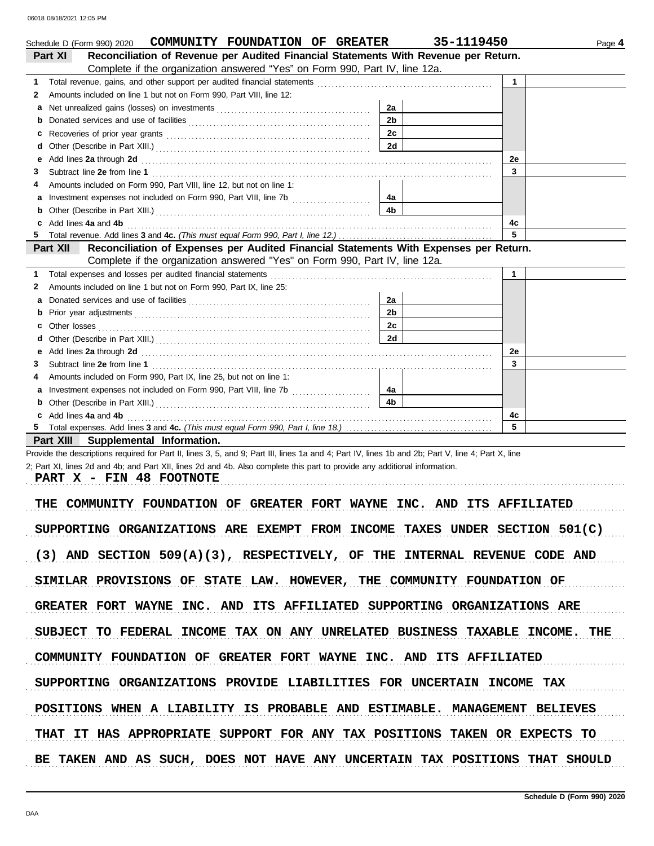|   | COMMUNITY FOUNDATION OF GREATER<br>Schedule D (Form 990) 2020                                                                                                                                                                  | 35-1119450     | Page 4       |
|---|--------------------------------------------------------------------------------------------------------------------------------------------------------------------------------------------------------------------------------|----------------|--------------|
|   | Reconciliation of Revenue per Audited Financial Statements With Revenue per Return.<br>Part XI                                                                                                                                 |                |              |
|   | Complete if the organization answered "Yes" on Form 990, Part IV, line 12a.                                                                                                                                                    |                |              |
| 1 |                                                                                                                                                                                                                                |                | $\mathbf{1}$ |
| 2 | Amounts included on line 1 but not on Form 990, Part VIII, line 12:                                                                                                                                                            |                |              |
| a |                                                                                                                                                                                                                                | 2a             |              |
| b |                                                                                                                                                                                                                                | 2 <sub>b</sub> |              |
| с |                                                                                                                                                                                                                                | 2c             |              |
| d |                                                                                                                                                                                                                                | 2d             |              |
| е | Add lines 2a through 2d [11] Add [12] Add [12] Add lines 2a through 2d [12] Add lines 2a through 2d [12] Add [12] Add [12] Add [12] Add [12] Add [12] Add [12] Add [12] Add [12] Add [12] Add [12] Add [12] Add [12] Add [12]  |                | 2e           |
| 3 |                                                                                                                                                                                                                                |                | 3            |
| 4 | Amounts included on Form 990, Part VIII, line 12, but not on line 1:                                                                                                                                                           |                |              |
| a |                                                                                                                                                                                                                                | 4a             |              |
| b | Other (Describe in Part XIII.) [11] [2010] [2010] [2010] [2010] [2010] [2010] [2010] [2010] [2010] [2010] [2010] [2010] [2010] [2010] [2010] [2010] [2010] [2010] [2010] [2010] [2010] [2010] [2010] [2010] [2010] [2010] [201 | 4 <sub>b</sub> |              |
|   |                                                                                                                                                                                                                                |                | 4c           |
| 5 |                                                                                                                                                                                                                                |                | 5            |
|   | Reconciliation of Expenses per Audited Financial Statements With Expenses per Return.<br>Part XII                                                                                                                              |                |              |
|   | Complete if the organization answered "Yes" on Form 990, Part IV, line 12a.                                                                                                                                                    |                |              |
| 1 | Total expenses and losses per audited financial statements                                                                                                                                                                     |                | $\mathbf{1}$ |
| 2 | Amounts included on line 1 but not on Form 990, Part IX, line 25:                                                                                                                                                              |                |              |
| a | Donated services and use of facilities [[11, 11] [11] contact the service of facilities [[11] contact the service of facilities [[11] contact the service of facilities [[11] contact the service of facilities [[11] contact  | 2a             |              |
| b |                                                                                                                                                                                                                                | 2 <sub>b</sub> |              |
|   |                                                                                                                                                                                                                                | 2c             |              |
|   |                                                                                                                                                                                                                                | 2d             |              |
| е |                                                                                                                                                                                                                                |                | 2e           |
| 3 |                                                                                                                                                                                                                                |                | 3            |
| 4 | Amounts included on Form 990, Part IX, line 25, but not on line 1:                                                                                                                                                             |                |              |
| a |                                                                                                                                                                                                                                | 4a             |              |
| b |                                                                                                                                                                                                                                | 4 <sub>b</sub> |              |
| c |                                                                                                                                                                                                                                |                | 4c           |
|   |                                                                                                                                                                                                                                |                | 5            |
|   | Part XIII Supplemental Information.                                                                                                                                                                                            |                |              |
|   | Provide the descriptions required for Part II, lines 3, 5, and 9; Part III, lines 1a and 4; Part IV, lines 1b and 2b; Part V, line 4; Part X, line                                                                             |                |              |
|   | 2; Part XI, lines 2d and 4b; and Part XII, lines 2d and 4b. Also complete this part to provide any additional information.                                                                                                     |                |              |
|   | PART X - FIN 48 FOOTNOTE                                                                                                                                                                                                       |                |              |
|   |                                                                                                                                                                                                                                |                |              |
|   | COMMUNITY FOUNDATION OF GREATER FORT WAYNE INC. AND ITS AFFILIATED<br>THE                                                                                                                                                      |                |              |
|   |                                                                                                                                                                                                                                |                |              |
|   | SUPPORTING ORGANIZATIONS ARE EXEMPT FROM INCOME TAXES UNDER SECTION 501(C)                                                                                                                                                     |                |              |
|   |                                                                                                                                                                                                                                |                |              |
|   | $(3)$ AND SECTION 509(A)(3), RESPECTIVELY, OF THE INTERNAL REVENUE CODE AND                                                                                                                                                    |                |              |
|   |                                                                                                                                                                                                                                |                |              |
|   | SIMILAR PROVISIONS OF STATE LAW. HOWEVER, THE COMMUNITY FOUNDATION OF                                                                                                                                                          |                |              |
|   |                                                                                                                                                                                                                                |                |              |
|   | GREATER FORT WAYNE INC. AND ITS AFFILIATED SUPPORTING ORGANIZATIONS ARE                                                                                                                                                        |                |              |
|   |                                                                                                                                                                                                                                |                |              |
|   | SUBJECT TO FEDERAL INCOME TAX ON ANY UNRELATED BUSINESS TAXABLE INCOME. THE                                                                                                                                                    |                |              |
|   |                                                                                                                                                                                                                                |                |              |
|   | COMMUNITY FOUNDATION OF GREATER FORT WAYNE INC. AND ITS AFFILIATED                                                                                                                                                             |                |              |
|   |                                                                                                                                                                                                                                |                |              |
|   | SUPPORTING ORGANIZATIONS PROVIDE LIABILITIES FOR UNCERTAIN INCOME TAX                                                                                                                                                          |                |              |
|   |                                                                                                                                                                                                                                |                |              |
|   | POSITIONS WHEN A LIABILITY IS PROBABLE AND ESTIMABLE. MANAGEMENT BELIEVES                                                                                                                                                      |                |              |
|   |                                                                                                                                                                                                                                |                |              |
|   |                                                                                                                                                                                                                                |                |              |
|   | THAT IT HAS APPROPRIATE SUPPORT FOR ANY TAX POSITIONS TAKEN OR EXPECTS TO                                                                                                                                                      |                |              |

BE TAKEN AND AS SUCH, DOES NOT HAVE ANY UNCERTAIN TAX POSITIONS THAT SHOULD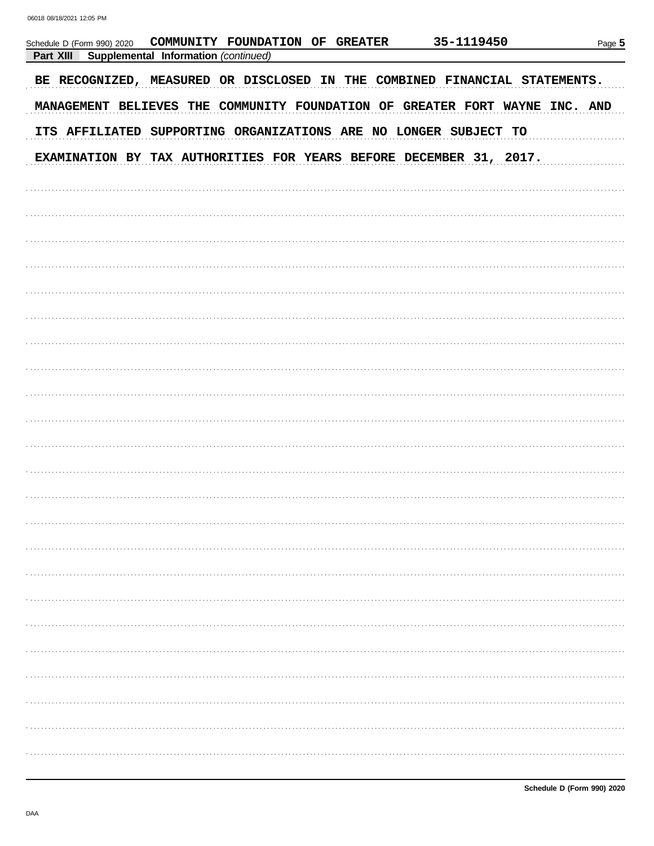| COMMUNITY FOUNDATION OF GREATER<br>Schedule D (Form 990) 2020<br>Part XIII<br>Supplemental Information (continued) | 35-1119450 | Page 5 |
|--------------------------------------------------------------------------------------------------------------------|------------|--------|
| BE RECOGNIZED, MEASURED OR DISCLOSED IN THE COMBINED FINANCIAL STATEMENTS.                                         |            |        |
| MANAGEMENT BELIEVES THE COMMUNITY FOUNDATION OF GREATER FORT WAYNE INC. AND                                        |            |        |
| ITS AFFILIATED SUPPORTING ORGANIZATIONS ARE NO LONGER SUBJECT TO                                                   |            |        |
| EXAMINATION BY TAX AUTHORITIES FOR YEARS BEFORE DECEMBER 31, 2017.                                                 |            |        |
|                                                                                                                    |            |        |
|                                                                                                                    |            |        |
|                                                                                                                    |            |        |
|                                                                                                                    |            |        |
|                                                                                                                    |            |        |
|                                                                                                                    |            |        |
|                                                                                                                    |            |        |
|                                                                                                                    |            |        |
|                                                                                                                    |            |        |
|                                                                                                                    |            |        |
|                                                                                                                    |            |        |
|                                                                                                                    |            |        |
|                                                                                                                    |            |        |
|                                                                                                                    |            |        |
|                                                                                                                    |            |        |
|                                                                                                                    |            |        |
|                                                                                                                    |            |        |
|                                                                                                                    |            |        |
|                                                                                                                    |            |        |
|                                                                                                                    |            |        |
|                                                                                                                    |            |        |
|                                                                                                                    |            |        |
|                                                                                                                    |            |        |
|                                                                                                                    |            |        |
|                                                                                                                    |            |        |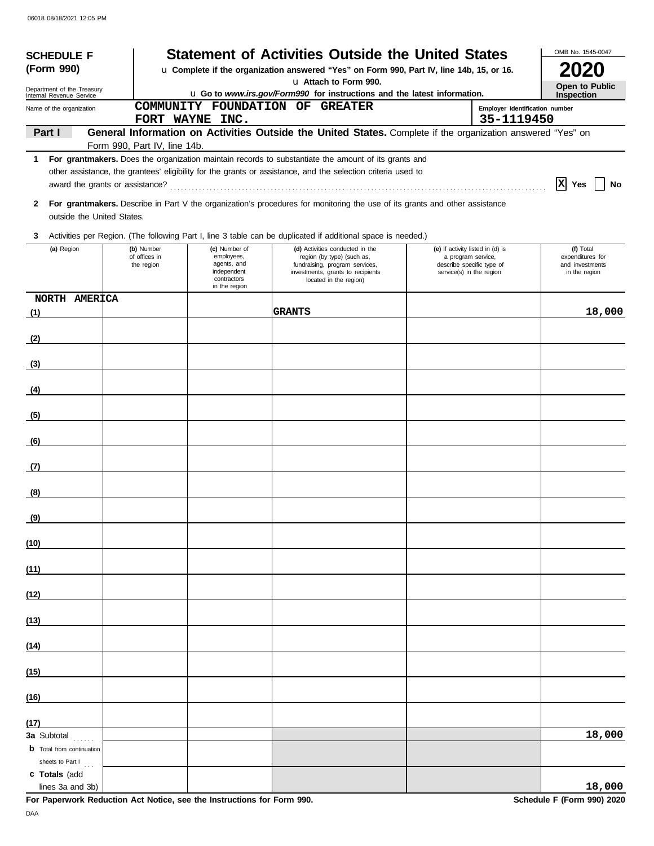| <b>SCHEDULE F</b>                                    |                                 |                              |                                                         | <b>Statement of Activities Outside the United States</b>                                                                    |                                                                             |                                | OMB No. 1545-0047                                    |
|------------------------------------------------------|---------------------------------|------------------------------|---------------------------------------------------------|-----------------------------------------------------------------------------------------------------------------------------|-----------------------------------------------------------------------------|--------------------------------|------------------------------------------------------|
| (Form 990)                                           |                                 |                              |                                                         | u Complete if the organization answered "Yes" on Form 990, Part IV, line 14b, 15, or 16.                                    |                                                                             |                                | 2020                                                 |
| Department of the Treasury                           |                                 |                              |                                                         | u Attach to Form 990.<br>u Go to www.irs.gov/Form990 for instructions and the latest information.                           |                                                                             |                                | Open to Public<br>Inspection                         |
| Internal Revenue Service<br>Name of the organization |                                 |                              |                                                         | COMMUNITY FOUNDATION OF GREATER                                                                                             |                                                                             | Employer identification number |                                                      |
|                                                      |                                 |                              | FORT WAYNE INC.                                         |                                                                                                                             |                                                                             | 35-1119450                     |                                                      |
| Part I                                               |                                 |                              |                                                         | General Information on Activities Outside the United States. Complete if the organization answered "Yes" on                 |                                                                             |                                |                                                      |
|                                                      |                                 | Form 990, Part IV, line 14b. |                                                         | 1 For grantmakers. Does the organization maintain records to substantiate the amount of its grants and                      |                                                                             |                                |                                                      |
|                                                      |                                 |                              |                                                         | other assistance, the grantees' eligibility for the grants or assistance, and the selection criteria used to                |                                                                             |                                |                                                      |
|                                                      | award the grants or assistance? |                              |                                                         |                                                                                                                             |                                                                             |                                | $ X $ Yes<br>No                                      |
| $\mathbf{2}$                                         | outside the United States.      |                              |                                                         | For grantmakers. Describe in Part V the organization's procedures for monitoring the use of its grants and other assistance |                                                                             |                                |                                                      |
| 3                                                    |                                 |                              |                                                         | Activities per Region. (The following Part I, line 3 table can be duplicated if additional space is needed.)                |                                                                             |                                |                                                      |
| (a) Region                                           |                                 | (b) Number                   | (c) Number of                                           | (d) Activities conducted in the                                                                                             | (e) If activity listed in (d) is                                            |                                | (f) Total                                            |
|                                                      |                                 | of offices in<br>the region  | employees,<br>agents, and<br>independent<br>contractors | region (by type) (such as,<br>fundraising, program services,<br>investments, grants to recipients<br>located in the region) | a program service,<br>describe specific type of<br>service(s) in the region |                                | expenditures for<br>and investments<br>in the region |
| NORTH AMERICA                                        |                                 |                              | in the region                                           |                                                                                                                             |                                                                             |                                |                                                      |
| (1)                                                  |                                 |                              |                                                         | <b>GRANTS</b>                                                                                                               |                                                                             |                                | 18,000                                               |
| (2)                                                  |                                 |                              |                                                         |                                                                                                                             |                                                                             |                                |                                                      |
| (3)                                                  |                                 |                              |                                                         |                                                                                                                             |                                                                             |                                |                                                      |
| (4)                                                  |                                 |                              |                                                         |                                                                                                                             |                                                                             |                                |                                                      |
| (5)                                                  |                                 |                              |                                                         |                                                                                                                             |                                                                             |                                |                                                      |
| (6)                                                  |                                 |                              |                                                         |                                                                                                                             |                                                                             |                                |                                                      |
| (7)                                                  |                                 |                              |                                                         |                                                                                                                             |                                                                             |                                |                                                      |
|                                                      |                                 |                              |                                                         |                                                                                                                             |                                                                             |                                |                                                      |
| (8)                                                  |                                 |                              |                                                         |                                                                                                                             |                                                                             |                                |                                                      |
| (9)                                                  |                                 |                              |                                                         |                                                                                                                             |                                                                             |                                |                                                      |
| (10)                                                 |                                 |                              |                                                         |                                                                                                                             |                                                                             |                                |                                                      |
| (11)                                                 |                                 |                              |                                                         |                                                                                                                             |                                                                             |                                |                                                      |
| (12)                                                 |                                 |                              |                                                         |                                                                                                                             |                                                                             |                                |                                                      |
| (13)                                                 |                                 |                              |                                                         |                                                                                                                             |                                                                             |                                |                                                      |
| (14)                                                 |                                 |                              |                                                         |                                                                                                                             |                                                                             |                                |                                                      |
| (15)                                                 |                                 |                              |                                                         |                                                                                                                             |                                                                             |                                |                                                      |
| (16)                                                 |                                 |                              |                                                         |                                                                                                                             |                                                                             |                                |                                                      |
| (17)                                                 |                                 |                              |                                                         |                                                                                                                             |                                                                             |                                |                                                      |
| 3a Subtotal                                          |                                 |                              |                                                         |                                                                                                                             |                                                                             |                                | 18,000                                               |
| <b>b</b> Total from continuation<br>sheets to Part I |                                 |                              |                                                         |                                                                                                                             |                                                                             |                                |                                                      |
| c Totals (add<br>lines 3a and 3b)                    |                                 |                              |                                                         |                                                                                                                             |                                                                             |                                | 18,000                                               |

**For Paperwork Reduction Act Notice, see the Instructions for Form 990.** Schedule F (Form 990) 2020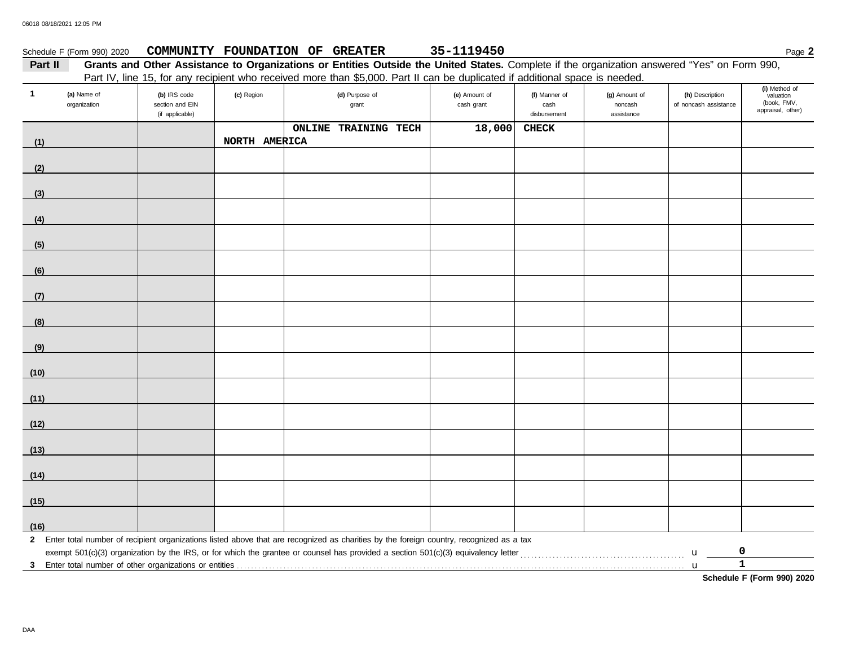|              | Schedule F (Form 990) 2020  |                                                    |               | COMMUNITY FOUNDATION OF GREATER                                                                                                                                                                                                                                              | 35-1119450                  |                                       |                                        |                                          | Page 2                                                         |
|--------------|-----------------------------|----------------------------------------------------|---------------|------------------------------------------------------------------------------------------------------------------------------------------------------------------------------------------------------------------------------------------------------------------------------|-----------------------------|---------------------------------------|----------------------------------------|------------------------------------------|----------------------------------------------------------------|
| Part II      |                             |                                                    |               | Grants and Other Assistance to Organizations or Entities Outside the United States. Complete if the organization answered "Yes" on Form 990,<br>Part IV, line 15, for any recipient who received more than \$5,000. Part II can be duplicated if additional space is needed. |                             |                                       |                                        |                                          |                                                                |
| $\mathbf{1}$ | (a) Name of<br>organization | (b) IRS code<br>section and EIN<br>(if applicable) | (c) Region    | (d) Purpose of<br>grant                                                                                                                                                                                                                                                      | (e) Amount of<br>cash grant | (f) Manner of<br>cash<br>disbursement | (g) Amount of<br>noncash<br>assistance | (h) Description<br>of noncash assistance | (i) Method of<br>valuation<br>(book, FMV,<br>appraisal, other) |
|              |                             |                                                    |               | <b>ONLINE TRAINING TECH</b>                                                                                                                                                                                                                                                  | 18,000                      | <b>CHECK</b>                          |                                        |                                          |                                                                |
| (1)          |                             |                                                    | NORTH AMERICA |                                                                                                                                                                                                                                                                              |                             |                                       |                                        |                                          |                                                                |
| (2)          |                             |                                                    |               |                                                                                                                                                                                                                                                                              |                             |                                       |                                        |                                          |                                                                |
|              |                             |                                                    |               |                                                                                                                                                                                                                                                                              |                             |                                       |                                        |                                          |                                                                |
| (3)          |                             |                                                    |               |                                                                                                                                                                                                                                                                              |                             |                                       |                                        |                                          |                                                                |
| (4)          |                             |                                                    |               |                                                                                                                                                                                                                                                                              |                             |                                       |                                        |                                          |                                                                |
| (5)          |                             |                                                    |               |                                                                                                                                                                                                                                                                              |                             |                                       |                                        |                                          |                                                                |
| (6)          |                             |                                                    |               |                                                                                                                                                                                                                                                                              |                             |                                       |                                        |                                          |                                                                |
| (7)          |                             |                                                    |               |                                                                                                                                                                                                                                                                              |                             |                                       |                                        |                                          |                                                                |
| (8)          |                             |                                                    |               |                                                                                                                                                                                                                                                                              |                             |                                       |                                        |                                          |                                                                |
| (9)          |                             |                                                    |               |                                                                                                                                                                                                                                                                              |                             |                                       |                                        |                                          |                                                                |
| (10)         |                             |                                                    |               |                                                                                                                                                                                                                                                                              |                             |                                       |                                        |                                          |                                                                |
| (11)         |                             |                                                    |               |                                                                                                                                                                                                                                                                              |                             |                                       |                                        |                                          |                                                                |
|              |                             |                                                    |               |                                                                                                                                                                                                                                                                              |                             |                                       |                                        |                                          |                                                                |
| (12)         |                             |                                                    |               |                                                                                                                                                                                                                                                                              |                             |                                       |                                        |                                          |                                                                |
| (13)         |                             |                                                    |               |                                                                                                                                                                                                                                                                              |                             |                                       |                                        |                                          |                                                                |
| (14)         |                             |                                                    |               |                                                                                                                                                                                                                                                                              |                             |                                       |                                        |                                          |                                                                |
| (15)         |                             |                                                    |               |                                                                                                                                                                                                                                                                              |                             |                                       |                                        |                                          |                                                                |
| (16)         |                             |                                                    |               |                                                                                                                                                                                                                                                                              |                             |                                       |                                        |                                          |                                                                |
|              |                             |                                                    |               | 2 Enter total number of recipient organizations listed above that are recognized as charities by the foreign country, recognized as a tax                                                                                                                                    |                             |                                       |                                        |                                          |                                                                |
|              |                             |                                                    |               | exempt 501(c)(3) organization by the IRS, or for which the grantee or counsel has provided a section 501(c)(3) equivalency letter                                                                                                                                            |                             |                                       |                                        | 0<br>$\mathbf u$                         |                                                                |
|              |                             |                                                    |               |                                                                                                                                                                                                                                                                              |                             |                                       |                                        | $\mathbf 1$<br>$\mathbf{u}$              | Schedule F (Form 990) 2020                                     |
|              |                             |                                                    |               |                                                                                                                                                                                                                                                                              |                             |                                       |                                        |                                          |                                                                |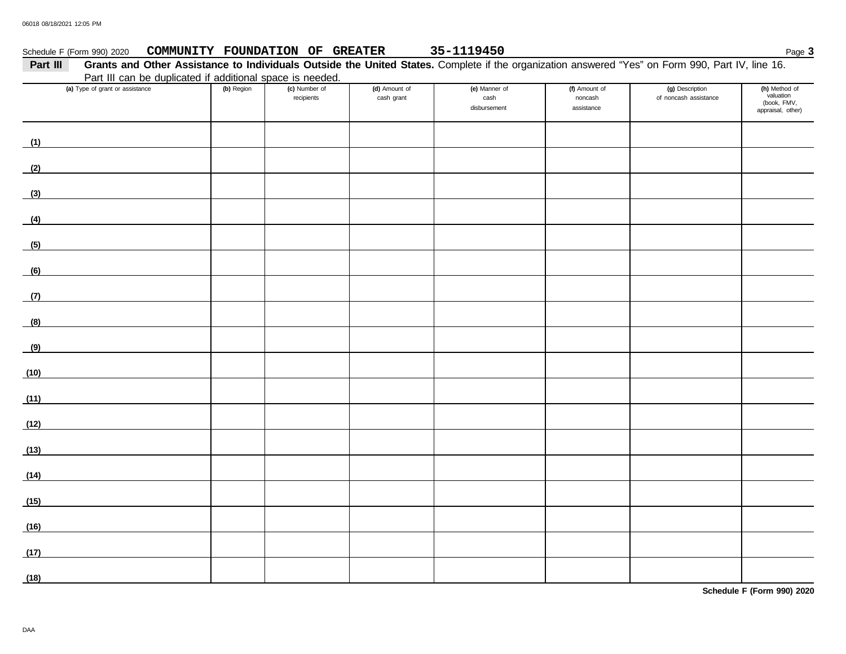| Schedule F (Form 990) 2020                                                                                                                                   |            | COMMUNITY FOUNDATION OF GREATER |                             | 35-1119450                            |                                        |                                          | Page 3                                                         |
|--------------------------------------------------------------------------------------------------------------------------------------------------------------|------------|---------------------------------|-----------------------------|---------------------------------------|----------------------------------------|------------------------------------------|----------------------------------------------------------------|
| Grants and Other Assistance to Individuals Outside the United States. Complete if the organization answered "Yes" on Form 990, Part IV, line 16.<br>Part III |            |                                 |                             |                                       |                                        |                                          |                                                                |
| Part III can be duplicated if additional space is needed.                                                                                                    |            |                                 |                             |                                       |                                        |                                          |                                                                |
| (a) Type of grant or assistance                                                                                                                              | (b) Region | (c) Number of<br>recipients     | (d) Amount of<br>cash grant | (e) Manner of<br>cash<br>disbursement | (f) Amount of<br>noncash<br>assistance | (g) Description<br>of noncash assistance | (h) Method of<br>valuation<br>(book, FMV,<br>appraisal, other) |
| (1)                                                                                                                                                          |            |                                 |                             |                                       |                                        |                                          |                                                                |
| (2)                                                                                                                                                          |            |                                 |                             |                                       |                                        |                                          |                                                                |
| (3)                                                                                                                                                          |            |                                 |                             |                                       |                                        |                                          |                                                                |
| (4)                                                                                                                                                          |            |                                 |                             |                                       |                                        |                                          |                                                                |
| (5)                                                                                                                                                          |            |                                 |                             |                                       |                                        |                                          |                                                                |
| (6)                                                                                                                                                          |            |                                 |                             |                                       |                                        |                                          |                                                                |
| (7)                                                                                                                                                          |            |                                 |                             |                                       |                                        |                                          |                                                                |
| (8)                                                                                                                                                          |            |                                 |                             |                                       |                                        |                                          |                                                                |
| (9)                                                                                                                                                          |            |                                 |                             |                                       |                                        |                                          |                                                                |
| (10)                                                                                                                                                         |            |                                 |                             |                                       |                                        |                                          |                                                                |
| (11)                                                                                                                                                         |            |                                 |                             |                                       |                                        |                                          |                                                                |
| (12)                                                                                                                                                         |            |                                 |                             |                                       |                                        |                                          |                                                                |
| (13)                                                                                                                                                         |            |                                 |                             |                                       |                                        |                                          |                                                                |
| (14)                                                                                                                                                         |            |                                 |                             |                                       |                                        |                                          |                                                                |
| (15)                                                                                                                                                         |            |                                 |                             |                                       |                                        |                                          |                                                                |
| (16)                                                                                                                                                         |            |                                 |                             |                                       |                                        |                                          |                                                                |
| (17)                                                                                                                                                         |            |                                 |                             |                                       |                                        |                                          |                                                                |
| (18)                                                                                                                                                         |            |                                 |                             |                                       |                                        |                                          |                                                                |

**Schedule F (Form 990) 2020**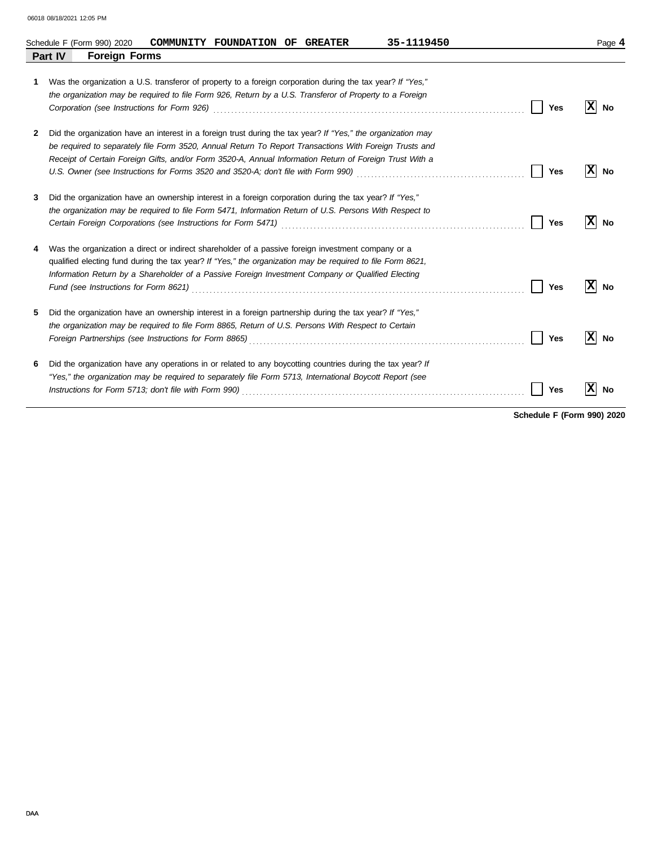|   | 35-1119450<br>COMMUNITY FOUNDATION OF GREATER<br>Schedule F (Form 990) 2020                                                                                                                                                                                                                                                       |            | Page 4   |
|---|-----------------------------------------------------------------------------------------------------------------------------------------------------------------------------------------------------------------------------------------------------------------------------------------------------------------------------------|------------|----------|
|   | <b>Part IV</b><br><b>Foreign Forms</b>                                                                                                                                                                                                                                                                                            |            |          |
| 1 | Was the organization a U.S. transferor of property to a foreign corporation during the tax year? If "Yes,"<br>the organization may be required to file Form 926, Return by a U.S. Transferor of Property to a Foreign<br>Corporation (see Instructions for Form 926)                                                              | Yes        | No       |
| 2 | Did the organization have an interest in a foreign trust during the tax year? If "Yes," the organization may<br>be required to separately file Form 3520, Annual Return To Report Transactions With Foreign Trusts and<br>Receipt of Certain Foreign Gifts, and/or Form 3520-A, Annual Information Return of Foreign Trust With a | Yes        | No       |
| 3 | Did the organization have an ownership interest in a foreign corporation during the tax year? If "Yes,"<br>the organization may be required to file Form 5471, Information Return of U.S. Persons With Respect to                                                                                                                 | <b>Yes</b> | xl<br>No |
| 4 | Was the organization a direct or indirect shareholder of a passive foreign investment company or a<br>qualified electing fund during the tax year? If "Yes," the organization may be required to file Form 8621,<br>Information Return by a Shareholder of a Passive Foreign Investment Company or Qualified Electing             | Yes        | No       |
| 5 | Did the organization have an ownership interest in a foreign partnership during the tax year? If "Yes,"<br>the organization may be required to file Form 8865, Return of U.S. Persons With Respect to Certain                                                                                                                     | Yes        | x<br>No  |
| 6 | Did the organization have any operations in or related to any boycotting countries during the tax year? If<br>"Yes," the organization may be required to separately file Form 5713, International Boycott Report (see                                                                                                             | Yes        | No       |

**Schedule F (Form 990) 2020**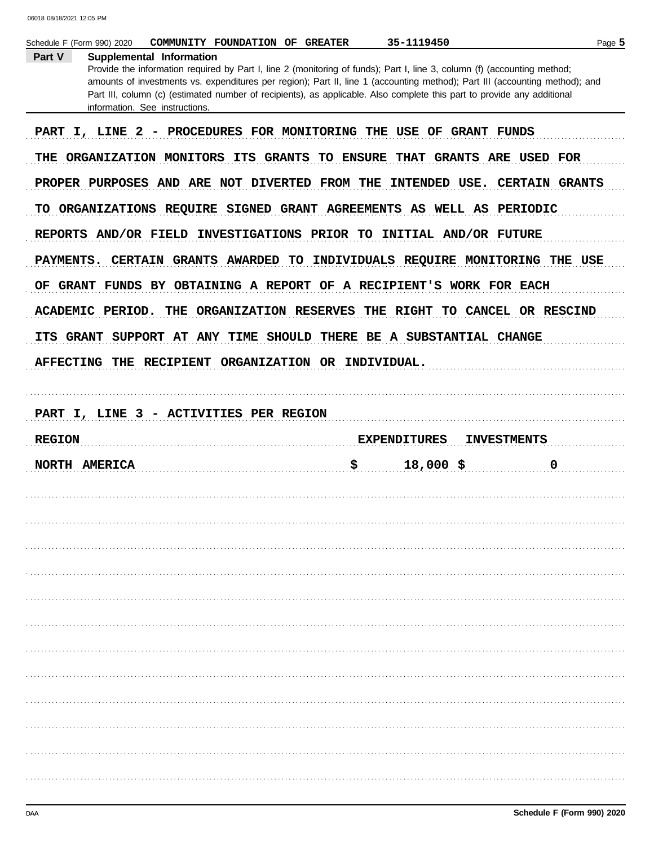| Supplemental Information |                                                                     |                                                                                                                          |                                                                                                                                                                                                                                                                                                                                                                                                                                                                                                                                                                                                                                                                                                                                                                                                                                                                                                                                                                 |
|--------------------------|---------------------------------------------------------------------|--------------------------------------------------------------------------------------------------------------------------|-----------------------------------------------------------------------------------------------------------------------------------------------------------------------------------------------------------------------------------------------------------------------------------------------------------------------------------------------------------------------------------------------------------------------------------------------------------------------------------------------------------------------------------------------------------------------------------------------------------------------------------------------------------------------------------------------------------------------------------------------------------------------------------------------------------------------------------------------------------------------------------------------------------------------------------------------------------------|
|                          |                                                                     | Provide the information required by Part I, line 2 (monitoring of funds); Part I, line 3, column (f) (accounting method; |                                                                                                                                                                                                                                                                                                                                                                                                                                                                                                                                                                                                                                                                                                                                                                                                                                                                                                                                                                 |
|                          |                                                                     |                                                                                                                          |                                                                                                                                                                                                                                                                                                                                                                                                                                                                                                                                                                                                                                                                                                                                                                                                                                                                                                                                                                 |
|                          |                                                                     |                                                                                                                          |                                                                                                                                                                                                                                                                                                                                                                                                                                                                                                                                                                                                                                                                                                                                                                                                                                                                                                                                                                 |
|                          |                                                                     |                                                                                                                          |                                                                                                                                                                                                                                                                                                                                                                                                                                                                                                                                                                                                                                                                                                                                                                                                                                                                                                                                                                 |
|                          |                                                                     |                                                                                                                          |                                                                                                                                                                                                                                                                                                                                                                                                                                                                                                                                                                                                                                                                                                                                                                                                                                                                                                                                                                 |
|                          |                                                                     |                                                                                                                          |                                                                                                                                                                                                                                                                                                                                                                                                                                                                                                                                                                                                                                                                                                                                                                                                                                                                                                                                                                 |
|                          |                                                                     |                                                                                                                          |                                                                                                                                                                                                                                                                                                                                                                                                                                                                                                                                                                                                                                                                                                                                                                                                                                                                                                                                                                 |
|                          |                                                                     |                                                                                                                          |                                                                                                                                                                                                                                                                                                                                                                                                                                                                                                                                                                                                                                                                                                                                                                                                                                                                                                                                                                 |
| THE                      |                                                                     |                                                                                                                          |                                                                                                                                                                                                                                                                                                                                                                                                                                                                                                                                                                                                                                                                                                                                                                                                                                                                                                                                                                 |
|                          |                                                                     |                                                                                                                          |                                                                                                                                                                                                                                                                                                                                                                                                                                                                                                                                                                                                                                                                                                                                                                                                                                                                                                                                                                 |
|                          |                                                                     |                                                                                                                          |                                                                                                                                                                                                                                                                                                                                                                                                                                                                                                                                                                                                                                                                                                                                                                                                                                                                                                                                                                 |
|                          |                                                                     |                                                                                                                          |                                                                                                                                                                                                                                                                                                                                                                                                                                                                                                                                                                                                                                                                                                                                                                                                                                                                                                                                                                 |
|                          |                                                                     |                                                                                                                          |                                                                                                                                                                                                                                                                                                                                                                                                                                                                                                                                                                                                                                                                                                                                                                                                                                                                                                                                                                 |
|                          |                                                                     |                                                                                                                          | <b>INVESTMENTS</b>                                                                                                                                                                                                                                                                                                                                                                                                                                                                                                                                                                                                                                                                                                                                                                                                                                                                                                                                              |
|                          |                                                                     | \$<br>$18,000$ \$                                                                                                        | 0                                                                                                                                                                                                                                                                                                                                                                                                                                                                                                                                                                                                                                                                                                                                                                                                                                                                                                                                                               |
|                          |                                                                     |                                                                                                                          |                                                                                                                                                                                                                                                                                                                                                                                                                                                                                                                                                                                                                                                                                                                                                                                                                                                                                                                                                                 |
|                          |                                                                     |                                                                                                                          |                                                                                                                                                                                                                                                                                                                                                                                                                                                                                                                                                                                                                                                                                                                                                                                                                                                                                                                                                                 |
|                          |                                                                     |                                                                                                                          |                                                                                                                                                                                                                                                                                                                                                                                                                                                                                                                                                                                                                                                                                                                                                                                                                                                                                                                                                                 |
|                          |                                                                     |                                                                                                                          |                                                                                                                                                                                                                                                                                                                                                                                                                                                                                                                                                                                                                                                                                                                                                                                                                                                                                                                                                                 |
|                          |                                                                     |                                                                                                                          |                                                                                                                                                                                                                                                                                                                                                                                                                                                                                                                                                                                                                                                                                                                                                                                                                                                                                                                                                                 |
|                          |                                                                     |                                                                                                                          |                                                                                                                                                                                                                                                                                                                                                                                                                                                                                                                                                                                                                                                                                                                                                                                                                                                                                                                                                                 |
|                          |                                                                     |                                                                                                                          |                                                                                                                                                                                                                                                                                                                                                                                                                                                                                                                                                                                                                                                                                                                                                                                                                                                                                                                                                                 |
|                          |                                                                     |                                                                                                                          |                                                                                                                                                                                                                                                                                                                                                                                                                                                                                                                                                                                                                                                                                                                                                                                                                                                                                                                                                                 |
|                          |                                                                     |                                                                                                                          |                                                                                                                                                                                                                                                                                                                                                                                                                                                                                                                                                                                                                                                                                                                                                                                                                                                                                                                                                                 |
|                          |                                                                     |                                                                                                                          |                                                                                                                                                                                                                                                                                                                                                                                                                                                                                                                                                                                                                                                                                                                                                                                                                                                                                                                                                                 |
|                          |                                                                     |                                                                                                                          |                                                                                                                                                                                                                                                                                                                                                                                                                                                                                                                                                                                                                                                                                                                                                                                                                                                                                                                                                                 |
|                          |                                                                     |                                                                                                                          |                                                                                                                                                                                                                                                                                                                                                                                                                                                                                                                                                                                                                                                                                                                                                                                                                                                                                                                                                                 |
|                          | information. See instructions.<br>ACADEMIC PERIOD.<br>NORTH AMERICA | ORGANIZATION RESERVES<br>PART I, LINE 3 - ACTIVITIES PER REGION                                                          | amounts of investments vs. expenditures per region); Part II, line 1 (accounting method); Part III (accounting method); and<br>Part III, column (c) (estimated number of recipients), as applicable. Also complete this part to provide any additional<br>PART I, LINE 2 - PROCEDURES FOR MONITORING THE USE OF GRANT FUNDS<br>ORGANIZATION MONITORS ITS GRANTS TO ENSURE THAT GRANTS ARE USED FOR<br>PROPER PURPOSES AND ARE NOT DIVERTED FROM THE INTENDED USE. CERTAIN GRANTS<br>TO ORGANIZATIONS REQUIRE SIGNED GRANT AGREEMENTS AS WELL AS PERIODIC<br>REPORTS AND/OR FIELD INVESTIGATIONS PRIOR TO INITIAL AND/OR FUTURE<br>CERTAIN GRANTS AWARDED TO INDIVIDUALS REQUIRE MONITORING THE USE<br>OF GRANT FUNDS BY OBTAINING A REPORT OF A RECIPIENT'S WORK FOR EACH<br>THE RIGHT TO CANCEL OR RESCIND<br>ITS GRANT SUPPORT AT ANY TIME SHOULD THERE BE A SUBSTANTIAL CHANGE<br>AFFECTING THE RECIPIENT ORGANIZATION OR INDIVIDUAL.<br><b>EXPENDITURES</b> |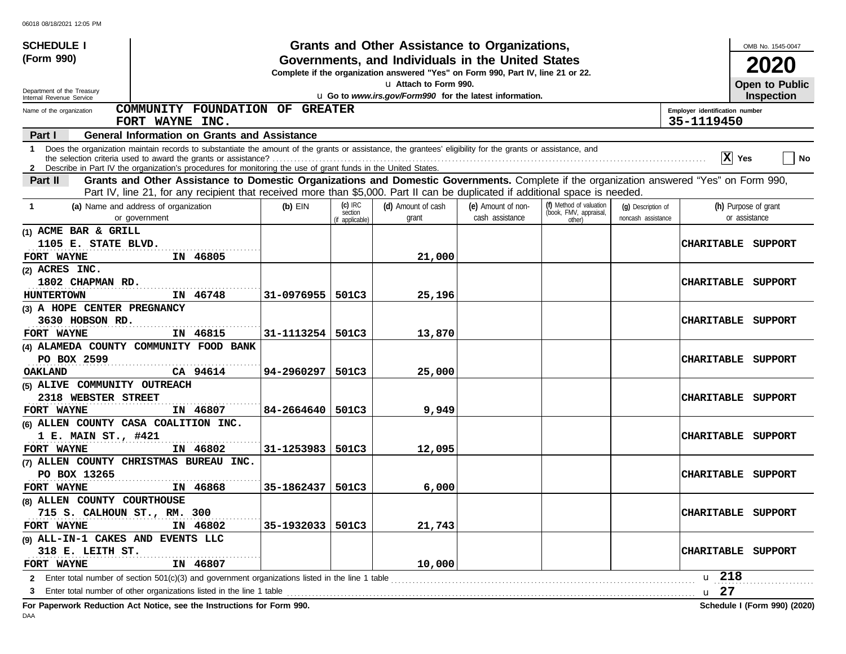| <b>SCHEDULE I</b>                                                                                                                                                                                                                                                      |            |                                         | Grants and Other Assistance to Organizations,                                                                                         |                                       |                                                             |                                          |                                              | OMB No. 1545-0047                     |
|------------------------------------------------------------------------------------------------------------------------------------------------------------------------------------------------------------------------------------------------------------------------|------------|-----------------------------------------|---------------------------------------------------------------------------------------------------------------------------------------|---------------------------------------|-------------------------------------------------------------|------------------------------------------|----------------------------------------------|---------------------------------------|
| (Form 990)                                                                                                                                                                                                                                                             |            |                                         | Governments, and Individuals in the United States<br>Complete if the organization answered "Yes" on Form 990, Part IV, line 21 or 22. |                                       |                                                             |                                          |                                              | 2020                                  |
| Department of the Treasury                                                                                                                                                                                                                                             |            |                                         | u Attach to Form 990.                                                                                                                 |                                       |                                                             |                                          |                                              | Open to Public                        |
| Internal Revenue Service<br>COMMUNITY FOUNDATION OF GREATER                                                                                                                                                                                                            |            |                                         | u Go to www.irs.gov/Form990 for the latest information.                                                                               |                                       |                                                             |                                          |                                              | <b>Inspection</b>                     |
| Name of the organization<br>FORT WAYNE INC.                                                                                                                                                                                                                            |            |                                         |                                                                                                                                       |                                       |                                                             |                                          | Employer identification number<br>35-1119450 |                                       |
| <b>General Information on Grants and Assistance</b><br>Part I                                                                                                                                                                                                          |            |                                         |                                                                                                                                       |                                       |                                                             |                                          |                                              |                                       |
| 1 Does the organization maintain records to substantiate the amount of the grants or assistance, the grantees' eligibility for the grants or assistance, and                                                                                                           |            |                                         |                                                                                                                                       |                                       |                                                             |                                          |                                              | $ X $ Yes<br>  No                     |
| 2 Describe in Part IV the organization's procedures for monitoring the use of grant funds in the United States.<br>Grants and Other Assistance to Domestic Organizations and Domestic Governments. Complete if the organization answered "Yes" on Form 990,<br>Part II |            |                                         |                                                                                                                                       |                                       |                                                             |                                          |                                              |                                       |
| Part IV, line 21, for any recipient that received more than \$5,000. Part II can be duplicated if additional space is needed.                                                                                                                                          |            |                                         |                                                                                                                                       |                                       |                                                             |                                          |                                              |                                       |
| (a) Name and address of organization<br>-1<br>or government                                                                                                                                                                                                            | $(b)$ EIN  | $(c)$ IRC<br>section<br>(if applicable) | (d) Amount of cash<br>grant                                                                                                           | (e) Amount of non-<br>cash assistance | (f) Method of valuation<br>(book, FMV, appraisal,<br>other) | (g) Description of<br>noncash assistance |                                              | (h) Purpose of grant<br>or assistance |
| (1) ACME BAR & GRILL                                                                                                                                                                                                                                                   |            |                                         |                                                                                                                                       |                                       |                                                             |                                          |                                              |                                       |
| 1105 E. STATE BLVD.<br>FORT WAYNE<br>IN 46805                                                                                                                                                                                                                          |            |                                         | 21,000                                                                                                                                |                                       |                                                             |                                          |                                              | CHARITABLE SUPPORT                    |
| (2) ACRES INC.                                                                                                                                                                                                                                                         |            |                                         |                                                                                                                                       |                                       |                                                             |                                          |                                              |                                       |
| 1802 CHAPMAN RD.                                                                                                                                                                                                                                                       |            |                                         |                                                                                                                                       |                                       |                                                             |                                          | <b>CHARITABLE</b>                            | SUPPORT                               |
| IN 46748<br>HUNTERTOWN                                                                                                                                                                                                                                                 | 31-0976955 | 501C3                                   | 25,196                                                                                                                                |                                       |                                                             |                                          |                                              |                                       |
| (3) A HOPE CENTER PREGNANCY                                                                                                                                                                                                                                            |            |                                         |                                                                                                                                       |                                       |                                                             |                                          |                                              |                                       |
| 3630 HOBSON RD.                                                                                                                                                                                                                                                        |            |                                         |                                                                                                                                       |                                       |                                                             |                                          | <b>CHARITABLE</b>                            | SUPPORT                               |
| IN 46815<br>FORT WAYNE                                                                                                                                                                                                                                                 | 31-1113254 | 501C3                                   | 13,870                                                                                                                                |                                       |                                                             |                                          |                                              |                                       |
| (4) ALAMEDA COUNTY COMMUNITY FOOD BANK                                                                                                                                                                                                                                 |            |                                         |                                                                                                                                       |                                       |                                                             |                                          |                                              |                                       |
| PO BOX 2599                                                                                                                                                                                                                                                            |            |                                         |                                                                                                                                       |                                       |                                                             |                                          | <b>CHARITABLE</b>                            | SUPPORT                               |
| CA 94614<br>OAKLAND                                                                                                                                                                                                                                                    | 94-2960297 | 501C3                                   | 25,000                                                                                                                                |                                       |                                                             |                                          |                                              |                                       |
| (5) ALIVE COMMUNITY OUTREACH                                                                                                                                                                                                                                           |            |                                         |                                                                                                                                       |                                       |                                                             |                                          |                                              |                                       |
| 2318 WEBSTER STREET                                                                                                                                                                                                                                                    |            |                                         |                                                                                                                                       |                                       |                                                             |                                          | <b>CHARITABLE</b>                            | SUPPORT                               |
| IN 46807<br>FORT WAYNE                                                                                                                                                                                                                                                 | 84-2664640 | 501C3                                   | 9,949                                                                                                                                 |                                       |                                                             |                                          |                                              |                                       |
| (6) ALLEN COUNTY CASA COALITION INC.                                                                                                                                                                                                                                   |            |                                         |                                                                                                                                       |                                       |                                                             |                                          |                                              |                                       |
| 1 E. MAIN ST., #421<br>IN 46802<br>FORT WAYNE                                                                                                                                                                                                                          |            |                                         |                                                                                                                                       |                                       |                                                             |                                          | <b>CHARITABLE</b>                            | SUPPORT                               |
| (7) ALLEN COUNTY CHRISTMAS BUREAU INC.                                                                                                                                                                                                                                 | 31-1253983 | 501C3                                   | 12,095                                                                                                                                |                                       |                                                             |                                          |                                              |                                       |
| PO BOX 13265                                                                                                                                                                                                                                                           |            |                                         |                                                                                                                                       |                                       |                                                             |                                          | <b>CHARITABLE</b>                            | SUPPORT                               |
| IN 46868<br>FORT WAYNE                                                                                                                                                                                                                                                 | 35-1862437 | 501C3                                   | 6,000                                                                                                                                 |                                       |                                                             |                                          |                                              |                                       |
| (8) ALLEN COUNTY COURTHOUSE                                                                                                                                                                                                                                            |            |                                         |                                                                                                                                       |                                       |                                                             |                                          |                                              |                                       |
| 715 S. CALHOUN ST., RM. 300                                                                                                                                                                                                                                            |            |                                         |                                                                                                                                       |                                       |                                                             |                                          |                                              | CHARITABLE SUPPORT                    |
| IN 46802<br>FORT WAYNE                                                                                                                                                                                                                                                 | 35-1932033 | 501C3                                   | 21,743                                                                                                                                |                                       |                                                             |                                          |                                              |                                       |
| (9) ALL-IN-1 CAKES AND EVENTS LLC                                                                                                                                                                                                                                      |            |                                         |                                                                                                                                       |                                       |                                                             |                                          |                                              |                                       |
| 318 E. LEITH ST.                                                                                                                                                                                                                                                       |            |                                         |                                                                                                                                       |                                       |                                                             |                                          |                                              | CHARITABLE SUPPORT                    |
| IN 46807<br>FORT WAYNE                                                                                                                                                                                                                                                 |            |                                         | 10,000                                                                                                                                |                                       |                                                             |                                          |                                              |                                       |
| 2 Enter total number of section 501(c)(3) and government organizations listed in the line 1 table                                                                                                                                                                      |            |                                         |                                                                                                                                       |                                       |                                                             |                                          | u 218                                        |                                       |
| Enter total number of other organizations listed in the line 1 table<br>3                                                                                                                                                                                              |            |                                         |                                                                                                                                       |                                       |                                                             |                                          | u 27                                         |                                       |
| For Paperwork Reduction Act Notice, see the Instructions for Form 990.                                                                                                                                                                                                 |            |                                         |                                                                                                                                       |                                       |                                                             |                                          |                                              | Schedule I (Form 990) (2020)          |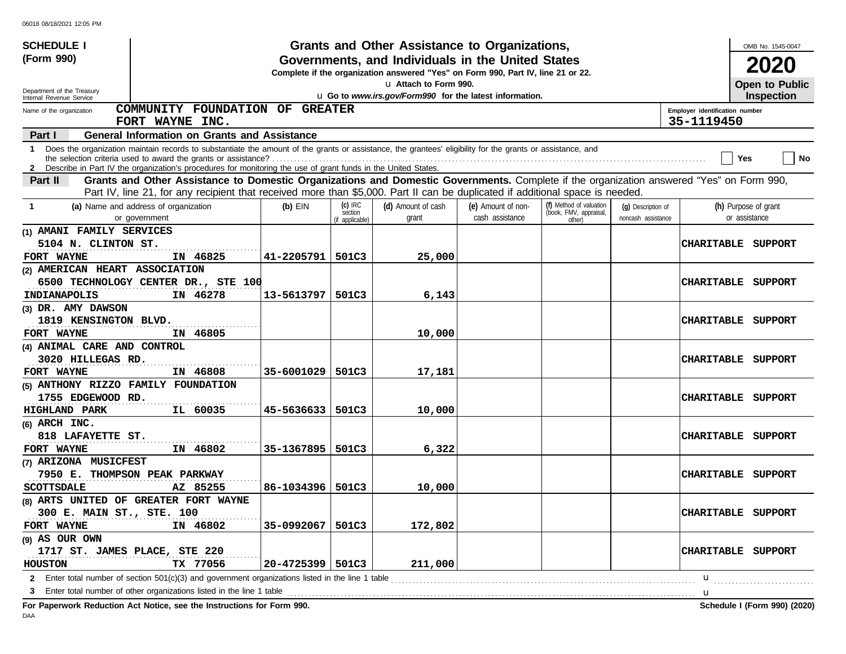| <b>SCHEDULE I</b>                               |                                                                                                                                                                                                                                                                                 |            |                                         | Grants and Other Assistance to Organizations,                                                                                         |                                       |                                                             |                                          |                                              | OMB No. 1545-0047                     |
|-------------------------------------------------|---------------------------------------------------------------------------------------------------------------------------------------------------------------------------------------------------------------------------------------------------------------------------------|------------|-----------------------------------------|---------------------------------------------------------------------------------------------------------------------------------------|---------------------------------------|-------------------------------------------------------------|------------------------------------------|----------------------------------------------|---------------------------------------|
| (Form 990)                                      |                                                                                                                                                                                                                                                                                 |            |                                         | Governments, and Individuals in the United States<br>Complete if the organization answered "Yes" on Form 990, Part IV, line 21 or 22. |                                       |                                                             |                                          |                                              | 2020                                  |
| Department of the Treasury                      |                                                                                                                                                                                                                                                                                 |            |                                         | La Attach to Form 990.                                                                                                                |                                       |                                                             |                                          |                                              | Open to Public                        |
| Internal Revenue Service                        |                                                                                                                                                                                                                                                                                 |            |                                         | u Go to www.irs.gov/Form990 for the latest information.                                                                               |                                       |                                                             |                                          |                                              | <b>Inspection</b>                     |
| Name of the organization                        | COMMUNITY FOUNDATION OF GREATER<br>FORT WAYNE INC.                                                                                                                                                                                                                              |            |                                         |                                                                                                                                       |                                       |                                                             |                                          | Employer identification number<br>35-1119450 |                                       |
| Part I                                          | <b>General Information on Grants and Assistance</b>                                                                                                                                                                                                                             |            |                                         |                                                                                                                                       |                                       |                                                             |                                          |                                              |                                       |
|                                                 | 1 Does the organization maintain records to substantiate the amount of the grants or assistance, the grantees' eligibility for the grants or assistance, and<br>2 Describe in Part IV the organization's procedures for monitoring the use of grant funds in the United States. |            |                                         |                                                                                                                                       |                                       |                                                             |                                          |                                              | No<br>Yes                             |
| Part II                                         | Grants and Other Assistance to Domestic Organizations and Domestic Governments. Complete if the organization answered "Yes" on Form 990,                                                                                                                                        |            |                                         |                                                                                                                                       |                                       |                                                             |                                          |                                              |                                       |
|                                                 | Part IV, line 21, for any recipient that received more than \$5,000. Part II can be duplicated if additional space is needed.                                                                                                                                                   |            |                                         |                                                                                                                                       |                                       |                                                             |                                          |                                              |                                       |
| -1                                              | (a) Name and address of organization<br>or government                                                                                                                                                                                                                           | $(b)$ EIN  | $(c)$ IRC<br>section<br>(if applicable) | (d) Amount of cash<br>grant                                                                                                           | (e) Amount of non-<br>cash assistance | (f) Method of valuation<br>(book, FMV, appraisal,<br>other) | (g) Description of<br>noncash assistance |                                              | (h) Purpose of grant<br>or assistance |
| (1) AMANI FAMILY SERVICES                       |                                                                                                                                                                                                                                                                                 |            |                                         |                                                                                                                                       |                                       |                                                             |                                          |                                              |                                       |
| 5104 N. CLINTON ST.                             |                                                                                                                                                                                                                                                                                 |            |                                         |                                                                                                                                       |                                       |                                                             |                                          | <b>CHARITABLE</b>                            | SUPPORT                               |
| FORT WAYNE                                      | IN 46825                                                                                                                                                                                                                                                                        | 41-2205791 | 501C3                                   | 25,000                                                                                                                                |                                       |                                                             |                                          |                                              |                                       |
| (2) AMERICAN HEART ASSOCIATION                  |                                                                                                                                                                                                                                                                                 |            |                                         |                                                                                                                                       |                                       |                                                             |                                          |                                              |                                       |
|                                                 | 6500 TECHNOLOGY CENTER DR., STE 100                                                                                                                                                                                                                                             |            |                                         |                                                                                                                                       |                                       |                                                             |                                          | <b>CHARITABLE</b>                            | SUPPORT                               |
| INDIANAPOLIS                                    | IN 46278                                                                                                                                                                                                                                                                        | 13-5613797 | 501C3                                   | 6,143                                                                                                                                 |                                       |                                                             |                                          |                                              |                                       |
| (3) DR. AMY DAWSON                              |                                                                                                                                                                                                                                                                                 |            |                                         |                                                                                                                                       |                                       |                                                             |                                          |                                              |                                       |
| 1819 KENSINGTON BLVD.                           |                                                                                                                                                                                                                                                                                 |            |                                         |                                                                                                                                       |                                       |                                                             |                                          | <b>CHARITABLE</b>                            | SUPPORT                               |
| FORT WAYNE                                      | IN 46805                                                                                                                                                                                                                                                                        |            |                                         | 10,000                                                                                                                                |                                       |                                                             |                                          |                                              |                                       |
| (4) ANIMAL CARE AND CONTROL                     |                                                                                                                                                                                                                                                                                 |            |                                         |                                                                                                                                       |                                       |                                                             |                                          |                                              |                                       |
| 3020 HILLEGAS RD.                               |                                                                                                                                                                                                                                                                                 |            |                                         |                                                                                                                                       |                                       |                                                             |                                          | <b>CHARITABLE</b>                            | SUPPORT                               |
| FORT WAYNE                                      | IN 46808                                                                                                                                                                                                                                                                        | 35-6001029 | 501C3                                   | 17,181                                                                                                                                |                                       |                                                             |                                          |                                              |                                       |
| (5) ANTHONY RIZZO FAMILY FOUNDATION             |                                                                                                                                                                                                                                                                                 |            |                                         |                                                                                                                                       |                                       |                                                             |                                          |                                              |                                       |
| 1755 EDGEWOOD RD.                               |                                                                                                                                                                                                                                                                                 |            |                                         |                                                                                                                                       |                                       |                                                             |                                          | <b>CHARITABLE</b>                            | SUPPORT                               |
| <b>HIGHLAND PARK</b>                            | IL 60035                                                                                                                                                                                                                                                                        | 45-5636633 | 501C3                                   | 10,000                                                                                                                                |                                       |                                                             |                                          |                                              |                                       |
| $(6)$ ARCH INC.                                 |                                                                                                                                                                                                                                                                                 |            |                                         |                                                                                                                                       |                                       |                                                             |                                          |                                              |                                       |
| 818 LAFAYETTE ST.                               |                                                                                                                                                                                                                                                                                 |            |                                         |                                                                                                                                       |                                       |                                                             |                                          | <b>CHARITABLE</b>                            | SUPPORT                               |
| FORT WAYNE                                      | IN 46802                                                                                                                                                                                                                                                                        | 35-1367895 | 501C3                                   | 6,322                                                                                                                                 |                                       |                                                             |                                          |                                              |                                       |
| (7) ARIZONA MUSICFEST                           |                                                                                                                                                                                                                                                                                 |            |                                         |                                                                                                                                       |                                       |                                                             |                                          |                                              |                                       |
| 7950 E. THOMPSON PEAK PARKWAY                   |                                                                                                                                                                                                                                                                                 |            |                                         |                                                                                                                                       |                                       |                                                             |                                          |                                              | <b>CHARITABLE SUPPORT</b>             |
| <b>SCOTTSDALE</b>                               | AZ 85255                                                                                                                                                                                                                                                                        | 86-1034396 | 501C3                                   | 10,000                                                                                                                                |                                       |                                                             |                                          |                                              |                                       |
|                                                 | (8) ARTS UNITED OF GREATER FORT WAYNE                                                                                                                                                                                                                                           |            |                                         |                                                                                                                                       |                                       |                                                             |                                          |                                              |                                       |
| 300 E. MAIN ST., STE. 100                       |                                                                                                                                                                                                                                                                                 |            |                                         |                                                                                                                                       |                                       |                                                             |                                          |                                              | <b>CHARITABLE SUPPORT</b>             |
| FORT WAYNE                                      | IN 46802                                                                                                                                                                                                                                                                        | 35-0992067 | 501C3                                   | 172,802                                                                                                                               |                                       |                                                             |                                          |                                              |                                       |
| (9) AS OUR OWN                                  |                                                                                                                                                                                                                                                                                 |            |                                         |                                                                                                                                       |                                       |                                                             |                                          |                                              |                                       |
| 1717 ST. JAMES PLACE, STE 220<br><b>HOUSTON</b> | TX 77056                                                                                                                                                                                                                                                                        | 20-4725399 | 501C3                                   | 211,000                                                                                                                               |                                       |                                                             |                                          |                                              | CHARITABLE SUPPORT                    |
|                                                 |                                                                                                                                                                                                                                                                                 |            |                                         |                                                                                                                                       |                                       |                                                             |                                          | u                                            |                                       |
| 3                                               | Enter total number of other organizations listed in the line 1 table                                                                                                                                                                                                            |            |                                         |                                                                                                                                       |                                       |                                                             |                                          | u                                            |                                       |
|                                                 | For Paperwork Reduction Act Notice, see the Instructions for Form 990.                                                                                                                                                                                                          |            |                                         |                                                                                                                                       |                                       |                                                             |                                          |                                              | Schedule I (Form 990) (2020)          |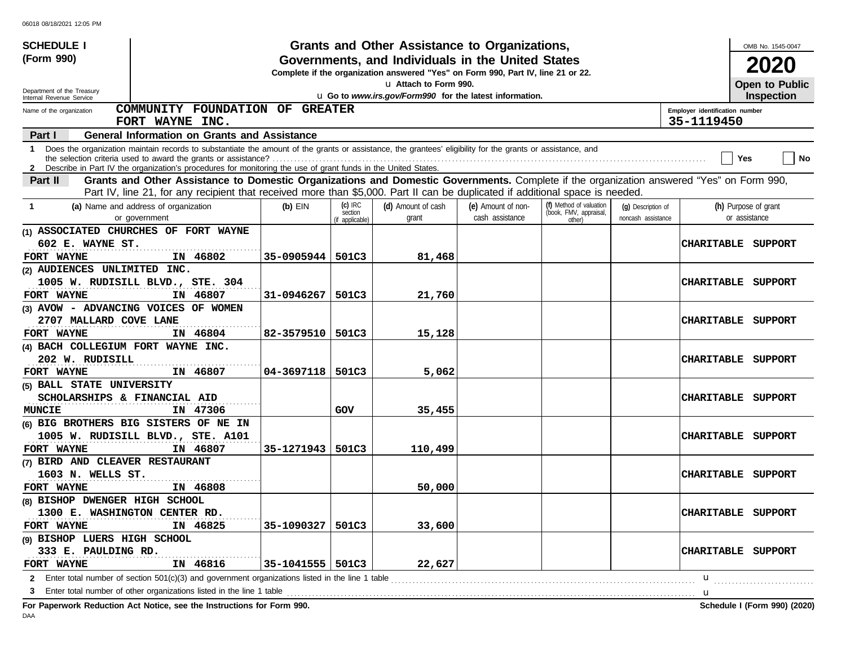| <b>SCHEDULE I</b>                                      |                                                                                                                                                                                                                                                                                 |                    |                                         | Grants and Other Assistance to Organizations,                                                                                         |                                       |                                                             |                                          |                                              | OMB No. 1545-0047                     |
|--------------------------------------------------------|---------------------------------------------------------------------------------------------------------------------------------------------------------------------------------------------------------------------------------------------------------------------------------|--------------------|-----------------------------------------|---------------------------------------------------------------------------------------------------------------------------------------|---------------------------------------|-------------------------------------------------------------|------------------------------------------|----------------------------------------------|---------------------------------------|
| (Form 990)                                             |                                                                                                                                                                                                                                                                                 |                    |                                         | Governments, and Individuals in the United States<br>Complete if the organization answered "Yes" on Form 990, Part IV, line 21 or 22. |                                       |                                                             |                                          |                                              | 2020                                  |
|                                                        |                                                                                                                                                                                                                                                                                 |                    |                                         | u Attach to Form 990.                                                                                                                 |                                       |                                                             |                                          |                                              | Open to Public                        |
| Department of the Treasury<br>Internal Revenue Service |                                                                                                                                                                                                                                                                                 |                    |                                         | u Go to www.irs.gov/Form990 for the latest information.                                                                               |                                       |                                                             |                                          |                                              | <b>Inspection</b>                     |
| Name of the organization                               | COMMUNITY FOUNDATION OF GREATER<br>FORT WAYNE INC.                                                                                                                                                                                                                              |                    |                                         |                                                                                                                                       |                                       |                                                             |                                          | Employer identification number<br>35-1119450 |                                       |
| Part I                                                 | <b>General Information on Grants and Assistance</b>                                                                                                                                                                                                                             |                    |                                         |                                                                                                                                       |                                       |                                                             |                                          |                                              |                                       |
|                                                        | 1 Does the organization maintain records to substantiate the amount of the grants or assistance, the grantees' eligibility for the grants or assistance, and<br>2 Describe in Part IV the organization's procedures for monitoring the use of grant funds in the United States. |                    |                                         |                                                                                                                                       |                                       |                                                             |                                          |                                              | No<br>Yes                             |
| Part II                                                | Grants and Other Assistance to Domestic Organizations and Domestic Governments. Complete if the organization answered "Yes" on Form 990,                                                                                                                                        |                    |                                         |                                                                                                                                       |                                       |                                                             |                                          |                                              |                                       |
|                                                        | Part IV, line 21, for any recipient that received more than \$5,000. Part II can be duplicated if additional space is needed.                                                                                                                                                   |                    |                                         |                                                                                                                                       |                                       |                                                             |                                          |                                              |                                       |
| -1                                                     | (a) Name and address of organization<br>or government                                                                                                                                                                                                                           | $(b)$ EIN          | $(c)$ IRC<br>section<br>(if applicable) | (d) Amount of cash<br>grant                                                                                                           | (e) Amount of non-<br>cash assistance | (f) Method of valuation<br>(book, FMV, appraisal,<br>other) | (g) Description of<br>noncash assistance |                                              | (h) Purpose of grant<br>or assistance |
| 602 E. WAYNE ST.                                       | (1) ASSOCIATED CHURCHES OF FORT WAYNE                                                                                                                                                                                                                                           |                    |                                         |                                                                                                                                       |                                       |                                                             |                                          |                                              | CHARITABLE SUPPORT                    |
| FORT WAYNE                                             | IN 46802                                                                                                                                                                                                                                                                        | 35-0905944         | 501C3                                   | 81,468                                                                                                                                |                                       |                                                             |                                          |                                              |                                       |
| (2) AUDIENCES UNLIMITED INC.                           |                                                                                                                                                                                                                                                                                 |                    |                                         |                                                                                                                                       |                                       |                                                             |                                          |                                              |                                       |
|                                                        | 1005 W. RUDISILL BLVD., STE. 304                                                                                                                                                                                                                                                |                    |                                         |                                                                                                                                       |                                       |                                                             |                                          | <b>CHARITABLE</b>                            | SUPPORT                               |
| FORT WAYNE                                             | IN 46807                                                                                                                                                                                                                                                                        | 31-0946267         | 501C3                                   | 21,760                                                                                                                                |                                       |                                                             |                                          |                                              |                                       |
| 2707 MALLARD COVE LANE                                 | (3) AVOW - ADVANCING VOICES OF WOMEN                                                                                                                                                                                                                                            |                    |                                         |                                                                                                                                       |                                       |                                                             |                                          | <b>CHARITABLE</b>                            | SUPPORT                               |
| FORT WAYNE                                             | IN 46804                                                                                                                                                                                                                                                                        | 82-3579510         | 501C3                                   | 15,128                                                                                                                                |                                       |                                                             |                                          |                                              |                                       |
| (4) BACH COLLEGIUM FORT WAYNE INC.                     |                                                                                                                                                                                                                                                                                 |                    |                                         |                                                                                                                                       |                                       |                                                             |                                          |                                              |                                       |
| 202 W. RUDISILL                                        |                                                                                                                                                                                                                                                                                 |                    |                                         |                                                                                                                                       |                                       |                                                             |                                          | <b>CHARITABLE</b>                            | SUPPORT                               |
| FORT WAYNE                                             | IN 46807                                                                                                                                                                                                                                                                        | 04-3697118         | 501C3                                   | 5,062                                                                                                                                 |                                       |                                                             |                                          |                                              |                                       |
| (5) BALL STATE UNIVERSITY                              |                                                                                                                                                                                                                                                                                 |                    |                                         |                                                                                                                                       |                                       |                                                             |                                          |                                              |                                       |
| SCHOLARSHIPS & FINANCIAL AID                           |                                                                                                                                                                                                                                                                                 |                    |                                         |                                                                                                                                       |                                       |                                                             |                                          | <b>CHARITABLE</b>                            | SUPPORT                               |
| <b>MUNCIE</b>                                          | IN 47306                                                                                                                                                                                                                                                                        |                    | GOV                                     | 35,455                                                                                                                                |                                       |                                                             |                                          |                                              |                                       |
|                                                        | (6) BIG BROTHERS BIG SISTERS OF NE IN                                                                                                                                                                                                                                           |                    |                                         |                                                                                                                                       |                                       |                                                             |                                          |                                              |                                       |
|                                                        | 1005 W. RUDISILL BLVD., STE. A101                                                                                                                                                                                                                                               |                    |                                         |                                                                                                                                       |                                       |                                                             |                                          | <b>CHARITABLE</b>                            | SUPPORT                               |
| FORT WAYNE                                             | IN 46807                                                                                                                                                                                                                                                                        | 35-1271943         | 501C3                                   | 110,499                                                                                                                               |                                       |                                                             |                                          |                                              |                                       |
| (7) BIRD AND CLEAVER RESTAURANT                        |                                                                                                                                                                                                                                                                                 |                    |                                         |                                                                                                                                       |                                       |                                                             |                                          |                                              |                                       |
| 1603 N. WELLS ST.                                      |                                                                                                                                                                                                                                                                                 |                    |                                         |                                                                                                                                       |                                       |                                                             |                                          |                                              | <b>CHARITABLE SUPPORT</b>             |
| FORT WAYNE                                             | IN 46808                                                                                                                                                                                                                                                                        |                    |                                         | 50,000                                                                                                                                |                                       |                                                             |                                          |                                              |                                       |
| (8) BISHOP DWENGER HIGH SCHOOL                         |                                                                                                                                                                                                                                                                                 |                    |                                         |                                                                                                                                       |                                       |                                                             |                                          |                                              |                                       |
| 1300 E. WASHINGTON CENTER RD.                          |                                                                                                                                                                                                                                                                                 |                    |                                         |                                                                                                                                       |                                       |                                                             |                                          |                                              | <b>CHARITABLE SUPPORT</b>             |
| FORT WAYNE                                             | IN 46825                                                                                                                                                                                                                                                                        | 35-1090327         | 501C3                                   | 33,600                                                                                                                                |                                       |                                                             |                                          |                                              |                                       |
| (9) BISHOP LUERS HIGH SCHOOL                           |                                                                                                                                                                                                                                                                                 |                    |                                         |                                                                                                                                       |                                       |                                                             |                                          |                                              |                                       |
| 333 E. PAULDING RD.<br>FORT WAYNE                      | IN 46816                                                                                                                                                                                                                                                                        | 35-1041555   501C3 |                                         | 22,627                                                                                                                                |                                       |                                                             |                                          |                                              | CHARITABLE SUPPORT                    |
|                                                        |                                                                                                                                                                                                                                                                                 |                    |                                         |                                                                                                                                       |                                       |                                                             |                                          | u                                            |                                       |
|                                                        |                                                                                                                                                                                                                                                                                 |                    |                                         |                                                                                                                                       |                                       |                                                             |                                          | u                                            |                                       |
|                                                        | For Paperwork Reduction Act Notice, see the Instructions for Form 990.                                                                                                                                                                                                          |                    |                                         |                                                                                                                                       |                                       |                                                             |                                          |                                              | Schedule I (Form 990) (2020)          |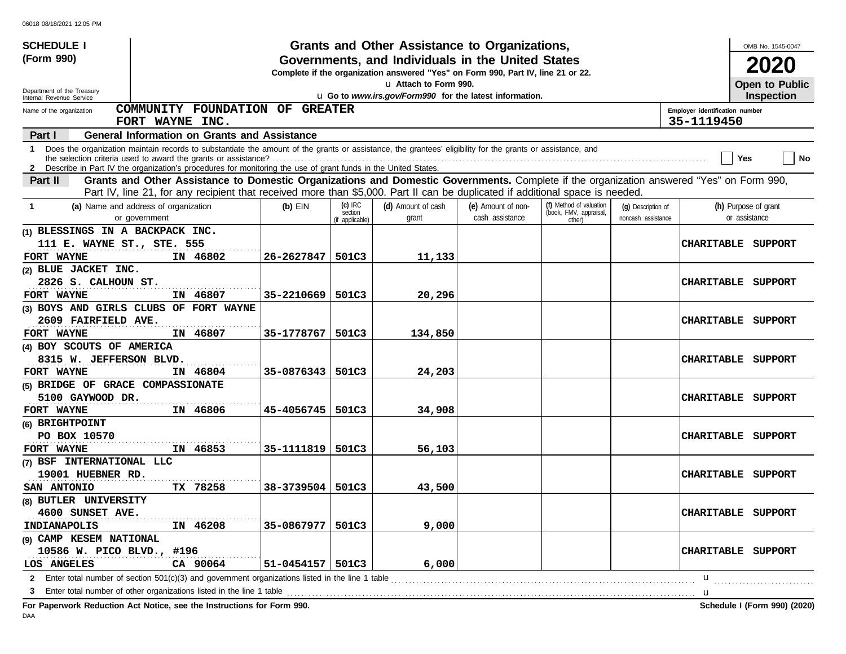| <b>SCHEDULE I</b>                                      |                                                                                                                                                                                                                                                                               |                      |                                         | Grants and Other Assistance to Organizations,                                                                                         |                                       |                                                             |                                          |                                              | OMB No. 1545-0047                     |
|--------------------------------------------------------|-------------------------------------------------------------------------------------------------------------------------------------------------------------------------------------------------------------------------------------------------------------------------------|----------------------|-----------------------------------------|---------------------------------------------------------------------------------------------------------------------------------------|---------------------------------------|-------------------------------------------------------------|------------------------------------------|----------------------------------------------|---------------------------------------|
| (Form 990)                                             |                                                                                                                                                                                                                                                                               |                      |                                         | Governments, and Individuals in the United States<br>Complete if the organization answered "Yes" on Form 990, Part IV, line 21 or 22. |                                       |                                                             |                                          |                                              | 2020                                  |
|                                                        |                                                                                                                                                                                                                                                                               |                      |                                         | La Attach to Form 990.                                                                                                                |                                       |                                                             |                                          |                                              | Open to Public                        |
| Department of the Treasury<br>Internal Revenue Service |                                                                                                                                                                                                                                                                               |                      |                                         | u Go to www.irs.gov/Form990 for the latest information.                                                                               |                                       |                                                             |                                          |                                              | <b>Inspection</b>                     |
| Name of the organization                               | COMMUNITY FOUNDATION OF GREATER<br>FORT WAYNE INC.                                                                                                                                                                                                                            |                      |                                         |                                                                                                                                       |                                       |                                                             |                                          | Employer identification number<br>35-1119450 |                                       |
| Part I                                                 | <b>General Information on Grants and Assistance</b>                                                                                                                                                                                                                           |                      |                                         |                                                                                                                                       |                                       |                                                             |                                          |                                              |                                       |
| 1.                                                     | Does the organization maintain records to substantiate the amount of the grants or assistance, the grantees' eligibility for the grants or assistance, and<br>2 Describe in Part IV the organization's procedures for monitoring the use of grant funds in the United States. |                      |                                         |                                                                                                                                       |                                       |                                                             |                                          |                                              | No<br>Yes                             |
| Part II                                                | Grants and Other Assistance to Domestic Organizations and Domestic Governments. Complete if the organization answered "Yes" on Form 990,                                                                                                                                      |                      |                                         |                                                                                                                                       |                                       |                                                             |                                          |                                              |                                       |
|                                                        | Part IV, line 21, for any recipient that received more than \$5,000. Part II can be duplicated if additional space is needed.                                                                                                                                                 |                      |                                         |                                                                                                                                       |                                       |                                                             |                                          |                                              |                                       |
| -1                                                     | (a) Name and address of organization<br>or government                                                                                                                                                                                                                         | $(b)$ EIN            | $(c)$ IRC<br>section<br>(if applicable) | (d) Amount of cash<br>grant                                                                                                           | (e) Amount of non-<br>cash assistance | (f) Method of valuation<br>(book, FMV, appraisal,<br>other) | (q) Description of<br>noncash assistance |                                              | (h) Purpose of grant<br>or assistance |
| (1) BLESSINGS IN A BACKPACK INC.                       |                                                                                                                                                                                                                                                                               |                      |                                         |                                                                                                                                       |                                       |                                                             |                                          |                                              |                                       |
| 111 E. WAYNE ST., STE. 555                             |                                                                                                                                                                                                                                                                               |                      |                                         |                                                                                                                                       |                                       |                                                             |                                          | <b>CHARITABLE</b>                            | SUPPORT                               |
| FORT WAYNE                                             | IN 46802                                                                                                                                                                                                                                                                      | 26-2627847           | 501C3                                   | 11,133                                                                                                                                |                                       |                                                             |                                          |                                              |                                       |
| (2) BLUE JACKET INC.                                   |                                                                                                                                                                                                                                                                               |                      |                                         |                                                                                                                                       |                                       |                                                             |                                          |                                              |                                       |
| 2826 S. CALHOUN ST.                                    |                                                                                                                                                                                                                                                                               |                      |                                         |                                                                                                                                       |                                       |                                                             |                                          | <b>CHARITABLE</b>                            | SUPPORT                               |
| FORT WAYNE                                             | IN 46807                                                                                                                                                                                                                                                                      | 35-2210669           | 501C3                                   | 20,296                                                                                                                                |                                       |                                                             |                                          |                                              |                                       |
| 2609 FAIRFIELD AVE.                                    | (3) BOYS AND GIRLS CLUBS OF FORT WAYNE                                                                                                                                                                                                                                        |                      |                                         |                                                                                                                                       |                                       |                                                             |                                          | <b>CHARITABLE</b>                            | SUPPORT                               |
| FORT WAYNE                                             | IN 46807                                                                                                                                                                                                                                                                      | 35-1778767           | 501C3                                   | 134,850                                                                                                                               |                                       |                                                             |                                          |                                              |                                       |
| (4) BOY SCOUTS OF AMERICA                              |                                                                                                                                                                                                                                                                               |                      |                                         |                                                                                                                                       |                                       |                                                             |                                          |                                              |                                       |
| 8315 W. JEFFERSON BLVD.                                |                                                                                                                                                                                                                                                                               |                      |                                         |                                                                                                                                       |                                       |                                                             |                                          | <b>CHARITABLE</b>                            | SUPPORT                               |
| FORT WAYNE                                             | IN 46804                                                                                                                                                                                                                                                                      | 35-0876343           | 501C3                                   | 24,203                                                                                                                                |                                       |                                                             |                                          |                                              |                                       |
| (5) BRIDGE OF GRACE COMPASSIONATE                      |                                                                                                                                                                                                                                                                               |                      |                                         |                                                                                                                                       |                                       |                                                             |                                          |                                              |                                       |
| 5100 GAYWOOD DR.                                       |                                                                                                                                                                                                                                                                               |                      |                                         |                                                                                                                                       |                                       |                                                             |                                          | <b>CHARITABLE</b>                            | SUPPORT                               |
| FORT WAYNE                                             | IN 46806                                                                                                                                                                                                                                                                      | 45-4056745           | 501C3                                   | 34,908                                                                                                                                |                                       |                                                             |                                          |                                              |                                       |
| (6) BRIGHTPOINT                                        |                                                                                                                                                                                                                                                                               |                      |                                         |                                                                                                                                       |                                       |                                                             |                                          |                                              |                                       |
| PO BOX 10570                                           |                                                                                                                                                                                                                                                                               |                      |                                         |                                                                                                                                       |                                       |                                                             |                                          | <b>CHARITABLE</b>                            | SUPPORT                               |
| FORT WAYNE                                             | IN 46853                                                                                                                                                                                                                                                                      | 35-1111819           | 501C3                                   | 56,103                                                                                                                                |                                       |                                                             |                                          |                                              |                                       |
| (7) BSF INTERNATIONAL LLC                              |                                                                                                                                                                                                                                                                               |                      |                                         |                                                                                                                                       |                                       |                                                             |                                          |                                              |                                       |
| 19001 HUEBNER RD.                                      |                                                                                                                                                                                                                                                                               |                      |                                         |                                                                                                                                       |                                       |                                                             |                                          |                                              | <b>CHARITABLE SUPPORT</b>             |
| SAN ANTONIO                                            | TX 78258                                                                                                                                                                                                                                                                      | 38-3739504           | 501C3                                   | 43,500                                                                                                                                |                                       |                                                             |                                          |                                              |                                       |
| (8) BUTLER UNIVERSITY                                  |                                                                                                                                                                                                                                                                               |                      |                                         |                                                                                                                                       |                                       |                                                             |                                          |                                              |                                       |
| 4600 SUNSET AVE.                                       |                                                                                                                                                                                                                                                                               |                      |                                         |                                                                                                                                       |                                       |                                                             |                                          |                                              | <b>CHARITABLE SUPPORT</b>             |
| INDIANAPOLIS                                           | IN 46208                                                                                                                                                                                                                                                                      | 35-0867977           | 501C3                                   | 9,000                                                                                                                                 |                                       |                                                             |                                          |                                              |                                       |
| (9) CAMP KESEM NATIONAL                                |                                                                                                                                                                                                                                                                               |                      |                                         |                                                                                                                                       |                                       |                                                             |                                          |                                              |                                       |
| 10586 W. PICO BLVD., #196                              |                                                                                                                                                                                                                                                                               |                      |                                         |                                                                                                                                       |                                       |                                                             |                                          |                                              | CHARITABLE SUPPORT                    |
| LOS ANGELES                                            | CA 90064                                                                                                                                                                                                                                                                      | $51 - 0454157$ 501C3 |                                         | 6,000                                                                                                                                 |                                       |                                                             |                                          |                                              |                                       |
|                                                        |                                                                                                                                                                                                                                                                               |                      |                                         |                                                                                                                                       |                                       |                                                             |                                          | u                                            |                                       |
| 3                                                      |                                                                                                                                                                                                                                                                               |                      |                                         |                                                                                                                                       |                                       |                                                             |                                          | u                                            |                                       |
|                                                        | Fer Denemierts Deduction, Act Nation, and the Instructions for Fer                                                                                                                                                                                                            |                      |                                         |                                                                                                                                       |                                       |                                                             |                                          |                                              | <b>Cohodule I (Ferm 000) (2020)</b>   |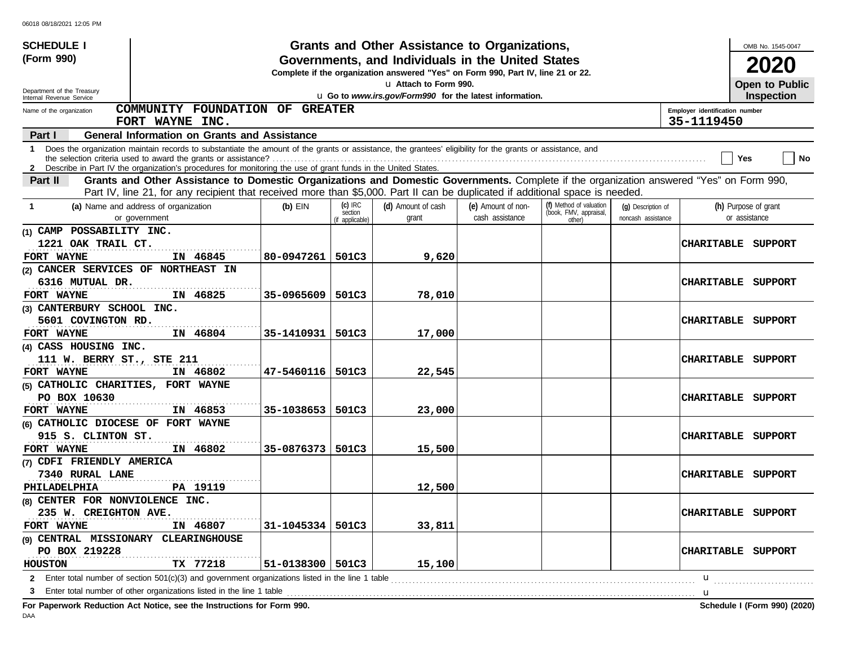| <b>SCHEDULE I</b>                                      |                                                                                                                                                            |                        |                                         | Grants and Other Assistance to Organizations,                                                                                         |                                       |                                                             |                                          |                                              | OMB No. 1545-0047                     |
|--------------------------------------------------------|------------------------------------------------------------------------------------------------------------------------------------------------------------|------------------------|-----------------------------------------|---------------------------------------------------------------------------------------------------------------------------------------|---------------------------------------|-------------------------------------------------------------|------------------------------------------|----------------------------------------------|---------------------------------------|
| (Form 990)                                             |                                                                                                                                                            |                        |                                         | Governments, and Individuals in the United States<br>Complete if the organization answered "Yes" on Form 990, Part IV, line 21 or 22. |                                       |                                                             |                                          |                                              | 2020                                  |
|                                                        |                                                                                                                                                            |                        |                                         | La Attach to Form 990.                                                                                                                |                                       |                                                             |                                          |                                              | Open to Public                        |
| Department of the Treasury<br>Internal Revenue Service |                                                                                                                                                            |                        |                                         | u Go to www.irs.gov/Form990 for the latest information.                                                                               |                                       |                                                             |                                          |                                              | <b>Inspection</b>                     |
| Name of the organization                               | COMMUNITY FOUNDATION OF GREATER<br>FORT WAYNE INC.                                                                                                         |                        |                                         |                                                                                                                                       |                                       |                                                             |                                          | Employer identification number<br>35-1119450 |                                       |
| Part I                                                 | <b>General Information on Grants and Assistance</b>                                                                                                        |                        |                                         |                                                                                                                                       |                                       |                                                             |                                          |                                              |                                       |
| 1.                                                     | Does the organization maintain records to substantiate the amount of the grants or assistance, the grantees' eligibility for the grants or assistance, and |                        |                                         |                                                                                                                                       |                                       |                                                             |                                          |                                              | No<br>Yes                             |
|                                                        | 2 Describe in Part IV the organization's procedures for monitoring the use of grant funds in the United States.                                            |                        |                                         |                                                                                                                                       |                                       |                                                             |                                          |                                              |                                       |
| Part II                                                | Grants and Other Assistance to Domestic Organizations and Domestic Governments. Complete if the organization answered "Yes" on Form 990,                   |                        |                                         |                                                                                                                                       |                                       |                                                             |                                          |                                              |                                       |
|                                                        | Part IV, line 21, for any recipient that received more than \$5,000. Part II can be duplicated if additional space is needed.                              |                        |                                         |                                                                                                                                       |                                       |                                                             |                                          |                                              |                                       |
| -1                                                     | (a) Name and address of organization<br>or government                                                                                                      | $(b)$ EIN              | $(c)$ IRC<br>section<br>(if applicable) | (d) Amount of cash<br>grant                                                                                                           | (e) Amount of non-<br>cash assistance | (f) Method of valuation<br>(book, FMV, appraisal,<br>other) | (q) Description of<br>noncash assistance |                                              | (h) Purpose of grant<br>or assistance |
| (1) CAMP POSSABILITY INC.                              |                                                                                                                                                            |                        |                                         |                                                                                                                                       |                                       |                                                             |                                          |                                              |                                       |
| 1221 OAK TRAIL CT.                                     |                                                                                                                                                            |                        |                                         |                                                                                                                                       |                                       |                                                             |                                          |                                              | CHARITABLE SUPPORT                    |
| FORT WAYNE                                             | IN 46845                                                                                                                                                   | 80-0947261             | 501C3                                   | 9,620                                                                                                                                 |                                       |                                                             |                                          |                                              |                                       |
| (2) CANCER SERVICES OF NORTHEAST IN                    |                                                                                                                                                            |                        |                                         |                                                                                                                                       |                                       |                                                             |                                          |                                              |                                       |
| 6316 MUTUAL DR.                                        |                                                                                                                                                            |                        |                                         |                                                                                                                                       |                                       |                                                             |                                          | <b>CHARITABLE</b>                            | SUPPORT                               |
| FORT WAYNE                                             | IN 46825                                                                                                                                                   | 35-0965609             | 501C3                                   | 78,010                                                                                                                                |                                       |                                                             |                                          |                                              |                                       |
| (3) CANTERBURY SCHOOL INC.                             |                                                                                                                                                            |                        |                                         |                                                                                                                                       |                                       |                                                             |                                          |                                              |                                       |
| 5601 COVINGTON RD.                                     |                                                                                                                                                            |                        |                                         |                                                                                                                                       |                                       |                                                             |                                          | <b>CHARITABLE</b>                            | SUPPORT                               |
| FORT WAYNE                                             | IN 46804                                                                                                                                                   | 35-1410931             | 501C3                                   | 17,000                                                                                                                                |                                       |                                                             |                                          |                                              |                                       |
| (4) CASS HOUSING INC.                                  |                                                                                                                                                            |                        |                                         |                                                                                                                                       |                                       |                                                             |                                          |                                              |                                       |
| 111 W. BERRY ST., STE 211                              |                                                                                                                                                            |                        |                                         |                                                                                                                                       |                                       |                                                             |                                          | <b>CHARITABLE</b>                            | SUPPORT                               |
| FORT WAYNE                                             | IN 46802                                                                                                                                                   | 47-5460116             | 501C3                                   | 22,545                                                                                                                                |                                       |                                                             |                                          |                                              |                                       |
| (5) CATHOLIC CHARITIES, FORT WAYNE                     |                                                                                                                                                            |                        |                                         |                                                                                                                                       |                                       |                                                             |                                          |                                              |                                       |
| PO BOX 10630                                           |                                                                                                                                                            |                        |                                         |                                                                                                                                       |                                       |                                                             |                                          | <b>CHARITABLE</b>                            | SUPPORT                               |
| FORT WAYNE                                             | IN 46853                                                                                                                                                   | 35-1038653             | 501C3                                   | 23,000                                                                                                                                |                                       |                                                             |                                          |                                              |                                       |
| (6) CATHOLIC DIOCESE OF FORT WAYNE                     |                                                                                                                                                            |                        |                                         |                                                                                                                                       |                                       |                                                             |                                          |                                              |                                       |
| 915 S. CLINTON ST.                                     |                                                                                                                                                            |                        |                                         |                                                                                                                                       |                                       |                                                             |                                          | <b>CHARITABLE</b>                            | SUPPORT                               |
| FORT WAYNE                                             | IN 46802                                                                                                                                                   | 35-0876373             | 501C3                                   | 15,500                                                                                                                                |                                       |                                                             |                                          |                                              |                                       |
| (7) CDFI FRIENDLY AMERICA                              |                                                                                                                                                            |                        |                                         |                                                                                                                                       |                                       |                                                             |                                          |                                              |                                       |
| 7340 RURAL LANE                                        |                                                                                                                                                            |                        |                                         |                                                                                                                                       |                                       |                                                             |                                          |                                              | <b>CHARITABLE SUPPORT</b>             |
| PHILADELPHIA                                           | PA 19119                                                                                                                                                   |                        |                                         | 12,500                                                                                                                                |                                       |                                                             |                                          |                                              |                                       |
| (8) CENTER FOR NONVIOLENCE INC.                        |                                                                                                                                                            |                        |                                         |                                                                                                                                       |                                       |                                                             |                                          |                                              |                                       |
| 235 W. CREIGHTON AVE.                                  |                                                                                                                                                            |                        |                                         |                                                                                                                                       |                                       |                                                             |                                          |                                              | <b>CHARITABLE SUPPORT</b>             |
| FORT WAYNE                                             | IN 46807                                                                                                                                                   | 31-1045334   501C3     |                                         | 33,811                                                                                                                                |                                       |                                                             |                                          |                                              |                                       |
| (9) CENTRAL MISSIONARY                                 | <b>CLEARINGHOUSE</b>                                                                                                                                       |                        |                                         |                                                                                                                                       |                                       |                                                             |                                          |                                              |                                       |
| PO BOX 219228                                          |                                                                                                                                                            |                        |                                         |                                                                                                                                       |                                       |                                                             |                                          |                                              | CHARITABLE SUPPORT                    |
| <b>HOUSTON</b>                                         | TX 77218                                                                                                                                                   | $51 - 0138300$   501C3 |                                         | 15,100                                                                                                                                |                                       |                                                             |                                          |                                              |                                       |
|                                                        |                                                                                                                                                            |                        |                                         |                                                                                                                                       |                                       |                                                             |                                          | u                                            |                                       |
| 3                                                      | Enter total number of other organizations listed in the line 1 table                                                                                       |                        |                                         |                                                                                                                                       |                                       |                                                             |                                          | u                                            |                                       |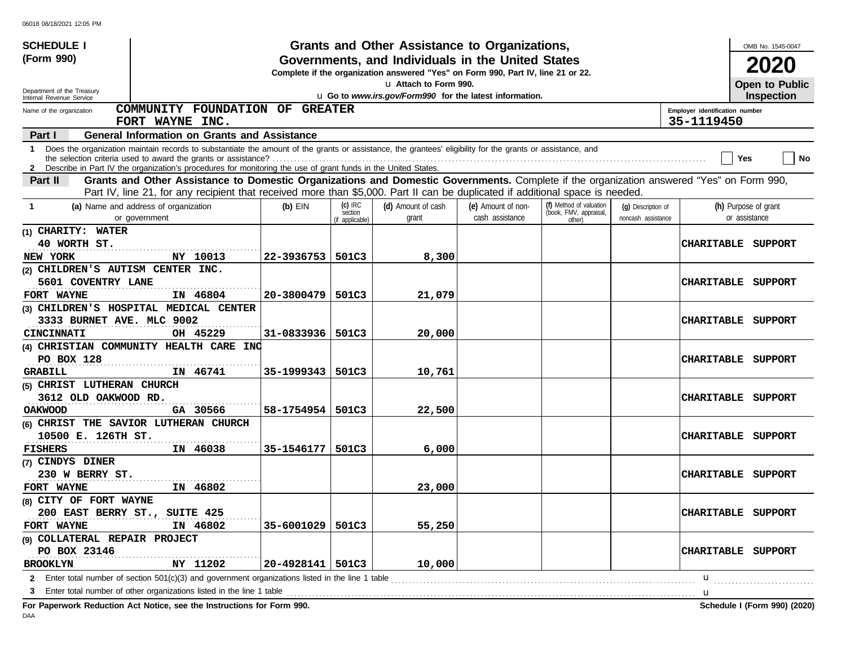| Grants and Other Assistance to Organizations,<br>(Form 990)<br>Governments, and Individuals in the United States<br>2020<br>Complete if the organization answered "Yes" on Form 990, Part IV, line 21 or 22.<br>La Attach to Form 990.<br>Open to Public<br>Department of the Treasury<br>u Go to www.irs.gov/Form990 for the latest information.<br>Inspection<br>Internal Revenue Service<br>COMMUNITY FOUNDATION OF GREATER<br>Employer identification number<br>Name of the organization<br>35-1119450<br>FORT WAYNE INC.<br><b>General Information on Grants and Assistance</b><br><b>Part I</b><br>1 Does the organization maintain records to substantiate the amount of the grants or assistance, the grantees' eligibility for the grants or assistance, and<br>  No<br>Yes<br>2 Describe in Part IV the organization's procedures for monitoring the use of grant funds in the United States.<br>Grants and Other Assistance to Domestic Organizations and Domestic Governments. Complete if the organization answered "Yes" on Form 990,<br>Part II<br>Part IV, line 21, for any recipient that received more than \$5,000. Part II can be duplicated if additional space is needed.<br>$(c)$ IRC<br>(f) Method of valuation<br>(d) Amount of cash<br>(a) Name and address of organization<br>$(b)$ EIN<br>(e) Amount of non-<br>(h) Purpose of grant<br>(g) Description of<br>-1<br>(book, FMV, appraisal,<br>section<br>cash assistance<br>or assistance<br>or government<br>grant<br>noncash assistance<br>other) |
|---------------------------------------------------------------------------------------------------------------------------------------------------------------------------------------------------------------------------------------------------------------------------------------------------------------------------------------------------------------------------------------------------------------------------------------------------------------------------------------------------------------------------------------------------------------------------------------------------------------------------------------------------------------------------------------------------------------------------------------------------------------------------------------------------------------------------------------------------------------------------------------------------------------------------------------------------------------------------------------------------------------------------------------------------------------------------------------------------------------------------------------------------------------------------------------------------------------------------------------------------------------------------------------------------------------------------------------------------------------------------------------------------------------------------------------------------------------------------------------------------------------------------------|
|                                                                                                                                                                                                                                                                                                                                                                                                                                                                                                                                                                                                                                                                                                                                                                                                                                                                                                                                                                                                                                                                                                                                                                                                                                                                                                                                                                                                                                                                                                                                 |
|                                                                                                                                                                                                                                                                                                                                                                                                                                                                                                                                                                                                                                                                                                                                                                                                                                                                                                                                                                                                                                                                                                                                                                                                                                                                                                                                                                                                                                                                                                                                 |
|                                                                                                                                                                                                                                                                                                                                                                                                                                                                                                                                                                                                                                                                                                                                                                                                                                                                                                                                                                                                                                                                                                                                                                                                                                                                                                                                                                                                                                                                                                                                 |
|                                                                                                                                                                                                                                                                                                                                                                                                                                                                                                                                                                                                                                                                                                                                                                                                                                                                                                                                                                                                                                                                                                                                                                                                                                                                                                                                                                                                                                                                                                                                 |
|                                                                                                                                                                                                                                                                                                                                                                                                                                                                                                                                                                                                                                                                                                                                                                                                                                                                                                                                                                                                                                                                                                                                                                                                                                                                                                                                                                                                                                                                                                                                 |
|                                                                                                                                                                                                                                                                                                                                                                                                                                                                                                                                                                                                                                                                                                                                                                                                                                                                                                                                                                                                                                                                                                                                                                                                                                                                                                                                                                                                                                                                                                                                 |
|                                                                                                                                                                                                                                                                                                                                                                                                                                                                                                                                                                                                                                                                                                                                                                                                                                                                                                                                                                                                                                                                                                                                                                                                                                                                                                                                                                                                                                                                                                                                 |
|                                                                                                                                                                                                                                                                                                                                                                                                                                                                                                                                                                                                                                                                                                                                                                                                                                                                                                                                                                                                                                                                                                                                                                                                                                                                                                                                                                                                                                                                                                                                 |
|                                                                                                                                                                                                                                                                                                                                                                                                                                                                                                                                                                                                                                                                                                                                                                                                                                                                                                                                                                                                                                                                                                                                                                                                                                                                                                                                                                                                                                                                                                                                 |
|                                                                                                                                                                                                                                                                                                                                                                                                                                                                                                                                                                                                                                                                                                                                                                                                                                                                                                                                                                                                                                                                                                                                                                                                                                                                                                                                                                                                                                                                                                                                 |
| (if applicable)<br>(1) CHARITY: WATER                                                                                                                                                                                                                                                                                                                                                                                                                                                                                                                                                                                                                                                                                                                                                                                                                                                                                                                                                                                                                                                                                                                                                                                                                                                                                                                                                                                                                                                                                           |
| 40 WORTH ST.<br><b>CHARITABLE SUPPORT</b>                                                                                                                                                                                                                                                                                                                                                                                                                                                                                                                                                                                                                                                                                                                                                                                                                                                                                                                                                                                                                                                                                                                                                                                                                                                                                                                                                                                                                                                                                       |
| NY 10013<br>22-3936753<br>501C3<br>8,300<br>NEW YORK                                                                                                                                                                                                                                                                                                                                                                                                                                                                                                                                                                                                                                                                                                                                                                                                                                                                                                                                                                                                                                                                                                                                                                                                                                                                                                                                                                                                                                                                            |
| (2) CHILDREN'S AUTISM CENTER INC.                                                                                                                                                                                                                                                                                                                                                                                                                                                                                                                                                                                                                                                                                                                                                                                                                                                                                                                                                                                                                                                                                                                                                                                                                                                                                                                                                                                                                                                                                               |
| 5601 COVENTRY LANE<br><b>CHARITABLE SUPPORT</b>                                                                                                                                                                                                                                                                                                                                                                                                                                                                                                                                                                                                                                                                                                                                                                                                                                                                                                                                                                                                                                                                                                                                                                                                                                                                                                                                                                                                                                                                                 |
| FORT WAYNE<br>IN 46804<br>20-3800479<br>501C3<br>21,079                                                                                                                                                                                                                                                                                                                                                                                                                                                                                                                                                                                                                                                                                                                                                                                                                                                                                                                                                                                                                                                                                                                                                                                                                                                                                                                                                                                                                                                                         |
| (3) CHILDREN'S HOSPITAL MEDICAL CENTER                                                                                                                                                                                                                                                                                                                                                                                                                                                                                                                                                                                                                                                                                                                                                                                                                                                                                                                                                                                                                                                                                                                                                                                                                                                                                                                                                                                                                                                                                          |
| 3333 BURNET AVE. MLC 9002<br><b>CHARITABLE SUPPORT</b>                                                                                                                                                                                                                                                                                                                                                                                                                                                                                                                                                                                                                                                                                                                                                                                                                                                                                                                                                                                                                                                                                                                                                                                                                                                                                                                                                                                                                                                                          |
| OH 45229<br>31-0833936<br>501C3<br>20,000<br><b>CINCINNATI</b>                                                                                                                                                                                                                                                                                                                                                                                                                                                                                                                                                                                                                                                                                                                                                                                                                                                                                                                                                                                                                                                                                                                                                                                                                                                                                                                                                                                                                                                                  |
| (4) CHRISTIAN COMMUNITY HEALTH CARE INC                                                                                                                                                                                                                                                                                                                                                                                                                                                                                                                                                                                                                                                                                                                                                                                                                                                                                                                                                                                                                                                                                                                                                                                                                                                                                                                                                                                                                                                                                         |
| PO BOX 128<br>CHARITABLE SUPPORT                                                                                                                                                                                                                                                                                                                                                                                                                                                                                                                                                                                                                                                                                                                                                                                                                                                                                                                                                                                                                                                                                                                                                                                                                                                                                                                                                                                                                                                                                                |
| 35-1999343<br>IN 46741<br>501C3<br>10,761<br><b>GRABILL</b>                                                                                                                                                                                                                                                                                                                                                                                                                                                                                                                                                                                                                                                                                                                                                                                                                                                                                                                                                                                                                                                                                                                                                                                                                                                                                                                                                                                                                                                                     |
| (5) CHRIST LUTHERAN CHURCH                                                                                                                                                                                                                                                                                                                                                                                                                                                                                                                                                                                                                                                                                                                                                                                                                                                                                                                                                                                                                                                                                                                                                                                                                                                                                                                                                                                                                                                                                                      |
| 3612 OLD OAKWOOD RD.<br>CHARITABLE<br>SUPPORT                                                                                                                                                                                                                                                                                                                                                                                                                                                                                                                                                                                                                                                                                                                                                                                                                                                                                                                                                                                                                                                                                                                                                                                                                                                                                                                                                                                                                                                                                   |
| 58-1754954<br>501C3<br>GA 30566<br>22,500<br><b>OAKWOOD</b>                                                                                                                                                                                                                                                                                                                                                                                                                                                                                                                                                                                                                                                                                                                                                                                                                                                                                                                                                                                                                                                                                                                                                                                                                                                                                                                                                                                                                                                                     |
| (6) CHRIST THE SAVIOR LUTHERAN CHURCH                                                                                                                                                                                                                                                                                                                                                                                                                                                                                                                                                                                                                                                                                                                                                                                                                                                                                                                                                                                                                                                                                                                                                                                                                                                                                                                                                                                                                                                                                           |
| 10500 E. 126TH ST.<br>CHARITABLE<br>SUPPORT                                                                                                                                                                                                                                                                                                                                                                                                                                                                                                                                                                                                                                                                                                                                                                                                                                                                                                                                                                                                                                                                                                                                                                                                                                                                                                                                                                                                                                                                                     |
| 501C3<br><b>FISHERS</b><br>IN 46038<br>35-1546177<br>6,000                                                                                                                                                                                                                                                                                                                                                                                                                                                                                                                                                                                                                                                                                                                                                                                                                                                                                                                                                                                                                                                                                                                                                                                                                                                                                                                                                                                                                                                                      |
| (7) CINDYS DINER                                                                                                                                                                                                                                                                                                                                                                                                                                                                                                                                                                                                                                                                                                                                                                                                                                                                                                                                                                                                                                                                                                                                                                                                                                                                                                                                                                                                                                                                                                                |
| 230 W BERRY ST.<br><b>CHARITABLE SUPPORT</b>                                                                                                                                                                                                                                                                                                                                                                                                                                                                                                                                                                                                                                                                                                                                                                                                                                                                                                                                                                                                                                                                                                                                                                                                                                                                                                                                                                                                                                                                                    |
| IN 46802<br>23,000<br>FORT WAYNE                                                                                                                                                                                                                                                                                                                                                                                                                                                                                                                                                                                                                                                                                                                                                                                                                                                                                                                                                                                                                                                                                                                                                                                                                                                                                                                                                                                                                                                                                                |
| (8) CITY OF FORT WAYNE                                                                                                                                                                                                                                                                                                                                                                                                                                                                                                                                                                                                                                                                                                                                                                                                                                                                                                                                                                                                                                                                                                                                                                                                                                                                                                                                                                                                                                                                                                          |
| 200 EAST BERRY ST., SUITE 425<br><b>CHARITABLE SUPPORT</b>                                                                                                                                                                                                                                                                                                                                                                                                                                                                                                                                                                                                                                                                                                                                                                                                                                                                                                                                                                                                                                                                                                                                                                                                                                                                                                                                                                                                                                                                      |
| 55,250<br>IN 46802<br>35-6001029<br>501C3<br>FORT WAYNE                                                                                                                                                                                                                                                                                                                                                                                                                                                                                                                                                                                                                                                                                                                                                                                                                                                                                                                                                                                                                                                                                                                                                                                                                                                                                                                                                                                                                                                                         |
| (9) COLLATERAL REPAIR PROJECT                                                                                                                                                                                                                                                                                                                                                                                                                                                                                                                                                                                                                                                                                                                                                                                                                                                                                                                                                                                                                                                                                                                                                                                                                                                                                                                                                                                                                                                                                                   |
| PO BOX 23146<br>CHARITABLE SUPPORT<br>20-4928141<br>NY 11202<br>501C3<br>10,000<br><b>BROOKLYN</b>                                                                                                                                                                                                                                                                                                                                                                                                                                                                                                                                                                                                                                                                                                                                                                                                                                                                                                                                                                                                                                                                                                                                                                                                                                                                                                                                                                                                                              |
| u                                                                                                                                                                                                                                                                                                                                                                                                                                                                                                                                                                                                                                                                                                                                                                                                                                                                                                                                                                                                                                                                                                                                                                                                                                                                                                                                                                                                                                                                                                                               |
| 3                                                                                                                                                                                                                                                                                                                                                                                                                                                                                                                                                                                                                                                                                                                                                                                                                                                                                                                                                                                                                                                                                                                                                                                                                                                                                                                                                                                                                                                                                                                               |
| u<br>For Paperwork Reduction Act Notice, see the Instructions for Form 990.<br>Schedule I (Form 990) (2020)                                                                                                                                                                                                                                                                                                                                                                                                                                                                                                                                                                                                                                                                                                                                                                                                                                                                                                                                                                                                                                                                                                                                                                                                                                                                                                                                                                                                                     |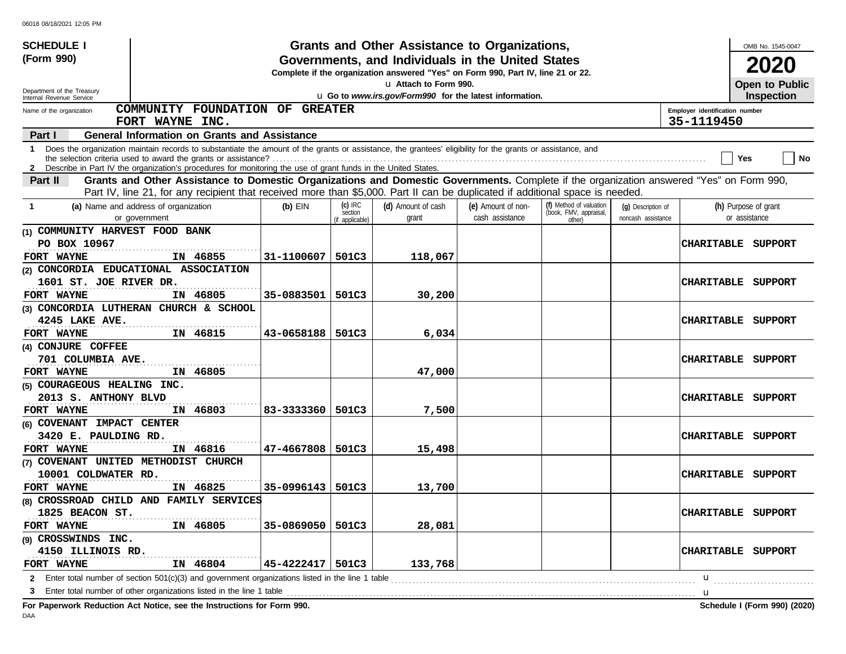| <b>SCHEDULE I</b>                                      |                                                                                                                                                              |            |                                         | Grants and Other Assistance to Organizations,                                                                                         |                                       |                                                             |                                          |                                              | OMB No. 1545-0047                     |
|--------------------------------------------------------|--------------------------------------------------------------------------------------------------------------------------------------------------------------|------------|-----------------------------------------|---------------------------------------------------------------------------------------------------------------------------------------|---------------------------------------|-------------------------------------------------------------|------------------------------------------|----------------------------------------------|---------------------------------------|
| (Form 990)                                             |                                                                                                                                                              |            |                                         | Governments, and Individuals in the United States<br>Complete if the organization answered "Yes" on Form 990, Part IV, line 21 or 22. |                                       |                                                             |                                          |                                              | 2020                                  |
|                                                        |                                                                                                                                                              |            |                                         | u Attach to Form 990.                                                                                                                 |                                       |                                                             |                                          |                                              | Open to Public                        |
| Department of the Treasury<br>Internal Revenue Service |                                                                                                                                                              |            |                                         | u Go to www.irs.gov/Form990 for the latest information.                                                                               |                                       |                                                             |                                          |                                              | <b>Inspection</b>                     |
| Name of the organization                               | COMMUNITY FOUNDATION OF GREATER<br>FORT WAYNE INC.                                                                                                           |            |                                         |                                                                                                                                       |                                       |                                                             |                                          | Employer identification number<br>35-1119450 |                                       |
| Part I                                                 | <b>General Information on Grants and Assistance</b>                                                                                                          |            |                                         |                                                                                                                                       |                                       |                                                             |                                          |                                              |                                       |
|                                                        | 1 Does the organization maintain records to substantiate the amount of the grants or assistance, the grantees' eligibility for the grants or assistance, and |            |                                         |                                                                                                                                       |                                       |                                                             |                                          |                                              | No<br>Yes                             |
|                                                        | 2 Describe in Part IV the organization's procedures for monitoring the use of grant funds in the United States.                                              |            |                                         |                                                                                                                                       |                                       |                                                             |                                          |                                              |                                       |
| Part II                                                | Grants and Other Assistance to Domestic Organizations and Domestic Governments. Complete if the organization answered "Yes" on Form 990,                     |            |                                         |                                                                                                                                       |                                       |                                                             |                                          |                                              |                                       |
|                                                        | Part IV, line 21, for any recipient that received more than \$5,000. Part II can be duplicated if additional space is needed.                                |            |                                         |                                                                                                                                       |                                       |                                                             |                                          |                                              |                                       |
| -1                                                     | (a) Name and address of organization<br>or government                                                                                                        | $(b)$ EIN  | $(c)$ IRC<br>section<br>(if applicable) | (d) Amount of cash<br>grant                                                                                                           | (e) Amount of non-<br>cash assistance | (f) Method of valuation<br>(book, FMV, appraisal,<br>other) | (g) Description of<br>noncash assistance |                                              | (h) Purpose of grant<br>or assistance |
| (1) COMMUNITY HARVEST FOOD BANK                        |                                                                                                                                                              |            |                                         |                                                                                                                                       |                                       |                                                             |                                          |                                              |                                       |
| PO BOX 10967                                           |                                                                                                                                                              |            |                                         |                                                                                                                                       |                                       |                                                             |                                          | <b>CHARITABLE</b>                            | SUPPORT                               |
| FORT WAYNE                                             | IN 46855                                                                                                                                                     | 31-1100607 | 501C3                                   | 118,067                                                                                                                               |                                       |                                                             |                                          |                                              |                                       |
|                                                        | (2) CONCORDIA EDUCATIONAL ASSOCIATION                                                                                                                        |            |                                         |                                                                                                                                       |                                       |                                                             |                                          |                                              |                                       |
| 1601 ST. JOE RIVER DR.                                 |                                                                                                                                                              |            |                                         |                                                                                                                                       |                                       |                                                             |                                          | <b>CHARITABLE</b>                            | SUPPORT                               |
| FORT WAYNE                                             | IN 46805                                                                                                                                                     | 35-0883501 | 501C3                                   | 30,200                                                                                                                                |                                       |                                                             |                                          |                                              |                                       |
|                                                        | (3) CONCORDIA LUTHERAN CHURCH & SCHOOL                                                                                                                       |            |                                         |                                                                                                                                       |                                       |                                                             |                                          |                                              |                                       |
| 4245 LAKE AVE.                                         |                                                                                                                                                              |            |                                         |                                                                                                                                       |                                       |                                                             |                                          | <b>CHARITABLE</b>                            | SUPPORT                               |
| FORT WAYNE                                             | IN 46815                                                                                                                                                     | 43-0658188 | 501C3                                   | 6,034                                                                                                                                 |                                       |                                                             |                                          |                                              |                                       |
| (4) CONJURE COFFEE                                     |                                                                                                                                                              |            |                                         |                                                                                                                                       |                                       |                                                             |                                          |                                              |                                       |
| 701 COLUMBIA AVE.                                      |                                                                                                                                                              |            |                                         |                                                                                                                                       |                                       |                                                             |                                          | <b>CHARITABLE</b>                            | SUPPORT                               |
| FORT WAYNE                                             | IN 46805                                                                                                                                                     |            |                                         | 47,000                                                                                                                                |                                       |                                                             |                                          |                                              |                                       |
| (5) COURAGEOUS HEALING INC.                            |                                                                                                                                                              |            |                                         |                                                                                                                                       |                                       |                                                             |                                          |                                              |                                       |
| 2013 S. ANTHONY BLVD                                   |                                                                                                                                                              |            |                                         |                                                                                                                                       |                                       |                                                             |                                          | <b>CHARITABLE</b>                            | SUPPORT                               |
| FORT WAYNE                                             | IN 46803                                                                                                                                                     | 83-3333360 | 501C3                                   | 7,500                                                                                                                                 |                                       |                                                             |                                          |                                              |                                       |
| (6) COVENANT IMPACT CENTER                             |                                                                                                                                                              |            |                                         |                                                                                                                                       |                                       |                                                             |                                          |                                              |                                       |
| 3420 E. PAULDING RD.                                   |                                                                                                                                                              |            |                                         |                                                                                                                                       |                                       |                                                             |                                          | <b>CHARITABLE</b>                            | SUPPORT                               |
| FORT WAYNE                                             | IN 46816                                                                                                                                                     | 47-4667808 | 501C3                                   | 15,498                                                                                                                                |                                       |                                                             |                                          |                                              |                                       |
|                                                        | (7) COVENANT UNITED METHODIST CHURCH                                                                                                                         |            |                                         |                                                                                                                                       |                                       |                                                             |                                          |                                              |                                       |
| 10001 COLDWATER RD.                                    |                                                                                                                                                              |            |                                         |                                                                                                                                       |                                       |                                                             |                                          |                                              | CHARITABLE SUPPORT                    |
| FORT WAYNE                                             | IN 46825                                                                                                                                                     | 35-0996143 | 501C3                                   | 13,700                                                                                                                                |                                       |                                                             |                                          |                                              |                                       |
|                                                        | (8) CROSSROAD CHILD AND FAMILY SERVICES                                                                                                                      |            |                                         |                                                                                                                                       |                                       |                                                             |                                          |                                              |                                       |
| 1825 BEACON ST.                                        |                                                                                                                                                              |            |                                         |                                                                                                                                       |                                       |                                                             |                                          |                                              | <b>CHARITABLE SUPPORT</b>             |
| FORT WAYNE                                             | IN 46805                                                                                                                                                     | 35-0869050 | 501C3                                   | 28,081                                                                                                                                |                                       |                                                             |                                          |                                              |                                       |
| (9) CROSSWINDS INC.                                    |                                                                                                                                                              |            |                                         |                                                                                                                                       |                                       |                                                             |                                          |                                              |                                       |
| 4150 ILLINOIS RD.                                      |                                                                                                                                                              |            |                                         |                                                                                                                                       |                                       |                                                             |                                          |                                              | CHARITABLE SUPPORT                    |
| FORT WAYNE                                             | IN 46804                                                                                                                                                     | 45-4222417 | 501C3                                   | 133,768                                                                                                                               |                                       |                                                             |                                          |                                              |                                       |
|                                                        | 2 Enter total number of section 501(c)(3) and government organizations listed in the line 1 table                                                            |            |                                         |                                                                                                                                       |                                       |                                                             |                                          | u                                            |                                       |
|                                                        | 3 Enter total number of other organizations listed in the line 1 table                                                                                       |            |                                         |                                                                                                                                       |                                       |                                                             |                                          | u                                            |                                       |
|                                                        |                                                                                                                                                              |            |                                         |                                                                                                                                       |                                       |                                                             |                                          |                                              |                                       |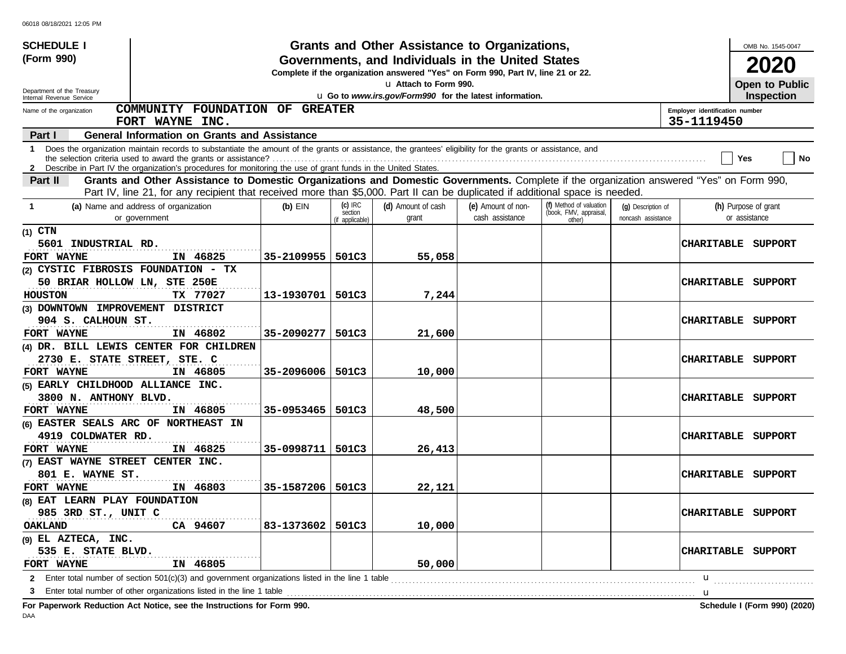| <b>SCHEDULE I</b>                                    |                                                                                                                                                                                                                                                             |            |                                         | Grants and Other Assistance to Organizations,                                                                                         |                                       |                                                             |                                          |                                | OMB No. 1545-0047                     |                              |
|------------------------------------------------------|-------------------------------------------------------------------------------------------------------------------------------------------------------------------------------------------------------------------------------------------------------------|------------|-----------------------------------------|---------------------------------------------------------------------------------------------------------------------------------------|---------------------------------------|-------------------------------------------------------------|------------------------------------------|--------------------------------|---------------------------------------|------------------------------|
| (Form 990)                                           |                                                                                                                                                                                                                                                             |            |                                         | Governments, and Individuals in the United States<br>Complete if the organization answered "Yes" on Form 990, Part IV, line 21 or 22. |                                       |                                                             |                                          |                                | 2020                                  |                              |
| Department of the Treasury                           |                                                                                                                                                                                                                                                             |            |                                         | La Attach to Form 990.                                                                                                                |                                       |                                                             |                                          |                                | Open to Public                        |                              |
| Internal Revenue Service<br>Name of the organization | COMMUNITY FOUNDATION OF GREATER                                                                                                                                                                                                                             |            |                                         | u Go to www.irs.gov/Form990 for the latest information.                                                                               |                                       |                                                             |                                          | Employer identification number | <b>Inspection</b>                     |                              |
|                                                      | FORT WAYNE INC.                                                                                                                                                                                                                                             |            |                                         |                                                                                                                                       |                                       |                                                             |                                          | 35-1119450                     |                                       |                              |
| Part I                                               | <b>General Information on Grants and Assistance</b>                                                                                                                                                                                                         |            |                                         |                                                                                                                                       |                                       |                                                             |                                          |                                |                                       |                              |
| 1                                                    | Does the organization maintain records to substantiate the amount of the grants or assistance, the grantees' eligibility for the grants or assistance, and                                                                                                  |            |                                         |                                                                                                                                       |                                       |                                                             |                                          |                                | Yes                                   | <b>No</b>                    |
| Part II                                              | 2 Describe in Part IV the organization's procedures for monitoring the use of grant funds in the United States.<br>Grants and Other Assistance to Domestic Organizations and Domestic Governments. Complete if the organization answered "Yes" on Form 990, |            |                                         |                                                                                                                                       |                                       |                                                             |                                          |                                |                                       |                              |
|                                                      | Part IV, line 21, for any recipient that received more than \$5,000. Part II can be duplicated if additional space is needed.                                                                                                                               |            |                                         |                                                                                                                                       |                                       |                                                             |                                          |                                |                                       |                              |
| -1                                                   | (a) Name and address of organization<br>or government                                                                                                                                                                                                       | $(b)$ EIN  | $(c)$ IRC<br>section<br>(if applicable) | (d) Amount of cash<br>grant                                                                                                           | (e) Amount of non-<br>cash assistance | (f) Method of valuation<br>(book, FMV, appraisal,<br>other) | (g) Description of<br>noncash assistance |                                | (h) Purpose of grant<br>or assistance |                              |
| $(1)$ CTN                                            |                                                                                                                                                                                                                                                             |            |                                         |                                                                                                                                       |                                       |                                                             |                                          |                                |                                       |                              |
| 5601 INDUSTRIAL RD.                                  |                                                                                                                                                                                                                                                             |            |                                         |                                                                                                                                       |                                       |                                                             |                                          | <b>CHARITABLE</b>              | SUPPORT                               |                              |
| FORT WAYNE                                           | IN 46825                                                                                                                                                                                                                                                    | 35-2109955 | 501C3                                   | 55,058                                                                                                                                |                                       |                                                             |                                          |                                |                                       |                              |
| (2) CYSTIC FIBROSIS FOUNDATION - TX                  |                                                                                                                                                                                                                                                             |            |                                         |                                                                                                                                       |                                       |                                                             |                                          |                                |                                       |                              |
| 50 BRIAR HOLLOW LN, STE 250E                         |                                                                                                                                                                                                                                                             |            |                                         |                                                                                                                                       |                                       |                                                             |                                          | <b>CHARITABLE</b>              | SUPPORT                               |                              |
| <b>HOUSTON</b>                                       | TX 77027                                                                                                                                                                                                                                                    | 13-1930701 | 501C3                                   | 7,244                                                                                                                                 |                                       |                                                             |                                          |                                |                                       |                              |
| (3) DOWNTOWN IMPROVEMENT DISTRICT                    |                                                                                                                                                                                                                                                             |            |                                         |                                                                                                                                       |                                       |                                                             |                                          |                                |                                       |                              |
| 904 S. CALHOUN ST.                                   |                                                                                                                                                                                                                                                             |            |                                         |                                                                                                                                       |                                       |                                                             |                                          | <b>CHARITABLE</b>              | SUPPORT                               |                              |
| FORT WAYNE                                           | IN 46802                                                                                                                                                                                                                                                    | 35-2090277 | 501C3                                   | 21,600                                                                                                                                |                                       |                                                             |                                          |                                |                                       |                              |
| 2730 E. STATE STREET, STE. C                         | (4) DR. BILL LEWIS CENTER FOR CHILDREN                                                                                                                                                                                                                      |            |                                         |                                                                                                                                       |                                       |                                                             |                                          | <b>CHARITABLE</b>              | SUPPORT                               |                              |
| FORT WAYNE                                           | IN 46805                                                                                                                                                                                                                                                    | 35-2096006 | 501C3                                   | 10,000                                                                                                                                |                                       |                                                             |                                          |                                |                                       |                              |
| (5) EARLY CHILDHOOD ALLIANCE INC.                    |                                                                                                                                                                                                                                                             |            |                                         |                                                                                                                                       |                                       |                                                             |                                          |                                |                                       |                              |
| 3800 N. ANTHONY BLVD.                                |                                                                                                                                                                                                                                                             |            |                                         |                                                                                                                                       |                                       |                                                             |                                          | <b>CHARITABLE</b>              | SUPPORT                               |                              |
| FORT WAYNE                                           | IN 46805                                                                                                                                                                                                                                                    | 35-0953465 | 501C3                                   | 48,500                                                                                                                                |                                       |                                                             |                                          |                                |                                       |                              |
|                                                      | (6) EASTER SEALS ARC OF NORTHEAST IN                                                                                                                                                                                                                        |            |                                         |                                                                                                                                       |                                       |                                                             |                                          |                                |                                       |                              |
| 4919 COLDWATER RD.                                   |                                                                                                                                                                                                                                                             |            |                                         |                                                                                                                                       |                                       |                                                             |                                          | <b>CHARITABLE</b>              | SUPPORT                               |                              |
| FORT WAYNE                                           | IN 46825                                                                                                                                                                                                                                                    | 35-0998711 | 501C3                                   | 26,413                                                                                                                                |                                       |                                                             |                                          |                                |                                       |                              |
| (7) EAST WAYNE STREET CENTER INC.                    |                                                                                                                                                                                                                                                             |            |                                         |                                                                                                                                       |                                       |                                                             |                                          |                                |                                       |                              |
| 801 E. WAYNE ST.                                     |                                                                                                                                                                                                                                                             |            |                                         |                                                                                                                                       |                                       |                                                             |                                          | <b>CHARITABLE</b>              | SUPPORT                               |                              |
| FORT WAYNE                                           | IN 46803                                                                                                                                                                                                                                                    | 35-1587206 | 501C3                                   | 22,121                                                                                                                                |                                       |                                                             |                                          |                                |                                       |                              |
| (8) EAT LEARN PLAY FOUNDATION                        |                                                                                                                                                                                                                                                             |            |                                         |                                                                                                                                       |                                       |                                                             |                                          |                                |                                       |                              |
| 985 3RD ST., UNIT C                                  |                                                                                                                                                                                                                                                             |            |                                         |                                                                                                                                       |                                       |                                                             |                                          | CHARITABLE SUPPORT             |                                       |                              |
| <b>OAKLAND</b>                                       | CA 94607                                                                                                                                                                                                                                                    | 83-1373602 | 501C3                                   | 10,000                                                                                                                                |                                       |                                                             |                                          |                                |                                       |                              |
| (9) EL AZTECA, INC.                                  |                                                                                                                                                                                                                                                             |            |                                         |                                                                                                                                       |                                       |                                                             |                                          |                                |                                       |                              |
| 535 E. STATE BLVD.<br>FORT WAYNE                     | IN 46805                                                                                                                                                                                                                                                    |            |                                         | 50,000                                                                                                                                |                                       |                                                             |                                          | CHARITABLE SUPPORT             |                                       |                              |
|                                                      | 2 Enter total number of section 501(c)(3) and government organizations listed in the line 1 table                                                                                                                                                           |            |                                         |                                                                                                                                       |                                       |                                                             |                                          | u                              |                                       |                              |
| 3                                                    | Enter total number of other organizations listed in the line 1 table                                                                                                                                                                                        |            |                                         |                                                                                                                                       |                                       |                                                             |                                          | u                              |                                       |                              |
|                                                      | For Paperwork Reduction Act Notice, see the Instructions for Form 990.                                                                                                                                                                                      |            |                                         |                                                                                                                                       |                                       |                                                             |                                          |                                |                                       | Schedule I (Form 990) (2020) |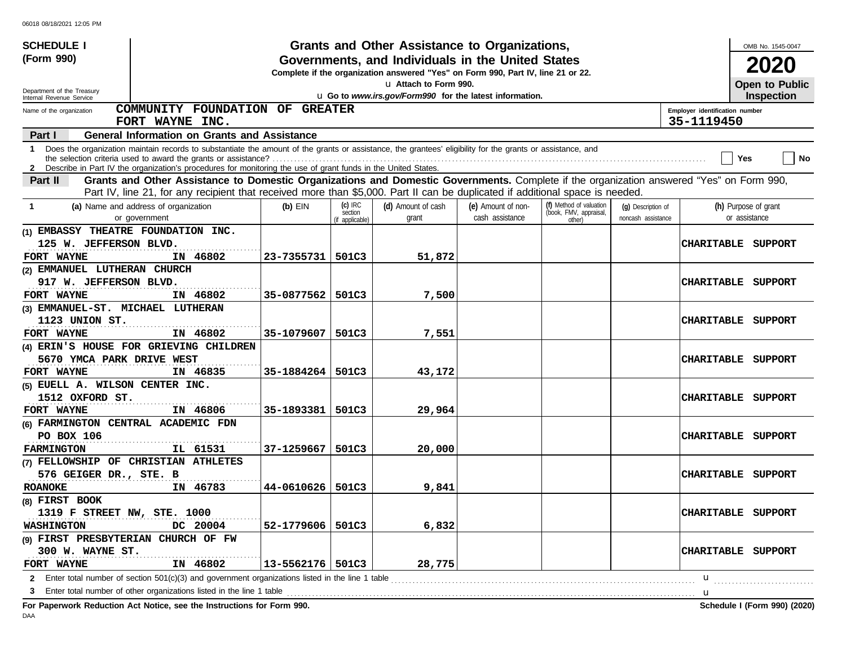| <b>SCHEDULE I</b>                                      |                                                                                                                                                                                                                                                             |                    |                            | Grants and Other Assistance to Organizations,                                                                                         |                    |                                  |                    |                                              | OMB No. 1545-0047         |
|--------------------------------------------------------|-------------------------------------------------------------------------------------------------------------------------------------------------------------------------------------------------------------------------------------------------------------|--------------------|----------------------------|---------------------------------------------------------------------------------------------------------------------------------------|--------------------|----------------------------------|--------------------|----------------------------------------------|---------------------------|
| (Form 990)                                             |                                                                                                                                                                                                                                                             |                    |                            | Governments, and Individuals in the United States<br>Complete if the organization answered "Yes" on Form 990, Part IV, line 21 or 22. |                    |                                  |                    |                                              | 2020                      |
|                                                        |                                                                                                                                                                                                                                                             |                    |                            | u Attach to Form 990.                                                                                                                 |                    |                                  |                    |                                              | Open to Public            |
| Department of the Treasury<br>Internal Revenue Service |                                                                                                                                                                                                                                                             |                    |                            | u Go to www.irs.gov/Form990 for the latest information.                                                                               |                    |                                  |                    |                                              | <b>Inspection</b>         |
| Name of the organization                               | COMMUNITY FOUNDATION OF GREATER<br>FORT WAYNE INC.                                                                                                                                                                                                          |                    |                            |                                                                                                                                       |                    |                                  |                    | Employer identification number<br>35-1119450 |                           |
| Part I                                                 | <b>General Information on Grants and Assistance</b>                                                                                                                                                                                                         |                    |                            |                                                                                                                                       |                    |                                  |                    |                                              |                           |
|                                                        | 1 Does the organization maintain records to substantiate the amount of the grants or assistance, the grantees' eligibility for the grants or assistance, and                                                                                                |                    |                            |                                                                                                                                       |                    |                                  |                    |                                              | No<br>Yes                 |
|                                                        | 2 Describe in Part IV the organization's procedures for monitoring the use of grant funds in the United States.<br>Grants and Other Assistance to Domestic Organizations and Domestic Governments. Complete if the organization answered "Yes" on Form 990, |                    |                            |                                                                                                                                       |                    |                                  |                    |                                              |                           |
| Part II                                                | Part IV, line 21, for any recipient that received more than \$5,000. Part II can be duplicated if additional space is needed.                                                                                                                               |                    |                            |                                                                                                                                       |                    |                                  |                    |                                              |                           |
| -1                                                     | (a) Name and address of organization                                                                                                                                                                                                                        | $(b)$ EIN          | $(c)$ IRC                  | (d) Amount of cash                                                                                                                    | (e) Amount of non- | (f) Method of valuation          | (g) Description of |                                              | (h) Purpose of grant      |
|                                                        | or government                                                                                                                                                                                                                                               |                    | section<br>(if applicable) | grant                                                                                                                                 | cash assistance    | (book, FMV, appraisal,<br>other) | noncash assistance |                                              | or assistance             |
| (1) EMBASSY THEATRE FOUNDATION INC.                    |                                                                                                                                                                                                                                                             |                    |                            |                                                                                                                                       |                    |                                  |                    |                                              |                           |
| 125 W. JEFFERSON BLVD.                                 |                                                                                                                                                                                                                                                             |                    |                            |                                                                                                                                       |                    |                                  |                    |                                              | CHARITABLE SUPPORT        |
| FORT WAYNE                                             | IN 46802                                                                                                                                                                                                                                                    | 23-7355731         | 501C3                      | 51,872                                                                                                                                |                    |                                  |                    |                                              |                           |
| (2) EMMANUEL LUTHERAN CHURCH                           |                                                                                                                                                                                                                                                             |                    |                            |                                                                                                                                       |                    |                                  |                    |                                              |                           |
| 917 W. JEFFERSON BLVD.                                 |                                                                                                                                                                                                                                                             |                    |                            |                                                                                                                                       |                    |                                  |                    | <b>CHARITABLE</b>                            | SUPPORT                   |
| FORT WAYNE                                             | IN 46802                                                                                                                                                                                                                                                    | 35-0877562         | 501C3                      | 7,500                                                                                                                                 |                    |                                  |                    |                                              |                           |
| (3) EMMANUEL-ST. MICHAEL LUTHERAN                      |                                                                                                                                                                                                                                                             |                    |                            |                                                                                                                                       |                    |                                  |                    |                                              |                           |
| 1123 UNION ST.                                         |                                                                                                                                                                                                                                                             |                    |                            |                                                                                                                                       |                    |                                  |                    | <b>CHARITABLE</b>                            | SUPPORT                   |
| FORT WAYNE                                             | IN 46802                                                                                                                                                                                                                                                    | 35-1079607         | 501C3                      | 7,551                                                                                                                                 |                    |                                  |                    |                                              |                           |
|                                                        | (4) ERIN'S HOUSE FOR GRIEVING CHILDREN                                                                                                                                                                                                                      |                    |                            |                                                                                                                                       |                    |                                  |                    |                                              |                           |
| 5670 YMCA PARK DRIVE WEST                              |                                                                                                                                                                                                                                                             |                    |                            |                                                                                                                                       |                    |                                  |                    | <b>CHARITABLE</b>                            | SUPPORT                   |
| FORT WAYNE                                             | IN 46835                                                                                                                                                                                                                                                    | 35-1884264         | 501C3                      | 43,172                                                                                                                                |                    |                                  |                    |                                              |                           |
| (5) EUELL A. WILSON CENTER INC.                        |                                                                                                                                                                                                                                                             |                    |                            |                                                                                                                                       |                    |                                  |                    |                                              |                           |
| 1512 OXFORD ST.                                        |                                                                                                                                                                                                                                                             |                    |                            |                                                                                                                                       |                    |                                  |                    | <b>CHARITABLE</b>                            | SUPPORT                   |
| FORT WAYNE                                             | IN 46806                                                                                                                                                                                                                                                    | 35-1893381         | 501C3                      | 29,964                                                                                                                                |                    |                                  |                    |                                              |                           |
|                                                        | (6) FARMINGTON CENTRAL ACADEMIC FDN                                                                                                                                                                                                                         |                    |                            |                                                                                                                                       |                    |                                  |                    |                                              |                           |
| PO BOX 106                                             |                                                                                                                                                                                                                                                             |                    |                            |                                                                                                                                       |                    |                                  |                    | <b>CHARITABLE</b>                            | SUPPORT                   |
| <b>FARMINGTON</b>                                      | IL 61531                                                                                                                                                                                                                                                    | 37-1259667         | 501C3                      | 20,000                                                                                                                                |                    |                                  |                    |                                              |                           |
|                                                        | (7) FELLOWSHIP OF CHRISTIAN ATHLETES                                                                                                                                                                                                                        |                    |                            |                                                                                                                                       |                    |                                  |                    |                                              |                           |
| 576 GEIGER DR., STE. B                                 |                                                                                                                                                                                                                                                             |                    |                            |                                                                                                                                       |                    |                                  |                    |                                              | <b>CHARITABLE SUPPORT</b> |
| <b>ROANOKE</b>                                         | IN 46783                                                                                                                                                                                                                                                    | 44-0610626         | 501C3                      | 9,841                                                                                                                                 |                    |                                  |                    |                                              |                           |
| (8) FIRST BOOK                                         |                                                                                                                                                                                                                                                             |                    |                            |                                                                                                                                       |                    |                                  |                    |                                              |                           |
| 1319 F STREET NW, STE. 1000                            |                                                                                                                                                                                                                                                             |                    |                            |                                                                                                                                       |                    |                                  |                    |                                              | <b>CHARITABLE SUPPORT</b> |
| <b>WASHINGTON</b>                                      | DC 20004                                                                                                                                                                                                                                                    | 52-1779606         | 501C3                      | 6,832                                                                                                                                 |                    |                                  |                    |                                              |                           |
|                                                        | (9) FIRST PRESBYTERIAN CHURCH OF FW                                                                                                                                                                                                                         |                    |                            |                                                                                                                                       |                    |                                  |                    |                                              |                           |
| 300 W. WAYNE ST.                                       |                                                                                                                                                                                                                                                             |                    |                            |                                                                                                                                       |                    |                                  |                    |                                              | CHARITABLE SUPPORT        |
| FORT WAYNE                                             | IN 46802                                                                                                                                                                                                                                                    | 13-5562176   501C3 |                            | 28,775                                                                                                                                |                    |                                  |                    |                                              |                           |
|                                                        | 2 Enter total number of section 501(c)(3) and government organizations listed in the line 1 table                                                                                                                                                           |                    |                            |                                                                                                                                       |                    |                                  |                    | u                                            |                           |
|                                                        |                                                                                                                                                                                                                                                             |                    |                            |                                                                                                                                       |                    |                                  |                    | u                                            |                           |
|                                                        |                                                                                                                                                                                                                                                             |                    |                            |                                                                                                                                       |                    |                                  |                    |                                              |                           |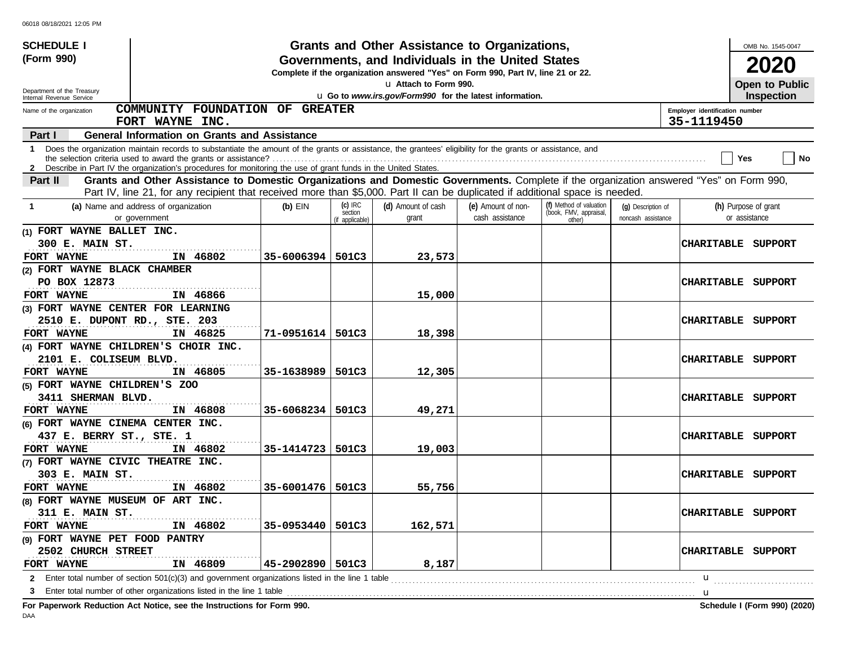| <b>SCHEDULE I</b>                  |                                                                                                                                                                                                                                                                                 |            |                                         | Grants and Other Assistance to Organizations,                                                                                         |                                       |                                                             |                                          |                                              | OMB No. 1545-0047                     |
|------------------------------------|---------------------------------------------------------------------------------------------------------------------------------------------------------------------------------------------------------------------------------------------------------------------------------|------------|-----------------------------------------|---------------------------------------------------------------------------------------------------------------------------------------|---------------------------------------|-------------------------------------------------------------|------------------------------------------|----------------------------------------------|---------------------------------------|
| (Form 990)                         |                                                                                                                                                                                                                                                                                 |            |                                         | Governments, and Individuals in the United States<br>Complete if the organization answered "Yes" on Form 990, Part IV, line 21 or 22. |                                       |                                                             |                                          |                                              | 2020                                  |
| Department of the Treasury         |                                                                                                                                                                                                                                                                                 |            |                                         | u Attach to Form 990.                                                                                                                 |                                       |                                                             |                                          |                                              | Open to Public                        |
| Internal Revenue Service           |                                                                                                                                                                                                                                                                                 |            |                                         | u Go to www.irs.gov/Form990 for the latest information.                                                                               |                                       |                                                             |                                          |                                              | <b>Inspection</b>                     |
| Name of the organization           | COMMUNITY FOUNDATION OF GREATER<br>FORT WAYNE INC.                                                                                                                                                                                                                              |            |                                         |                                                                                                                                       |                                       |                                                             |                                          | Employer identification number<br>35-1119450 |                                       |
| Part I                             | <b>General Information on Grants and Assistance</b>                                                                                                                                                                                                                             |            |                                         |                                                                                                                                       |                                       |                                                             |                                          |                                              |                                       |
|                                    | 1 Does the organization maintain records to substantiate the amount of the grants or assistance, the grantees' eligibility for the grants or assistance, and<br>2 Describe in Part IV the organization's procedures for monitoring the use of grant funds in the United States. |            |                                         |                                                                                                                                       |                                       |                                                             |                                          |                                              | No<br>Yes                             |
| Part II                            | Grants and Other Assistance to Domestic Organizations and Domestic Governments. Complete if the organization answered "Yes" on Form 990,                                                                                                                                        |            |                                         |                                                                                                                                       |                                       |                                                             |                                          |                                              |                                       |
|                                    | Part IV, line 21, for any recipient that received more than \$5,000. Part II can be duplicated if additional space is needed.                                                                                                                                                   |            |                                         |                                                                                                                                       |                                       |                                                             |                                          |                                              |                                       |
| -1                                 | (a) Name and address of organization<br>or government                                                                                                                                                                                                                           | $(b)$ EIN  | $(c)$ IRC<br>section<br>(if applicable) | (d) Amount of cash<br>grant                                                                                                           | (e) Amount of non-<br>cash assistance | (f) Method of valuation<br>(book, FMV, appraisal,<br>other) | (g) Description of<br>noncash assistance |                                              | (h) Purpose of grant<br>or assistance |
| (1) FORT WAYNE BALLET INC.         |                                                                                                                                                                                                                                                                                 |            |                                         |                                                                                                                                       |                                       |                                                             |                                          |                                              |                                       |
| 300 E. MAIN ST.                    |                                                                                                                                                                                                                                                                                 |            |                                         |                                                                                                                                       |                                       |                                                             |                                          |                                              | CHARITABLE SUPPORT                    |
| FORT WAYNE                         | IN 46802                                                                                                                                                                                                                                                                        | 35-6006394 | 501C3                                   | 23,573                                                                                                                                |                                       |                                                             |                                          |                                              |                                       |
| (2) FORT WAYNE BLACK CHAMBER       |                                                                                                                                                                                                                                                                                 |            |                                         |                                                                                                                                       |                                       |                                                             |                                          |                                              |                                       |
| PO BOX 12873                       |                                                                                                                                                                                                                                                                                 |            |                                         |                                                                                                                                       |                                       |                                                             |                                          | <b>CHARITABLE</b>                            | SUPPORT                               |
| FORT WAYNE                         | IN 46866                                                                                                                                                                                                                                                                        |            |                                         | 15,000                                                                                                                                |                                       |                                                             |                                          |                                              |                                       |
| (3) FORT WAYNE CENTER FOR LEARNING |                                                                                                                                                                                                                                                                                 |            |                                         |                                                                                                                                       |                                       |                                                             |                                          |                                              |                                       |
| 2510 E. DUPONT RD., STE. 203       |                                                                                                                                                                                                                                                                                 |            |                                         |                                                                                                                                       |                                       |                                                             |                                          | <b>CHARITABLE</b>                            | SUPPORT                               |
| FORT WAYNE                         | IN 46825                                                                                                                                                                                                                                                                        | 71-0951614 | 501C3                                   | 18,398                                                                                                                                |                                       |                                                             |                                          |                                              |                                       |
|                                    | (4) FORT WAYNE CHILDREN'S CHOIR INC.                                                                                                                                                                                                                                            |            |                                         |                                                                                                                                       |                                       |                                                             |                                          |                                              |                                       |
| 2101 E. COLISEUM BLVD.             |                                                                                                                                                                                                                                                                                 |            |                                         |                                                                                                                                       |                                       |                                                             |                                          | <b>CHARITABLE</b>                            | SUPPORT                               |
| FORT WAYNE                         | IN 46805                                                                                                                                                                                                                                                                        | 35-1638989 | 501C3                                   | 12,305                                                                                                                                |                                       |                                                             |                                          |                                              |                                       |
| (5) FORT WAYNE CHILDREN'S ZOO      |                                                                                                                                                                                                                                                                                 |            |                                         |                                                                                                                                       |                                       |                                                             |                                          |                                              |                                       |
| 3411 SHERMAN BLVD.                 |                                                                                                                                                                                                                                                                                 |            |                                         |                                                                                                                                       |                                       |                                                             |                                          | <b>CHARITABLE</b>                            | SUPPORT                               |
| FORT WAYNE                         | IN 46808                                                                                                                                                                                                                                                                        | 35-6068234 | 501C3                                   | 49,271                                                                                                                                |                                       |                                                             |                                          |                                              |                                       |
| (6) FORT WAYNE CINEMA CENTER INC.  |                                                                                                                                                                                                                                                                                 |            |                                         |                                                                                                                                       |                                       |                                                             |                                          |                                              |                                       |
| 437 E. BERRY ST., STE. 1           |                                                                                                                                                                                                                                                                                 |            |                                         |                                                                                                                                       |                                       |                                                             |                                          | <b>CHARITABLE</b>                            | SUPPORT                               |
| FORT WAYNE                         | IN 46802                                                                                                                                                                                                                                                                        | 35-1414723 | 501C3                                   | 19,003                                                                                                                                |                                       |                                                             |                                          |                                              |                                       |
| (7) FORT WAYNE CIVIC THEATRE INC.  |                                                                                                                                                                                                                                                                                 |            |                                         |                                                                                                                                       |                                       |                                                             |                                          |                                              |                                       |
| 303 E. MAIN ST.                    |                                                                                                                                                                                                                                                                                 |            |                                         |                                                                                                                                       |                                       |                                                             |                                          |                                              | <b>CHARITABLE SUPPORT</b>             |
| FORT WAYNE                         | IN 46802                                                                                                                                                                                                                                                                        | 35-6001476 | 501C3                                   | 55,756                                                                                                                                |                                       |                                                             |                                          |                                              |                                       |
| (8) FORT WAYNE MUSEUM OF ART INC.  |                                                                                                                                                                                                                                                                                 |            |                                         |                                                                                                                                       |                                       |                                                             |                                          |                                              |                                       |
| <b>311 E. MAIN ST.</b>             |                                                                                                                                                                                                                                                                                 |            |                                         |                                                                                                                                       |                                       |                                                             |                                          |                                              | <b>CHARITABLE SUPPORT</b>             |
| FORT WAYNE                         | IN 46802                                                                                                                                                                                                                                                                        | 35-0953440 | 501C3                                   | 162,571                                                                                                                               |                                       |                                                             |                                          |                                              |                                       |
| (9) FORT WAYNE PET FOOD PANTRY     |                                                                                                                                                                                                                                                                                 |            |                                         |                                                                                                                                       |                                       |                                                             |                                          |                                              |                                       |
| 2502 CHURCH STREET                 |                                                                                                                                                                                                                                                                                 |            |                                         |                                                                                                                                       |                                       |                                                             |                                          |                                              | CHARITABLE SUPPORT                    |
| FORT WAYNE                         | IN 46809                                                                                                                                                                                                                                                                        | 45-2902890 | 501C3                                   | 8,187                                                                                                                                 |                                       |                                                             |                                          |                                              |                                       |
|                                    |                                                                                                                                                                                                                                                                                 |            |                                         |                                                                                                                                       |                                       |                                                             |                                          | u                                            |                                       |
|                                    | 3 Enter total number of other organizations listed in the line 1 table                                                                                                                                                                                                          |            |                                         |                                                                                                                                       |                                       |                                                             |                                          | u                                            |                                       |
|                                    | For Paperwork Reduction Act Notice, see the Instructions for Form 990.                                                                                                                                                                                                          |            |                                         |                                                                                                                                       |                                       |                                                             |                                          |                                              | Schedule I (Form 990) (2020)          |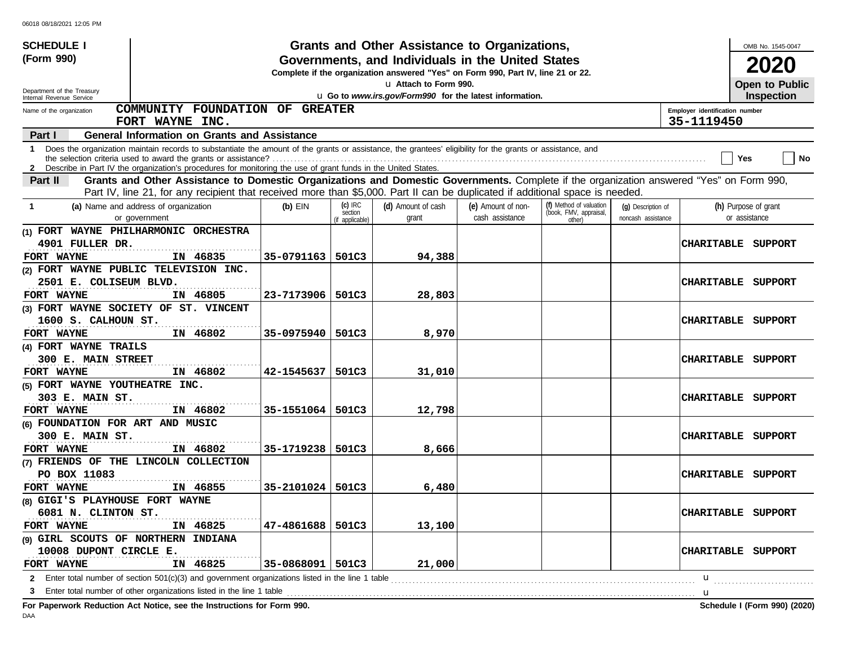| <b>SCHEDULE I</b>                   |                                                                                                                                                                                                                                                                               |                    |                                         | Grants and Other Assistance to Organizations,                                                                                         |                                       |                                                             |                                          |                                | OMB No. 1545-0047                     |
|-------------------------------------|-------------------------------------------------------------------------------------------------------------------------------------------------------------------------------------------------------------------------------------------------------------------------------|--------------------|-----------------------------------------|---------------------------------------------------------------------------------------------------------------------------------------|---------------------------------------|-------------------------------------------------------------|------------------------------------------|--------------------------------|---------------------------------------|
| (Form 990)                          |                                                                                                                                                                                                                                                                               |                    |                                         | Governments, and Individuals in the United States<br>Complete if the organization answered "Yes" on Form 990, Part IV, line 21 or 22. |                                       |                                                             |                                          |                                | 2020                                  |
| Department of the Treasury          |                                                                                                                                                                                                                                                                               |                    |                                         | La Attach to Form 990.                                                                                                                |                                       |                                                             |                                          |                                | Open to Public                        |
| Internal Revenue Service            |                                                                                                                                                                                                                                                                               |                    |                                         | u Go to www.irs.gov/Form990 for the latest information.                                                                               |                                       |                                                             |                                          |                                | Inspection                            |
| Name of the organization            | COMMUNITY FOUNDATION OF GREATER                                                                                                                                                                                                                                               |                    |                                         |                                                                                                                                       |                                       |                                                             |                                          | Employer identification number |                                       |
|                                     | FORT WAYNE INC.                                                                                                                                                                                                                                                               |                    |                                         |                                                                                                                                       |                                       |                                                             |                                          | 35-1119450                     |                                       |
| Part I                              | <b>General Information on Grants and Assistance</b>                                                                                                                                                                                                                           |                    |                                         |                                                                                                                                       |                                       |                                                             |                                          |                                |                                       |
| -1                                  | Does the organization maintain records to substantiate the amount of the grants or assistance, the grantees' eligibility for the grants or assistance, and<br>2 Describe in Part IV the organization's procedures for monitoring the use of grant funds in the United States. |                    |                                         |                                                                                                                                       |                                       |                                                             |                                          |                                | <b>No</b><br>Yes                      |
| Part II                             | Grants and Other Assistance to Domestic Organizations and Domestic Governments. Complete if the organization answered "Yes" on Form 990,                                                                                                                                      |                    |                                         |                                                                                                                                       |                                       |                                                             |                                          |                                |                                       |
|                                     | Part IV, line 21, for any recipient that received more than \$5,000. Part II can be duplicated if additional space is needed.                                                                                                                                                 |                    |                                         |                                                                                                                                       |                                       |                                                             |                                          |                                |                                       |
| -1                                  | (a) Name and address of organization<br>or government                                                                                                                                                                                                                         | $(b)$ EIN          | $(c)$ IRC<br>section<br>(if applicable) | (d) Amount of cash<br>grant                                                                                                           | (e) Amount of non-<br>cash assistance | (f) Method of valuation<br>(book, FMV, appraisal,<br>other) | (g) Description of<br>noncash assistance |                                | (h) Purpose of grant<br>or assistance |
|                                     | (1) FORT WAYNE PHILHARMONIC ORCHESTRA                                                                                                                                                                                                                                         |                    |                                         |                                                                                                                                       |                                       |                                                             |                                          |                                |                                       |
| 4901 FULLER DR.                     |                                                                                                                                                                                                                                                                               |                    |                                         |                                                                                                                                       |                                       |                                                             |                                          | CHARITABLE                     | SUPPORT                               |
| FORT WAYNE                          | IN 46835                                                                                                                                                                                                                                                                      | 35-0791163         | 501C3                                   | 94,388                                                                                                                                |                                       |                                                             |                                          |                                |                                       |
|                                     | (2) FORT WAYNE PUBLIC TELEVISION INC.                                                                                                                                                                                                                                         |                    |                                         |                                                                                                                                       |                                       |                                                             |                                          |                                |                                       |
| 2501 E. COLISEUM BLVD.              |                                                                                                                                                                                                                                                                               |                    |                                         |                                                                                                                                       |                                       |                                                             |                                          | <b>CHARITABLE</b>              | SUPPORT                               |
| FORT WAYNE                          | IN 46805                                                                                                                                                                                                                                                                      | 23-7173906         | 501C3                                   | 28,803                                                                                                                                |                                       |                                                             |                                          |                                |                                       |
|                                     | (3) FORT WAYNE SOCIETY OF ST. VINCENT                                                                                                                                                                                                                                         |                    |                                         |                                                                                                                                       |                                       |                                                             |                                          |                                |                                       |
| 1600 S. CALHOUN ST.                 |                                                                                                                                                                                                                                                                               |                    |                                         |                                                                                                                                       |                                       |                                                             |                                          | <b>CHARITABLE</b>              | SUPPORT                               |
| FORT WAYNE                          | IN 46802                                                                                                                                                                                                                                                                      | 35-0975940         | 501C3                                   | 8,970                                                                                                                                 |                                       |                                                             |                                          |                                |                                       |
| (4) FORT WAYNE TRAILS               |                                                                                                                                                                                                                                                                               |                    |                                         |                                                                                                                                       |                                       |                                                             |                                          |                                |                                       |
| 300 E. MAIN STREET                  |                                                                                                                                                                                                                                                                               |                    |                                         |                                                                                                                                       |                                       |                                                             |                                          | <b>CHARITABLE</b>              | SUPPORT                               |
| FORT WAYNE                          | IN 46802                                                                                                                                                                                                                                                                      | 42–1545637         | 501C3                                   | 31,010                                                                                                                                |                                       |                                                             |                                          |                                |                                       |
| (5) FORT WAYNE YOUTHEATRE INC.      |                                                                                                                                                                                                                                                                               |                    |                                         |                                                                                                                                       |                                       |                                                             |                                          |                                |                                       |
| 303 E. MAIN ST.                     |                                                                                                                                                                                                                                                                               |                    |                                         |                                                                                                                                       |                                       |                                                             |                                          | <b>CHARITABLE</b>              | SUPPORT                               |
| FORT WAYNE                          | IN 46802                                                                                                                                                                                                                                                                      | 35-1551064   501C3 |                                         | 12,798                                                                                                                                |                                       |                                                             |                                          |                                |                                       |
| (6) FOUNDATION FOR ART AND MUSIC    |                                                                                                                                                                                                                                                                               |                    |                                         |                                                                                                                                       |                                       |                                                             |                                          |                                |                                       |
| 300 E. MAIN ST.                     |                                                                                                                                                                                                                                                                               |                    |                                         |                                                                                                                                       |                                       |                                                             |                                          | <b>CHARITABLE</b>              | SUPPORT                               |
| FORT WAYNE                          | IN 46802                                                                                                                                                                                                                                                                      | 35-1719238         | 501C3                                   | 8,666                                                                                                                                 |                                       |                                                             |                                          |                                |                                       |
|                                     | (7) FRIENDS OF THE LINCOLN COLLECTION                                                                                                                                                                                                                                         |                    |                                         |                                                                                                                                       |                                       |                                                             |                                          |                                |                                       |
| PO BOX 11083                        |                                                                                                                                                                                                                                                                               |                    |                                         |                                                                                                                                       |                                       |                                                             |                                          | <b>CHARITABLE</b>              | SUPPORT                               |
| FORT WAYNE                          | IN 46855                                                                                                                                                                                                                                                                      | 35-2101024         | 501C3                                   | 6,480                                                                                                                                 |                                       |                                                             |                                          |                                |                                       |
| (8) GIGI'S PLAYHOUSE FORT WAYNE     |                                                                                                                                                                                                                                                                               |                    |                                         |                                                                                                                                       |                                       |                                                             |                                          |                                |                                       |
| 6081 N. CLINTON ST.                 |                                                                                                                                                                                                                                                                               |                    |                                         |                                                                                                                                       |                                       |                                                             |                                          |                                | CHARITABLE SUPPORT                    |
| FORT WAYNE                          | IN 46825                                                                                                                                                                                                                                                                      | 47-4861688   501C3 |                                         | 13,100                                                                                                                                |                                       |                                                             |                                          |                                |                                       |
| (9) GIRL SCOUTS OF NORTHERN INDIANA |                                                                                                                                                                                                                                                                               |                    |                                         |                                                                                                                                       |                                       |                                                             |                                          |                                |                                       |
| 10008 DUPONT CIRCLE E.              |                                                                                                                                                                                                                                                                               |                    |                                         |                                                                                                                                       |                                       |                                                             |                                          |                                | CHARITABLE SUPPORT                    |
| FORT WAYNE                          | IN 46825                                                                                                                                                                                                                                                                      | 35-0868091         | 501C3                                   | 21,000                                                                                                                                |                                       |                                                             |                                          |                                |                                       |
|                                     | <b>2</b> Enter total number of section 501(c)(3) and government organizations listed in the line 1 table                                                                                                                                                                      |                    |                                         |                                                                                                                                       |                                       |                                                             |                                          | u                              |                                       |
|                                     | Enter total number of other organizations listed in the line 1 table<br>Fer Denemierk Deduction, Act Netten, and the Instructions for Fer                                                                                                                                     |                    |                                         |                                                                                                                                       |                                       |                                                             |                                          | u                              | Calcadole 1 (Fause 000) (0000)        |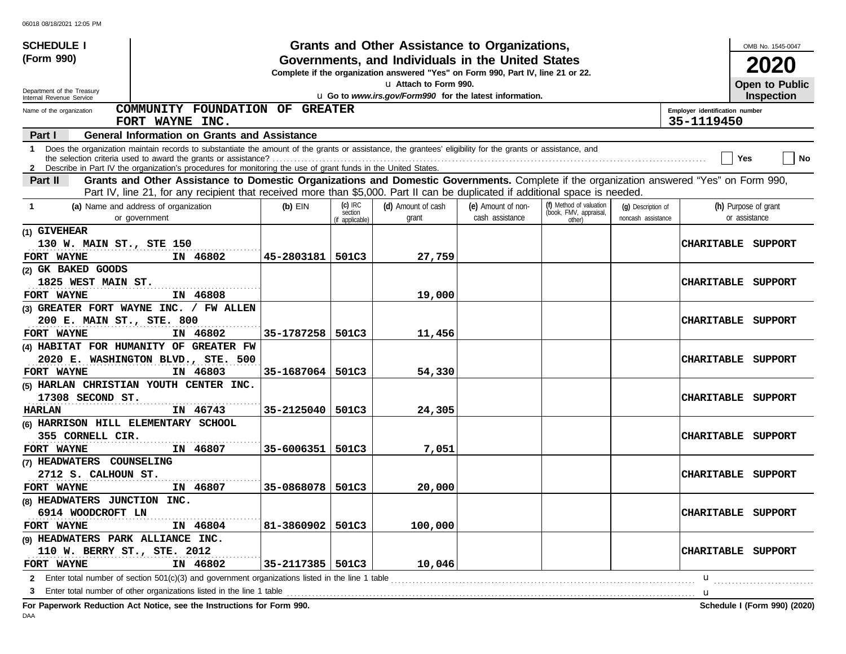| <b>SCHEDULE I</b>                                                                                                                                                                                                                                                               |                    |                                         | Grants and Other Assistance to Organizations,                                                                                         |                                       |                                                             |                                          |                                | OMB No. 1545-0047                     |
|---------------------------------------------------------------------------------------------------------------------------------------------------------------------------------------------------------------------------------------------------------------------------------|--------------------|-----------------------------------------|---------------------------------------------------------------------------------------------------------------------------------------|---------------------------------------|-------------------------------------------------------------|------------------------------------------|--------------------------------|---------------------------------------|
| (Form 990)                                                                                                                                                                                                                                                                      |                    |                                         | Governments, and Individuals in the United States<br>Complete if the organization answered "Yes" on Form 990, Part IV, line 21 or 22. |                                       |                                                             |                                          |                                | 2020                                  |
|                                                                                                                                                                                                                                                                                 |                    |                                         | La Attach to Form 990.                                                                                                                |                                       |                                                             |                                          |                                | Open to Public                        |
| Department of the Treasury<br>Internal Revenue Service                                                                                                                                                                                                                          |                    |                                         | u Go to www.irs.gov/Form990 for the latest information.                                                                               |                                       |                                                             |                                          |                                | Inspection                            |
| COMMUNITY FOUNDATION OF GREATER<br>Name of the organization                                                                                                                                                                                                                     |                    |                                         |                                                                                                                                       |                                       |                                                             |                                          | Employer identification number |                                       |
| FORT WAYNE INC.                                                                                                                                                                                                                                                                 |                    |                                         |                                                                                                                                       |                                       |                                                             |                                          | 35-1119450                     |                                       |
| <b>General Information on Grants and Assistance</b><br><b>Part I</b>                                                                                                                                                                                                            |                    |                                         |                                                                                                                                       |                                       |                                                             |                                          |                                |                                       |
| 1 Does the organization maintain records to substantiate the amount of the grants or assistance, the grantees' eligibility for the grants or assistance, and<br>2 Describe in Part IV the organization's procedures for monitoring the use of grant funds in the United States. |                    |                                         |                                                                                                                                       |                                       |                                                             |                                          |                                | No<br>Yes                             |
| Grants and Other Assistance to Domestic Organizations and Domestic Governments. Complete if the organization answered "Yes" on Form 990,<br>Part II                                                                                                                             |                    |                                         |                                                                                                                                       |                                       |                                                             |                                          |                                |                                       |
| Part IV, line 21, for any recipient that received more than \$5,000. Part II can be duplicated if additional space is needed.                                                                                                                                                   |                    |                                         |                                                                                                                                       |                                       |                                                             |                                          |                                |                                       |
| (a) Name and address of organization<br>-1<br>or government                                                                                                                                                                                                                     | $(b)$ EIN          | $(c)$ IRC<br>section<br>(if applicable) | (d) Amount of cash<br>grant                                                                                                           | (e) Amount of non-<br>cash assistance | (f) Method of valuation<br>(book, FMV, appraisal,<br>other) | (g) Description of<br>noncash assistance |                                | (h) Purpose of grant<br>or assistance |
| (1) GIVEHEAR                                                                                                                                                                                                                                                                    |                    |                                         |                                                                                                                                       |                                       |                                                             |                                          |                                |                                       |
| 130 W. MAIN ST., STE 150                                                                                                                                                                                                                                                        |                    |                                         |                                                                                                                                       |                                       |                                                             |                                          |                                | <b>CHARITABLE SUPPORT</b>             |
| FORT WAYNE<br>IN 46802                                                                                                                                                                                                                                                          | 45-2803181         | 501C3                                   | 27,759                                                                                                                                |                                       |                                                             |                                          |                                |                                       |
| (2) GK BAKED GOODS                                                                                                                                                                                                                                                              |                    |                                         |                                                                                                                                       |                                       |                                                             |                                          |                                |                                       |
| 1825 WEST MAIN ST.                                                                                                                                                                                                                                                              |                    |                                         |                                                                                                                                       |                                       |                                                             |                                          |                                | <b>CHARITABLE SUPPORT</b>             |
| IN 46808<br>FORT WAYNE                                                                                                                                                                                                                                                          |                    |                                         | 19,000                                                                                                                                |                                       |                                                             |                                          |                                |                                       |
| (3) GREATER FORT WAYNE INC. / FW ALLEN                                                                                                                                                                                                                                          |                    |                                         |                                                                                                                                       |                                       |                                                             |                                          |                                |                                       |
| 200 E. MAIN ST., STE. 800                                                                                                                                                                                                                                                       |                    |                                         |                                                                                                                                       |                                       |                                                             |                                          |                                | CHARITABLE SUPPORT                    |
| FORT WAYNE<br>IN 46802                                                                                                                                                                                                                                                          | 35-1787258         | 501C3                                   | 11,456                                                                                                                                |                                       |                                                             |                                          |                                |                                       |
| (4) HABITAT FOR HUMANITY OF GREATER FW                                                                                                                                                                                                                                          |                    |                                         |                                                                                                                                       |                                       |                                                             |                                          |                                |                                       |
| 2020 E. WASHINGTON BLVD., STE. 500                                                                                                                                                                                                                                              |                    |                                         |                                                                                                                                       |                                       |                                                             |                                          |                                | CHARITABLE SUPPORT                    |
| FORT WAYNE<br>IN 46803                                                                                                                                                                                                                                                          | 35-1687064         | 501C3                                   | 54,330                                                                                                                                |                                       |                                                             |                                          |                                |                                       |
| (5) HARLAN CHRISTIAN YOUTH CENTER INC.                                                                                                                                                                                                                                          |                    |                                         |                                                                                                                                       |                                       |                                                             |                                          |                                |                                       |
| 17308 SECOND ST.                                                                                                                                                                                                                                                                |                    |                                         |                                                                                                                                       |                                       |                                                             |                                          |                                | CHARITABLE SUPPORT                    |
| IN 46743<br>HARLAN                                                                                                                                                                                                                                                              | 35-2125040         | 501C3                                   | 24,305                                                                                                                                |                                       |                                                             |                                          |                                |                                       |
| (6) HARRISON HILL ELEMENTARY SCHOOL                                                                                                                                                                                                                                             |                    |                                         |                                                                                                                                       |                                       |                                                             |                                          |                                |                                       |
| 355 CORNELL CIR.                                                                                                                                                                                                                                                                |                    |                                         |                                                                                                                                       |                                       |                                                             |                                          |                                | CHARITABLE SUPPORT                    |
| IN 46807<br>FORT WAYNE                                                                                                                                                                                                                                                          | 35-6006351         | 501C3                                   | 7,051                                                                                                                                 |                                       |                                                             |                                          |                                |                                       |
| (7) HEADWATERS COUNSELING                                                                                                                                                                                                                                                       |                    |                                         |                                                                                                                                       |                                       |                                                             |                                          |                                |                                       |
| 2712 S. CALHOUN ST.                                                                                                                                                                                                                                                             |                    |                                         |                                                                                                                                       |                                       |                                                             |                                          |                                | <b>CHARITABLE SUPPORT</b>             |
| IN 46807<br>FORT WAYNE                                                                                                                                                                                                                                                          | 35-0868078         | 501C3                                   | 20,000                                                                                                                                |                                       |                                                             |                                          |                                |                                       |
| (8) HEADWATERS JUNCTION INC.                                                                                                                                                                                                                                                    |                    |                                         |                                                                                                                                       |                                       |                                                             |                                          |                                |                                       |
| 6914 WOODCROFT LN                                                                                                                                                                                                                                                               |                    |                                         |                                                                                                                                       |                                       |                                                             |                                          |                                | <b>CHARITABLE SUPPORT</b>             |
| FORT WAYNE<br>IN 46804                                                                                                                                                                                                                                                          | 81-3860902         | 501C3                                   | 100,000                                                                                                                               |                                       |                                                             |                                          |                                |                                       |
| (9) HEADWATERS PARK ALLIANCE INC.                                                                                                                                                                                                                                               |                    |                                         |                                                                                                                                       |                                       |                                                             |                                          |                                | CHARITABLE SUPPORT                    |
| 110 W. BERRY ST., STE. 2012<br>IN 46802<br>FORT WAYNE                                                                                                                                                                                                                           | 35-2117385   501C3 |                                         | 10,046                                                                                                                                |                                       |                                                             |                                          |                                |                                       |
|                                                                                                                                                                                                                                                                                 |                    |                                         |                                                                                                                                       |                                       |                                                             |                                          | u                              |                                       |
|                                                                                                                                                                                                                                                                                 |                    |                                         |                                                                                                                                       |                                       |                                                             |                                          | u                              |                                       |
| For Paperwork Reduction Act Notice, see the Instructions for Form 990.                                                                                                                                                                                                          |                    |                                         |                                                                                                                                       |                                       |                                                             |                                          |                                | Schedule I (Form 990) (2020)          |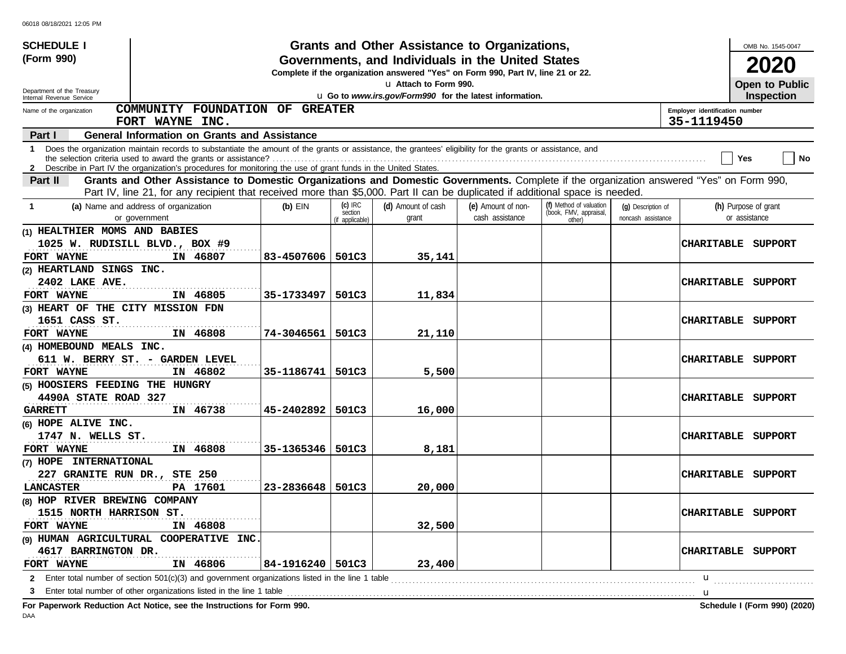| <b>SCHEDULE I</b>                                                          |                                                                                                                                                                                                                                                                               |                    |                                         | Grants and Other Assistance to Organizations,                                                                                         |                                       |                                                             |                                          |                                              | OMB No. 1545-0047                     |
|----------------------------------------------------------------------------|-------------------------------------------------------------------------------------------------------------------------------------------------------------------------------------------------------------------------------------------------------------------------------|--------------------|-----------------------------------------|---------------------------------------------------------------------------------------------------------------------------------------|---------------------------------------|-------------------------------------------------------------|------------------------------------------|----------------------------------------------|---------------------------------------|
| (Form 990)                                                                 |                                                                                                                                                                                                                                                                               |                    |                                         | Governments, and Individuals in the United States<br>Complete if the organization answered "Yes" on Form 990, Part IV, line 21 or 22. |                                       |                                                             |                                          |                                              | 2020                                  |
| Department of the Treasury                                                 |                                                                                                                                                                                                                                                                               |                    |                                         | La Attach to Form 990.                                                                                                                |                                       |                                                             |                                          |                                              | Open to Public                        |
| Internal Revenue Service                                                   |                                                                                                                                                                                                                                                                               |                    |                                         | u Go to www.irs.gov/Form990 for the latest information.                                                                               |                                       |                                                             |                                          |                                              | <b>Inspection</b>                     |
| Name of the organization                                                   | COMMUNITY FOUNDATION OF GREATER<br>FORT WAYNE INC.                                                                                                                                                                                                                            |                    |                                         |                                                                                                                                       |                                       |                                                             |                                          | Employer identification number<br>35-1119450 |                                       |
| Part I                                                                     | <b>General Information on Grants and Assistance</b>                                                                                                                                                                                                                           |                    |                                         |                                                                                                                                       |                                       |                                                             |                                          |                                              |                                       |
| 1                                                                          | Does the organization maintain records to substantiate the amount of the grants or assistance, the grantees' eligibility for the grants or assistance, and<br>2 Describe in Part IV the organization's procedures for monitoring the use of grant funds in the United States. |                    |                                         |                                                                                                                                       |                                       |                                                             |                                          |                                              | No<br>Yes                             |
| Part II                                                                    | Grants and Other Assistance to Domestic Organizations and Domestic Governments. Complete if the organization answered "Yes" on Form 990,                                                                                                                                      |                    |                                         |                                                                                                                                       |                                       |                                                             |                                          |                                              |                                       |
|                                                                            | Part IV, line 21, for any recipient that received more than \$5,000. Part II can be duplicated if additional space is needed.                                                                                                                                                 |                    |                                         |                                                                                                                                       |                                       |                                                             |                                          |                                              |                                       |
| -1                                                                         | (a) Name and address of organization<br>or government                                                                                                                                                                                                                         | $(b)$ EIN          | $(c)$ IRC<br>section<br>(if applicable) | (d) Amount of cash<br>grant                                                                                                           | (e) Amount of non-<br>cash assistance | (f) Method of valuation<br>(book, FMV, appraisal,<br>other) | (q) Description of<br>noncash assistance |                                              | (h) Purpose of grant<br>or assistance |
| (1) HEALTHIER MOMS AND BABIES<br>FORT WAYNE                                | 1025 W. RUDISILL BLVD., BOX #9<br>IN 46807                                                                                                                                                                                                                                    | 83-4507606         | 501C3                                   | 35,141                                                                                                                                |                                       |                                                             |                                          |                                              | CHARITABLE SUPPORT                    |
| (2) HEARTLAND SINGS INC.<br>2402 LAKE AVE.                                 |                                                                                                                                                                                                                                                                               |                    |                                         |                                                                                                                                       |                                       |                                                             |                                          | <b>CHARITABLE</b>                            | SUPPORT                               |
| FORT WAYNE                                                                 | IN 46805                                                                                                                                                                                                                                                                      | 35-1733497         | 501C3                                   | 11,834                                                                                                                                |                                       |                                                             |                                          |                                              |                                       |
| (3) HEART OF THE CITY MISSION FDN<br>1651 CASS ST.                         |                                                                                                                                                                                                                                                                               |                    |                                         |                                                                                                                                       |                                       |                                                             |                                          | <b>CHARITABLE</b>                            | SUPPORT                               |
| FORT WAYNE                                                                 | IN 46808                                                                                                                                                                                                                                                                      | 74-3046561         | 501C3                                   | 21,110                                                                                                                                |                                       |                                                             |                                          |                                              |                                       |
| (4) HOMEBOUND MEALS INC.                                                   | 611 W. BERRY ST. - GARDEN LEVEL                                                                                                                                                                                                                                               |                    |                                         |                                                                                                                                       |                                       |                                                             |                                          | <b>CHARITABLE</b>                            | SUPPORT                               |
| FORT WAYNE                                                                 | IN 46802                                                                                                                                                                                                                                                                      | 35-1186741         | 501C3                                   | 5,500                                                                                                                                 |                                       |                                                             |                                          |                                              |                                       |
| (5) HOOSIERS FEEDING THE HUNGRY<br>4490A STATE ROAD 327<br><b>GARRETT</b>  | IN 46738                                                                                                                                                                                                                                                                      | 45-2402892         | 501C3                                   | 16,000                                                                                                                                |                                       |                                                             |                                          | <b>CHARITABLE</b>                            | SUPPORT                               |
| (6) HOPE ALIVE INC.<br>1747 N. WELLS ST.<br>FORT WAYNE                     | IN 46808                                                                                                                                                                                                                                                                      | 35-1365346         | 501C3                                   | 8,181                                                                                                                                 |                                       |                                                             |                                          | <b>CHARITABLE</b>                            | SUPPORT                               |
| (7) HOPE INTERNATIONAL<br>227 GRANITE RUN DR., STE 250<br><b>LANCASTER</b> | PA 17601                                                                                                                                                                                                                                                                      | 23-2836648         | 501C3                                   | 20,000                                                                                                                                |                                       |                                                             |                                          | <b>CHARITABLE</b>                            | SUPPORT                               |
| (8) HOP RIVER BREWING COMPANY<br>1515 NORTH HARRISON ST.<br>FORT WAYNE     | IN 46808                                                                                                                                                                                                                                                                      |                    |                                         | 32,500                                                                                                                                |                                       |                                                             |                                          |                                              | CHARITABLE SUPPORT                    |
| 4617 BARRINGTON DR.<br>FORT WAYNE                                          | (9) HUMAN AGRICULTURAL COOPERATIVE INC.<br>IN 46806                                                                                                                                                                                                                           | 84-1916240   501C3 |                                         | 23,400                                                                                                                                |                                       |                                                             |                                          | <b>CHARITABLE</b>                            | SUPPORT                               |
|                                                                            | 2 Enter total number of section 501(c)(3) and government organizations listed in the line 1 table                                                                                                                                                                             |                    |                                         |                                                                                                                                       |                                       |                                                             |                                          | u                                            |                                       |
| 3                                                                          | Enter total number of other organizations listed in the line 1 table                                                                                                                                                                                                          |                    |                                         |                                                                                                                                       |                                       |                                                             |                                          | u                                            |                                       |
|                                                                            | Fer Denominaris Dedication, Ant Nation, and the Instructions for Fer-                                                                                                                                                                                                         |                    |                                         |                                                                                                                                       |                                       |                                                             |                                          |                                              | Calcadole 1 (Fause 000) (0000)        |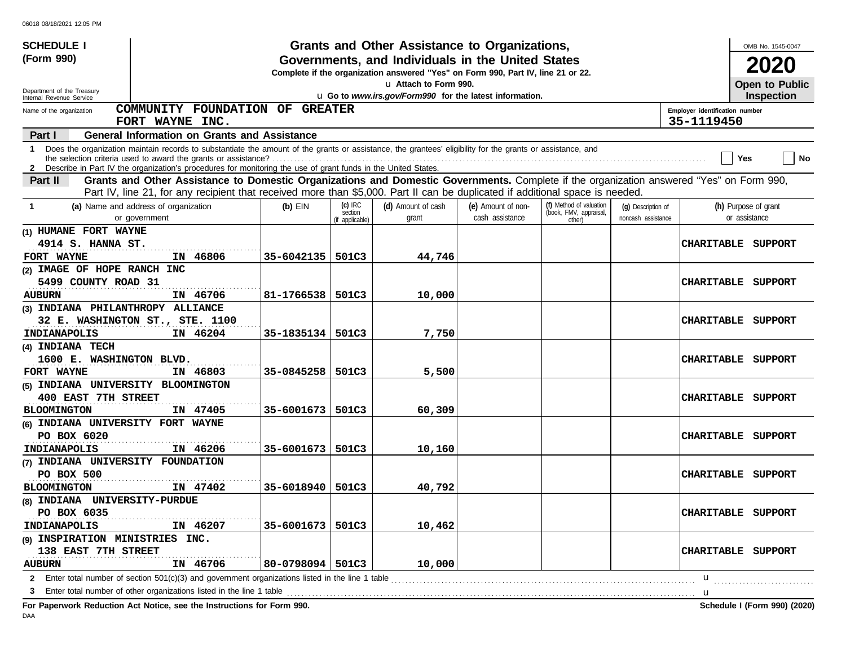| <b>SCHEDULE I</b>                                         |                                                                                                                                                                                                                                                                                 |                    |                                         | Grants and Other Assistance to Organizations,                                                                                         |                                       |                                                             |                                          |                                              | OMB No. 1545-0047                     |
|-----------------------------------------------------------|---------------------------------------------------------------------------------------------------------------------------------------------------------------------------------------------------------------------------------------------------------------------------------|--------------------|-----------------------------------------|---------------------------------------------------------------------------------------------------------------------------------------|---------------------------------------|-------------------------------------------------------------|------------------------------------------|----------------------------------------------|---------------------------------------|
| (Form 990)                                                |                                                                                                                                                                                                                                                                                 |                    |                                         | Governments, and Individuals in the United States<br>Complete if the organization answered "Yes" on Form 990, Part IV, line 21 or 22. |                                       |                                                             |                                          |                                              | 2020                                  |
| Department of the Treasury                                |                                                                                                                                                                                                                                                                                 |                    |                                         | u Attach to Form 990.                                                                                                                 |                                       |                                                             |                                          |                                              | Open to Public                        |
| Internal Revenue Service                                  |                                                                                                                                                                                                                                                                                 |                    |                                         | u Go to www.irs.gov/Form990 for the latest information.                                                                               |                                       |                                                             |                                          |                                              | <b>Inspection</b>                     |
| Name of the organization                                  | COMMUNITY FOUNDATION OF GREATER<br>FORT WAYNE INC.                                                                                                                                                                                                                              |                    |                                         |                                                                                                                                       |                                       |                                                             |                                          | Employer identification number<br>35-1119450 |                                       |
| Part I                                                    | <b>General Information on Grants and Assistance</b>                                                                                                                                                                                                                             |                    |                                         |                                                                                                                                       |                                       |                                                             |                                          |                                              |                                       |
|                                                           | 1 Does the organization maintain records to substantiate the amount of the grants or assistance, the grantees' eligibility for the grants or assistance, and<br>2 Describe in Part IV the organization's procedures for monitoring the use of grant funds in the United States. |                    |                                         |                                                                                                                                       |                                       |                                                             |                                          |                                              | No<br>Yes                             |
| <b>Part II</b>                                            | Grants and Other Assistance to Domestic Organizations and Domestic Governments. Complete if the organization answered "Yes" on Form 990,                                                                                                                                        |                    |                                         |                                                                                                                                       |                                       |                                                             |                                          |                                              |                                       |
|                                                           | Part IV, line 21, for any recipient that received more than \$5,000. Part II can be duplicated if additional space is needed.                                                                                                                                                   |                    |                                         |                                                                                                                                       |                                       |                                                             |                                          |                                              |                                       |
| -1                                                        | (a) Name and address of organization<br>or government                                                                                                                                                                                                                           | $(b)$ EIN          | $(c)$ IRC<br>section<br>(if applicable) | (d) Amount of cash<br>grant                                                                                                           | (e) Amount of non-<br>cash assistance | (f) Method of valuation<br>(book, FMV, appraisal,<br>other) | (q) Description of<br>noncash assistance |                                              | (h) Purpose of grant<br>or assistance |
| (1) HUMANE FORT WAYNE                                     |                                                                                                                                                                                                                                                                                 |                    |                                         |                                                                                                                                       |                                       |                                                             |                                          |                                              |                                       |
| 4914 S. HANNA ST.<br>FORT WAYNE                           | IN 46806                                                                                                                                                                                                                                                                        | 35-6042135         | 501C3                                   | 44,746                                                                                                                                |                                       |                                                             |                                          | <b>CHARITABLE</b>                            | SUPPORT                               |
| (2) IMAGE OF HOPE RANCH INC                               |                                                                                                                                                                                                                                                                                 |                    |                                         |                                                                                                                                       |                                       |                                                             |                                          |                                              |                                       |
| 5499 COUNTY ROAD 31                                       |                                                                                                                                                                                                                                                                                 |                    |                                         |                                                                                                                                       |                                       |                                                             |                                          | <b>CHARITABLE</b>                            | SUPPORT                               |
| <b>AUBURN</b>                                             | IN 46706                                                                                                                                                                                                                                                                        | 81-1766538         | 501C3                                   | 10,000                                                                                                                                |                                       |                                                             |                                          |                                              |                                       |
| (3) INDIANA PHILANTHROPY ALLIANCE                         |                                                                                                                                                                                                                                                                                 |                    |                                         |                                                                                                                                       |                                       |                                                             |                                          |                                              |                                       |
|                                                           | 32 E. WASHINGTON ST., STE. 1100                                                                                                                                                                                                                                                 |                    |                                         |                                                                                                                                       |                                       |                                                             |                                          | <b>CHARITABLE</b>                            | SUPPORT                               |
| INDIANAPOLIS                                              | IN 46204                                                                                                                                                                                                                                                                        | 35-1835134         | 501C3                                   | 7,750                                                                                                                                 |                                       |                                                             |                                          |                                              |                                       |
| (4) INDIANA TECH                                          |                                                                                                                                                                                                                                                                                 |                    |                                         |                                                                                                                                       |                                       |                                                             |                                          |                                              |                                       |
| 1600 E. WASHINGTON BLVD.                                  |                                                                                                                                                                                                                                                                                 |                    |                                         |                                                                                                                                       |                                       |                                                             |                                          | <b>CHARITABLE</b>                            | SUPPORT                               |
| FORT WAYNE                                                | IN 46803                                                                                                                                                                                                                                                                        | 35-0845258         | 501C3                                   | 5,500                                                                                                                                 |                                       |                                                             |                                          |                                              |                                       |
| (5) INDIANA UNIVERSITY BLOOMINGTON<br>400 EAST 7TH STREET |                                                                                                                                                                                                                                                                                 |                    |                                         |                                                                                                                                       |                                       |                                                             |                                          | <b>CHARITABLE</b>                            | SUPPORT                               |
| <b>BLOOMINGTON</b>                                        | IN 47405                                                                                                                                                                                                                                                                        | 35-6001673         | 501C3                                   | 60,309                                                                                                                                |                                       |                                                             |                                          |                                              |                                       |
| (6) INDIANA UNIVERSITY FORT WAYNE                         |                                                                                                                                                                                                                                                                                 |                    |                                         |                                                                                                                                       |                                       |                                                             |                                          |                                              |                                       |
| PO BOX 6020                                               |                                                                                                                                                                                                                                                                                 |                    |                                         |                                                                                                                                       |                                       |                                                             |                                          | <b>CHARITABLE</b>                            | SUPPORT                               |
| <b>INDIANAPOLIS</b>                                       | IN 46206                                                                                                                                                                                                                                                                        | 35-6001673         | 501C3                                   | 10,160                                                                                                                                |                                       |                                                             |                                          |                                              |                                       |
| (7) INDIANA UNIVERSITY FOUNDATION                         |                                                                                                                                                                                                                                                                                 |                    |                                         |                                                                                                                                       |                                       |                                                             |                                          |                                              |                                       |
| PO BOX 500                                                |                                                                                                                                                                                                                                                                                 |                    |                                         |                                                                                                                                       |                                       |                                                             |                                          |                                              | CHARITABLE SUPPORT                    |
| <b>BLOOMINGTON</b>                                        | IN 47402                                                                                                                                                                                                                                                                        | 35-6018940         | 501C3                                   | 40,792                                                                                                                                |                                       |                                                             |                                          |                                              |                                       |
| (8) INDIANA UNIVERSITY-PURDUE                             |                                                                                                                                                                                                                                                                                 |                    |                                         |                                                                                                                                       |                                       |                                                             |                                          |                                              |                                       |
| PO BOX 6035                                               |                                                                                                                                                                                                                                                                                 |                    |                                         |                                                                                                                                       |                                       |                                                             |                                          |                                              | <b>CHARITABLE SUPPORT</b>             |
| INDIANAPOLIS                                              | IN 46207                                                                                                                                                                                                                                                                        | 35-6001673         | 501C3                                   | 10,462                                                                                                                                |                                       |                                                             |                                          |                                              |                                       |
| (9) INSPIRATION MINISTRIES INC.                           |                                                                                                                                                                                                                                                                                 |                    |                                         |                                                                                                                                       |                                       |                                                             |                                          |                                              |                                       |
| 138 EAST 7TH STREET<br><b>AUBURN</b>                      | IN 46706                                                                                                                                                                                                                                                                        | 80-0798094   501C3 |                                         | 10,000                                                                                                                                |                                       |                                                             |                                          |                                              | CHARITABLE SUPPORT                    |
|                                                           |                                                                                                                                                                                                                                                                                 |                    |                                         |                                                                                                                                       |                                       |                                                             |                                          | u                                            |                                       |
|                                                           | 3 Enter total number of other organizations listed in the line 1 table                                                                                                                                                                                                          |                    |                                         |                                                                                                                                       |                                       |                                                             |                                          | u                                            |                                       |
|                                                           | For Paperwork Reduction Act Notice, see the Instructions for Form 990.                                                                                                                                                                                                          |                    |                                         |                                                                                                                                       |                                       |                                                             |                                          |                                              | Schedule I (Form 990) (2020)          |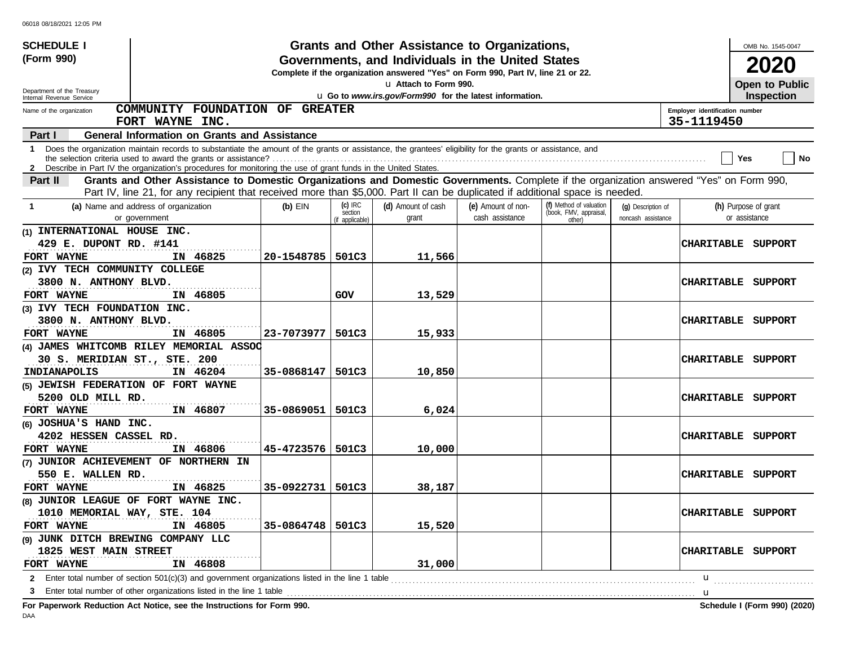| <b>SCHEDULE I</b>                   |                                                                                                                                                              |                    |                      | Grants and Other Assistance to Organizations,                                                                                         |                    |                                                   |                    |                                | OMB No. 1545-0047    |                              |
|-------------------------------------|--------------------------------------------------------------------------------------------------------------------------------------------------------------|--------------------|----------------------|---------------------------------------------------------------------------------------------------------------------------------------|--------------------|---------------------------------------------------|--------------------|--------------------------------|----------------------|------------------------------|
| (Form 990)                          |                                                                                                                                                              |                    |                      | Governments, and Individuals in the United States<br>Complete if the organization answered "Yes" on Form 990, Part IV, line 21 or 22. |                    |                                                   |                    |                                | 2020                 |                              |
| Department of the Treasury          |                                                                                                                                                              |                    |                      | u Attach to Form 990.                                                                                                                 |                    |                                                   |                    |                                | Open to Public       |                              |
| Internal Revenue Service            |                                                                                                                                                              |                    |                      | u Go to www.irs.gov/Form990 for the latest information.                                                                               |                    |                                                   |                    |                                | <b>Inspection</b>    |                              |
| Name of the organization            | COMMUNITY FOUNDATION OF GREATER                                                                                                                              |                    |                      |                                                                                                                                       |                    |                                                   |                    | Employer identification number |                      |                              |
|                                     | FORT WAYNE INC.                                                                                                                                              |                    |                      |                                                                                                                                       |                    |                                                   |                    | 35-1119450                     |                      |                              |
| Part I                              | <b>General Information on Grants and Assistance</b>                                                                                                          |                    |                      |                                                                                                                                       |                    |                                                   |                    |                                |                      |                              |
|                                     | 1 Does the organization maintain records to substantiate the amount of the grants or assistance, the grantees' eligibility for the grants or assistance, and |                    |                      |                                                                                                                                       |                    |                                                   |                    |                                | Yes                  | No                           |
|                                     | 2 Describe in Part IV the organization's procedures for monitoring the use of grant funds in the United States.                                              |                    |                      |                                                                                                                                       |                    |                                                   |                    |                                |                      |                              |
| Part II                             | Grants and Other Assistance to Domestic Organizations and Domestic Governments. Complete if the organization answered "Yes" on Form 990,                     |                    |                      |                                                                                                                                       |                    |                                                   |                    |                                |                      |                              |
|                                     | Part IV, line 21, for any recipient that received more than \$5,000. Part II can be duplicated if additional space is needed.                                |                    |                      |                                                                                                                                       |                    |                                                   |                    |                                |                      |                              |
|                                     | (a) Name and address of organization                                                                                                                         | $(b)$ EIN          | $(c)$ IRC<br>section | (d) Amount of cash                                                                                                                    | (e) Amount of non- | (f) Method of valuation<br>(book, FMV, appraisal, | (g) Description of |                                | (h) Purpose of grant |                              |
|                                     | or government                                                                                                                                                |                    | (if applicable)      | grant                                                                                                                                 | cash assistance    | other)                                            | noncash assistance |                                | or assistance        |                              |
| (1) INTERNATIONAL HOUSE INC.        |                                                                                                                                                              |                    |                      |                                                                                                                                       |                    |                                                   |                    |                                |                      |                              |
| 429 E. DUPONT RD. #141              |                                                                                                                                                              |                    |                      |                                                                                                                                       |                    |                                                   |                    | <b>CHARITABLE</b>              | SUPPORT              |                              |
| FORT WAYNE                          | IN 46825                                                                                                                                                     | 20-1548785         | 501C3                | 11,566                                                                                                                                |                    |                                                   |                    |                                |                      |                              |
| (2) IVY TECH COMMUNITY COLLEGE      |                                                                                                                                                              |                    |                      |                                                                                                                                       |                    |                                                   |                    |                                |                      |                              |
| 3800 N. ANTHONY BLVD.               |                                                                                                                                                              |                    |                      |                                                                                                                                       |                    |                                                   |                    | <b>CHARITABLE</b>              | SUPPORT              |                              |
| FORT WAYNE                          | IN 46805                                                                                                                                                     |                    | GOV                  | 13,529                                                                                                                                |                    |                                                   |                    |                                |                      |                              |
| (3) IVY TECH FOUNDATION INC.        |                                                                                                                                                              |                    |                      |                                                                                                                                       |                    |                                                   |                    |                                |                      |                              |
| 3800 N. ANTHONY BLVD.               |                                                                                                                                                              |                    |                      |                                                                                                                                       |                    |                                                   |                    | <b>CHARITABLE</b><br>SUPPORT   |                      |                              |
| FORT WAYNE                          | IN 46805<br>(4) JAMES WHITCOMB RILEY MEMORIAL ASSOC                                                                                                          | 23-7073977         | 501C3                | 15,933                                                                                                                                |                    |                                                   |                    |                                |                      |                              |
| 30 S. MERIDIAN ST., STE. 200        |                                                                                                                                                              |                    |                      |                                                                                                                                       |                    |                                                   |                    | <b>CHARITABLE</b>              | SUPPORT              |                              |
| INDIANAPOLIS                        | IN 46204                                                                                                                                                     | 35-0868147         | 501C3                | 10,850                                                                                                                                |                    |                                                   |                    |                                |                      |                              |
| (5) JEWISH FEDERATION OF FORT WAYNE |                                                                                                                                                              |                    |                      |                                                                                                                                       |                    |                                                   |                    |                                |                      |                              |
| 5200 OLD MILL RD.                   |                                                                                                                                                              |                    |                      |                                                                                                                                       |                    |                                                   |                    | <b>CHARITABLE</b>              | SUPPORT              |                              |
| FORT WAYNE                          | IN 46807                                                                                                                                                     | 35-0869051         | 501C3                | 6,024                                                                                                                                 |                    |                                                   |                    |                                |                      |                              |
| (6) JOSHUA'S HAND INC.              |                                                                                                                                                              |                    |                      |                                                                                                                                       |                    |                                                   |                    |                                |                      |                              |
| 4202 HESSEN CASSEL RD.              |                                                                                                                                                              |                    |                      |                                                                                                                                       |                    |                                                   |                    | <b>CHARITABLE</b>              | SUPPORT              |                              |
| FORT WAYNE                          | IN 46806                                                                                                                                                     | 45-4723576         | 501C3                | 10,000                                                                                                                                |                    |                                                   |                    |                                |                      |                              |
|                                     | (7) JUNIOR ACHIEVEMENT OF NORTHERN IN                                                                                                                        |                    |                      |                                                                                                                                       |                    |                                                   |                    |                                |                      |                              |
| 550 E. WALLEN RD.                   |                                                                                                                                                              |                    |                      |                                                                                                                                       |                    |                                                   |                    | <b>CHARITABLE</b>              | SUPPORT              |                              |
| FORT WAYNE                          | IN 46825                                                                                                                                                     | 35-0922731         | 501C3                | 38,187                                                                                                                                |                    |                                                   |                    |                                |                      |                              |
|                                     | (8) JUNIOR LEAGUE OF FORT WAYNE INC.                                                                                                                         |                    |                      |                                                                                                                                       |                    |                                                   |                    |                                |                      |                              |
| 1010 MEMORIAL WAY, STE. 104         |                                                                                                                                                              |                    |                      |                                                                                                                                       |                    |                                                   |                    | CHARITABLE SUPPORT             |                      |                              |
| FORT WAYNE                          | IN 46805                                                                                                                                                     | 35-0864748   501C3 |                      | 15,520                                                                                                                                |                    |                                                   |                    |                                |                      |                              |
| (9) JUNK DITCH BREWING COMPANY LLC  |                                                                                                                                                              |                    |                      |                                                                                                                                       |                    |                                                   |                    |                                |                      |                              |
| 1825 WEST MAIN STREET               |                                                                                                                                                              |                    |                      |                                                                                                                                       |                    |                                                   |                    | CHARITABLE SUPPORT             |                      |                              |
| FORT WAYNE                          | IN 46808                                                                                                                                                     |                    |                      | 31,000                                                                                                                                |                    |                                                   |                    |                                |                      |                              |
| $\mathbf{2}$                        | Enter total number of section 501(c)(3) and government organizations listed in the line 1 table                                                              |                    |                      |                                                                                                                                       |                    |                                                   |                    | u                              |                      |                              |
| 3                                   | Enter total number of other organizations listed in the line 1 table                                                                                         |                    |                      |                                                                                                                                       |                    |                                                   |                    | u                              |                      |                              |
|                                     | For Paperwork Reduction Act Notice, see the Instructions for Form 990.                                                                                       |                    |                      |                                                                                                                                       |                    |                                                   |                    |                                |                      | Schedule I (Form 990) (2020) |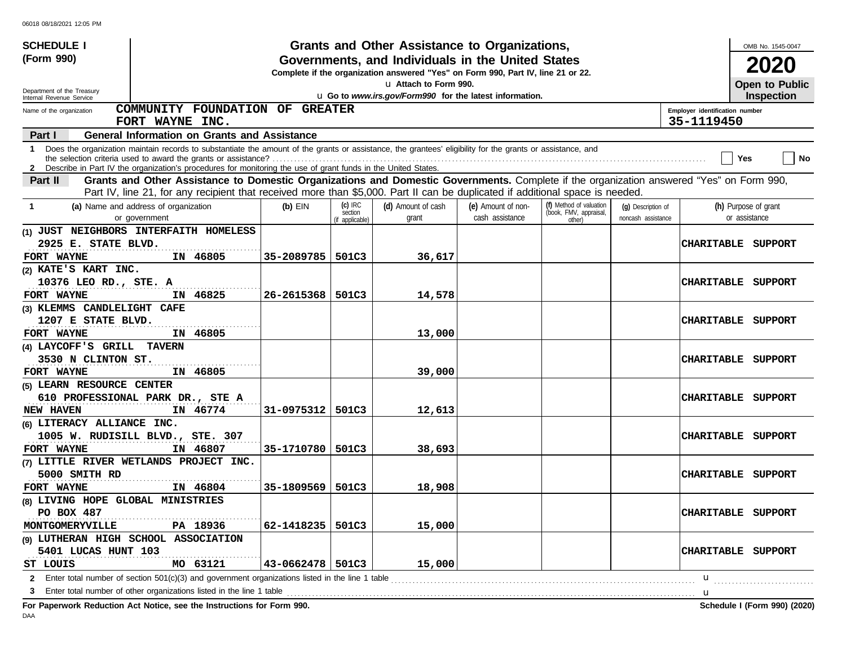| <b>SCHEDULE I</b>                                      |                                                                                                                                                                                                                                                                                 |                      |                                         | Grants and Other Assistance to Organizations,                                                                                         |                                       |                                                             |                                          |                                              | OMB No. 1545-0047                     |
|--------------------------------------------------------|---------------------------------------------------------------------------------------------------------------------------------------------------------------------------------------------------------------------------------------------------------------------------------|----------------------|-----------------------------------------|---------------------------------------------------------------------------------------------------------------------------------------|---------------------------------------|-------------------------------------------------------------|------------------------------------------|----------------------------------------------|---------------------------------------|
| (Form 990)                                             |                                                                                                                                                                                                                                                                                 |                      |                                         | Governments, and Individuals in the United States<br>Complete if the organization answered "Yes" on Form 990, Part IV, line 21 or 22. |                                       |                                                             |                                          |                                              | 2020                                  |
|                                                        |                                                                                                                                                                                                                                                                                 |                      |                                         | La Attach to Form 990.                                                                                                                |                                       |                                                             |                                          |                                              | Open to Public                        |
| Department of the Treasury<br>Internal Revenue Service |                                                                                                                                                                                                                                                                                 |                      |                                         | u Go to www.irs.gov/Form990 for the latest information.                                                                               |                                       |                                                             |                                          |                                              | <b>Inspection</b>                     |
| Name of the organization                               | COMMUNITY FOUNDATION OF GREATER<br>FORT WAYNE INC.                                                                                                                                                                                                                              |                      |                                         |                                                                                                                                       |                                       |                                                             |                                          | Employer identification number<br>35-1119450 |                                       |
| Part I                                                 | <b>General Information on Grants and Assistance</b>                                                                                                                                                                                                                             |                      |                                         |                                                                                                                                       |                                       |                                                             |                                          |                                              |                                       |
|                                                        | 1 Does the organization maintain records to substantiate the amount of the grants or assistance, the grantees' eligibility for the grants or assistance, and<br>2 Describe in Part IV the organization's procedures for monitoring the use of grant funds in the United States. |                      |                                         |                                                                                                                                       |                                       |                                                             |                                          |                                              | No<br>Yes                             |
| Part II                                                | Grants and Other Assistance to Domestic Organizations and Domestic Governments. Complete if the organization answered "Yes" on Form 990,                                                                                                                                        |                      |                                         |                                                                                                                                       |                                       |                                                             |                                          |                                              |                                       |
|                                                        | Part IV, line 21, for any recipient that received more than \$5,000. Part II can be duplicated if additional space is needed.                                                                                                                                                   |                      |                                         |                                                                                                                                       |                                       |                                                             |                                          |                                              |                                       |
| -1                                                     | (a) Name and address of organization<br>or government                                                                                                                                                                                                                           | $(b)$ EIN            | $(c)$ IRC<br>section<br>(if applicable) | (d) Amount of cash<br>grant                                                                                                           | (e) Amount of non-<br>cash assistance | (f) Method of valuation<br>(book, FMV, appraisal,<br>other) | (g) Description of<br>noncash assistance |                                              | (h) Purpose of grant<br>or assistance |
|                                                        | (1) JUST NEIGHBORS INTERFAITH HOMELESS                                                                                                                                                                                                                                          |                      |                                         |                                                                                                                                       |                                       |                                                             |                                          |                                              |                                       |
| 2925 E. STATE BLVD.                                    |                                                                                                                                                                                                                                                                                 |                      |                                         |                                                                                                                                       |                                       |                                                             |                                          |                                              | CHARITABLE SUPPORT                    |
| FORT WAYNE                                             | IN 46805                                                                                                                                                                                                                                                                        | 35-2089785           | 501C3                                   | 36,617                                                                                                                                |                                       |                                                             |                                          |                                              |                                       |
| (2) KATE'S KART INC.                                   |                                                                                                                                                                                                                                                                                 |                      |                                         |                                                                                                                                       |                                       |                                                             |                                          |                                              |                                       |
| 10376 LEO RD., STE. A                                  |                                                                                                                                                                                                                                                                                 |                      |                                         |                                                                                                                                       |                                       |                                                             |                                          | <b>CHARITABLE</b>                            | SUPPORT                               |
| FORT WAYNE                                             | IN 46825                                                                                                                                                                                                                                                                        | 26-2615368           | 501C3                                   | 14,578                                                                                                                                |                                       |                                                             |                                          |                                              |                                       |
| (3) KLEMMS CANDLELIGHT CAFE                            |                                                                                                                                                                                                                                                                                 |                      |                                         |                                                                                                                                       |                                       |                                                             |                                          |                                              |                                       |
| 1207 E STATE BLVD.                                     |                                                                                                                                                                                                                                                                                 |                      |                                         |                                                                                                                                       |                                       |                                                             |                                          | <b>CHARITABLE</b>                            | SUPPORT                               |
| FORT WAYNE                                             | IN 46805                                                                                                                                                                                                                                                                        |                      |                                         | 13,000                                                                                                                                |                                       |                                                             |                                          |                                              |                                       |
| (4) LAYCOFF'S GRILL TAVERN                             |                                                                                                                                                                                                                                                                                 |                      |                                         |                                                                                                                                       |                                       |                                                             |                                          |                                              |                                       |
| 3530 N CLINTON ST.                                     |                                                                                                                                                                                                                                                                                 |                      |                                         |                                                                                                                                       |                                       |                                                             |                                          | <b>CHARITABLE</b>                            | SUPPORT                               |
| FORT WAYNE                                             | IN 46805                                                                                                                                                                                                                                                                        |                      |                                         | 39,000                                                                                                                                |                                       |                                                             |                                          |                                              |                                       |
| (5) LEARN RESOURCE CENTER                              |                                                                                                                                                                                                                                                                                 |                      |                                         |                                                                                                                                       |                                       |                                                             |                                          |                                              |                                       |
|                                                        | 610 PROFESSIONAL PARK DR., STE A                                                                                                                                                                                                                                                |                      |                                         |                                                                                                                                       |                                       |                                                             |                                          | <b>CHARITABLE</b>                            | SUPPORT                               |
| <b>NEW HAVEN</b>                                       | IN 46774                                                                                                                                                                                                                                                                        | 31-0975312           | 501C3                                   | 12,613                                                                                                                                |                                       |                                                             |                                          |                                              |                                       |
| (6) LITERACY ALLIANCE INC.                             |                                                                                                                                                                                                                                                                                 |                      |                                         |                                                                                                                                       |                                       |                                                             |                                          |                                              |                                       |
|                                                        | 1005 W. RUDISILL BLVD., STE. 307                                                                                                                                                                                                                                                |                      |                                         |                                                                                                                                       |                                       |                                                             |                                          | <b>CHARITABLE</b>                            | SUPPORT                               |
| FORT WAYNE                                             | IN 46807                                                                                                                                                                                                                                                                        | 35-1710780           | 501C3                                   | 38,693                                                                                                                                |                                       |                                                             |                                          |                                              |                                       |
|                                                        | (7) LITTLE RIVER WETLANDS PROJECT INC.                                                                                                                                                                                                                                          |                      |                                         |                                                                                                                                       |                                       |                                                             |                                          |                                              |                                       |
| 5000 SMITH RD                                          |                                                                                                                                                                                                                                                                                 |                      |                                         |                                                                                                                                       |                                       |                                                             |                                          |                                              | <b>CHARITABLE SUPPORT</b>             |
| FORT WAYNE                                             | IN 46804                                                                                                                                                                                                                                                                        | 35-1809569           | 501C3                                   | 18,908                                                                                                                                |                                       |                                                             |                                          |                                              |                                       |
| (8) LIVING HOPE GLOBAL MINISTRIES                      |                                                                                                                                                                                                                                                                                 |                      |                                         |                                                                                                                                       |                                       |                                                             |                                          |                                              |                                       |
| PO BOX 487                                             |                                                                                                                                                                                                                                                                                 |                      |                                         |                                                                                                                                       |                                       |                                                             |                                          |                                              | <b>CHARITABLE SUPPORT</b>             |
| MONTGOMERYVILLE                                        | PA 18936                                                                                                                                                                                                                                                                        | 62-1418235           | 501C3                                   | 15,000                                                                                                                                |                                       |                                                             |                                          |                                              |                                       |
|                                                        | (9) LUTHERAN HIGH SCHOOL ASSOCIATION                                                                                                                                                                                                                                            |                      |                                         |                                                                                                                                       |                                       |                                                             |                                          |                                              |                                       |
| 5401 LUCAS HUNT 103                                    |                                                                                                                                                                                                                                                                                 |                      |                                         |                                                                                                                                       |                                       |                                                             |                                          |                                              | CHARITABLE SUPPORT                    |
| ST LOUIS                                               | MO 63121                                                                                                                                                                                                                                                                        | $43 - 0662478$ 501C3 |                                         | 15,000                                                                                                                                |                                       |                                                             |                                          |                                              |                                       |
|                                                        |                                                                                                                                                                                                                                                                                 |                      |                                         |                                                                                                                                       |                                       |                                                             |                                          | u                                            |                                       |
| 3                                                      |                                                                                                                                                                                                                                                                                 |                      |                                         |                                                                                                                                       |                                       |                                                             |                                          | u                                            |                                       |
|                                                        | For Paperwork Reduction Act Notice, see the Instructions for Form 990.                                                                                                                                                                                                          |                      |                                         |                                                                                                                                       |                                       |                                                             |                                          |                                              | Schedule I (Form 990) (2020)          |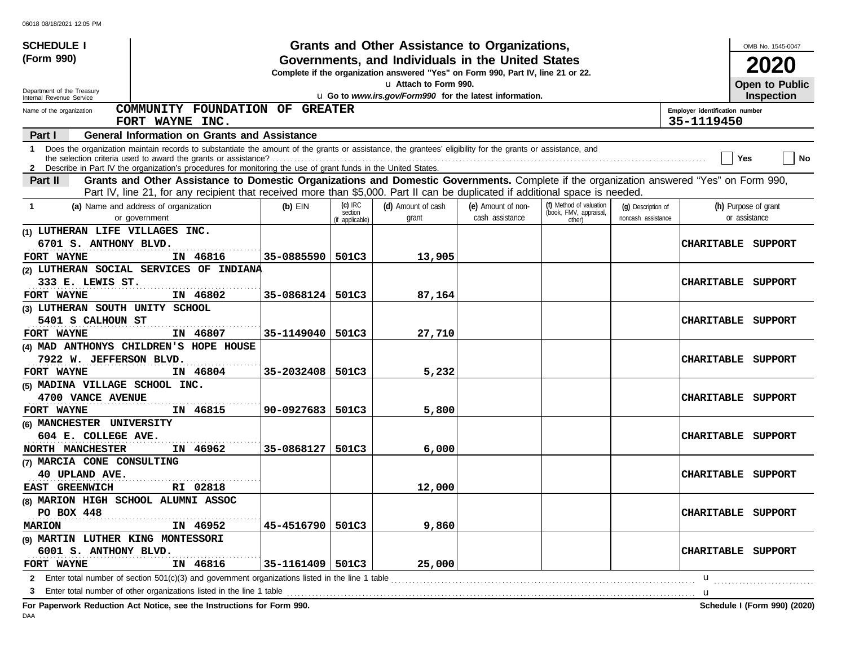| <b>SCHEDULE I</b>                                    |                                                                                                                                                                                                                                                                                 |                    |                                         | Grants and Other Assistance to Organizations,                                                                                         |                                       |                                                             |                                          |                                | OMB No. 1545-0047                          |           |
|------------------------------------------------------|---------------------------------------------------------------------------------------------------------------------------------------------------------------------------------------------------------------------------------------------------------------------------------|--------------------|-----------------------------------------|---------------------------------------------------------------------------------------------------------------------------------------|---------------------------------------|-------------------------------------------------------------|------------------------------------------|--------------------------------|--------------------------------------------|-----------|
| (Form 990)                                           |                                                                                                                                                                                                                                                                                 |                    |                                         | Governments, and Individuals in the United States<br>Complete if the organization answered "Yes" on Form 990, Part IV, line 21 or 22. |                                       |                                                             |                                          |                                | 2020                                       |           |
| Department of the Treasury                           |                                                                                                                                                                                                                                                                                 |                    |                                         | u Attach to Form 990.<br>u Go to www.irs.gov/Form990 for the latest information.                                                      |                                       |                                                             |                                          |                                | <b>Open to Public</b><br><b>Inspection</b> |           |
| Internal Revenue Service<br>Name of the organization | COMMUNITY FOUNDATION OF GREATER                                                                                                                                                                                                                                                 |                    |                                         |                                                                                                                                       |                                       |                                                             |                                          | Employer identification number |                                            |           |
|                                                      | FORT WAYNE INC.                                                                                                                                                                                                                                                                 |                    |                                         |                                                                                                                                       |                                       |                                                             |                                          | 35-1119450                     |                                            |           |
| Part I                                               | <b>General Information on Grants and Assistance</b>                                                                                                                                                                                                                             |                    |                                         |                                                                                                                                       |                                       |                                                             |                                          |                                |                                            |           |
|                                                      | 1 Does the organization maintain records to substantiate the amount of the grants or assistance, the grantees' eligibility for the grants or assistance, and<br>2 Describe in Part IV the organization's procedures for monitoring the use of grant funds in the United States. |                    |                                         |                                                                                                                                       |                                       |                                                             |                                          |                                | Yes                                        | <b>No</b> |
| Part II                                              | Grants and Other Assistance to Domestic Organizations and Domestic Governments. Complete if the organization answered "Yes" on Form 990,                                                                                                                                        |                    |                                         |                                                                                                                                       |                                       |                                                             |                                          |                                |                                            |           |
|                                                      | Part IV, line 21, for any recipient that received more than \$5,000. Part II can be duplicated if additional space is needed.                                                                                                                                                   |                    |                                         |                                                                                                                                       |                                       |                                                             |                                          |                                |                                            |           |
| -1                                                   | (a) Name and address of organization<br>or government                                                                                                                                                                                                                           | $(b)$ EIN          | $(c)$ IRC<br>section<br>(if applicable) | (d) Amount of cash<br>grant                                                                                                           | (e) Amount of non-<br>cash assistance | (f) Method of valuation<br>(book, FMV, appraisal,<br>other) | (g) Description of<br>noncash assistance |                                | (h) Purpose of grant<br>or assistance      |           |
| (1) LUTHERAN LIFE VILLAGES INC.                      |                                                                                                                                                                                                                                                                                 |                    |                                         |                                                                                                                                       |                                       |                                                             |                                          |                                |                                            |           |
| 6701 S. ANTHONY BLVD.<br>FORT WAYNE                  | IN 46816                                                                                                                                                                                                                                                                        | 35-0885590         | 501C3                                   | 13,905                                                                                                                                |                                       |                                                             |                                          | CHARITABLE                     | SUPPORT                                    |           |
|                                                      | (2) LUTHERAN SOCIAL SERVICES OF INDIANA                                                                                                                                                                                                                                         |                    |                                         |                                                                                                                                       |                                       |                                                             |                                          |                                |                                            |           |
| 333 E. LEWIS ST.                                     |                                                                                                                                                                                                                                                                                 |                    |                                         |                                                                                                                                       |                                       |                                                             |                                          | <b>CHARITABLE</b>              | SUPPORT                                    |           |
| FORT WAYNE                                           | IN 46802                                                                                                                                                                                                                                                                        | 35-0868124         | 501C3                                   | 87,164                                                                                                                                |                                       |                                                             |                                          |                                |                                            |           |
| (3) LUTHERAN SOUTH UNITY SCHOOL                      |                                                                                                                                                                                                                                                                                 |                    |                                         |                                                                                                                                       |                                       |                                                             |                                          |                                |                                            |           |
| 5401 S CALHOUN ST                                    |                                                                                                                                                                                                                                                                                 |                    |                                         |                                                                                                                                       |                                       |                                                             |                                          | <b>CHARITABLE</b>              | SUPPORT                                    |           |
| FORT WAYNE                                           | IN 46807                                                                                                                                                                                                                                                                        | 35-1149040         | 501C3                                   | 27,710                                                                                                                                |                                       |                                                             |                                          |                                |                                            |           |
|                                                      | (4) MAD ANTHONYS CHILDREN'S HOPE HOUSE                                                                                                                                                                                                                                          |                    |                                         |                                                                                                                                       |                                       |                                                             |                                          |                                |                                            |           |
| 7922 W. JEFFERSON BLVD.                              |                                                                                                                                                                                                                                                                                 |                    |                                         |                                                                                                                                       |                                       |                                                             |                                          | <b>CHARITABLE</b>              | SUPPORT                                    |           |
| FORT WAYNE                                           | IN 46804                                                                                                                                                                                                                                                                        | 35-2032408         | 501C3                                   | 5,232                                                                                                                                 |                                       |                                                             |                                          |                                |                                            |           |
| (5) MADINA VILLAGE SCHOOL INC.                       |                                                                                                                                                                                                                                                                                 |                    |                                         |                                                                                                                                       |                                       |                                                             |                                          |                                |                                            |           |
| 4700 VANCE AVENUE                                    |                                                                                                                                                                                                                                                                                 |                    |                                         |                                                                                                                                       |                                       |                                                             |                                          | <b>CHARITABLE</b>              | SUPPORT                                    |           |
| FORT WAYNE                                           | IN 46815                                                                                                                                                                                                                                                                        | 90-0927683         | 501C3                                   | 5,800                                                                                                                                 |                                       |                                                             |                                          |                                |                                            |           |
| (6) MANCHESTER UNIVERSITY                            |                                                                                                                                                                                                                                                                                 |                    |                                         |                                                                                                                                       |                                       |                                                             |                                          |                                |                                            |           |
| 604 E. COLLEGE AVE.                                  |                                                                                                                                                                                                                                                                                 |                    |                                         |                                                                                                                                       |                                       |                                                             |                                          | <b>CHARITABLE</b>              | SUPPORT                                    |           |
| NORTH MANCHESTER                                     | IN 46962                                                                                                                                                                                                                                                                        | 35-0868127         | 501C3                                   | 6,000                                                                                                                                 |                                       |                                                             |                                          |                                |                                            |           |
| (7) MARCIA CONE CONSULTING                           |                                                                                                                                                                                                                                                                                 |                    |                                         |                                                                                                                                       |                                       |                                                             |                                          |                                |                                            |           |
| 40 UPLAND AVE.                                       |                                                                                                                                                                                                                                                                                 |                    |                                         |                                                                                                                                       |                                       |                                                             |                                          | <b>CHARITABLE</b>              | SUPPORT                                    |           |
| EAST GREENWICH                                       | RI 02818                                                                                                                                                                                                                                                                        |                    |                                         | 12,000                                                                                                                                |                                       |                                                             |                                          |                                |                                            |           |
| (8) MARION HIGH SCHOOL ALUMNI ASSOC                  |                                                                                                                                                                                                                                                                                 |                    |                                         |                                                                                                                                       |                                       |                                                             |                                          |                                |                                            |           |
| PO BOX 448                                           |                                                                                                                                                                                                                                                                                 |                    |                                         |                                                                                                                                       |                                       |                                                             |                                          |                                | CHARITABLE SUPPORT                         |           |
| <b>MARION</b>                                        | IN 46952                                                                                                                                                                                                                                                                        | 45-4516790         | 501C3                                   | 9,860                                                                                                                                 |                                       |                                                             |                                          |                                |                                            |           |
| (9) MARTIN LUTHER KING MONTESSORI                    |                                                                                                                                                                                                                                                                                 |                    |                                         |                                                                                                                                       |                                       |                                                             |                                          |                                | CHARITABLE SUPPORT                         |           |
| 6001 S. ANTHONY BLVD.<br>FORT WAYNE                  | IN 46816                                                                                                                                                                                                                                                                        | 35-1161409   501C3 |                                         | 25,000                                                                                                                                |                                       |                                                             |                                          |                                |                                            |           |
|                                                      | <b>2</b> Enter total number of section 501(c)(3) and government organizations listed in the line 1 table                                                                                                                                                                        |                    |                                         |                                                                                                                                       |                                       |                                                             |                                          | u                              |                                            |           |
| 3                                                    | Enter total number of other organizations listed in the line 1 table                                                                                                                                                                                                            |                    |                                         |                                                                                                                                       |                                       |                                                             |                                          | u                              |                                            |           |
|                                                      | For Paperwork Reduction Act Notice, see the Instructions for Form 990.                                                                                                                                                                                                          |                    |                                         |                                                                                                                                       |                                       |                                                             |                                          |                                | Schedule I (Form 990) (2020)               |           |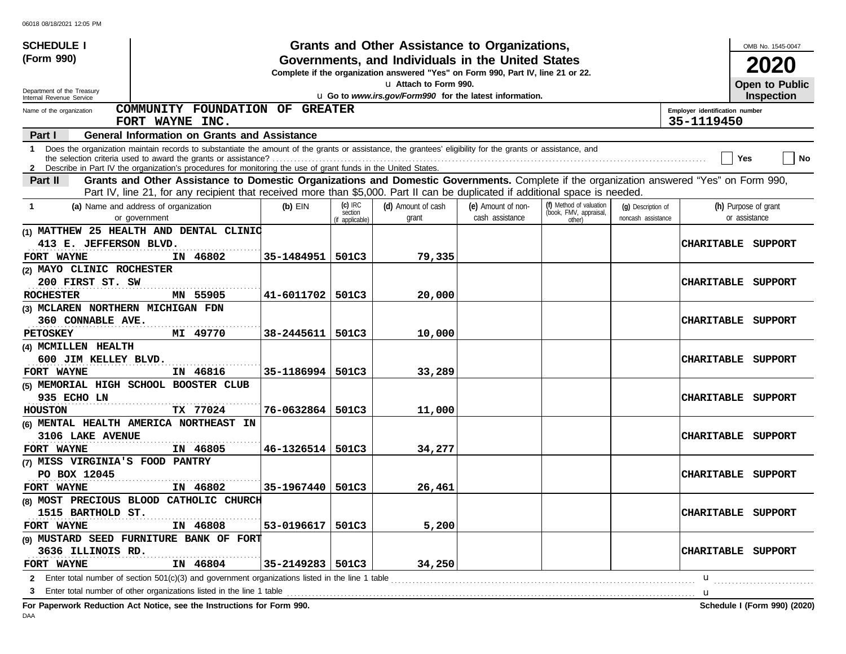| <b>SCHEDULE I</b>                 |                                                                                                                                                                                                                                                                                 |            |                                         | Grants and Other Assistance to Organizations,                                                                                         |                                       |                                                             |                                          |                                              | OMB No. 1545-0047                     |
|-----------------------------------|---------------------------------------------------------------------------------------------------------------------------------------------------------------------------------------------------------------------------------------------------------------------------------|------------|-----------------------------------------|---------------------------------------------------------------------------------------------------------------------------------------|---------------------------------------|-------------------------------------------------------------|------------------------------------------|----------------------------------------------|---------------------------------------|
| (Form 990)                        |                                                                                                                                                                                                                                                                                 |            |                                         | Governments, and Individuals in the United States<br>Complete if the organization answered "Yes" on Form 990, Part IV, line 21 or 22. |                                       |                                                             |                                          |                                              | 2020                                  |
| Department of the Treasury        |                                                                                                                                                                                                                                                                                 |            |                                         | u Attach to Form 990.                                                                                                                 |                                       |                                                             |                                          |                                              | Open to Public                        |
| Internal Revenue Service          |                                                                                                                                                                                                                                                                                 |            |                                         | u Go to www.irs.gov/Form990 for the latest information.                                                                               |                                       |                                                             |                                          |                                              | <b>Inspection</b>                     |
| Name of the organization          | COMMUNITY FOUNDATION OF GREATER<br>FORT WAYNE INC.                                                                                                                                                                                                                              |            |                                         |                                                                                                                                       |                                       |                                                             |                                          | Employer identification number<br>35-1119450 |                                       |
| Part I                            | <b>General Information on Grants and Assistance</b>                                                                                                                                                                                                                             |            |                                         |                                                                                                                                       |                                       |                                                             |                                          |                                              |                                       |
|                                   | 1 Does the organization maintain records to substantiate the amount of the grants or assistance, the grantees' eligibility for the grants or assistance, and<br>2 Describe in Part IV the organization's procedures for monitoring the use of grant funds in the United States. |            |                                         |                                                                                                                                       |                                       |                                                             |                                          |                                              | No<br>Yes                             |
| Part II                           | Grants and Other Assistance to Domestic Organizations and Domestic Governments. Complete if the organization answered "Yes" on Form 990,                                                                                                                                        |            |                                         |                                                                                                                                       |                                       |                                                             |                                          |                                              |                                       |
|                                   | Part IV, line 21, for any recipient that received more than \$5,000. Part II can be duplicated if additional space is needed.                                                                                                                                                   |            |                                         |                                                                                                                                       |                                       |                                                             |                                          |                                              |                                       |
| -1                                | (a) Name and address of organization<br>or government                                                                                                                                                                                                                           | $(b)$ EIN  | $(c)$ IRC<br>section<br>(if applicable) | (d) Amount of cash<br>grant                                                                                                           | (e) Amount of non-<br>cash assistance | (f) Method of valuation<br>(book, FMV, appraisal,<br>other) | (g) Description of<br>noncash assistance |                                              | (h) Purpose of grant<br>or assistance |
|                                   | (1) MATTHEW 25 HEALTH AND DENTAL CLINIC                                                                                                                                                                                                                                         |            |                                         |                                                                                                                                       |                                       |                                                             |                                          |                                              |                                       |
| 413 E. JEFFERSON BLVD.            |                                                                                                                                                                                                                                                                                 |            |                                         |                                                                                                                                       |                                       |                                                             |                                          | <b>CHARITABLE</b>                            | SUPPORT                               |
| FORT WAYNE                        | IN 46802                                                                                                                                                                                                                                                                        | 35-1484951 | 501C3                                   | 79,335                                                                                                                                |                                       |                                                             |                                          |                                              |                                       |
| (2) MAYO CLINIC ROCHESTER         |                                                                                                                                                                                                                                                                                 |            |                                         |                                                                                                                                       |                                       |                                                             |                                          |                                              |                                       |
| 200 FIRST ST. SW                  |                                                                                                                                                                                                                                                                                 |            |                                         |                                                                                                                                       |                                       |                                                             |                                          | <b>CHARITABLE</b>                            | SUPPORT                               |
| <b>ROCHESTER</b>                  | MN 55905                                                                                                                                                                                                                                                                        | 41-6011702 | 501C3                                   | 20,000                                                                                                                                |                                       |                                                             |                                          |                                              |                                       |
| (3) MCLAREN NORTHERN MICHIGAN FDN |                                                                                                                                                                                                                                                                                 |            |                                         |                                                                                                                                       |                                       |                                                             |                                          |                                              |                                       |
| 360 CONNABLE AVE.                 |                                                                                                                                                                                                                                                                                 |            |                                         |                                                                                                                                       |                                       |                                                             |                                          | <b>CHARITABLE</b>                            | SUPPORT                               |
| <b>PETOSKEY</b>                   | MI 49770                                                                                                                                                                                                                                                                        | 38-2445611 | 501C3                                   | 10,000                                                                                                                                |                                       |                                                             |                                          |                                              |                                       |
| (4) MCMILLEN HEALTH               |                                                                                                                                                                                                                                                                                 |            |                                         |                                                                                                                                       |                                       |                                                             |                                          |                                              |                                       |
| 600 JIM KELLEY BLVD.              |                                                                                                                                                                                                                                                                                 |            |                                         |                                                                                                                                       |                                       |                                                             |                                          | <b>CHARITABLE</b>                            | SUPPORT                               |
| FORT WAYNE                        | IN 46816                                                                                                                                                                                                                                                                        | 35-1186994 | 501C3                                   | 33,289                                                                                                                                |                                       |                                                             |                                          |                                              |                                       |
|                                   | (5) MEMORIAL HIGH SCHOOL BOOSTER CLUB                                                                                                                                                                                                                                           |            |                                         |                                                                                                                                       |                                       |                                                             |                                          |                                              |                                       |
| 935 ECHO LN                       |                                                                                                                                                                                                                                                                                 |            |                                         |                                                                                                                                       |                                       |                                                             |                                          | <b>CHARITABLE</b>                            | SUPPORT                               |
| <b>HOUSTON</b>                    | TX 77024                                                                                                                                                                                                                                                                        | 76-0632864 | 501C3                                   | 11,000                                                                                                                                |                                       |                                                             |                                          |                                              |                                       |
|                                   | (6) MENTAL HEALTH AMERICA NORTHEAST IN                                                                                                                                                                                                                                          |            |                                         |                                                                                                                                       |                                       |                                                             |                                          |                                              |                                       |
| 3106 LAKE AVENUE                  |                                                                                                                                                                                                                                                                                 |            |                                         |                                                                                                                                       |                                       |                                                             |                                          | <b>CHARITABLE</b>                            | SUPPORT                               |
| FORT WAYNE                        | IN 46805                                                                                                                                                                                                                                                                        | 46-1326514 | 501C3                                   | 34,277                                                                                                                                |                                       |                                                             |                                          |                                              |                                       |
| (7) MISS VIRGINIA'S FOOD PANTRY   |                                                                                                                                                                                                                                                                                 |            |                                         |                                                                                                                                       |                                       |                                                             |                                          |                                              |                                       |
| PO BOX 12045                      |                                                                                                                                                                                                                                                                                 |            |                                         |                                                                                                                                       |                                       |                                                             |                                          |                                              | <b>CHARITABLE SUPPORT</b>             |
| FORT WAYNE                        | IN 46802                                                                                                                                                                                                                                                                        | 35-1967440 | 501C3                                   | 26,461                                                                                                                                |                                       |                                                             |                                          |                                              |                                       |
|                                   | (8) MOST PRECIOUS BLOOD CATHOLIC CHURCH                                                                                                                                                                                                                                         |            |                                         |                                                                                                                                       |                                       |                                                             |                                          |                                              |                                       |
| 1515 BARTHOLD ST.                 |                                                                                                                                                                                                                                                                                 |            |                                         |                                                                                                                                       |                                       |                                                             |                                          |                                              | <b>CHARITABLE SUPPORT</b>             |
| FORT WAYNE                        | IN 46808                                                                                                                                                                                                                                                                        | 53-0196617 | 501C3                                   | 5,200                                                                                                                                 |                                       |                                                             |                                          |                                              |                                       |
|                                   | (9) MUSTARD SEED FURNITURE BANK OF FORT                                                                                                                                                                                                                                         |            |                                         |                                                                                                                                       |                                       |                                                             |                                          |                                              |                                       |
| 3636 ILLINOIS RD.                 |                                                                                                                                                                                                                                                                                 |            |                                         |                                                                                                                                       |                                       |                                                             |                                          |                                              | CHARITABLE SUPPORT                    |
| FORT WAYNE                        | IN 46804                                                                                                                                                                                                                                                                        | 35-2149283 | 501C3                                   | 34,250                                                                                                                                |                                       |                                                             |                                          |                                              |                                       |
|                                   |                                                                                                                                                                                                                                                                                 |            |                                         |                                                                                                                                       |                                       |                                                             |                                          | u                                            |                                       |
|                                   | 3 Enter total number of other organizations listed in the line 1 table                                                                                                                                                                                                          |            |                                         |                                                                                                                                       |                                       |                                                             |                                          | u                                            |                                       |
|                                   | For Paperwork Reduction Act Notice, see the Instructions for Form 990.                                                                                                                                                                                                          |            |                                         |                                                                                                                                       |                                       |                                                             |                                          |                                              | Schedule I (Form 990) (2020)          |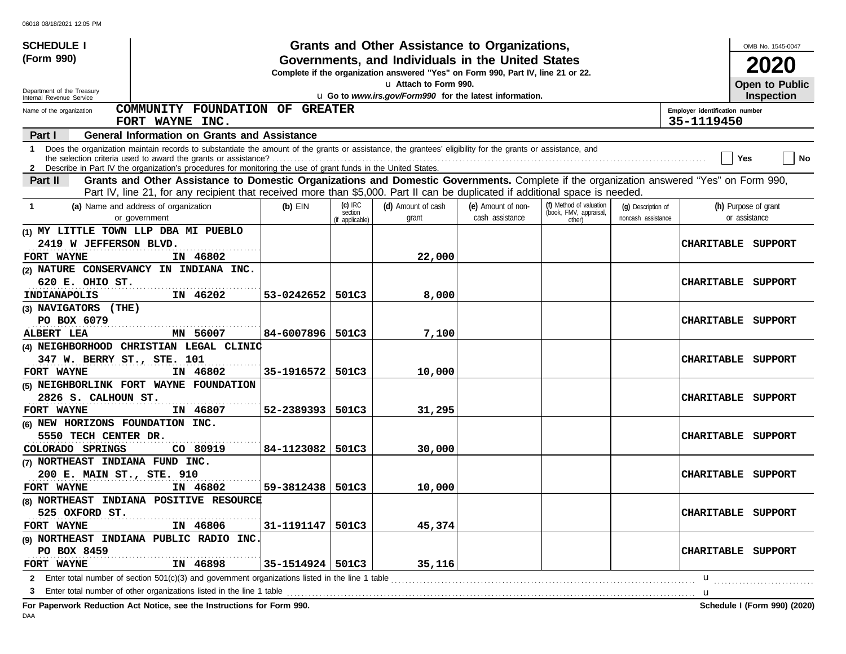| <b>SCHEDULE I</b>                                                                                                                                                                                                                                                                  |                    |                                         | Grants and Other Assistance to Organizations,                                                                                         |                                       |                                                             |                                          |                                              | OMB No. 1545-0047                     |
|------------------------------------------------------------------------------------------------------------------------------------------------------------------------------------------------------------------------------------------------------------------------------------|--------------------|-----------------------------------------|---------------------------------------------------------------------------------------------------------------------------------------|---------------------------------------|-------------------------------------------------------------|------------------------------------------|----------------------------------------------|---------------------------------------|
| (Form 990)                                                                                                                                                                                                                                                                         |                    |                                         | Governments, and Individuals in the United States<br>Complete if the organization answered "Yes" on Form 990, Part IV, line 21 or 22. |                                       |                                                             |                                          |                                              | 2020                                  |
|                                                                                                                                                                                                                                                                                    |                    |                                         | La Attach to Form 990.                                                                                                                |                                       |                                                             |                                          |                                              | Open to Public                        |
| Department of the Treasury<br>Internal Revenue Service                                                                                                                                                                                                                             |                    |                                         | u Go to www.irs.gov/Form990 for the latest information.                                                                               |                                       |                                                             |                                          |                                              | <b>Inspection</b>                     |
| COMMUNITY FOUNDATION OF GREATER<br>Name of the organization<br>FORT WAYNE INC.                                                                                                                                                                                                     |                    |                                         |                                                                                                                                       |                                       |                                                             |                                          | Employer identification number<br>35-1119450 |                                       |
| <b>General Information on Grants and Assistance</b><br>Part I                                                                                                                                                                                                                      |                    |                                         |                                                                                                                                       |                                       |                                                             |                                          |                                              |                                       |
| Does the organization maintain records to substantiate the amount of the grants or assistance, the grantees' eligibility for the grants or assistance, and<br>1<br>2 Describe in Part IV the organization's procedures for monitoring the use of grant funds in the United States. |                    |                                         |                                                                                                                                       |                                       |                                                             |                                          |                                              | No<br>Yes                             |
| Grants and Other Assistance to Domestic Organizations and Domestic Governments. Complete if the organization answered "Yes" on Form 990,<br>Part II                                                                                                                                |                    |                                         |                                                                                                                                       |                                       |                                                             |                                          |                                              |                                       |
| Part IV, line 21, for any recipient that received more than \$5,000. Part II can be duplicated if additional space is needed.                                                                                                                                                      |                    |                                         |                                                                                                                                       |                                       |                                                             |                                          |                                              |                                       |
| (a) Name and address of organization<br>-1<br>or government                                                                                                                                                                                                                        | $(b)$ EIN          | $(c)$ IRC<br>section<br>(if applicable) | (d) Amount of cash<br>grant                                                                                                           | (e) Amount of non-<br>cash assistance | (f) Method of valuation<br>(book, FMV, appraisal,<br>other) | (g) Description of<br>noncash assistance |                                              | (h) Purpose of grant<br>or assistance |
| (1) MY LITTLE TOWN LLP DBA MI PUEBLO                                                                                                                                                                                                                                               |                    |                                         |                                                                                                                                       |                                       |                                                             |                                          |                                              |                                       |
| 2419 W JEFFERSON BLVD.<br>IN 46802<br>FORT WAYNE                                                                                                                                                                                                                                   |                    |                                         | 22,000                                                                                                                                |                                       |                                                             |                                          |                                              | CHARITABLE SUPPORT                    |
| (2) NATURE CONSERVANCY IN INDIANA INC.                                                                                                                                                                                                                                             |                    |                                         |                                                                                                                                       |                                       |                                                             |                                          |                                              |                                       |
| 620 E. OHIO ST.                                                                                                                                                                                                                                                                    |                    |                                         |                                                                                                                                       |                                       |                                                             |                                          |                                              | <b>CHARITABLE SUPPORT</b>             |
| <b>INDIANAPOLIS</b><br>IN 46202                                                                                                                                                                                                                                                    | 53-0242652         | 501C3                                   | 8,000                                                                                                                                 |                                       |                                                             |                                          |                                              |                                       |
| (3) NAVIGATORS (THE)                                                                                                                                                                                                                                                               |                    |                                         |                                                                                                                                       |                                       |                                                             |                                          |                                              |                                       |
| PO BOX 6079                                                                                                                                                                                                                                                                        |                    |                                         |                                                                                                                                       |                                       |                                                             |                                          |                                              | CHARITABLE SUPPORT                    |
| MN 56007<br><b>ALBERT LEA</b>                                                                                                                                                                                                                                                      | 84-6007896         | 501C3                                   | 7,100                                                                                                                                 |                                       |                                                             |                                          |                                              |                                       |
| (4) NEIGHBORHOOD CHRISTIAN LEGAL CLINIC                                                                                                                                                                                                                                            |                    |                                         |                                                                                                                                       |                                       |                                                             |                                          |                                              |                                       |
| 347 W. BERRY ST., STE. 101                                                                                                                                                                                                                                                         |                    |                                         |                                                                                                                                       |                                       |                                                             |                                          | <b>CHARITABLE</b>                            | SUPPORT                               |
| IN 46802<br>FORT WAYNE                                                                                                                                                                                                                                                             | 35-1916572         | 501C3                                   | 10,000                                                                                                                                |                                       |                                                             |                                          |                                              |                                       |
| (5) NEIGHBORLINK FORT WAYNE FOUNDATION                                                                                                                                                                                                                                             |                    |                                         |                                                                                                                                       |                                       |                                                             |                                          |                                              |                                       |
| 2826 S. CALHOUN ST.                                                                                                                                                                                                                                                                |                    |                                         |                                                                                                                                       |                                       |                                                             |                                          | <b>CHARITABLE</b>                            | SUPPORT                               |
| IN 46807<br><b>FORT WAYNE</b>                                                                                                                                                                                                                                                      | 52-2389393         | 501C3                                   | 31,295                                                                                                                                |                                       |                                                             |                                          |                                              |                                       |
| (6) NEW HORIZONS FOUNDATION INC.                                                                                                                                                                                                                                                   |                    |                                         |                                                                                                                                       |                                       |                                                             |                                          |                                              |                                       |
| 5550 TECH CENTER DR.                                                                                                                                                                                                                                                               |                    |                                         |                                                                                                                                       |                                       |                                                             |                                          | <b>CHARITABLE</b>                            | SUPPORT                               |
| COLORADO SPRINGS<br>CO 80919                                                                                                                                                                                                                                                       | 84-1123082         | 501C3                                   | 30,000                                                                                                                                |                                       |                                                             |                                          |                                              |                                       |
| (7) NORTHEAST INDIANA FUND INC.                                                                                                                                                                                                                                                    |                    |                                         |                                                                                                                                       |                                       |                                                             |                                          |                                              |                                       |
| 200 E. MAIN ST., STE. 910                                                                                                                                                                                                                                                          |                    |                                         |                                                                                                                                       |                                       |                                                             |                                          |                                              | <b>CHARITABLE SUPPORT</b>             |
| IN 46802<br>FORT WAYNE                                                                                                                                                                                                                                                             | 59-3812438         | 501C3                                   | 10,000                                                                                                                                |                                       |                                                             |                                          |                                              |                                       |
| (8) NORTHEAST INDIANA POSITIVE RESOURCE                                                                                                                                                                                                                                            |                    |                                         |                                                                                                                                       |                                       |                                                             |                                          |                                              |                                       |
| 525 OXFORD ST.                                                                                                                                                                                                                                                                     |                    |                                         |                                                                                                                                       |                                       |                                                             |                                          |                                              | <b>CHARITABLE SUPPORT</b>             |
| IN 46806<br>FORT WAYNE                                                                                                                                                                                                                                                             | 31-1191147         | 501C3                                   | 45,374                                                                                                                                |                                       |                                                             |                                          |                                              |                                       |
| (9) NORTHEAST INDIANA PUBLIC RADIO INC.                                                                                                                                                                                                                                            |                    |                                         |                                                                                                                                       |                                       |                                                             |                                          |                                              |                                       |
| PO BOX 8459                                                                                                                                                                                                                                                                        |                    |                                         |                                                                                                                                       |                                       |                                                             |                                          |                                              | CHARITABLE SUPPORT                    |
| IN 46898<br>FORT WAYNE                                                                                                                                                                                                                                                             | 35-1514924   501C3 |                                         | 35,116                                                                                                                                |                                       |                                                             |                                          |                                              |                                       |
| 2 Enter total number of section 501(c)(3) and government organizations listed in the line 1 table <i>macroomage macroomage enter total number</i> of section 501(c)(3) and government organizations listed in the line 1 table <i>mac</i>                                          |                    |                                         |                                                                                                                                       |                                       |                                                             |                                          | u                                            |                                       |
| 3                                                                                                                                                                                                                                                                                  |                    |                                         |                                                                                                                                       |                                       |                                                             |                                          | u                                            |                                       |
| For Paperwork Reduction Act Notice, see the Instructions for Form 990.                                                                                                                                                                                                             |                    |                                         |                                                                                                                                       |                                       |                                                             |                                          |                                              | Schedule I (Form 990) (2020)          |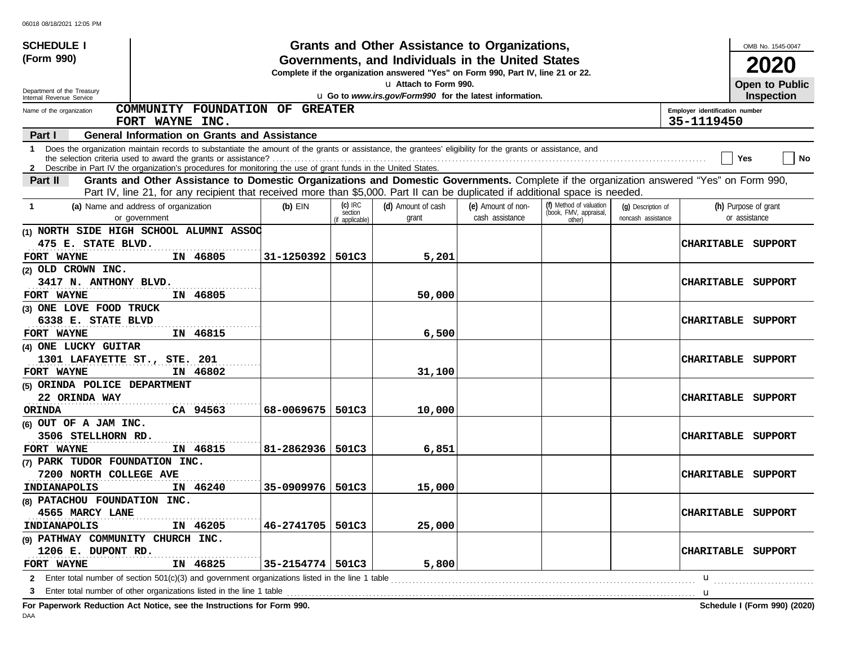| <b>SCHEDULE I</b>                 |                                                                                                                                                                                                                                                                                 |                    |                                         | Grants and Other Assistance to Organizations,                                                                                         |                                       |                                                             |                                          |                                              | OMB No. 1545-0047                     |
|-----------------------------------|---------------------------------------------------------------------------------------------------------------------------------------------------------------------------------------------------------------------------------------------------------------------------------|--------------------|-----------------------------------------|---------------------------------------------------------------------------------------------------------------------------------------|---------------------------------------|-------------------------------------------------------------|------------------------------------------|----------------------------------------------|---------------------------------------|
| (Form 990)                        |                                                                                                                                                                                                                                                                                 |                    |                                         | Governments, and Individuals in the United States<br>Complete if the organization answered "Yes" on Form 990, Part IV, line 21 or 22. |                                       |                                                             |                                          |                                              | 2020                                  |
| Department of the Treasury        |                                                                                                                                                                                                                                                                                 |                    |                                         | La Attach to Form 990.                                                                                                                |                                       |                                                             |                                          |                                              | Open to Public                        |
| Internal Revenue Service          |                                                                                                                                                                                                                                                                                 |                    |                                         | u Go to www.irs.gov/Form990 for the latest information.                                                                               |                                       |                                                             |                                          |                                              | <b>Inspection</b>                     |
| Name of the organization          | COMMUNITY FOUNDATION OF GREATER<br>FORT WAYNE INC.                                                                                                                                                                                                                              |                    |                                         |                                                                                                                                       |                                       |                                                             |                                          | Employer identification number<br>35-1119450 |                                       |
| Part I                            | <b>General Information on Grants and Assistance</b>                                                                                                                                                                                                                             |                    |                                         |                                                                                                                                       |                                       |                                                             |                                          |                                              |                                       |
|                                   | 1 Does the organization maintain records to substantiate the amount of the grants or assistance, the grantees' eligibility for the grants or assistance, and<br>2 Describe in Part IV the organization's procedures for monitoring the use of grant funds in the United States. |                    |                                         |                                                                                                                                       |                                       |                                                             |                                          |                                              | No<br>Yes                             |
| Part II                           | Grants and Other Assistance to Domestic Organizations and Domestic Governments. Complete if the organization answered "Yes" on Form 990,                                                                                                                                        |                    |                                         |                                                                                                                                       |                                       |                                                             |                                          |                                              |                                       |
|                                   | Part IV, line 21, for any recipient that received more than \$5,000. Part II can be duplicated if additional space is needed.                                                                                                                                                   |                    |                                         |                                                                                                                                       |                                       |                                                             |                                          |                                              |                                       |
| -1                                | (a) Name and address of organization<br>or government                                                                                                                                                                                                                           | $(b)$ EIN          | $(c)$ IRC<br>section<br>(if applicable) | (d) Amount of cash<br>grant                                                                                                           | (e) Amount of non-<br>cash assistance | (f) Method of valuation<br>(book, FMV, appraisal,<br>other) | (g) Description of<br>noncash assistance |                                              | (h) Purpose of grant<br>or assistance |
|                                   | (1) NORTH SIDE HIGH SCHOOL ALUMNI ASSOC                                                                                                                                                                                                                                         |                    |                                         |                                                                                                                                       |                                       |                                                             |                                          |                                              |                                       |
| 475 E. STATE BLVD.                |                                                                                                                                                                                                                                                                                 |                    |                                         |                                                                                                                                       |                                       |                                                             |                                          |                                              | CHARITABLE SUPPORT                    |
| FORT WAYNE                        | IN 46805                                                                                                                                                                                                                                                                        | 31-1250392         | 501C3                                   | 5,201                                                                                                                                 |                                       |                                                             |                                          |                                              |                                       |
| (2) OLD CROWN INC.                |                                                                                                                                                                                                                                                                                 |                    |                                         |                                                                                                                                       |                                       |                                                             |                                          |                                              |                                       |
| 3417 N. ANTHONY BLVD.             |                                                                                                                                                                                                                                                                                 |                    |                                         |                                                                                                                                       |                                       |                                                             |                                          | <b>CHARITABLE</b>                            | SUPPORT                               |
| FORT WAYNE                        | IN 46805                                                                                                                                                                                                                                                                        |                    |                                         | 50,000                                                                                                                                |                                       |                                                             |                                          |                                              |                                       |
| (3) ONE LOVE FOOD TRUCK           |                                                                                                                                                                                                                                                                                 |                    |                                         |                                                                                                                                       |                                       |                                                             |                                          |                                              |                                       |
| 6338 E. STATE BLVD                |                                                                                                                                                                                                                                                                                 |                    |                                         |                                                                                                                                       |                                       |                                                             |                                          | <b>CHARITABLE</b>                            | SUPPORT                               |
| FORT WAYNE                        | IN 46815                                                                                                                                                                                                                                                                        |                    |                                         | 6,500                                                                                                                                 |                                       |                                                             |                                          |                                              |                                       |
| (4) ONE LUCKY GUITAR              |                                                                                                                                                                                                                                                                                 |                    |                                         |                                                                                                                                       |                                       |                                                             |                                          |                                              |                                       |
| 1301 LAFAYETTE ST., STE. 201      |                                                                                                                                                                                                                                                                                 |                    |                                         |                                                                                                                                       |                                       |                                                             |                                          | <b>CHARITABLE</b>                            | SUPPORT                               |
| FORT WAYNE                        | IN 46802                                                                                                                                                                                                                                                                        |                    |                                         | 31,100                                                                                                                                |                                       |                                                             |                                          |                                              |                                       |
| (5) ORINDA POLICE DEPARTMENT      |                                                                                                                                                                                                                                                                                 |                    |                                         |                                                                                                                                       |                                       |                                                             |                                          |                                              |                                       |
| 22 ORINDA WAY                     |                                                                                                                                                                                                                                                                                 |                    |                                         |                                                                                                                                       |                                       |                                                             |                                          | <b>CHARITABLE</b>                            | SUPPORT                               |
| <b>ORINDA</b>                     | CA 94563                                                                                                                                                                                                                                                                        | 68-0069675         | 501C3                                   | 10,000                                                                                                                                |                                       |                                                             |                                          |                                              |                                       |
| $(6)$ OUT OF A JAM INC.           |                                                                                                                                                                                                                                                                                 |                    |                                         |                                                                                                                                       |                                       |                                                             |                                          |                                              |                                       |
| 3506 STELLHORN RD.                |                                                                                                                                                                                                                                                                                 |                    |                                         |                                                                                                                                       |                                       |                                                             |                                          | <b>CHARITABLE</b>                            | SUPPORT                               |
| FORT WAYNE                        | IN 46815                                                                                                                                                                                                                                                                        | 81-2862936         | 501C3                                   | 6,851                                                                                                                                 |                                       |                                                             |                                          |                                              |                                       |
| (7) PARK TUDOR FOUNDATION INC.    |                                                                                                                                                                                                                                                                                 |                    |                                         |                                                                                                                                       |                                       |                                                             |                                          |                                              |                                       |
| 7200 NORTH COLLEGE AVE            |                                                                                                                                                                                                                                                                                 |                    |                                         |                                                                                                                                       |                                       |                                                             |                                          |                                              | CHARITABLE SUPPORT                    |
| INDIANAPOLIS                      | IN 46240                                                                                                                                                                                                                                                                        | 35-0909976         | 501C3                                   | 15,000                                                                                                                                |                                       |                                                             |                                          |                                              |                                       |
| (8) PATACHOU FOUNDATION INC.      |                                                                                                                                                                                                                                                                                 |                    |                                         |                                                                                                                                       |                                       |                                                             |                                          |                                              |                                       |
| 4565 MARCY LANE                   |                                                                                                                                                                                                                                                                                 |                    |                                         |                                                                                                                                       |                                       |                                                             |                                          |                                              | <b>CHARITABLE SUPPORT</b>             |
| <b>INDIANAPOLIS</b>               | IN 46205                                                                                                                                                                                                                                                                        | 46-2741705         | 501C3                                   | 25,000                                                                                                                                |                                       |                                                             |                                          |                                              |                                       |
| (9) PATHWAY COMMUNITY CHURCH INC. |                                                                                                                                                                                                                                                                                 |                    |                                         |                                                                                                                                       |                                       |                                                             |                                          |                                              |                                       |
| 1206 E. DUPONT RD.                |                                                                                                                                                                                                                                                                                 |                    |                                         |                                                                                                                                       |                                       |                                                             |                                          |                                              | CHARITABLE SUPPORT                    |
| FORT WAYNE                        | IN 46825                                                                                                                                                                                                                                                                        | 35-2154774   501C3 |                                         | 5,800                                                                                                                                 |                                       |                                                             |                                          |                                              |                                       |
|                                   |                                                                                                                                                                                                                                                                                 |                    |                                         |                                                                                                                                       |                                       |                                                             |                                          | u                                            |                                       |
|                                   |                                                                                                                                                                                                                                                                                 |                    |                                         |                                                                                                                                       |                                       |                                                             |                                          | u                                            |                                       |
|                                   | For Paperwork Reduction Act Notice, see the Instructions for Form 990.                                                                                                                                                                                                          |                    |                                         |                                                                                                                                       |                                       |                                                             |                                          |                                              | Schedule I (Form 990) (2020)          |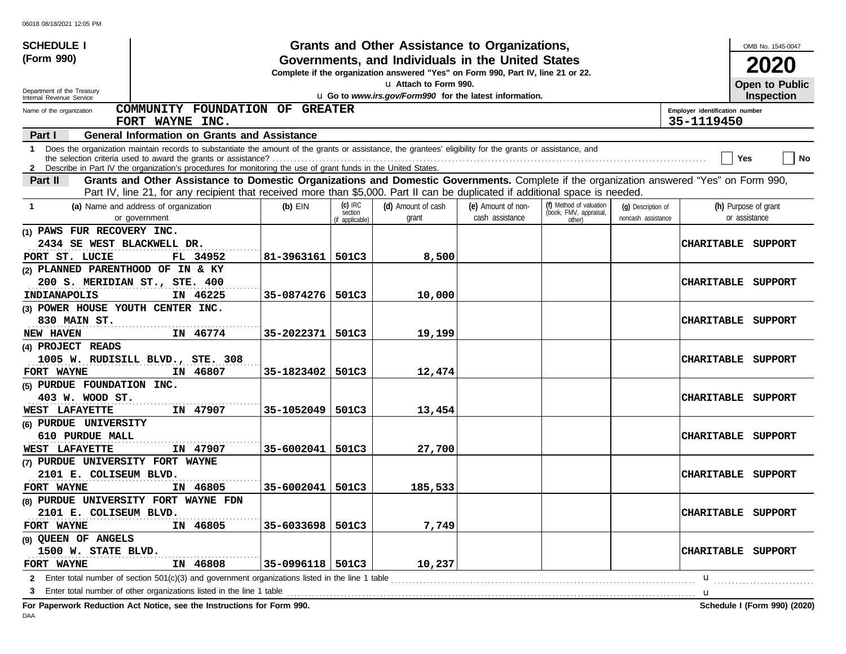| <b>SCHEDULE I</b>                 |                                                                                                                                                                                                                                                                               |                    |                                         | Grants and Other Assistance to Organizations,                                                                                         |                                       |                                                             |                                          |                                | OMB No. 1545-0047                     |
|-----------------------------------|-------------------------------------------------------------------------------------------------------------------------------------------------------------------------------------------------------------------------------------------------------------------------------|--------------------|-----------------------------------------|---------------------------------------------------------------------------------------------------------------------------------------|---------------------------------------|-------------------------------------------------------------|------------------------------------------|--------------------------------|---------------------------------------|
| (Form 990)                        |                                                                                                                                                                                                                                                                               |                    |                                         | Governments, and Individuals in the United States<br>Complete if the organization answered "Yes" on Form 990, Part IV, line 21 or 22. |                                       |                                                             |                                          |                                | 2020                                  |
| Department of the Treasury        |                                                                                                                                                                                                                                                                               |                    |                                         | La Attach to Form 990.                                                                                                                |                                       |                                                             |                                          |                                | Open to Public                        |
| Internal Revenue Service          |                                                                                                                                                                                                                                                                               |                    |                                         | u Go to www.irs.gov/Form990 for the latest information.                                                                               |                                       |                                                             |                                          |                                | Inspection                            |
| Name of the organization          | COMMUNITY FOUNDATION OF GREATER                                                                                                                                                                                                                                               |                    |                                         |                                                                                                                                       |                                       |                                                             |                                          | Employer identification number |                                       |
|                                   | FORT WAYNE INC.                                                                                                                                                                                                                                                               |                    |                                         |                                                                                                                                       |                                       |                                                             |                                          | 35-1119450                     |                                       |
| Part I                            | <b>General Information on Grants and Assistance</b>                                                                                                                                                                                                                           |                    |                                         |                                                                                                                                       |                                       |                                                             |                                          |                                |                                       |
| -1                                | Does the organization maintain records to substantiate the amount of the grants or assistance, the grantees' eligibility for the grants or assistance, and<br>2 Describe in Part IV the organization's procedures for monitoring the use of grant funds in the United States. |                    |                                         |                                                                                                                                       |                                       |                                                             |                                          |                                | No<br>Yes                             |
| Part II                           | Grants and Other Assistance to Domestic Organizations and Domestic Governments. Complete if the organization answered "Yes" on Form 990,                                                                                                                                      |                    |                                         |                                                                                                                                       |                                       |                                                             |                                          |                                |                                       |
|                                   | Part IV, line 21, for any recipient that received more than \$5,000. Part II can be duplicated if additional space is needed.                                                                                                                                                 |                    |                                         |                                                                                                                                       |                                       |                                                             |                                          |                                |                                       |
| -1                                | (a) Name and address of organization<br>or government                                                                                                                                                                                                                         | $(b)$ EIN          | $(c)$ IRC<br>section<br>(if applicable) | (d) Amount of cash<br>grant                                                                                                           | (e) Amount of non-<br>cash assistance | (f) Method of valuation<br>(book, FMV, appraisal,<br>other) | (q) Description of<br>noncash assistance |                                | (h) Purpose of grant<br>or assistance |
| (1) PAWS FUR RECOVERY INC.        |                                                                                                                                                                                                                                                                               |                    |                                         |                                                                                                                                       |                                       |                                                             |                                          |                                |                                       |
| 2434 SE WEST BLACKWELL DR.        |                                                                                                                                                                                                                                                                               |                    |                                         |                                                                                                                                       |                                       |                                                             |                                          | CHARITABLE                     | SUPPORT                               |
| PORT ST. LUCIE                    | FL 34952                                                                                                                                                                                                                                                                      | 81–3963161         | 501C3                                   | 8,500                                                                                                                                 |                                       |                                                             |                                          |                                |                                       |
| (2) PLANNED PARENTHOOD OF IN & KY |                                                                                                                                                                                                                                                                               |                    |                                         |                                                                                                                                       |                                       |                                                             |                                          |                                |                                       |
| 200 S. MERIDIAN ST., STE. 400     |                                                                                                                                                                                                                                                                               |                    |                                         |                                                                                                                                       |                                       |                                                             |                                          | <b>CHARITABLE</b>              | SUPPORT                               |
| INDIANAPOLIS                      | IN 46225                                                                                                                                                                                                                                                                      | 35-0874276   501C3 |                                         | 10,000                                                                                                                                |                                       |                                                             |                                          |                                |                                       |
| (3) POWER HOUSE YOUTH CENTER INC. |                                                                                                                                                                                                                                                                               |                    |                                         |                                                                                                                                       |                                       |                                                             |                                          |                                |                                       |
| 830 MAIN ST.                      |                                                                                                                                                                                                                                                                               |                    |                                         |                                                                                                                                       |                                       |                                                             |                                          | <b>CHARITABLE</b>              | SUPPORT                               |
| NEW HAVEN                         | IN 46774                                                                                                                                                                                                                                                                      | 35-2022371         | 501C3                                   | 19,199                                                                                                                                |                                       |                                                             |                                          |                                |                                       |
| (4) PROJECT READS                 |                                                                                                                                                                                                                                                                               |                    |                                         |                                                                                                                                       |                                       |                                                             |                                          |                                |                                       |
|                                   | 1005 W. RUDISILL BLVD., STE. 308                                                                                                                                                                                                                                              |                    |                                         |                                                                                                                                       |                                       |                                                             |                                          | <b>CHARITABLE</b>              | SUPPORT                               |
| FORT WAYNE                        | IN 46807                                                                                                                                                                                                                                                                      | 35-1823402         | 501C3                                   | 12,474                                                                                                                                |                                       |                                                             |                                          |                                |                                       |
| (5) PURDUE FOUNDATION INC.        |                                                                                                                                                                                                                                                                               |                    |                                         |                                                                                                                                       |                                       |                                                             |                                          |                                |                                       |
| 403 W. WOOD ST.                   |                                                                                                                                                                                                                                                                               |                    |                                         |                                                                                                                                       |                                       |                                                             |                                          | <b>CHARITABLE</b>              | SUPPORT                               |
| WEST LAFAYETTE                    | IN 47907                                                                                                                                                                                                                                                                      | 35-1052049         | 501C3                                   | 13,454                                                                                                                                |                                       |                                                             |                                          |                                |                                       |
| (6) PURDUE UNIVERSITY             |                                                                                                                                                                                                                                                                               |                    |                                         |                                                                                                                                       |                                       |                                                             |                                          |                                |                                       |
| 610 PURDUE MALL                   |                                                                                                                                                                                                                                                                               |                    |                                         |                                                                                                                                       |                                       |                                                             |                                          | <b>CHARITABLE</b>              | SUPPORT                               |
| WEST LAFAYETTE                    | IN 47907                                                                                                                                                                                                                                                                      | 35-6002041         | 501C3                                   | 27,700                                                                                                                                |                                       |                                                             |                                          |                                |                                       |
| (7) PURDUE UNIVERSITY FORT WAYNE  |                                                                                                                                                                                                                                                                               |                    |                                         |                                                                                                                                       |                                       |                                                             |                                          |                                |                                       |
| 2101 E. COLISEUM BLVD.            |                                                                                                                                                                                                                                                                               |                    |                                         |                                                                                                                                       |                                       |                                                             |                                          | <b>CHARITABLE</b>              | SUPPORT                               |
| FORT WAYNE                        | IN 46805                                                                                                                                                                                                                                                                      | 35-6002041         | 501C3                                   | 185,533                                                                                                                               |                                       |                                                             |                                          |                                |                                       |
|                                   | (8) PURDUE UNIVERSITY FORT WAYNE FDN                                                                                                                                                                                                                                          |                    |                                         |                                                                                                                                       |                                       |                                                             |                                          |                                |                                       |
| 2101 E. COLISEUM BLVD.            |                                                                                                                                                                                                                                                                               |                    |                                         |                                                                                                                                       |                                       |                                                             |                                          |                                | CHARITABLE SUPPORT                    |
| FORT WAYNE                        | IN 46805                                                                                                                                                                                                                                                                      | 35-6033698         | 501C3                                   | 7,749                                                                                                                                 |                                       |                                                             |                                          |                                |                                       |
| (9) QUEEN OF ANGELS               |                                                                                                                                                                                                                                                                               |                    |                                         |                                                                                                                                       |                                       |                                                             |                                          |                                |                                       |
| 1500 W. STATE BLVD.               |                                                                                                                                                                                                                                                                               |                    |                                         |                                                                                                                                       |                                       |                                                             |                                          | <b>CHARITABLE</b>              | SUPPORT                               |
| FORT WAYNE                        | IN 46808                                                                                                                                                                                                                                                                      | 35-0996118   501C3 |                                         | 10,237                                                                                                                                |                                       |                                                             |                                          |                                |                                       |
|                                   | <b>2</b> Enter total number of section 501(c)(3) and government organizations listed in the line 1 table                                                                                                                                                                      |                    |                                         |                                                                                                                                       |                                       |                                                             |                                          | u                              |                                       |
|                                   | Enter total number of other organizations listed in the line 1 table<br>Fer Denominals Deduction, Act Notice, one the Instructions for Fer                                                                                                                                    |                    |                                         |                                                                                                                                       |                                       |                                                             |                                          | u                              | Calcadole 1 (Fause 000) (0000)        |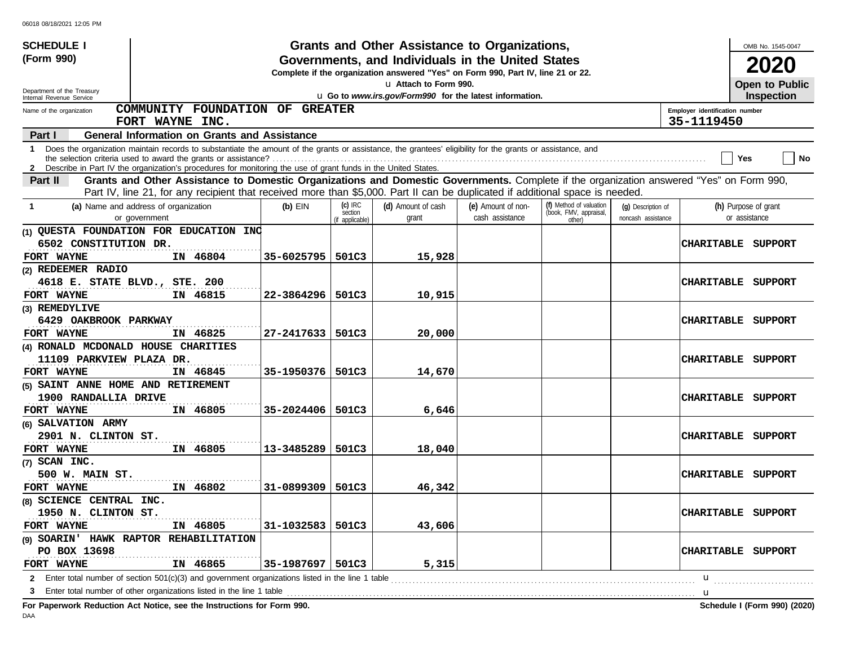| <b>SCHEDULE I</b>                                                 |                                                                                                                                                                                                                                                                                 |            |                                         | Grants and Other Assistance to Organizations,                                                                                         |                                       |                                                             |                                          |                                              | OMB No. 1545-0047                     |
|-------------------------------------------------------------------|---------------------------------------------------------------------------------------------------------------------------------------------------------------------------------------------------------------------------------------------------------------------------------|------------|-----------------------------------------|---------------------------------------------------------------------------------------------------------------------------------------|---------------------------------------|-------------------------------------------------------------|------------------------------------------|----------------------------------------------|---------------------------------------|
| (Form 990)                                                        |                                                                                                                                                                                                                                                                                 |            |                                         | Governments, and Individuals in the United States<br>Complete if the organization answered "Yes" on Form 990, Part IV, line 21 or 22. |                                       |                                                             |                                          |                                              | 2020                                  |
| Department of the Treasury                                        |                                                                                                                                                                                                                                                                                 |            |                                         | La Attach to Form 990.                                                                                                                |                                       |                                                             |                                          |                                              | Open to Public                        |
| Internal Revenue Service                                          |                                                                                                                                                                                                                                                                                 |            |                                         | u Go to www.irs.gov/Form990 for the latest information.                                                                               |                                       |                                                             |                                          |                                              | <b>Inspection</b>                     |
| Name of the organization                                          | COMMUNITY FOUNDATION OF GREATER<br>FORT WAYNE INC.                                                                                                                                                                                                                              |            |                                         |                                                                                                                                       |                                       |                                                             |                                          | Employer identification number<br>35-1119450 |                                       |
| Part I                                                            | <b>General Information on Grants and Assistance</b>                                                                                                                                                                                                                             |            |                                         |                                                                                                                                       |                                       |                                                             |                                          |                                              |                                       |
|                                                                   | 1 Does the organization maintain records to substantiate the amount of the grants or assistance, the grantees' eligibility for the grants or assistance, and<br>2 Describe in Part IV the organization's procedures for monitoring the use of grant funds in the United States. |            |                                         |                                                                                                                                       |                                       |                                                             |                                          |                                              | No<br>Yes                             |
| <b>Part II</b>                                                    | Grants and Other Assistance to Domestic Organizations and Domestic Governments. Complete if the organization answered "Yes" on Form 990,                                                                                                                                        |            |                                         |                                                                                                                                       |                                       |                                                             |                                          |                                              |                                       |
|                                                                   | Part IV, line 21, for any recipient that received more than \$5,000. Part II can be duplicated if additional space is needed.                                                                                                                                                   |            |                                         |                                                                                                                                       |                                       |                                                             |                                          |                                              |                                       |
| -1                                                                | (a) Name and address of organization<br>or government                                                                                                                                                                                                                           | $(b)$ EIN  | $(c)$ IRC<br>section<br>(if applicable) | (d) Amount of cash<br>grant                                                                                                           | (e) Amount of non-<br>cash assistance | (f) Method of valuation<br>(book, FMV, appraisal,<br>other) | (g) Description of<br>noncash assistance |                                              | (h) Purpose of grant<br>or assistance |
| 6502 CONSTITUTION DR.<br>FORT WAYNE                               | (1) QUESTA FOUNDATION FOR EDUCATION INC<br>IN 46804                                                                                                                                                                                                                             | 35-6025795 | 501C3                                   | 15,928                                                                                                                                |                                       |                                                             |                                          | <b>CHARITABLE</b>                            | SUPPORT                               |
| (2) REDEEMER RADIO<br>4618 E. STATE BLVD., STE. 200<br>FORT WAYNE | IN 46815                                                                                                                                                                                                                                                                        | 22-3864296 | 501C3                                   | 10,915                                                                                                                                |                                       |                                                             |                                          | <b>CHARITABLE</b>                            | SUPPORT                               |
| (3) REMEDYLIVE<br>6429 OAKBROOK PARKWAY                           |                                                                                                                                                                                                                                                                                 |            |                                         |                                                                                                                                       |                                       |                                                             |                                          | <b>CHARITABLE</b>                            | SUPPORT                               |
| FORT WAYNE                                                        | IN 46825                                                                                                                                                                                                                                                                        | 27-2417633 | 501C3                                   | 20,000                                                                                                                                |                                       |                                                             |                                          |                                              |                                       |
| (4) RONALD MCDONALD HOUSE CHARITIES<br>11109 PARKVIEW PLAZA DR.   |                                                                                                                                                                                                                                                                                 |            |                                         |                                                                                                                                       |                                       |                                                             |                                          | <b>CHARITABLE</b>                            | SUPPORT                               |
| FORT WAYNE                                                        | IN 46845                                                                                                                                                                                                                                                                        | 35–1950376 | 501C3                                   | 14,670                                                                                                                                |                                       |                                                             |                                          |                                              |                                       |
| (5) SAINT ANNE HOME AND RETIREMENT<br>1900 RANDALLIA DRIVE        |                                                                                                                                                                                                                                                                                 |            |                                         |                                                                                                                                       |                                       |                                                             |                                          | <b>CHARITABLE</b>                            | SUPPORT                               |
| FORT WAYNE                                                        | IN 46805                                                                                                                                                                                                                                                                        | 35-2024406 | 501C3                                   | 6,646                                                                                                                                 |                                       |                                                             |                                          |                                              |                                       |
| (6) SALVATION ARMY<br>2901 N. CLINTON ST.                         |                                                                                                                                                                                                                                                                                 |            |                                         |                                                                                                                                       |                                       |                                                             |                                          | <b>CHARITABLE</b>                            | SUPPORT                               |
| FORT WAYNE                                                        | IN 46805                                                                                                                                                                                                                                                                        | 13-3485289 | 501C3                                   | 18,040                                                                                                                                |                                       |                                                             |                                          |                                              |                                       |
| $(7)$ SCAN INC.<br>500 W. MAIN ST.                                |                                                                                                                                                                                                                                                                                 |            |                                         |                                                                                                                                       |                                       |                                                             |                                          |                                              | <b>CHARITABLE SUPPORT</b>             |
| FORT WAYNE                                                        | IN 46802                                                                                                                                                                                                                                                                        | 31-0899309 | 501C3                                   | 46,342                                                                                                                                |                                       |                                                             |                                          |                                              |                                       |
| (8) SCIENCE CENTRAL INC.<br>1950 N. CLINTON ST.                   |                                                                                                                                                                                                                                                                                 | 31-1032583 |                                         |                                                                                                                                       |                                       |                                                             |                                          |                                              | <b>CHARITABLE SUPPORT</b>             |
| FORT WAYNE                                                        | IN 46805<br>(9) SOARIN' HAWK RAPTOR REHABILITATION                                                                                                                                                                                                                              |            | 501C3                                   | 43,606                                                                                                                                |                                       |                                                             |                                          |                                              |                                       |
| PO BOX 13698<br>FORT WAYNE                                        | .<br>IN 46865                                                                                                                                                                                                                                                                   | 35-1987697 | 501C3                                   | 5,315                                                                                                                                 |                                       |                                                             |                                          |                                              | CHARITABLE SUPPORT                    |
|                                                                   |                                                                                                                                                                                                                                                                                 |            |                                         |                                                                                                                                       |                                       |                                                             |                                          | u                                            |                                       |
|                                                                   | 3 Enter total number of other organizations listed in the line 1 table                                                                                                                                                                                                          |            |                                         |                                                                                                                                       |                                       |                                                             |                                          | u                                            |                                       |
|                                                                   | For Paperwork Reduction Act Notice, see the Instructions for Form 990.                                                                                                                                                                                                          |            |                                         |                                                                                                                                       |                                       |                                                             |                                          |                                              | Schedule I (Form 990) (2020)          |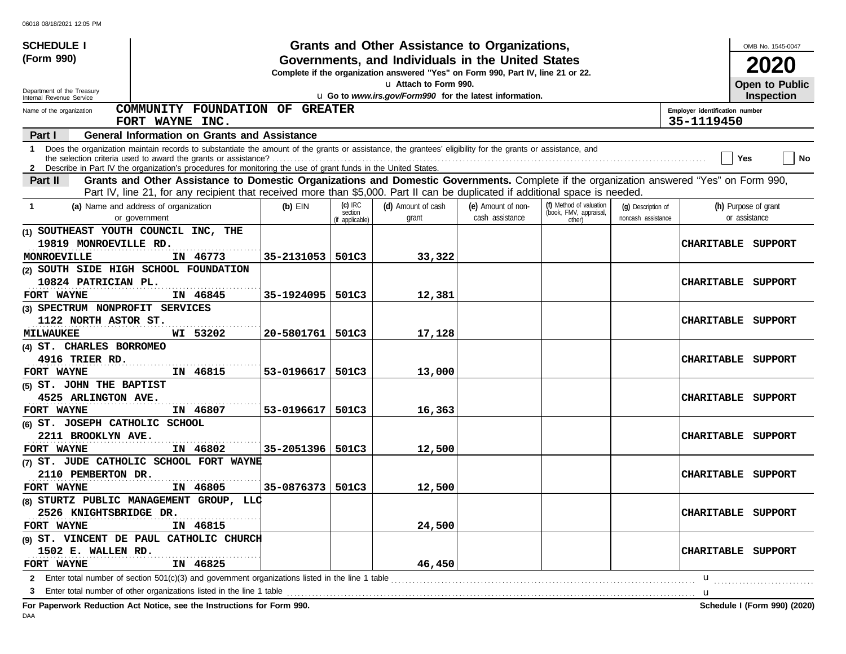| <b>SCHEDULE I</b>                                    |                                                                                                                                                                                                                                                             |            |                            | Grants and Other Assistance to Organizations,                                                                                         |                    |                                  |                    |                                | OMB No. 1545-0047    |                              |
|------------------------------------------------------|-------------------------------------------------------------------------------------------------------------------------------------------------------------------------------------------------------------------------------------------------------------|------------|----------------------------|---------------------------------------------------------------------------------------------------------------------------------------|--------------------|----------------------------------|--------------------|--------------------------------|----------------------|------------------------------|
| (Form 990)                                           |                                                                                                                                                                                                                                                             |            |                            | Governments, and Individuals in the United States<br>Complete if the organization answered "Yes" on Form 990, Part IV, line 21 or 22. |                    |                                  |                    |                                | 2020                 |                              |
| Department of the Treasury                           |                                                                                                                                                                                                                                                             |            |                            | La Attach to Form 990.                                                                                                                |                    |                                  |                    |                                | Open to Public       |                              |
| Internal Revenue Service<br>Name of the organization | COMMUNITY FOUNDATION OF GREATER                                                                                                                                                                                                                             |            |                            | u Go to www.irs.gov/Form990 for the latest information.                                                                               |                    |                                  |                    | Employer identification number | <b>Inspection</b>    |                              |
|                                                      | FORT WAYNE INC.                                                                                                                                                                                                                                             |            |                            |                                                                                                                                       |                    |                                  |                    | 35-1119450                     |                      |                              |
| Part I                                               | <b>General Information on Grants and Assistance</b>                                                                                                                                                                                                         |            |                            |                                                                                                                                       |                    |                                  |                    |                                |                      |                              |
| 1                                                    | Does the organization maintain records to substantiate the amount of the grants or assistance, the grantees' eligibility for the grants or assistance, and                                                                                                  |            |                            |                                                                                                                                       |                    |                                  |                    |                                | Yes                  | <b>No</b>                    |
| Part II                                              | 2 Describe in Part IV the organization's procedures for monitoring the use of grant funds in the United States.<br>Grants and Other Assistance to Domestic Organizations and Domestic Governments. Complete if the organization answered "Yes" on Form 990, |            |                            |                                                                                                                                       |                    |                                  |                    |                                |                      |                              |
|                                                      | Part IV, line 21, for any recipient that received more than \$5,000. Part II can be duplicated if additional space is needed.                                                                                                                               |            |                            |                                                                                                                                       |                    |                                  |                    |                                |                      |                              |
| -1                                                   | (a) Name and address of organization                                                                                                                                                                                                                        | $(b)$ EIN  | $(c)$ IRC                  | (d) Amount of cash                                                                                                                    | (e) Amount of non- | (f) Method of valuation          | (g) Description of |                                | (h) Purpose of grant |                              |
|                                                      | or government                                                                                                                                                                                                                                               |            | section<br>(if applicable) | grant                                                                                                                                 | cash assistance    | (book, FMV, appraisal,<br>other) | noncash assistance |                                | or assistance        |                              |
|                                                      | (1) SOUTHEAST YOUTH COUNCIL INC, THE                                                                                                                                                                                                                        |            |                            |                                                                                                                                       |                    |                                  |                    |                                |                      |                              |
| 19819 MONROEVILLE RD.                                |                                                                                                                                                                                                                                                             |            |                            |                                                                                                                                       |                    |                                  |                    | CHARITABLE SUPPORT             |                      |                              |
| MONROEVILLE                                          | IN 46773                                                                                                                                                                                                                                                    | 35-2131053 | 501C3                      | 33,322                                                                                                                                |                    |                                  |                    |                                |                      |                              |
|                                                      | (2) SOUTH SIDE HIGH SCHOOL FOUNDATION                                                                                                                                                                                                                       |            |                            |                                                                                                                                       |                    |                                  |                    |                                |                      |                              |
| 10824 PATRICIAN PL.                                  |                                                                                                                                                                                                                                                             |            |                            |                                                                                                                                       |                    |                                  |                    | <b>CHARITABLE</b>              | SUPPORT              |                              |
| FORT WAYNE                                           | IN 46845                                                                                                                                                                                                                                                    | 35-1924095 | 501C3                      | 12,381                                                                                                                                |                    |                                  |                    |                                |                      |                              |
| (3) SPECTRUM NONPROFIT SERVICES                      |                                                                                                                                                                                                                                                             |            |                            |                                                                                                                                       |                    |                                  |                    |                                |                      |                              |
| 1122 NORTH ASTOR ST.                                 |                                                                                                                                                                                                                                                             |            |                            |                                                                                                                                       |                    |                                  |                    | <b>CHARITABLE</b>              | SUPPORT              |                              |
| <b>MILWAUKEE</b>                                     | WI 53202                                                                                                                                                                                                                                                    | 20-5801761 | 501C3                      | 17,128                                                                                                                                |                    |                                  |                    |                                |                      |                              |
| (4) ST. CHARLES BORROMEO                             |                                                                                                                                                                                                                                                             |            |                            |                                                                                                                                       |                    |                                  |                    |                                |                      |                              |
| 4916 TRIER RD.                                       |                                                                                                                                                                                                                                                             |            |                            |                                                                                                                                       |                    |                                  |                    | <b>CHARITABLE</b>              | SUPPORT              |                              |
| FORT WAYNE                                           | IN 46815                                                                                                                                                                                                                                                    | 53-0196617 | 501C3                      | 13,000                                                                                                                                |                    |                                  |                    |                                |                      |                              |
| (5) ST. JOHN THE BAPTIST                             |                                                                                                                                                                                                                                                             |            |                            |                                                                                                                                       |                    |                                  |                    |                                |                      |                              |
| 4525 ARLINGTON AVE.                                  |                                                                                                                                                                                                                                                             |            |                            |                                                                                                                                       |                    |                                  |                    | <b>CHARITABLE</b>              | SUPPORT              |                              |
| FORT WAYNE                                           | IN 46807                                                                                                                                                                                                                                                    | 53-0196617 | 501C3                      | 16,363                                                                                                                                |                    |                                  |                    |                                |                      |                              |
| (6) ST. JOSEPH CATHOLIC SCHOOL                       |                                                                                                                                                                                                                                                             |            |                            |                                                                                                                                       |                    |                                  |                    |                                |                      |                              |
| 2211 BROOKLYN AVE.<br>FORT WAYNE                     | IN 46802                                                                                                                                                                                                                                                    | 35-2051396 | 501C3                      | 12,500                                                                                                                                |                    |                                  |                    | <b>CHARITABLE</b>              | SUPPORT              |                              |
|                                                      | (7) ST. JUDE CATHOLIC SCHOOL FORT WAYNE                                                                                                                                                                                                                     |            |                            |                                                                                                                                       |                    |                                  |                    |                                |                      |                              |
| 2110 PEMBERTON DR.                                   |                                                                                                                                                                                                                                                             |            |                            |                                                                                                                                       |                    |                                  |                    | <b>CHARITABLE</b>              | SUPPORT              |                              |
| FORT WAYNE                                           | IN 46805                                                                                                                                                                                                                                                    | 35-0876373 | 501C3                      | 12,500                                                                                                                                |                    |                                  |                    |                                |                      |                              |
|                                                      | (8) STURTZ PUBLIC MANAGEMENT GROUP, LLC                                                                                                                                                                                                                     |            |                            |                                                                                                                                       |                    |                                  |                    |                                |                      |                              |
| 2526 KNIGHTSBRIDGE DR.                               |                                                                                                                                                                                                                                                             |            |                            |                                                                                                                                       |                    |                                  |                    | CHARITABLE SUPPORT             |                      |                              |
| FORT WAYNE                                           | IN 46815                                                                                                                                                                                                                                                    |            |                            | 24,500                                                                                                                                |                    |                                  |                    |                                |                      |                              |
|                                                      | (9) ST. VINCENT DE PAUL CATHOLIC CHURCH                                                                                                                                                                                                                     |            |                            |                                                                                                                                       |                    |                                  |                    |                                |                      |                              |
| 1502 E. WALLEN RD.                                   |                                                                                                                                                                                                                                                             |            |                            |                                                                                                                                       |                    |                                  |                    | CHARITABLE SUPPORT             |                      |                              |
| FORT WAYNE                                           | IN 46825                                                                                                                                                                                                                                                    |            |                            | 46,450                                                                                                                                |                    |                                  |                    |                                |                      |                              |
|                                                      | 2 Enter total number of section 501(c)(3) and government organizations listed in the line 1 table                                                                                                                                                           |            |                            |                                                                                                                                       |                    |                                  |                    | u                              |                      |                              |
| 3                                                    | Enter total number of other organizations listed in the line 1 table                                                                                                                                                                                        |            |                            |                                                                                                                                       |                    |                                  |                    | u                              |                      |                              |
|                                                      | For Paperwork Reduction Act Notice, see the Instructions for Form 990.                                                                                                                                                                                      |            |                            |                                                                                                                                       |                    |                                  |                    |                                |                      | Schedule I (Form 990) (2020) |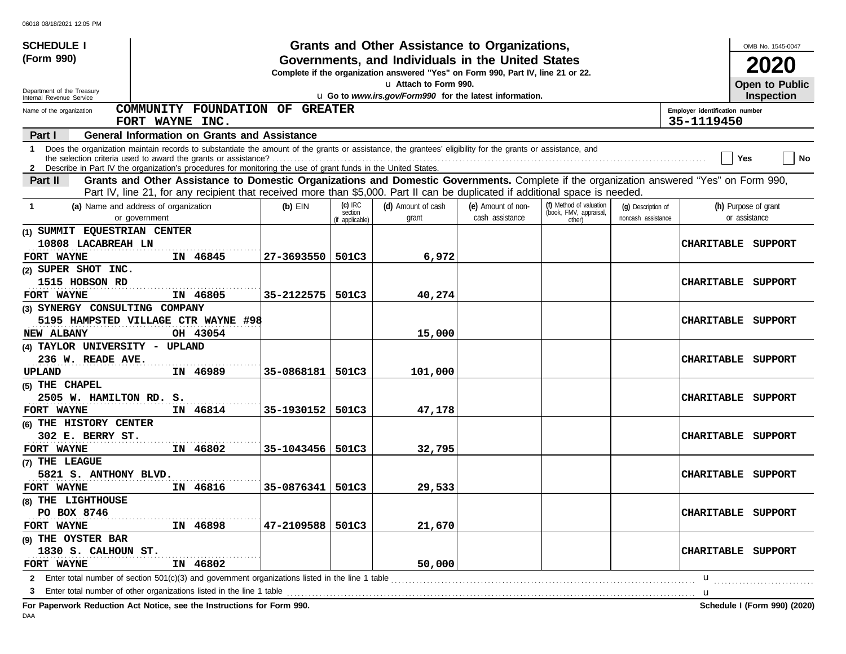| <b>SCHEDULE I</b>                                                      |                                                                                                                                                                                                                                                                               |            |                            | Grants and Other Assistance to Organizations,                                                                                         |                    |                                  |                    |                                | OMB No. 1545-0047            |
|------------------------------------------------------------------------|-------------------------------------------------------------------------------------------------------------------------------------------------------------------------------------------------------------------------------------------------------------------------------|------------|----------------------------|---------------------------------------------------------------------------------------------------------------------------------------|--------------------|----------------------------------|--------------------|--------------------------------|------------------------------|
| (Form 990)                                                             |                                                                                                                                                                                                                                                                               |            |                            | Governments, and Individuals in the United States<br>Complete if the organization answered "Yes" on Form 990, Part IV, line 21 or 22. |                    |                                  |                    |                                | 2020                         |
| Department of the Treasury                                             |                                                                                                                                                                                                                                                                               |            |                            | La Attach to Form 990.                                                                                                                |                    |                                  |                    |                                | <b>Open to Public</b>        |
| Internal Revenue Service                                               |                                                                                                                                                                                                                                                                               |            |                            | u Go to www.irs.gov/Form990 for the latest information.                                                                               |                    |                                  |                    |                                | <b>Inspection</b>            |
| Name of the organization                                               | COMMUNITY FOUNDATION OF GREATER                                                                                                                                                                                                                                               |            |                            |                                                                                                                                       |                    |                                  |                    | Employer identification number |                              |
|                                                                        | FORT WAYNE INC.                                                                                                                                                                                                                                                               |            |                            |                                                                                                                                       |                    |                                  |                    | 35-1119450                     |                              |
| Part I                                                                 | <b>General Information on Grants and Assistance</b>                                                                                                                                                                                                                           |            |                            |                                                                                                                                       |                    |                                  |                    |                                |                              |
| 1                                                                      | Does the organization maintain records to substantiate the amount of the grants or assistance, the grantees' eligibility for the grants or assistance, and<br>2 Describe in Part IV the organization's procedures for monitoring the use of grant funds in the United States. |            |                            |                                                                                                                                       |                    |                                  |                    |                                | No<br>Yes                    |
| Part II                                                                | Grants and Other Assistance to Domestic Organizations and Domestic Governments. Complete if the organization answered "Yes" on Form 990,                                                                                                                                      |            |                            |                                                                                                                                       |                    |                                  |                    |                                |                              |
|                                                                        | Part IV, line 21, for any recipient that received more than \$5,000. Part II can be duplicated if additional space is needed.                                                                                                                                                 |            |                            |                                                                                                                                       |                    |                                  |                    |                                |                              |
| (a) Name and address of organization                                   |                                                                                                                                                                                                                                                                               | $(b)$ EIN  | $(c)$ IRC                  | (d) Amount of cash                                                                                                                    | (e) Amount of non- | (f) Method of valuation          | (g) Description of |                                | (h) Purpose of grant         |
| or government                                                          |                                                                                                                                                                                                                                                                               |            | section<br>(if applicable) | grant                                                                                                                                 | cash assistance    | (book, FMV, appraisal,<br>other) | noncash assistance |                                | or assistance                |
| (1) SUMMIT EQUESTRIAN CENTER                                           |                                                                                                                                                                                                                                                                               |            |                            |                                                                                                                                       |                    |                                  |                    |                                |                              |
| 10808 LACABREAH LN                                                     |                                                                                                                                                                                                                                                                               |            |                            |                                                                                                                                       |                    |                                  |                    | <b>CHARITABLE</b>              | SUPPORT                      |
| FORT WAYNE                                                             | IN 46845                                                                                                                                                                                                                                                                      | 27-3693550 | 501C3                      | 6,972                                                                                                                                 |                    |                                  |                    |                                |                              |
| (2) SUPER SHOT INC.                                                    |                                                                                                                                                                                                                                                                               |            |                            |                                                                                                                                       |                    |                                  |                    |                                |                              |
| 1515 HOBSON RD                                                         |                                                                                                                                                                                                                                                                               |            |                            |                                                                                                                                       |                    |                                  |                    | <b>CHARITABLE</b>              | SUPPORT                      |
| FORT WAYNE                                                             | IN 46805                                                                                                                                                                                                                                                                      | 35-2122575 | 501C3                      | 40,274                                                                                                                                |                    |                                  |                    |                                |                              |
| (3) SYNERGY CONSULTING COMPANY                                         |                                                                                                                                                                                                                                                                               |            |                            |                                                                                                                                       |                    |                                  |                    |                                |                              |
|                                                                        | 5195 HAMPSTED VILLAGE CTR WAYNE #98                                                                                                                                                                                                                                           |            |                            |                                                                                                                                       |                    |                                  |                    | <b>CHARITABLE</b>              | SUPPORT                      |
| NEW ALBANY                                                             | OH 43054                                                                                                                                                                                                                                                                      |            |                            | 15,000                                                                                                                                |                    |                                  |                    |                                |                              |
| (4) TAYLOR UNIVERSITY - UPLAND                                         |                                                                                                                                                                                                                                                                               |            |                            |                                                                                                                                       |                    |                                  |                    |                                |                              |
| 236 W. READE AVE.                                                      |                                                                                                                                                                                                                                                                               |            |                            |                                                                                                                                       |                    |                                  |                    | <b>CHARITABLE</b>              | SUPPORT                      |
| UPLAND                                                                 | IN 46989                                                                                                                                                                                                                                                                      | 35-0868181 | 501C3                      | 101,000                                                                                                                               |                    |                                  |                    |                                |                              |
| (5) THE CHAPEL                                                         |                                                                                                                                                                                                                                                                               |            |                            |                                                                                                                                       |                    |                                  |                    |                                |                              |
| 2505 W. HAMILTON RD. S.                                                |                                                                                                                                                                                                                                                                               |            |                            |                                                                                                                                       |                    |                                  |                    | <b>CHARITABLE</b>              | SUPPORT                      |
| FORT WAYNE                                                             | IN 46814                                                                                                                                                                                                                                                                      | 35-1930152 | 501C3                      | 47,178                                                                                                                                |                    |                                  |                    |                                |                              |
| (6) THE HISTORY CENTER                                                 |                                                                                                                                                                                                                                                                               |            |                            |                                                                                                                                       |                    |                                  |                    |                                |                              |
| 302 E. BERRY ST.                                                       |                                                                                                                                                                                                                                                                               |            |                            |                                                                                                                                       |                    |                                  |                    | CHARITABLE                     | SUPPORT                      |
| FORT WAYNE                                                             | IN 46802                                                                                                                                                                                                                                                                      | 35-1043456 | 501C3                      | 32,795                                                                                                                                |                    |                                  |                    |                                |                              |
| (7) THE LEAGUE                                                         |                                                                                                                                                                                                                                                                               |            |                            |                                                                                                                                       |                    |                                  |                    |                                |                              |
| 5821 S. ANTHONY BLVD.                                                  |                                                                                                                                                                                                                                                                               |            |                            |                                                                                                                                       |                    |                                  |                    |                                | CHARITABLE SUPPORT           |
| FORT WAYNE                                                             | IN 46816                                                                                                                                                                                                                                                                      | 35-0876341 | 501C3                      | 29,533                                                                                                                                |                    |                                  |                    |                                |                              |
| (8) THE LIGHTHOUSE                                                     |                                                                                                                                                                                                                                                                               |            |                            |                                                                                                                                       |                    |                                  |                    |                                |                              |
| PO BOX 8746                                                            |                                                                                                                                                                                                                                                                               |            |                            |                                                                                                                                       |                    |                                  |                    |                                | <b>CHARITABLE SUPPORT</b>    |
| FORT WAYNE                                                             | IN 46898                                                                                                                                                                                                                                                                      | 47-2109588 | 501C3                      | 21,670                                                                                                                                |                    |                                  |                    |                                |                              |
| (9) THE OYSTER BAR                                                     |                                                                                                                                                                                                                                                                               |            |                            |                                                                                                                                       |                    |                                  |                    |                                |                              |
| 1830 S. CALHOUN ST.                                                    |                                                                                                                                                                                                                                                                               |            |                            |                                                                                                                                       |                    |                                  |                    |                                | CHARITABLE SUPPORT           |
| FORT WAYNE                                                             | IN 46802                                                                                                                                                                                                                                                                      |            |                            | 50,000                                                                                                                                |                    |                                  |                    |                                |                              |
|                                                                        | 2 Enter total number of section 501(c)(3) and government organizations listed in the line 1 table                                                                                                                                                                             |            |                            |                                                                                                                                       |                    |                                  |                    | u                              |                              |
| 3                                                                      | Enter total number of other organizations listed in the line 1 table                                                                                                                                                                                                          |            | .                          |                                                                                                                                       |                    |                                  |                    | u                              |                              |
| For Paperwork Reduction Act Notice, see the Instructions for Form 990. |                                                                                                                                                                                                                                                                               |            |                            |                                                                                                                                       |                    |                                  |                    |                                | Schedule I (Form 990) (2020) |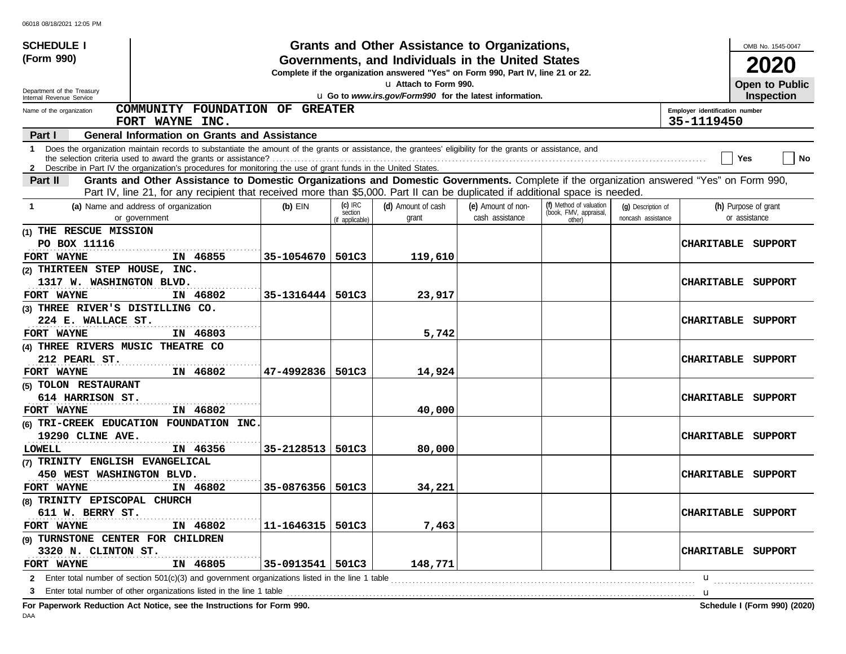| <b>SCHEDULE I</b>                                      |                                                                                                                                                                                                                                                                               |            |                                         | Grants and Other Assistance to Organizations,                                                                                         |                                       |                                                             |                                          |                                              | OMB No. 1545-0047                     |
|--------------------------------------------------------|-------------------------------------------------------------------------------------------------------------------------------------------------------------------------------------------------------------------------------------------------------------------------------|------------|-----------------------------------------|---------------------------------------------------------------------------------------------------------------------------------------|---------------------------------------|-------------------------------------------------------------|------------------------------------------|----------------------------------------------|---------------------------------------|
| (Form 990)                                             |                                                                                                                                                                                                                                                                               |            |                                         | Governments, and Individuals in the United States<br>Complete if the organization answered "Yes" on Form 990, Part IV, line 21 or 22. |                                       |                                                             |                                          |                                              | 2020                                  |
|                                                        |                                                                                                                                                                                                                                                                               |            |                                         | La Attach to Form 990.                                                                                                                |                                       |                                                             |                                          |                                              | Open to Public                        |
| Department of the Treasury<br>Internal Revenue Service |                                                                                                                                                                                                                                                                               |            |                                         | u Go to www.irs.gov/Form990 for the latest information.                                                                               |                                       |                                                             |                                          |                                              | <b>Inspection</b>                     |
| Name of the organization                               | COMMUNITY FOUNDATION OF GREATER<br>FORT WAYNE INC.                                                                                                                                                                                                                            |            |                                         |                                                                                                                                       |                                       |                                                             |                                          | Employer identification number<br>35-1119450 |                                       |
| Part I                                                 | <b>General Information on Grants and Assistance</b>                                                                                                                                                                                                                           |            |                                         |                                                                                                                                       |                                       |                                                             |                                          |                                              |                                       |
| 1.                                                     | Does the organization maintain records to substantiate the amount of the grants or assistance, the grantees' eligibility for the grants or assistance, and<br>2 Describe in Part IV the organization's procedures for monitoring the use of grant funds in the United States. |            |                                         |                                                                                                                                       |                                       |                                                             |                                          |                                              | No<br>Yes                             |
| <b>Part II</b>                                         | Grants and Other Assistance to Domestic Organizations and Domestic Governments. Complete if the organization answered "Yes" on Form 990,                                                                                                                                      |            |                                         |                                                                                                                                       |                                       |                                                             |                                          |                                              |                                       |
|                                                        | Part IV, line 21, for any recipient that received more than \$5,000. Part II can be duplicated if additional space is needed.                                                                                                                                                 |            |                                         |                                                                                                                                       |                                       |                                                             |                                          |                                              |                                       |
| 1                                                      | (a) Name and address of organization<br>or government                                                                                                                                                                                                                         | $(b)$ EIN  | $(c)$ IRC<br>section<br>(if applicable) | (d) Amount of cash<br>grant                                                                                                           | (e) Amount of non-<br>cash assistance | (f) Method of valuation<br>(book, FMV, appraisal,<br>other) | (q) Description of<br>noncash assistance |                                              | (h) Purpose of grant<br>or assistance |
| (1) THE RESCUE MISSION                                 |                                                                                                                                                                                                                                                                               |            |                                         |                                                                                                                                       |                                       |                                                             |                                          |                                              |                                       |
| PO BOX 11116                                           |                                                                                                                                                                                                                                                                               |            |                                         |                                                                                                                                       |                                       |                                                             |                                          |                                              | CHARITABLE SUPPORT                    |
| FORT WAYNE                                             | IN 46855                                                                                                                                                                                                                                                                      | 35-1054670 | 501C3                                   | 119,610                                                                                                                               |                                       |                                                             |                                          |                                              |                                       |
| (2) THIRTEEN STEP HOUSE, INC.                          |                                                                                                                                                                                                                                                                               |            |                                         |                                                                                                                                       |                                       |                                                             |                                          |                                              |                                       |
| 1317 W. WASHINGTON BLVD.                               |                                                                                                                                                                                                                                                                               |            |                                         |                                                                                                                                       |                                       |                                                             |                                          | <b>CHARITABLE</b>                            | SUPPORT                               |
| FORT WAYNE                                             | IN 46802                                                                                                                                                                                                                                                                      | 35-1316444 | 501C3                                   | 23,917                                                                                                                                |                                       |                                                             |                                          |                                              |                                       |
| (3) THREE RIVER'S DISTILLING CO.                       |                                                                                                                                                                                                                                                                               |            |                                         |                                                                                                                                       |                                       |                                                             |                                          |                                              |                                       |
| 224 E. WALLACE ST.                                     |                                                                                                                                                                                                                                                                               |            |                                         |                                                                                                                                       |                                       |                                                             |                                          | <b>CHARITABLE</b>                            | SUPPORT                               |
| FORT WAYNE                                             | IN 46803                                                                                                                                                                                                                                                                      |            |                                         | 5,742                                                                                                                                 |                                       |                                                             |                                          |                                              |                                       |
| (4) THREE RIVERS MUSIC THEATRE CO                      |                                                                                                                                                                                                                                                                               |            |                                         |                                                                                                                                       |                                       |                                                             |                                          |                                              |                                       |
| 212 PEARL ST.                                          |                                                                                                                                                                                                                                                                               |            |                                         |                                                                                                                                       |                                       |                                                             |                                          | <b>CHARITABLE</b>                            | SUPPORT                               |
| <b>FORT WAYNE</b>                                      | IN 46802                                                                                                                                                                                                                                                                      | 47-4992836 | 501C3                                   | 14,924                                                                                                                                |                                       |                                                             |                                          |                                              |                                       |
| (5) TOLON RESTAURANT                                   |                                                                                                                                                                                                                                                                               |            |                                         |                                                                                                                                       |                                       |                                                             |                                          |                                              |                                       |
| 614 HARRISON ST.                                       |                                                                                                                                                                                                                                                                               |            |                                         |                                                                                                                                       |                                       |                                                             |                                          | <b>CHARITABLE</b>                            | SUPPORT                               |
| <b>FORT WAYNE</b>                                      | IN 46802                                                                                                                                                                                                                                                                      |            |                                         | 40,000                                                                                                                                |                                       |                                                             |                                          |                                              |                                       |
|                                                        | (6) TRI-CREEK EDUCATION FOUNDATION INC.                                                                                                                                                                                                                                       |            |                                         |                                                                                                                                       |                                       |                                                             |                                          |                                              |                                       |
| 19290 CLINE AVE.                                       |                                                                                                                                                                                                                                                                               |            |                                         |                                                                                                                                       |                                       |                                                             |                                          | <b>CHARITABLE</b>                            | SUPPORT                               |
| <b>LOWELL</b>                                          | IN 46356                                                                                                                                                                                                                                                                      | 35-2128513 | 501C3                                   | 80,000                                                                                                                                |                                       |                                                             |                                          |                                              |                                       |
| (7) TRINITY ENGLISH EVANGELICAL                        |                                                                                                                                                                                                                                                                               |            |                                         |                                                                                                                                       |                                       |                                                             |                                          |                                              |                                       |
| 450 WEST WASHINGTON BLVD.                              |                                                                                                                                                                                                                                                                               |            |                                         |                                                                                                                                       |                                       |                                                             |                                          |                                              | CHARITABLE SUPPORT                    |
| <b>FORT WAYNE</b>                                      | IN 46802                                                                                                                                                                                                                                                                      | 35-0876356 | 501C3                                   | 34,221                                                                                                                                |                                       |                                                             |                                          |                                              |                                       |
| (8) TRINITY EPISCOPAL CHURCH                           |                                                                                                                                                                                                                                                                               |            |                                         |                                                                                                                                       |                                       |                                                             |                                          |                                              |                                       |
| 611 W. BERRY ST.                                       |                                                                                                                                                                                                                                                                               |            |                                         |                                                                                                                                       |                                       |                                                             |                                          |                                              | <b>CHARITABLE SUPPORT</b>             |
| <b>FORT WAYNE</b>                                      | IN 46802                                                                                                                                                                                                                                                                      | 11-1646315 | 501C3                                   | 7,463                                                                                                                                 |                                       |                                                             |                                          |                                              |                                       |
| (9) TURNSTONE CENTER FOR CHILDREN                      |                                                                                                                                                                                                                                                                               |            |                                         |                                                                                                                                       |                                       |                                                             |                                          |                                              |                                       |
| 3320 N. CLINTON ST.                                    |                                                                                                                                                                                                                                                                               |            |                                         |                                                                                                                                       |                                       |                                                             |                                          |                                              | CHARITABLE SUPPORT                    |
| FORT WAYNE                                             | IN 46805                                                                                                                                                                                                                                                                      | 35-0913541 | 501C3                                   | 148,771                                                                                                                               |                                       |                                                             |                                          |                                              |                                       |
|                                                        |                                                                                                                                                                                                                                                                               |            |                                         |                                                                                                                                       |                                       |                                                             |                                          | u                                            |                                       |
|                                                        |                                                                                                                                                                                                                                                                               |            |                                         |                                                                                                                                       |                                       |                                                             |                                          | $\mathbf u$                                  |                                       |
|                                                        | Fee Department: Deduction, Act Notice, and the Instructions for Fer                                                                                                                                                                                                           |            |                                         |                                                                                                                                       |                                       |                                                             |                                          |                                              | <b>Cohodule I (Form 000) (2020)</b>   |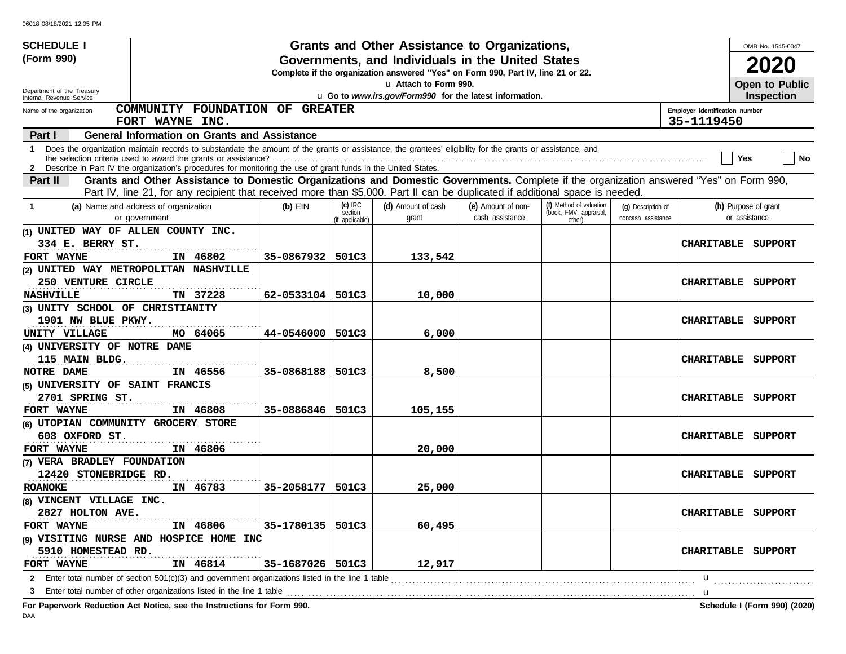| <b>SCHEDULE I</b>                                      |                                                                                                                                                                                                                                                                               |                    |                                         | Grants and Other Assistance to Organizations,                                                                                         |                                       |                                                             |                                          |                                              | OMB No. 1545-0047                     |
|--------------------------------------------------------|-------------------------------------------------------------------------------------------------------------------------------------------------------------------------------------------------------------------------------------------------------------------------------|--------------------|-----------------------------------------|---------------------------------------------------------------------------------------------------------------------------------------|---------------------------------------|-------------------------------------------------------------|------------------------------------------|----------------------------------------------|---------------------------------------|
| (Form 990)                                             |                                                                                                                                                                                                                                                                               |                    |                                         | Governments, and Individuals in the United States<br>Complete if the organization answered "Yes" on Form 990, Part IV, line 21 or 22. |                                       |                                                             |                                          |                                              | 2020                                  |
|                                                        |                                                                                                                                                                                                                                                                               |                    |                                         | La Attach to Form 990.                                                                                                                |                                       |                                                             |                                          |                                              | Open to Public                        |
| Department of the Treasury<br>Internal Revenue Service |                                                                                                                                                                                                                                                                               |                    |                                         | u Go to www.irs.gov/Form990 for the latest information.                                                                               |                                       |                                                             |                                          |                                              | Inspection                            |
| Name of the organization                               | COMMUNITY FOUNDATION OF GREATER<br>FORT WAYNE INC.                                                                                                                                                                                                                            |                    |                                         |                                                                                                                                       |                                       |                                                             |                                          | Employer identification number<br>35-1119450 |                                       |
| Part I                                                 | <b>General Information on Grants and Assistance</b>                                                                                                                                                                                                                           |                    |                                         |                                                                                                                                       |                                       |                                                             |                                          |                                              |                                       |
| 1.                                                     | Does the organization maintain records to substantiate the amount of the grants or assistance, the grantees' eligibility for the grants or assistance, and<br>2 Describe in Part IV the organization's procedures for monitoring the use of grant funds in the United States. |                    |                                         |                                                                                                                                       |                                       |                                                             |                                          |                                              | No<br>Yes                             |
| <b>Part II</b>                                         | Grants and Other Assistance to Domestic Organizations and Domestic Governments. Complete if the organization answered "Yes" on Form 990,                                                                                                                                      |                    |                                         |                                                                                                                                       |                                       |                                                             |                                          |                                              |                                       |
|                                                        | Part IV, line 21, for any recipient that received more than \$5,000. Part II can be duplicated if additional space is needed.                                                                                                                                                 |                    |                                         |                                                                                                                                       |                                       |                                                             |                                          |                                              |                                       |
| -1                                                     | (a) Name and address of organization<br>or government                                                                                                                                                                                                                         | $(b)$ EIN          | $(c)$ IRC<br>section<br>(if applicable) | (d) Amount of cash<br>grant                                                                                                           | (e) Amount of non-<br>cash assistance | (f) Method of valuation<br>(book, FMV, appraisal,<br>other) | (q) Description of<br>noncash assistance |                                              | (h) Purpose of grant<br>or assistance |
| (1) UNITED WAY OF ALLEN COUNTY INC.                    |                                                                                                                                                                                                                                                                               |                    |                                         |                                                                                                                                       |                                       |                                                             |                                          |                                              |                                       |
| 334 E. BERRY ST.<br>FORT WAYNE                         | IN 46802                                                                                                                                                                                                                                                                      | 35-0867932         | 501C3                                   | 133,542                                                                                                                               |                                       |                                                             |                                          |                                              | CHARITABLE SUPPORT                    |
|                                                        | (2) UNITED WAY METROPOLITAN NASHVILLE                                                                                                                                                                                                                                         |                    |                                         |                                                                                                                                       |                                       |                                                             |                                          |                                              |                                       |
| 250 VENTURE CIRCLE                                     |                                                                                                                                                                                                                                                                               |                    |                                         |                                                                                                                                       |                                       |                                                             |                                          | <b>CHARITABLE</b>                            | SUPPORT                               |
| <b>NASHVILLE</b>                                       | TN 37228                                                                                                                                                                                                                                                                      | 62-0533104         | 501C3                                   | 10,000                                                                                                                                |                                       |                                                             |                                          |                                              |                                       |
| (3) UNITY SCHOOL OF CHRISTIANITY                       |                                                                                                                                                                                                                                                                               |                    |                                         |                                                                                                                                       |                                       |                                                             |                                          |                                              |                                       |
| 1901 NW BLUE PKWY.                                     |                                                                                                                                                                                                                                                                               |                    |                                         |                                                                                                                                       |                                       |                                                             |                                          | <b>CHARITABLE</b>                            | SUPPORT                               |
| UNITY VILLAGE                                          | MO 64065                                                                                                                                                                                                                                                                      | 44-0546000         | 501C3                                   | 6,000                                                                                                                                 |                                       |                                                             |                                          |                                              |                                       |
| (4) UNIVERSITY OF NOTRE DAME                           |                                                                                                                                                                                                                                                                               |                    |                                         |                                                                                                                                       |                                       |                                                             |                                          |                                              |                                       |
| 115 MAIN BLDG.                                         |                                                                                                                                                                                                                                                                               |                    |                                         |                                                                                                                                       |                                       |                                                             |                                          | <b>CHARITABLE</b>                            | SUPPORT                               |
| NOTRE DAME                                             | IN 46556                                                                                                                                                                                                                                                                      | 35-0868188         | 501C3                                   | 8,500                                                                                                                                 |                                       |                                                             |                                          |                                              |                                       |
| (5) UNIVERSITY OF SAINT FRANCIS                        |                                                                                                                                                                                                                                                                               |                    |                                         |                                                                                                                                       |                                       |                                                             |                                          |                                              |                                       |
| 2701 SPRING ST.                                        |                                                                                                                                                                                                                                                                               |                    |                                         |                                                                                                                                       |                                       |                                                             |                                          | <b>CHARITABLE</b>                            | SUPPORT                               |
| FORT WAYNE                                             | IN 46808                                                                                                                                                                                                                                                                      | 35-0886846         | 501C3                                   | 105,155                                                                                                                               |                                       |                                                             |                                          |                                              |                                       |
| (6) UTOPIAN COMMUNITY GROCERY STORE                    |                                                                                                                                                                                                                                                                               |                    |                                         |                                                                                                                                       |                                       |                                                             |                                          |                                              |                                       |
| 608 OXFORD ST.                                         |                                                                                                                                                                                                                                                                               |                    |                                         |                                                                                                                                       |                                       |                                                             |                                          | <b>CHARITABLE</b>                            | SUPPORT                               |
| FORT WAYNE                                             | IN 46806                                                                                                                                                                                                                                                                      |                    |                                         | 20,000                                                                                                                                |                                       |                                                             |                                          |                                              |                                       |
| (7) VERA BRADLEY FOUNDATION                            |                                                                                                                                                                                                                                                                               |                    |                                         |                                                                                                                                       |                                       |                                                             |                                          |                                              |                                       |
| 12420 STONEBRIDGE RD.                                  |                                                                                                                                                                                                                                                                               |                    |                                         |                                                                                                                                       |                                       |                                                             |                                          |                                              | CHARITABLE SUPPORT                    |
| <b>ROANOKE</b>                                         | IN 46783                                                                                                                                                                                                                                                                      | 35-2058177         | 501C3                                   | 25,000                                                                                                                                |                                       |                                                             |                                          |                                              |                                       |
| (8) VINCENT VILLAGE INC.                               |                                                                                                                                                                                                                                                                               |                    |                                         |                                                                                                                                       |                                       |                                                             |                                          |                                              |                                       |
| 2827 HOLTON AVE.                                       |                                                                                                                                                                                                                                                                               |                    |                                         |                                                                                                                                       |                                       |                                                             |                                          |                                              | <b>CHARITABLE SUPPORT</b>             |
| FORT WAYNE                                             | IN 46806                                                                                                                                                                                                                                                                      | 35-1780135   501C3 |                                         | 60,495                                                                                                                                |                                       |                                                             |                                          |                                              |                                       |
|                                                        | (9) VISITING NURSE AND HOSPICE HOME INC                                                                                                                                                                                                                                       |                    |                                         |                                                                                                                                       |                                       |                                                             |                                          |                                              |                                       |
| 5910 HOMESTEAD RD.                                     |                                                                                                                                                                                                                                                                               |                    |                                         |                                                                                                                                       |                                       |                                                             |                                          |                                              | CHARITABLE SUPPORT                    |
| FORT WAYNE                                             | IN 46814                                                                                                                                                                                                                                                                      | 35-1687026   501C3 |                                         | 12,917                                                                                                                                |                                       |                                                             |                                          |                                              |                                       |
|                                                        |                                                                                                                                                                                                                                                                               |                    |                                         |                                                                                                                                       |                                       |                                                             |                                          | u                                            |                                       |
| 3                                                      |                                                                                                                                                                                                                                                                               |                    |                                         |                                                                                                                                       |                                       |                                                             |                                          | u                                            |                                       |
|                                                        | Fer Denemicals Deduction, Act Nation, and the Instructions for Fer                                                                                                                                                                                                            |                    |                                         |                                                                                                                                       |                                       |                                                             |                                          |                                              | <b>Cohodule I (Ferm 000) (2020)</b>   |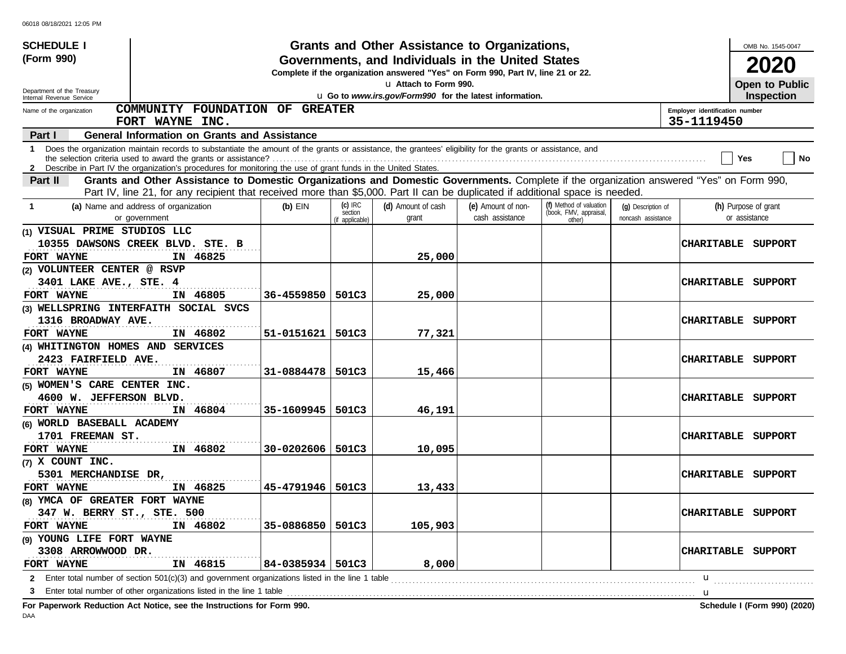| <b>SCHEDULE I</b>                                    |                                                                                                                                                                                                                                                                                 |                    |                                         | Grants and Other Assistance to Organizations,                                                                                         |                                       |                                                             |                                          |                                | OMB No. 1545-0047                     |           |
|------------------------------------------------------|---------------------------------------------------------------------------------------------------------------------------------------------------------------------------------------------------------------------------------------------------------------------------------|--------------------|-----------------------------------------|---------------------------------------------------------------------------------------------------------------------------------------|---------------------------------------|-------------------------------------------------------------|------------------------------------------|--------------------------------|---------------------------------------|-----------|
| (Form 990)                                           |                                                                                                                                                                                                                                                                                 |                    |                                         | Governments, and Individuals in the United States<br>Complete if the organization answered "Yes" on Form 990, Part IV, line 21 or 22. |                                       |                                                             |                                          |                                | 2020                                  |           |
| Department of the Treasury                           |                                                                                                                                                                                                                                                                                 |                    |                                         | La Attach to Form 990.<br>u Go to www.irs.gov/Form990 for the latest information.                                                     |                                       |                                                             |                                          |                                | Open to Public<br><b>Inspection</b>   |           |
| Internal Revenue Service<br>Name of the organization | COMMUNITY FOUNDATION OF GREATER                                                                                                                                                                                                                                                 |                    |                                         |                                                                                                                                       |                                       |                                                             |                                          | Employer identification number |                                       |           |
|                                                      | FORT WAYNE INC.                                                                                                                                                                                                                                                                 |                    |                                         |                                                                                                                                       |                                       |                                                             |                                          | 35-1119450                     |                                       |           |
| Part I                                               | <b>General Information on Grants and Assistance</b>                                                                                                                                                                                                                             |                    |                                         |                                                                                                                                       |                                       |                                                             |                                          |                                |                                       |           |
|                                                      | 1 Does the organization maintain records to substantiate the amount of the grants or assistance, the grantees' eligibility for the grants or assistance, and<br>2 Describe in Part IV the organization's procedures for monitoring the use of grant funds in the United States. |                    |                                         |                                                                                                                                       |                                       |                                                             |                                          |                                | Yes                                   | <b>No</b> |
| Part II                                              | Grants and Other Assistance to Domestic Organizations and Domestic Governments. Complete if the organization answered "Yes" on Form 990,                                                                                                                                        |                    |                                         |                                                                                                                                       |                                       |                                                             |                                          |                                |                                       |           |
|                                                      | Part IV, line 21, for any recipient that received more than \$5,000. Part II can be duplicated if additional space is needed.                                                                                                                                                   |                    |                                         |                                                                                                                                       |                                       |                                                             |                                          |                                |                                       |           |
| -1                                                   | (a) Name and address of organization<br>or government                                                                                                                                                                                                                           | $(b)$ EIN          | $(c)$ IRC<br>section<br>(if applicable) | (d) Amount of cash<br>grant                                                                                                           | (e) Amount of non-<br>cash assistance | (f) Method of valuation<br>(book, FMV, appraisal,<br>other) | (g) Description of<br>noncash assistance |                                | (h) Purpose of grant<br>or assistance |           |
| (1) VISUAL PRIME STUDIOS LLC                         |                                                                                                                                                                                                                                                                                 |                    |                                         |                                                                                                                                       |                                       |                                                             |                                          |                                |                                       |           |
| FORT WAYNE                                           | 10355 DAWSONS CREEK BLVD. STE. B<br>IN 46825                                                                                                                                                                                                                                    |                    |                                         | 25,000                                                                                                                                |                                       |                                                             |                                          | CHARITABLE                     | SUPPORT                               |           |
| (2) VOLUNTEER CENTER @ RSVP                          |                                                                                                                                                                                                                                                                                 |                    |                                         |                                                                                                                                       |                                       |                                                             |                                          |                                |                                       |           |
| 3401 LAKE AVE., STE. 4                               |                                                                                                                                                                                                                                                                                 |                    |                                         |                                                                                                                                       |                                       |                                                             |                                          | <b>CHARITABLE</b>              | SUPPORT                               |           |
| FORT WAYNE                                           | IN 46805                                                                                                                                                                                                                                                                        | 36-4559850         | 501C3                                   | 25,000                                                                                                                                |                                       |                                                             |                                          |                                |                                       |           |
|                                                      | (3) WELLSPRING INTERFAITH SOCIAL SVCS                                                                                                                                                                                                                                           |                    |                                         |                                                                                                                                       |                                       |                                                             |                                          |                                |                                       |           |
| 1316 BROADWAY AVE.                                   |                                                                                                                                                                                                                                                                                 |                    |                                         |                                                                                                                                       |                                       |                                                             |                                          | <b>CHARITABLE</b>              | SUPPORT                               |           |
| FORT WAYNE                                           | IN 46802                                                                                                                                                                                                                                                                        | 51-0151621         | 501C3                                   | 77,321                                                                                                                                |                                       |                                                             |                                          |                                |                                       |           |
| (4) WHITINGTON HOMES AND SERVICES                    |                                                                                                                                                                                                                                                                                 |                    |                                         |                                                                                                                                       |                                       |                                                             |                                          |                                |                                       |           |
| 2423 FAIRFIELD AVE.                                  |                                                                                                                                                                                                                                                                                 |                    |                                         |                                                                                                                                       |                                       |                                                             |                                          | <b>CHARITABLE</b>              | SUPPORT                               |           |
| FORT WAYNE                                           | IN 46807                                                                                                                                                                                                                                                                        | 31-0884478         | 501C3                                   | 15,466                                                                                                                                |                                       |                                                             |                                          |                                |                                       |           |
| (5) WOMEN'S CARE CENTER INC.                         |                                                                                                                                                                                                                                                                                 |                    |                                         |                                                                                                                                       |                                       |                                                             |                                          |                                |                                       |           |
| 4600 W. JEFFERSON BLVD.                              |                                                                                                                                                                                                                                                                                 |                    |                                         |                                                                                                                                       |                                       |                                                             |                                          | <b>CHARITABLE</b>              | SUPPORT                               |           |
| FORT WAYNE                                           | IN 46804                                                                                                                                                                                                                                                                        | 35-1609945         | 501C3                                   | 46,191                                                                                                                                |                                       |                                                             |                                          |                                |                                       |           |
| (6) WORLD BASEBALL ACADEMY                           |                                                                                                                                                                                                                                                                                 |                    |                                         |                                                                                                                                       |                                       |                                                             |                                          |                                |                                       |           |
| 1701 FREEMAN ST.                                     |                                                                                                                                                                                                                                                                                 |                    |                                         |                                                                                                                                       |                                       |                                                             |                                          | <b>CHARITABLE</b>              | SUPPORT                               |           |
| FORT WAYNE                                           | IN 46802                                                                                                                                                                                                                                                                        | 30-0202606         | 501C3                                   | 10,095                                                                                                                                |                                       |                                                             |                                          |                                |                                       |           |
| $(7)$ X COUNT INC.                                   |                                                                                                                                                                                                                                                                                 |                    |                                         |                                                                                                                                       |                                       |                                                             |                                          |                                |                                       |           |
| 5301 MERCHANDISE DR,                                 |                                                                                                                                                                                                                                                                                 |                    |                                         |                                                                                                                                       |                                       |                                                             |                                          | <b>CHARITABLE</b>              | SUPPORT                               |           |
| FORT WAYNE                                           | IN 46825                                                                                                                                                                                                                                                                        | 45-4791946         | 501C3                                   | 13,433                                                                                                                                |                                       |                                                             |                                          |                                |                                       |           |
| (8) YMCA OF GREATER FORT WAYNE                       |                                                                                                                                                                                                                                                                                 |                    |                                         |                                                                                                                                       |                                       |                                                             |                                          |                                |                                       |           |
| 347 W. BERRY ST., STE. 500                           |                                                                                                                                                                                                                                                                                 |                    |                                         |                                                                                                                                       |                                       |                                                             |                                          |                                | CHARITABLE SUPPORT                    |           |
| FORT WAYNE                                           | IN 46802                                                                                                                                                                                                                                                                        | 35-0886850         | 501C3                                   | 105,903                                                                                                                               |                                       |                                                             |                                          |                                |                                       |           |
| (9) YOUNG LIFE FORT WAYNE                            |                                                                                                                                                                                                                                                                                 |                    |                                         |                                                                                                                                       |                                       |                                                             |                                          |                                |                                       |           |
| 3308 ARROWWOOD DR.                                   |                                                                                                                                                                                                                                                                                 |                    |                                         |                                                                                                                                       |                                       |                                                             |                                          |                                | CHARITABLE SUPPORT                    |           |
| FORT WAYNE                                           | IN 46815                                                                                                                                                                                                                                                                        | 84-0385934   501C3 |                                         | 8,000                                                                                                                                 |                                       |                                                             |                                          |                                |                                       |           |
|                                                      | <b>2</b> Enter total number of section 501(c)(3) and government organizations listed in the line 1 table                                                                                                                                                                        |                    |                                         |                                                                                                                                       |                                       |                                                             |                                          | u                              |                                       |           |
| 3                                                    | Enter total number of other organizations listed in the line 1 table                                                                                                                                                                                                            |                    |                                         |                                                                                                                                       |                                       |                                                             |                                          | u                              |                                       |           |
|                                                      | For Paperwork Reduction Act Notice, see the Instructions for Form 990.                                                                                                                                                                                                          |                    |                                         |                                                                                                                                       |                                       |                                                             |                                          |                                | Schedule I (Form 990) (2020)          |           |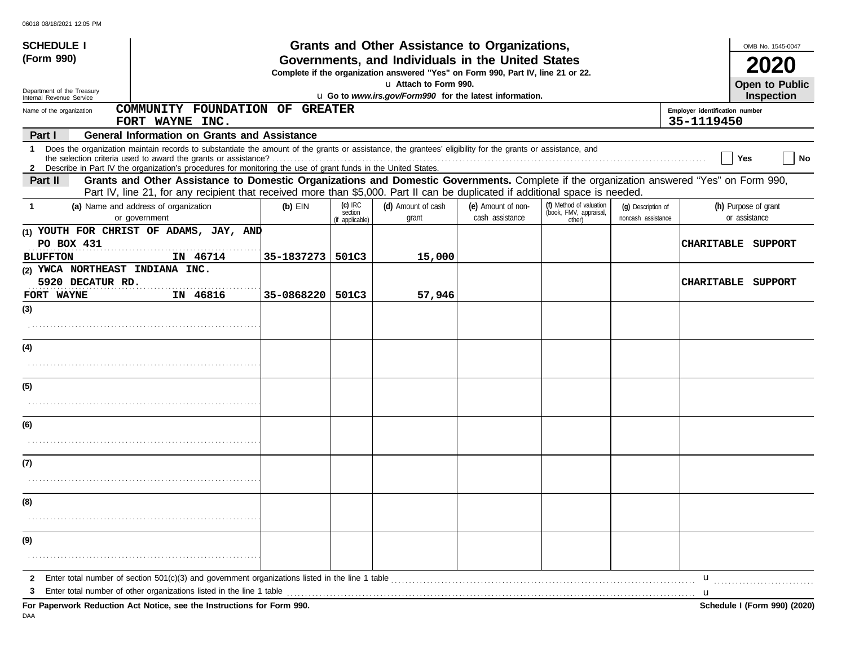| <b>SCHEDULE I</b>                                                 |                                                                                                                                                                                                                                                                                 |            |                                         | Grants and Other Assistance to Organizations,                                                                                         |                                       |                                                             |                                          |                                              | OMB No. 1545-0047                          |
|-------------------------------------------------------------------|---------------------------------------------------------------------------------------------------------------------------------------------------------------------------------------------------------------------------------------------------------------------------------|------------|-----------------------------------------|---------------------------------------------------------------------------------------------------------------------------------------|---------------------------------------|-------------------------------------------------------------|------------------------------------------|----------------------------------------------|--------------------------------------------|
| (Form 990)                                                        |                                                                                                                                                                                                                                                                                 |            |                                         | Governments, and Individuals in the United States<br>Complete if the organization answered "Yes" on Form 990, Part IV, line 21 or 22. |                                       |                                                             |                                          |                                              |                                            |
| Department of the Treasury                                        |                                                                                                                                                                                                                                                                                 |            |                                         | La Attach to Form 990.<br>u Go to www.irs.gov/Form990 for the latest information.                                                     |                                       |                                                             |                                          |                                              | <b>Open to Public</b><br><b>Inspection</b> |
| Internal Revenue Service<br>Name of the organization              | COMMUNITY FOUNDATION OF GREATER                                                                                                                                                                                                                                                 |            |                                         |                                                                                                                                       |                                       |                                                             |                                          | Employer identification number<br>35-1119450 |                                            |
| Part I                                                            | FORT WAYNE INC.<br><b>General Information on Grants and Assistance</b>                                                                                                                                                                                                          |            |                                         |                                                                                                                                       |                                       |                                                             |                                          |                                              |                                            |
|                                                                   | 1 Does the organization maintain records to substantiate the amount of the grants or assistance, the grantees' eligibility for the grants or assistance, and<br>2 Describe in Part IV the organization's procedures for monitoring the use of grant funds in the United States. |            |                                         |                                                                                                                                       |                                       |                                                             |                                          |                                              | No<br>Yes                                  |
| Part II                                                           | Grants and Other Assistance to Domestic Organizations and Domestic Governments. Complete if the organization answered "Yes" on Form 990,<br>Part IV, line 21, for any recipient that received more than \$5,000. Part II can be duplicated if additional space is needed.       |            |                                         |                                                                                                                                       |                                       |                                                             |                                          |                                              |                                            |
| 1                                                                 | (a) Name and address of organization<br>or government                                                                                                                                                                                                                           | $(b)$ EIN  | $(c)$ IRC<br>section<br>(if applicable) | (d) Amount of cash<br>grant                                                                                                           | (e) Amount of non-<br>cash assistance | (f) Method of valuation<br>(book, FMV, appraisal,<br>other) | (q) Description of<br>noncash assistance |                                              | (h) Purpose of grant<br>or assistance      |
| PO BOX 431<br><b>BLUFFTON</b>                                     | (1) YOUTH FOR CHRIST OF ADAMS, JAY, AND<br>IN 46714                                                                                                                                                                                                                             | 35-1837273 | 501C3                                   | 15,000                                                                                                                                |                                       |                                                             |                                          | <b>CHARITABLE</b>                            | SUPPORT                                    |
| (2) YWCA NORTHEAST INDIANA INC.<br>5920 DECATUR RD.<br>FORT WAYNE | IN 46816                                                                                                                                                                                                                                                                        | 35-0868220 | 501C3                                   | 57,946                                                                                                                                |                                       |                                                             |                                          | <b>CHARITABLE</b>                            | SUPPORT                                    |
| (3)                                                               |                                                                                                                                                                                                                                                                                 |            |                                         |                                                                                                                                       |                                       |                                                             |                                          |                                              |                                            |
|                                                                   |                                                                                                                                                                                                                                                                                 |            |                                         |                                                                                                                                       |                                       |                                                             |                                          |                                              |                                            |
| (4)                                                               |                                                                                                                                                                                                                                                                                 |            |                                         |                                                                                                                                       |                                       |                                                             |                                          |                                              |                                            |
| (5)                                                               |                                                                                                                                                                                                                                                                                 |            |                                         |                                                                                                                                       |                                       |                                                             |                                          |                                              |                                            |
|                                                                   |                                                                                                                                                                                                                                                                                 |            |                                         |                                                                                                                                       |                                       |                                                             |                                          |                                              |                                            |
| (6)                                                               |                                                                                                                                                                                                                                                                                 |            |                                         |                                                                                                                                       |                                       |                                                             |                                          |                                              |                                            |
| (7)                                                               |                                                                                                                                                                                                                                                                                 |            |                                         |                                                                                                                                       |                                       |                                                             |                                          |                                              |                                            |
|                                                                   |                                                                                                                                                                                                                                                                                 |            |                                         |                                                                                                                                       |                                       |                                                             |                                          |                                              |                                            |
| (8)                                                               |                                                                                                                                                                                                                                                                                 |            |                                         |                                                                                                                                       |                                       |                                                             |                                          |                                              |                                            |
|                                                                   |                                                                                                                                                                                                                                                                                 |            |                                         |                                                                                                                                       |                                       |                                                             |                                          |                                              |                                            |
| (9)                                                               |                                                                                                                                                                                                                                                                                 |            |                                         |                                                                                                                                       |                                       |                                                             |                                          |                                              |                                            |
| 2<br>3                                                            | Enter total number of section 501(c)(3) and government organizations listed in the line 1 table<br>Enter total number of other organizations listed in the line 1 table                                                                                                         |            |                                         |                                                                                                                                       |                                       |                                                             |                                          | u<br>u                                       |                                            |
|                                                                   | For Paperwork Reduction Act Notice, see the Instructions for Form 990.                                                                                                                                                                                                          |            |                                         |                                                                                                                                       |                                       |                                                             |                                          |                                              | Schedule I (Form 990) (2020)               |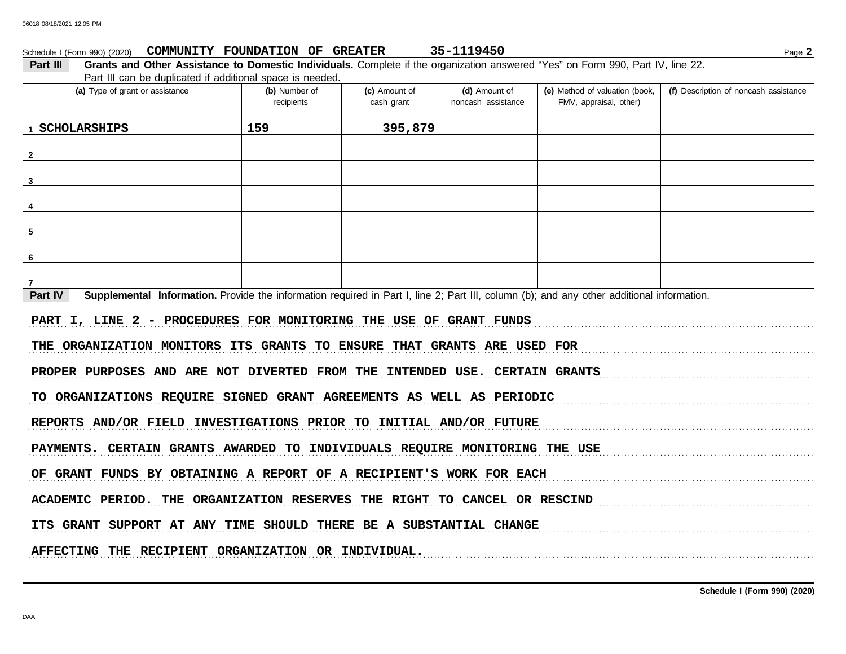| (a) Type of grant or assistance                                                                                                                      | (b) Number of<br>recipients | (c) Amount of<br>cash grant | (d) Amount of<br>noncash assistance | (e) Method of valuation (book,<br>FMV, appraisal, other) | (f) Description of noncash assistance |
|------------------------------------------------------------------------------------------------------------------------------------------------------|-----------------------------|-----------------------------|-------------------------------------|----------------------------------------------------------|---------------------------------------|
|                                                                                                                                                      |                             |                             |                                     |                                                          |                                       |
| 1 SCHOLARSHIPS                                                                                                                                       | 159                         | 395,879                     |                                     |                                                          |                                       |
| $\mathbf{2}$                                                                                                                                         |                             |                             |                                     |                                                          |                                       |
|                                                                                                                                                      |                             |                             |                                     |                                                          |                                       |
|                                                                                                                                                      |                             |                             |                                     |                                                          |                                       |
|                                                                                                                                                      |                             |                             |                                     |                                                          |                                       |
|                                                                                                                                                      |                             |                             |                                     |                                                          |                                       |
|                                                                                                                                                      |                             |                             |                                     |                                                          |                                       |
|                                                                                                                                                      |                             |                             |                                     |                                                          |                                       |
|                                                                                                                                                      |                             |                             |                                     |                                                          |                                       |
|                                                                                                                                                      |                             |                             |                                     |                                                          |                                       |
| Supplemental Information. Provide the information required in Part I, line 2; Part III, column (b); and any other additional information.<br>Part IV |                             |                             |                                     |                                                          |                                       |
| PART I, LINE 2 - PROCEDURES FOR MONITORING THE USE OF GRANT FUNDS                                                                                    |                             |                             |                                     |                                                          |                                       |
|                                                                                                                                                      |                             |                             |                                     |                                                          |                                       |
| THE ORGANIZATION MONITORS ITS GRANTS TO ENSURE THAT GRANTS ARE USED FOR                                                                              |                             |                             |                                     |                                                          |                                       |
| PROPER PURPOSES AND ARE NOT DIVERTED FROM THE INTENDED USE. CERTAIN GRANTS                                                                           |                             |                             |                                     |                                                          |                                       |
|                                                                                                                                                      |                             |                             |                                     |                                                          |                                       |
| TO ORGANIZATIONS REQUIRE SIGNED GRANT AGREEMENTS AS WELL AS PERIODIC                                                                                 |                             |                             |                                     |                                                          |                                       |
|                                                                                                                                                      |                             |                             |                                     |                                                          |                                       |
| REPORTS AND/OR FIELD INVESTIGATIONS PRIOR TO INITIAL AND/OR FUTURE                                                                                   |                             |                             |                                     |                                                          |                                       |

ACADEMIC PERIOD. THE ORGANIZATION RESERVES THE RIGHT TO CANCEL OR RESCIND

ITS GRANT SUPPORT AT ANY TIME SHOULD THERE BE A SUBSTANTIAL CHANGE

AFFECTING THE RECIPIENT ORGANIZATION OR INDIVIDUAL.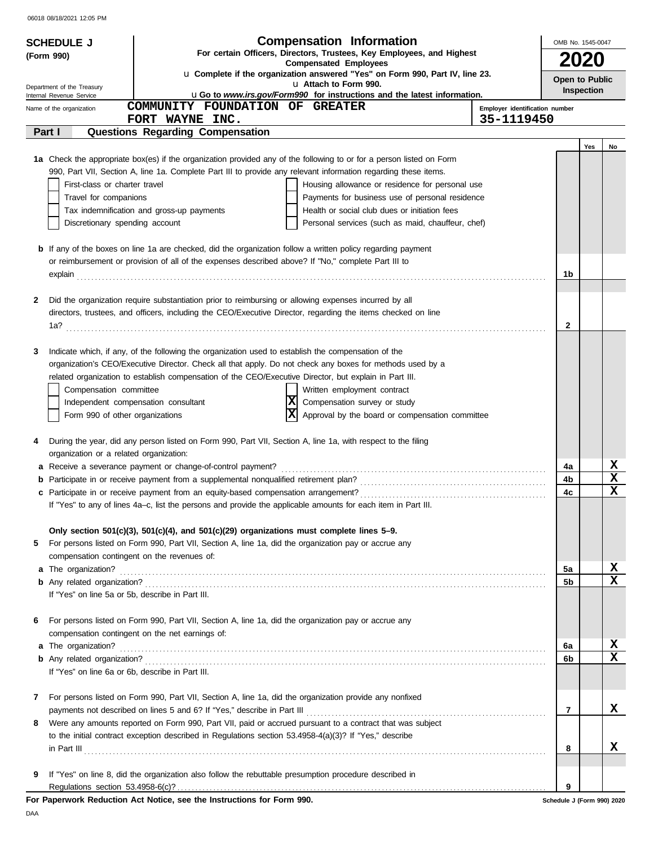| (Form 990)<br><b>2020</b><br><b>Compensated Employees</b><br>u Complete if the organization answered "Yes" on Form 990, Part IV, line 23.<br>Open to Public<br>u Attach to Form 990.<br>Department of the Treasury<br><b>Inspection</b><br>uGo to www.irs.gov/Form990 for instructions and the latest information.<br>Internal Revenue Service<br>COMMUNITY FOUNDATION OF GREATER<br>Employer identification number<br>Name of the organization<br>35-1119450<br>FORT WAYNE INC.<br><b>Questions Regarding Compensation</b><br>Part I<br>Yes<br>No<br>1a Check the appropriate box(es) if the organization provided any of the following to or for a person listed on Form<br>990, Part VII, Section A, line 1a. Complete Part III to provide any relevant information regarding these items.<br>First-class or charter travel<br>Housing allowance or residence for personal use<br>Payments for business use of personal residence<br>Travel for companions<br>Health or social club dues or initiation fees<br>Tax indemnification and gross-up payments<br>Discretionary spending account<br>Personal services (such as maid, chauffeur, chef)<br><b>b</b> If any of the boxes on line 1a are checked, did the organization follow a written policy regarding payment<br>or reimbursement or provision of all of the expenses described above? If "No," complete Part III to<br>1b<br>explain<br>Did the organization require substantiation prior to reimbursing or allowing expenses incurred by all<br>2<br>directors, trustees, and officers, including the CEO/Executive Director, regarding the items checked on line<br>2<br>1a?<br>Indicate which, if any, of the following the organization used to establish the compensation of the<br>3<br>organization's CEO/Executive Director. Check all that apply. Do not check any boxes for methods used by a<br>related organization to establish compensation of the CEO/Executive Director, but explain in Part III.<br>Written employment contract<br>Compensation committee<br> x <br>Compensation survey or study<br>Independent compensation consultant<br> x<br>Approval by the board or compensation committee<br>Form 990 of other organizations<br>During the year, did any person listed on Form 990, Part VII, Section A, line 1a, with respect to the filing<br>4<br>organization or a related organization:<br>X<br>a Receive a severance payment or change-of-control payment?<br>4a<br>X<br>4b<br>X<br>4c<br>If "Yes" to any of lines 4a–c, list the persons and provide the applicable amounts for each item in Part III.<br>Only section $501(c)(3)$ , $501(c)(4)$ , and $501(c)(29)$ organizations must complete lines 5–9.<br>For persons listed on Form 990, Part VII, Section A, line 1a, did the organization pay or accrue any<br>5<br>compensation contingent on the revenues of:<br>X<br>5a<br>x<br>5b<br>If "Yes" on line 5a or 5b, describe in Part III.<br>For persons listed on Form 990, Part VII, Section A, line 1a, did the organization pay or accrue any<br>6<br>compensation contingent on the net earnings of:<br>X<br>6а<br>x<br>6b<br>If "Yes" on line 6a or 6b, describe in Part III.<br>For persons listed on Form 990, Part VII, Section A, line 1a, did the organization provide any nonfixed<br>7<br>x<br>7<br>Were any amounts reported on Form 990, Part VII, paid or accrued pursuant to a contract that was subject<br>8.<br>to the initial contract exception described in Regulations section 53.4958-4(a)(3)? If "Yes," describe<br>x<br>8<br>If "Yes" on line 8, did the organization also follow the rebuttable presumption procedure described in<br>9 | <b>SCHEDULE J</b> | <b>Compensation Information</b><br>For certain Officers, Directors, Trustees, Key Employees, and Highest | OMB No. 1545-0047 |  |  |  |
|-----------------------------------------------------------------------------------------------------------------------------------------------------------------------------------------------------------------------------------------------------------------------------------------------------------------------------------------------------------------------------------------------------------------------------------------------------------------------------------------------------------------------------------------------------------------------------------------------------------------------------------------------------------------------------------------------------------------------------------------------------------------------------------------------------------------------------------------------------------------------------------------------------------------------------------------------------------------------------------------------------------------------------------------------------------------------------------------------------------------------------------------------------------------------------------------------------------------------------------------------------------------------------------------------------------------------------------------------------------------------------------------------------------------------------------------------------------------------------------------------------------------------------------------------------------------------------------------------------------------------------------------------------------------------------------------------------------------------------------------------------------------------------------------------------------------------------------------------------------------------------------------------------------------------------------------------------------------------------------------------------------------------------------------------------------------------------------------------------------------------------------------------------------------------------------------------------------------------------------------------------------------------------------------------------------------------------------------------------------------------------------------------------------------------------------------------------------------------------------------------------------------------------------------------------------------------------------------------------------------------------------------------------------------------------------------------------------------------------------------------------------------------------------------------------------------------------------------------------------------------------------------------------------------------------------------------------------------------------------------------------------------------------------------------------------------------------------------------------------------------------------------------------------------------------------------------------------------------------------------------------------------------------------------------------------------------------------------------------------------------------------------------------------------------------------------------------------------------------------------------------------------------------------------------------------------------------------------------------------------------------------------------------------------------|-------------------|----------------------------------------------------------------------------------------------------------|-------------------|--|--|--|
|                                                                                                                                                                                                                                                                                                                                                                                                                                                                                                                                                                                                                                                                                                                                                                                                                                                                                                                                                                                                                                                                                                                                                                                                                                                                                                                                                                                                                                                                                                                                                                                                                                                                                                                                                                                                                                                                                                                                                                                                                                                                                                                                                                                                                                                                                                                                                                                                                                                                                                                                                                                                                                                                                                                                                                                                                                                                                                                                                                                                                                                                                                                                                                                                                                                                                                                                                                                                                                                                                                                                                                                                                                                                       |                   |                                                                                                          |                   |  |  |  |
|                                                                                                                                                                                                                                                                                                                                                                                                                                                                                                                                                                                                                                                                                                                                                                                                                                                                                                                                                                                                                                                                                                                                                                                                                                                                                                                                                                                                                                                                                                                                                                                                                                                                                                                                                                                                                                                                                                                                                                                                                                                                                                                                                                                                                                                                                                                                                                                                                                                                                                                                                                                                                                                                                                                                                                                                                                                                                                                                                                                                                                                                                                                                                                                                                                                                                                                                                                                                                                                                                                                                                                                                                                                                       |                   |                                                                                                          |                   |  |  |  |
|                                                                                                                                                                                                                                                                                                                                                                                                                                                                                                                                                                                                                                                                                                                                                                                                                                                                                                                                                                                                                                                                                                                                                                                                                                                                                                                                                                                                                                                                                                                                                                                                                                                                                                                                                                                                                                                                                                                                                                                                                                                                                                                                                                                                                                                                                                                                                                                                                                                                                                                                                                                                                                                                                                                                                                                                                                                                                                                                                                                                                                                                                                                                                                                                                                                                                                                                                                                                                                                                                                                                                                                                                                                                       |                   |                                                                                                          |                   |  |  |  |
|                                                                                                                                                                                                                                                                                                                                                                                                                                                                                                                                                                                                                                                                                                                                                                                                                                                                                                                                                                                                                                                                                                                                                                                                                                                                                                                                                                                                                                                                                                                                                                                                                                                                                                                                                                                                                                                                                                                                                                                                                                                                                                                                                                                                                                                                                                                                                                                                                                                                                                                                                                                                                                                                                                                                                                                                                                                                                                                                                                                                                                                                                                                                                                                                                                                                                                                                                                                                                                                                                                                                                                                                                                                                       |                   |                                                                                                          |                   |  |  |  |
|                                                                                                                                                                                                                                                                                                                                                                                                                                                                                                                                                                                                                                                                                                                                                                                                                                                                                                                                                                                                                                                                                                                                                                                                                                                                                                                                                                                                                                                                                                                                                                                                                                                                                                                                                                                                                                                                                                                                                                                                                                                                                                                                                                                                                                                                                                                                                                                                                                                                                                                                                                                                                                                                                                                                                                                                                                                                                                                                                                                                                                                                                                                                                                                                                                                                                                                                                                                                                                                                                                                                                                                                                                                                       |                   |                                                                                                          |                   |  |  |  |
|                                                                                                                                                                                                                                                                                                                                                                                                                                                                                                                                                                                                                                                                                                                                                                                                                                                                                                                                                                                                                                                                                                                                                                                                                                                                                                                                                                                                                                                                                                                                                                                                                                                                                                                                                                                                                                                                                                                                                                                                                                                                                                                                                                                                                                                                                                                                                                                                                                                                                                                                                                                                                                                                                                                                                                                                                                                                                                                                                                                                                                                                                                                                                                                                                                                                                                                                                                                                                                                                                                                                                                                                                                                                       |                   |                                                                                                          |                   |  |  |  |
|                                                                                                                                                                                                                                                                                                                                                                                                                                                                                                                                                                                                                                                                                                                                                                                                                                                                                                                                                                                                                                                                                                                                                                                                                                                                                                                                                                                                                                                                                                                                                                                                                                                                                                                                                                                                                                                                                                                                                                                                                                                                                                                                                                                                                                                                                                                                                                                                                                                                                                                                                                                                                                                                                                                                                                                                                                                                                                                                                                                                                                                                                                                                                                                                                                                                                                                                                                                                                                                                                                                                                                                                                                                                       |                   |                                                                                                          |                   |  |  |  |
|                                                                                                                                                                                                                                                                                                                                                                                                                                                                                                                                                                                                                                                                                                                                                                                                                                                                                                                                                                                                                                                                                                                                                                                                                                                                                                                                                                                                                                                                                                                                                                                                                                                                                                                                                                                                                                                                                                                                                                                                                                                                                                                                                                                                                                                                                                                                                                                                                                                                                                                                                                                                                                                                                                                                                                                                                                                                                                                                                                                                                                                                                                                                                                                                                                                                                                                                                                                                                                                                                                                                                                                                                                                                       |                   |                                                                                                          |                   |  |  |  |
|                                                                                                                                                                                                                                                                                                                                                                                                                                                                                                                                                                                                                                                                                                                                                                                                                                                                                                                                                                                                                                                                                                                                                                                                                                                                                                                                                                                                                                                                                                                                                                                                                                                                                                                                                                                                                                                                                                                                                                                                                                                                                                                                                                                                                                                                                                                                                                                                                                                                                                                                                                                                                                                                                                                                                                                                                                                                                                                                                                                                                                                                                                                                                                                                                                                                                                                                                                                                                                                                                                                                                                                                                                                                       |                   |                                                                                                          |                   |  |  |  |
|                                                                                                                                                                                                                                                                                                                                                                                                                                                                                                                                                                                                                                                                                                                                                                                                                                                                                                                                                                                                                                                                                                                                                                                                                                                                                                                                                                                                                                                                                                                                                                                                                                                                                                                                                                                                                                                                                                                                                                                                                                                                                                                                                                                                                                                                                                                                                                                                                                                                                                                                                                                                                                                                                                                                                                                                                                                                                                                                                                                                                                                                                                                                                                                                                                                                                                                                                                                                                                                                                                                                                                                                                                                                       |                   |                                                                                                          |                   |  |  |  |
|                                                                                                                                                                                                                                                                                                                                                                                                                                                                                                                                                                                                                                                                                                                                                                                                                                                                                                                                                                                                                                                                                                                                                                                                                                                                                                                                                                                                                                                                                                                                                                                                                                                                                                                                                                                                                                                                                                                                                                                                                                                                                                                                                                                                                                                                                                                                                                                                                                                                                                                                                                                                                                                                                                                                                                                                                                                                                                                                                                                                                                                                                                                                                                                                                                                                                                                                                                                                                                                                                                                                                                                                                                                                       |                   |                                                                                                          |                   |  |  |  |
|                                                                                                                                                                                                                                                                                                                                                                                                                                                                                                                                                                                                                                                                                                                                                                                                                                                                                                                                                                                                                                                                                                                                                                                                                                                                                                                                                                                                                                                                                                                                                                                                                                                                                                                                                                                                                                                                                                                                                                                                                                                                                                                                                                                                                                                                                                                                                                                                                                                                                                                                                                                                                                                                                                                                                                                                                                                                                                                                                                                                                                                                                                                                                                                                                                                                                                                                                                                                                                                                                                                                                                                                                                                                       |                   |                                                                                                          |                   |  |  |  |
|                                                                                                                                                                                                                                                                                                                                                                                                                                                                                                                                                                                                                                                                                                                                                                                                                                                                                                                                                                                                                                                                                                                                                                                                                                                                                                                                                                                                                                                                                                                                                                                                                                                                                                                                                                                                                                                                                                                                                                                                                                                                                                                                                                                                                                                                                                                                                                                                                                                                                                                                                                                                                                                                                                                                                                                                                                                                                                                                                                                                                                                                                                                                                                                                                                                                                                                                                                                                                                                                                                                                                                                                                                                                       |                   |                                                                                                          |                   |  |  |  |
|                                                                                                                                                                                                                                                                                                                                                                                                                                                                                                                                                                                                                                                                                                                                                                                                                                                                                                                                                                                                                                                                                                                                                                                                                                                                                                                                                                                                                                                                                                                                                                                                                                                                                                                                                                                                                                                                                                                                                                                                                                                                                                                                                                                                                                                                                                                                                                                                                                                                                                                                                                                                                                                                                                                                                                                                                                                                                                                                                                                                                                                                                                                                                                                                                                                                                                                                                                                                                                                                                                                                                                                                                                                                       |                   |                                                                                                          |                   |  |  |  |
|                                                                                                                                                                                                                                                                                                                                                                                                                                                                                                                                                                                                                                                                                                                                                                                                                                                                                                                                                                                                                                                                                                                                                                                                                                                                                                                                                                                                                                                                                                                                                                                                                                                                                                                                                                                                                                                                                                                                                                                                                                                                                                                                                                                                                                                                                                                                                                                                                                                                                                                                                                                                                                                                                                                                                                                                                                                                                                                                                                                                                                                                                                                                                                                                                                                                                                                                                                                                                                                                                                                                                                                                                                                                       |                   |                                                                                                          |                   |  |  |  |
|                                                                                                                                                                                                                                                                                                                                                                                                                                                                                                                                                                                                                                                                                                                                                                                                                                                                                                                                                                                                                                                                                                                                                                                                                                                                                                                                                                                                                                                                                                                                                                                                                                                                                                                                                                                                                                                                                                                                                                                                                                                                                                                                                                                                                                                                                                                                                                                                                                                                                                                                                                                                                                                                                                                                                                                                                                                                                                                                                                                                                                                                                                                                                                                                                                                                                                                                                                                                                                                                                                                                                                                                                                                                       |                   |                                                                                                          |                   |  |  |  |
|                                                                                                                                                                                                                                                                                                                                                                                                                                                                                                                                                                                                                                                                                                                                                                                                                                                                                                                                                                                                                                                                                                                                                                                                                                                                                                                                                                                                                                                                                                                                                                                                                                                                                                                                                                                                                                                                                                                                                                                                                                                                                                                                                                                                                                                                                                                                                                                                                                                                                                                                                                                                                                                                                                                                                                                                                                                                                                                                                                                                                                                                                                                                                                                                                                                                                                                                                                                                                                                                                                                                                                                                                                                                       |                   |                                                                                                          |                   |  |  |  |
|                                                                                                                                                                                                                                                                                                                                                                                                                                                                                                                                                                                                                                                                                                                                                                                                                                                                                                                                                                                                                                                                                                                                                                                                                                                                                                                                                                                                                                                                                                                                                                                                                                                                                                                                                                                                                                                                                                                                                                                                                                                                                                                                                                                                                                                                                                                                                                                                                                                                                                                                                                                                                                                                                                                                                                                                                                                                                                                                                                                                                                                                                                                                                                                                                                                                                                                                                                                                                                                                                                                                                                                                                                                                       |                   |                                                                                                          |                   |  |  |  |
|                                                                                                                                                                                                                                                                                                                                                                                                                                                                                                                                                                                                                                                                                                                                                                                                                                                                                                                                                                                                                                                                                                                                                                                                                                                                                                                                                                                                                                                                                                                                                                                                                                                                                                                                                                                                                                                                                                                                                                                                                                                                                                                                                                                                                                                                                                                                                                                                                                                                                                                                                                                                                                                                                                                                                                                                                                                                                                                                                                                                                                                                                                                                                                                                                                                                                                                                                                                                                                                                                                                                                                                                                                                                       |                   |                                                                                                          |                   |  |  |  |
|                                                                                                                                                                                                                                                                                                                                                                                                                                                                                                                                                                                                                                                                                                                                                                                                                                                                                                                                                                                                                                                                                                                                                                                                                                                                                                                                                                                                                                                                                                                                                                                                                                                                                                                                                                                                                                                                                                                                                                                                                                                                                                                                                                                                                                                                                                                                                                                                                                                                                                                                                                                                                                                                                                                                                                                                                                                                                                                                                                                                                                                                                                                                                                                                                                                                                                                                                                                                                                                                                                                                                                                                                                                                       |                   |                                                                                                          |                   |  |  |  |
|                                                                                                                                                                                                                                                                                                                                                                                                                                                                                                                                                                                                                                                                                                                                                                                                                                                                                                                                                                                                                                                                                                                                                                                                                                                                                                                                                                                                                                                                                                                                                                                                                                                                                                                                                                                                                                                                                                                                                                                                                                                                                                                                                                                                                                                                                                                                                                                                                                                                                                                                                                                                                                                                                                                                                                                                                                                                                                                                                                                                                                                                                                                                                                                                                                                                                                                                                                                                                                                                                                                                                                                                                                                                       |                   |                                                                                                          |                   |  |  |  |
|                                                                                                                                                                                                                                                                                                                                                                                                                                                                                                                                                                                                                                                                                                                                                                                                                                                                                                                                                                                                                                                                                                                                                                                                                                                                                                                                                                                                                                                                                                                                                                                                                                                                                                                                                                                                                                                                                                                                                                                                                                                                                                                                                                                                                                                                                                                                                                                                                                                                                                                                                                                                                                                                                                                                                                                                                                                                                                                                                                                                                                                                                                                                                                                                                                                                                                                                                                                                                                                                                                                                                                                                                                                                       |                   |                                                                                                          |                   |  |  |  |
|                                                                                                                                                                                                                                                                                                                                                                                                                                                                                                                                                                                                                                                                                                                                                                                                                                                                                                                                                                                                                                                                                                                                                                                                                                                                                                                                                                                                                                                                                                                                                                                                                                                                                                                                                                                                                                                                                                                                                                                                                                                                                                                                                                                                                                                                                                                                                                                                                                                                                                                                                                                                                                                                                                                                                                                                                                                                                                                                                                                                                                                                                                                                                                                                                                                                                                                                                                                                                                                                                                                                                                                                                                                                       |                   |                                                                                                          |                   |  |  |  |
|                                                                                                                                                                                                                                                                                                                                                                                                                                                                                                                                                                                                                                                                                                                                                                                                                                                                                                                                                                                                                                                                                                                                                                                                                                                                                                                                                                                                                                                                                                                                                                                                                                                                                                                                                                                                                                                                                                                                                                                                                                                                                                                                                                                                                                                                                                                                                                                                                                                                                                                                                                                                                                                                                                                                                                                                                                                                                                                                                                                                                                                                                                                                                                                                                                                                                                                                                                                                                                                                                                                                                                                                                                                                       |                   |                                                                                                          |                   |  |  |  |
|                                                                                                                                                                                                                                                                                                                                                                                                                                                                                                                                                                                                                                                                                                                                                                                                                                                                                                                                                                                                                                                                                                                                                                                                                                                                                                                                                                                                                                                                                                                                                                                                                                                                                                                                                                                                                                                                                                                                                                                                                                                                                                                                                                                                                                                                                                                                                                                                                                                                                                                                                                                                                                                                                                                                                                                                                                                                                                                                                                                                                                                                                                                                                                                                                                                                                                                                                                                                                                                                                                                                                                                                                                                                       |                   |                                                                                                          |                   |  |  |  |
|                                                                                                                                                                                                                                                                                                                                                                                                                                                                                                                                                                                                                                                                                                                                                                                                                                                                                                                                                                                                                                                                                                                                                                                                                                                                                                                                                                                                                                                                                                                                                                                                                                                                                                                                                                                                                                                                                                                                                                                                                                                                                                                                                                                                                                                                                                                                                                                                                                                                                                                                                                                                                                                                                                                                                                                                                                                                                                                                                                                                                                                                                                                                                                                                                                                                                                                                                                                                                                                                                                                                                                                                                                                                       |                   |                                                                                                          |                   |  |  |  |
|                                                                                                                                                                                                                                                                                                                                                                                                                                                                                                                                                                                                                                                                                                                                                                                                                                                                                                                                                                                                                                                                                                                                                                                                                                                                                                                                                                                                                                                                                                                                                                                                                                                                                                                                                                                                                                                                                                                                                                                                                                                                                                                                                                                                                                                                                                                                                                                                                                                                                                                                                                                                                                                                                                                                                                                                                                                                                                                                                                                                                                                                                                                                                                                                                                                                                                                                                                                                                                                                                                                                                                                                                                                                       |                   |                                                                                                          |                   |  |  |  |
|                                                                                                                                                                                                                                                                                                                                                                                                                                                                                                                                                                                                                                                                                                                                                                                                                                                                                                                                                                                                                                                                                                                                                                                                                                                                                                                                                                                                                                                                                                                                                                                                                                                                                                                                                                                                                                                                                                                                                                                                                                                                                                                                                                                                                                                                                                                                                                                                                                                                                                                                                                                                                                                                                                                                                                                                                                                                                                                                                                                                                                                                                                                                                                                                                                                                                                                                                                                                                                                                                                                                                                                                                                                                       |                   |                                                                                                          |                   |  |  |  |
|                                                                                                                                                                                                                                                                                                                                                                                                                                                                                                                                                                                                                                                                                                                                                                                                                                                                                                                                                                                                                                                                                                                                                                                                                                                                                                                                                                                                                                                                                                                                                                                                                                                                                                                                                                                                                                                                                                                                                                                                                                                                                                                                                                                                                                                                                                                                                                                                                                                                                                                                                                                                                                                                                                                                                                                                                                                                                                                                                                                                                                                                                                                                                                                                                                                                                                                                                                                                                                                                                                                                                                                                                                                                       |                   |                                                                                                          |                   |  |  |  |
|                                                                                                                                                                                                                                                                                                                                                                                                                                                                                                                                                                                                                                                                                                                                                                                                                                                                                                                                                                                                                                                                                                                                                                                                                                                                                                                                                                                                                                                                                                                                                                                                                                                                                                                                                                                                                                                                                                                                                                                                                                                                                                                                                                                                                                                                                                                                                                                                                                                                                                                                                                                                                                                                                                                                                                                                                                                                                                                                                                                                                                                                                                                                                                                                                                                                                                                                                                                                                                                                                                                                                                                                                                                                       |                   |                                                                                                          |                   |  |  |  |
|                                                                                                                                                                                                                                                                                                                                                                                                                                                                                                                                                                                                                                                                                                                                                                                                                                                                                                                                                                                                                                                                                                                                                                                                                                                                                                                                                                                                                                                                                                                                                                                                                                                                                                                                                                                                                                                                                                                                                                                                                                                                                                                                                                                                                                                                                                                                                                                                                                                                                                                                                                                                                                                                                                                                                                                                                                                                                                                                                                                                                                                                                                                                                                                                                                                                                                                                                                                                                                                                                                                                                                                                                                                                       |                   |                                                                                                          |                   |  |  |  |
|                                                                                                                                                                                                                                                                                                                                                                                                                                                                                                                                                                                                                                                                                                                                                                                                                                                                                                                                                                                                                                                                                                                                                                                                                                                                                                                                                                                                                                                                                                                                                                                                                                                                                                                                                                                                                                                                                                                                                                                                                                                                                                                                                                                                                                                                                                                                                                                                                                                                                                                                                                                                                                                                                                                                                                                                                                                                                                                                                                                                                                                                                                                                                                                                                                                                                                                                                                                                                                                                                                                                                                                                                                                                       |                   |                                                                                                          |                   |  |  |  |
|                                                                                                                                                                                                                                                                                                                                                                                                                                                                                                                                                                                                                                                                                                                                                                                                                                                                                                                                                                                                                                                                                                                                                                                                                                                                                                                                                                                                                                                                                                                                                                                                                                                                                                                                                                                                                                                                                                                                                                                                                                                                                                                                                                                                                                                                                                                                                                                                                                                                                                                                                                                                                                                                                                                                                                                                                                                                                                                                                                                                                                                                                                                                                                                                                                                                                                                                                                                                                                                                                                                                                                                                                                                                       |                   |                                                                                                          |                   |  |  |  |
|                                                                                                                                                                                                                                                                                                                                                                                                                                                                                                                                                                                                                                                                                                                                                                                                                                                                                                                                                                                                                                                                                                                                                                                                                                                                                                                                                                                                                                                                                                                                                                                                                                                                                                                                                                                                                                                                                                                                                                                                                                                                                                                                                                                                                                                                                                                                                                                                                                                                                                                                                                                                                                                                                                                                                                                                                                                                                                                                                                                                                                                                                                                                                                                                                                                                                                                                                                                                                                                                                                                                                                                                                                                                       |                   |                                                                                                          |                   |  |  |  |
|                                                                                                                                                                                                                                                                                                                                                                                                                                                                                                                                                                                                                                                                                                                                                                                                                                                                                                                                                                                                                                                                                                                                                                                                                                                                                                                                                                                                                                                                                                                                                                                                                                                                                                                                                                                                                                                                                                                                                                                                                                                                                                                                                                                                                                                                                                                                                                                                                                                                                                                                                                                                                                                                                                                                                                                                                                                                                                                                                                                                                                                                                                                                                                                                                                                                                                                                                                                                                                                                                                                                                                                                                                                                       |                   |                                                                                                          |                   |  |  |  |
|                                                                                                                                                                                                                                                                                                                                                                                                                                                                                                                                                                                                                                                                                                                                                                                                                                                                                                                                                                                                                                                                                                                                                                                                                                                                                                                                                                                                                                                                                                                                                                                                                                                                                                                                                                                                                                                                                                                                                                                                                                                                                                                                                                                                                                                                                                                                                                                                                                                                                                                                                                                                                                                                                                                                                                                                                                                                                                                                                                                                                                                                                                                                                                                                                                                                                                                                                                                                                                                                                                                                                                                                                                                                       |                   |                                                                                                          |                   |  |  |  |
|                                                                                                                                                                                                                                                                                                                                                                                                                                                                                                                                                                                                                                                                                                                                                                                                                                                                                                                                                                                                                                                                                                                                                                                                                                                                                                                                                                                                                                                                                                                                                                                                                                                                                                                                                                                                                                                                                                                                                                                                                                                                                                                                                                                                                                                                                                                                                                                                                                                                                                                                                                                                                                                                                                                                                                                                                                                                                                                                                                                                                                                                                                                                                                                                                                                                                                                                                                                                                                                                                                                                                                                                                                                                       |                   |                                                                                                          |                   |  |  |  |
|                                                                                                                                                                                                                                                                                                                                                                                                                                                                                                                                                                                                                                                                                                                                                                                                                                                                                                                                                                                                                                                                                                                                                                                                                                                                                                                                                                                                                                                                                                                                                                                                                                                                                                                                                                                                                                                                                                                                                                                                                                                                                                                                                                                                                                                                                                                                                                                                                                                                                                                                                                                                                                                                                                                                                                                                                                                                                                                                                                                                                                                                                                                                                                                                                                                                                                                                                                                                                                                                                                                                                                                                                                                                       |                   |                                                                                                          |                   |  |  |  |
|                                                                                                                                                                                                                                                                                                                                                                                                                                                                                                                                                                                                                                                                                                                                                                                                                                                                                                                                                                                                                                                                                                                                                                                                                                                                                                                                                                                                                                                                                                                                                                                                                                                                                                                                                                                                                                                                                                                                                                                                                                                                                                                                                                                                                                                                                                                                                                                                                                                                                                                                                                                                                                                                                                                                                                                                                                                                                                                                                                                                                                                                                                                                                                                                                                                                                                                                                                                                                                                                                                                                                                                                                                                                       |                   |                                                                                                          |                   |  |  |  |
|                                                                                                                                                                                                                                                                                                                                                                                                                                                                                                                                                                                                                                                                                                                                                                                                                                                                                                                                                                                                                                                                                                                                                                                                                                                                                                                                                                                                                                                                                                                                                                                                                                                                                                                                                                                                                                                                                                                                                                                                                                                                                                                                                                                                                                                                                                                                                                                                                                                                                                                                                                                                                                                                                                                                                                                                                                                                                                                                                                                                                                                                                                                                                                                                                                                                                                                                                                                                                                                                                                                                                                                                                                                                       |                   |                                                                                                          |                   |  |  |  |
|                                                                                                                                                                                                                                                                                                                                                                                                                                                                                                                                                                                                                                                                                                                                                                                                                                                                                                                                                                                                                                                                                                                                                                                                                                                                                                                                                                                                                                                                                                                                                                                                                                                                                                                                                                                                                                                                                                                                                                                                                                                                                                                                                                                                                                                                                                                                                                                                                                                                                                                                                                                                                                                                                                                                                                                                                                                                                                                                                                                                                                                                                                                                                                                                                                                                                                                                                                                                                                                                                                                                                                                                                                                                       |                   |                                                                                                          |                   |  |  |  |
|                                                                                                                                                                                                                                                                                                                                                                                                                                                                                                                                                                                                                                                                                                                                                                                                                                                                                                                                                                                                                                                                                                                                                                                                                                                                                                                                                                                                                                                                                                                                                                                                                                                                                                                                                                                                                                                                                                                                                                                                                                                                                                                                                                                                                                                                                                                                                                                                                                                                                                                                                                                                                                                                                                                                                                                                                                                                                                                                                                                                                                                                                                                                                                                                                                                                                                                                                                                                                                                                                                                                                                                                                                                                       |                   |                                                                                                          |                   |  |  |  |
|                                                                                                                                                                                                                                                                                                                                                                                                                                                                                                                                                                                                                                                                                                                                                                                                                                                                                                                                                                                                                                                                                                                                                                                                                                                                                                                                                                                                                                                                                                                                                                                                                                                                                                                                                                                                                                                                                                                                                                                                                                                                                                                                                                                                                                                                                                                                                                                                                                                                                                                                                                                                                                                                                                                                                                                                                                                                                                                                                                                                                                                                                                                                                                                                                                                                                                                                                                                                                                                                                                                                                                                                                                                                       |                   |                                                                                                          |                   |  |  |  |
|                                                                                                                                                                                                                                                                                                                                                                                                                                                                                                                                                                                                                                                                                                                                                                                                                                                                                                                                                                                                                                                                                                                                                                                                                                                                                                                                                                                                                                                                                                                                                                                                                                                                                                                                                                                                                                                                                                                                                                                                                                                                                                                                                                                                                                                                                                                                                                                                                                                                                                                                                                                                                                                                                                                                                                                                                                                                                                                                                                                                                                                                                                                                                                                                                                                                                                                                                                                                                                                                                                                                                                                                                                                                       |                   |                                                                                                          |                   |  |  |  |
|                                                                                                                                                                                                                                                                                                                                                                                                                                                                                                                                                                                                                                                                                                                                                                                                                                                                                                                                                                                                                                                                                                                                                                                                                                                                                                                                                                                                                                                                                                                                                                                                                                                                                                                                                                                                                                                                                                                                                                                                                                                                                                                                                                                                                                                                                                                                                                                                                                                                                                                                                                                                                                                                                                                                                                                                                                                                                                                                                                                                                                                                                                                                                                                                                                                                                                                                                                                                                                                                                                                                                                                                                                                                       |                   |                                                                                                          |                   |  |  |  |
|                                                                                                                                                                                                                                                                                                                                                                                                                                                                                                                                                                                                                                                                                                                                                                                                                                                                                                                                                                                                                                                                                                                                                                                                                                                                                                                                                                                                                                                                                                                                                                                                                                                                                                                                                                                                                                                                                                                                                                                                                                                                                                                                                                                                                                                                                                                                                                                                                                                                                                                                                                                                                                                                                                                                                                                                                                                                                                                                                                                                                                                                                                                                                                                                                                                                                                                                                                                                                                                                                                                                                                                                                                                                       |                   |                                                                                                          |                   |  |  |  |
|                                                                                                                                                                                                                                                                                                                                                                                                                                                                                                                                                                                                                                                                                                                                                                                                                                                                                                                                                                                                                                                                                                                                                                                                                                                                                                                                                                                                                                                                                                                                                                                                                                                                                                                                                                                                                                                                                                                                                                                                                                                                                                                                                                                                                                                                                                                                                                                                                                                                                                                                                                                                                                                                                                                                                                                                                                                                                                                                                                                                                                                                                                                                                                                                                                                                                                                                                                                                                                                                                                                                                                                                                                                                       |                   |                                                                                                          |                   |  |  |  |
|                                                                                                                                                                                                                                                                                                                                                                                                                                                                                                                                                                                                                                                                                                                                                                                                                                                                                                                                                                                                                                                                                                                                                                                                                                                                                                                                                                                                                                                                                                                                                                                                                                                                                                                                                                                                                                                                                                                                                                                                                                                                                                                                                                                                                                                                                                                                                                                                                                                                                                                                                                                                                                                                                                                                                                                                                                                                                                                                                                                                                                                                                                                                                                                                                                                                                                                                                                                                                                                                                                                                                                                                                                                                       |                   |                                                                                                          |                   |  |  |  |
|                                                                                                                                                                                                                                                                                                                                                                                                                                                                                                                                                                                                                                                                                                                                                                                                                                                                                                                                                                                                                                                                                                                                                                                                                                                                                                                                                                                                                                                                                                                                                                                                                                                                                                                                                                                                                                                                                                                                                                                                                                                                                                                                                                                                                                                                                                                                                                                                                                                                                                                                                                                                                                                                                                                                                                                                                                                                                                                                                                                                                                                                                                                                                                                                                                                                                                                                                                                                                                                                                                                                                                                                                                                                       |                   |                                                                                                          |                   |  |  |  |
| For Paperwork Reduction Act Notice, see the Instructions for Form 990.<br>Schedule J (Form 990) 2020                                                                                                                                                                                                                                                                                                                                                                                                                                                                                                                                                                                                                                                                                                                                                                                                                                                                                                                                                                                                                                                                                                                                                                                                                                                                                                                                                                                                                                                                                                                                                                                                                                                                                                                                                                                                                                                                                                                                                                                                                                                                                                                                                                                                                                                                                                                                                                                                                                                                                                                                                                                                                                                                                                                                                                                                                                                                                                                                                                                                                                                                                                                                                                                                                                                                                                                                                                                                                                                                                                                                                                  |                   |                                                                                                          | 9                 |  |  |  |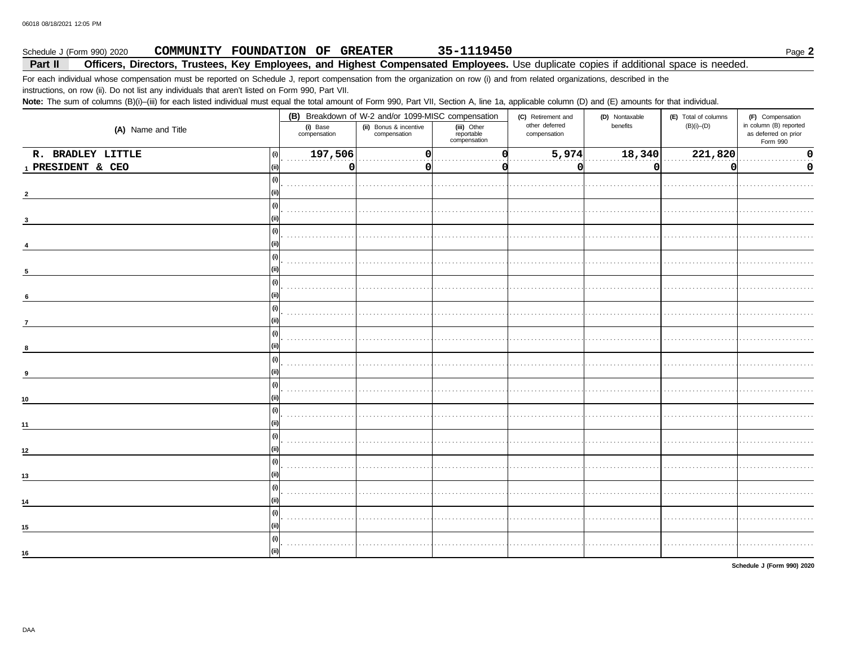## 35-1119450 Schedule J (Form 990) 2020 COMMUNITY FOUNDATION OF GREATER Page 2

## Part II Officers, Directors, Trustees, Key Employees, and Highest Compensated Employees. Use duplicate copies if additional space is needed.

For each individual whose compensation must be reported on Schedule J, report compensation from the organization on row (i) and from related organizations, described in the instructions, on row (ii). Do not list any individuals that aren't listed on Form 990, Part VII.

Note: The sum of columns (B)(i)-(iii) for each listed individual must equal the total amount of Form 990, Part VII, Section A, line 1a, applicable column (D) and (E) amounts for that individual.

|                    |                          | (B) Breakdown of W-2 and/or 1099-MISC compensation |                                           | (C) Retirement and             | (D) Nontaxable | (E) Total of columns | (F) Compensation                                           |
|--------------------|--------------------------|----------------------------------------------------|-------------------------------------------|--------------------------------|----------------|----------------------|------------------------------------------------------------|
| (A) Name and Title | (i) Base<br>compensation | (ii) Bonus & incentive<br>compensation             | (iii) Other<br>reportable<br>compensation | other deferred<br>compensation | benefits       | $(B)(i)$ - $(D)$     | in column (B) reported<br>as deferred on prior<br>Form 990 |
| R. BRADLEY LITTLE  | 197,506<br>(i)           | $\mathbf 0$                                        |                                           | 5,974                          | 18,340         | 221,820              | 0                                                          |
| 1 PRESIDENT & CEO  | (ii)                     | 0<br><sup>0</sup>                                  |                                           | 0                              | <sup>0</sup>   |                      | 0                                                          |
|                    | (i)                      |                                                    |                                           |                                |                |                      |                                                            |
|                    |                          |                                                    |                                           |                                |                |                      |                                                            |
|                    | (i)                      |                                                    |                                           |                                |                |                      |                                                            |
|                    |                          |                                                    |                                           |                                |                |                      |                                                            |
|                    | (i)                      |                                                    |                                           |                                |                |                      |                                                            |
|                    | (i)                      |                                                    |                                           |                                |                |                      |                                                            |
|                    |                          |                                                    |                                           |                                |                |                      |                                                            |
|                    | (i)                      |                                                    |                                           |                                |                |                      |                                                            |
| 6                  | (i)                      |                                                    |                                           |                                |                |                      |                                                            |
| $\overline{7}$     |                          |                                                    |                                           |                                |                |                      |                                                            |
|                    | (i)                      |                                                    |                                           |                                |                |                      |                                                            |
|                    | (i)<br>(ii)              |                                                    |                                           |                                |                |                      |                                                            |
|                    | (i)                      |                                                    |                                           |                                |                |                      |                                                            |
| 10                 |                          |                                                    |                                           |                                |                |                      |                                                            |
| 11                 | (i)<br>(ii)              |                                                    |                                           |                                |                |                      |                                                            |
|                    | (i)                      |                                                    |                                           |                                |                |                      |                                                            |
| 12                 |                          |                                                    |                                           |                                |                |                      |                                                            |
| 13                 | (i)<br>(ii)              |                                                    |                                           |                                |                |                      |                                                            |
|                    | (i)                      |                                                    |                                           |                                |                |                      |                                                            |
| 14                 |                          |                                                    |                                           |                                |                |                      |                                                            |
| 15                 | (i)<br>(ii)              |                                                    |                                           |                                |                |                      |                                                            |
|                    | (i)                      |                                                    |                                           |                                |                |                      |                                                            |
| 16                 |                          |                                                    |                                           |                                |                |                      |                                                            |

Schedule J (Form 990) 2020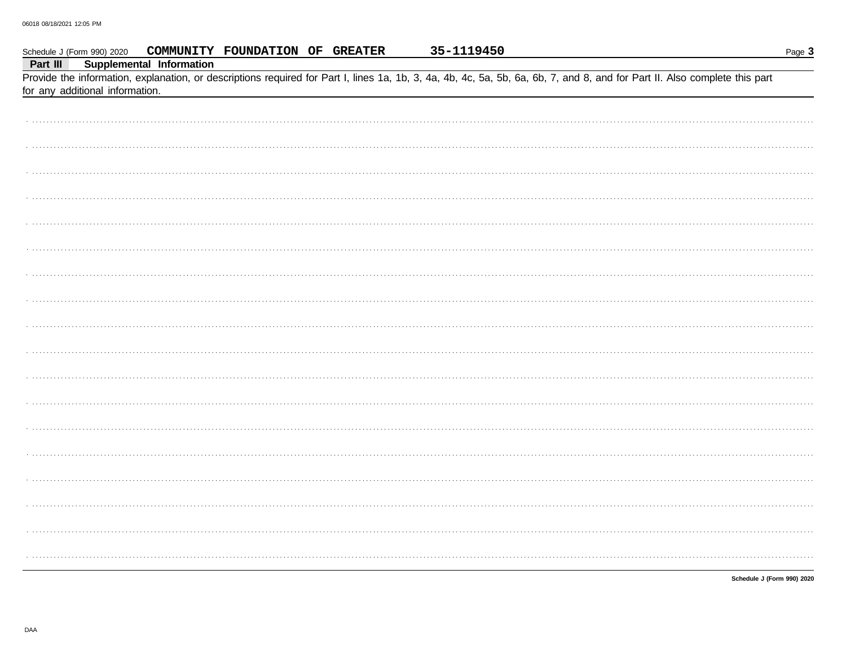|          | Schedule J (Form 990) 2020      |                          | COMMUNITY FOUNDATION OF GREATER | 35-1119450 |                                                                                                                                                                            | Page 3                     |
|----------|---------------------------------|--------------------------|---------------------------------|------------|----------------------------------------------------------------------------------------------------------------------------------------------------------------------------|----------------------------|
| Part III |                                 | Supplemental Information |                                 |            |                                                                                                                                                                            |                            |
|          |                                 |                          |                                 |            | Provide the information, explanation, or descriptions required for Part I, lines 1a, 1b, 3, 4a, 4b, 4c, 5a, 5b, 6a, 6b, 7, and 8, and for Part II. Also complete this part |                            |
|          | for any additional information. |                          |                                 |            |                                                                                                                                                                            |                            |
|          |                                 |                          |                                 |            |                                                                                                                                                                            |                            |
|          |                                 |                          |                                 |            |                                                                                                                                                                            |                            |
|          |                                 |                          |                                 |            |                                                                                                                                                                            |                            |
|          |                                 |                          |                                 |            |                                                                                                                                                                            |                            |
|          |                                 |                          |                                 |            |                                                                                                                                                                            |                            |
|          |                                 |                          |                                 |            |                                                                                                                                                                            |                            |
|          |                                 |                          |                                 |            |                                                                                                                                                                            |                            |
|          |                                 |                          |                                 |            |                                                                                                                                                                            |                            |
|          |                                 |                          |                                 |            |                                                                                                                                                                            |                            |
|          |                                 |                          |                                 |            |                                                                                                                                                                            |                            |
|          |                                 |                          |                                 |            |                                                                                                                                                                            |                            |
|          |                                 |                          |                                 |            |                                                                                                                                                                            |                            |
|          |                                 |                          |                                 |            |                                                                                                                                                                            |                            |
|          |                                 |                          |                                 |            |                                                                                                                                                                            |                            |
|          |                                 |                          |                                 |            |                                                                                                                                                                            |                            |
|          |                                 |                          |                                 |            |                                                                                                                                                                            |                            |
|          |                                 |                          |                                 |            |                                                                                                                                                                            |                            |
|          |                                 |                          |                                 |            |                                                                                                                                                                            |                            |
|          |                                 |                          |                                 |            |                                                                                                                                                                            |                            |
|          |                                 |                          |                                 |            |                                                                                                                                                                            |                            |
|          |                                 |                          |                                 |            |                                                                                                                                                                            |                            |
|          |                                 |                          |                                 |            |                                                                                                                                                                            |                            |
|          |                                 |                          |                                 |            |                                                                                                                                                                            |                            |
|          |                                 |                          |                                 |            |                                                                                                                                                                            |                            |
|          |                                 |                          |                                 |            |                                                                                                                                                                            |                            |
|          |                                 |                          |                                 |            |                                                                                                                                                                            |                            |
|          |                                 |                          |                                 |            |                                                                                                                                                                            |                            |
|          |                                 |                          |                                 |            |                                                                                                                                                                            |                            |
|          |                                 |                          |                                 |            |                                                                                                                                                                            |                            |
|          |                                 |                          |                                 |            |                                                                                                                                                                            |                            |
|          |                                 |                          |                                 |            |                                                                                                                                                                            |                            |
|          |                                 |                          |                                 |            |                                                                                                                                                                            |                            |
|          |                                 |                          |                                 |            |                                                                                                                                                                            |                            |
|          |                                 |                          |                                 |            |                                                                                                                                                                            |                            |
|          |                                 |                          |                                 |            |                                                                                                                                                                            |                            |
|          |                                 |                          |                                 |            |                                                                                                                                                                            | Schedule J (Form 990) 2020 |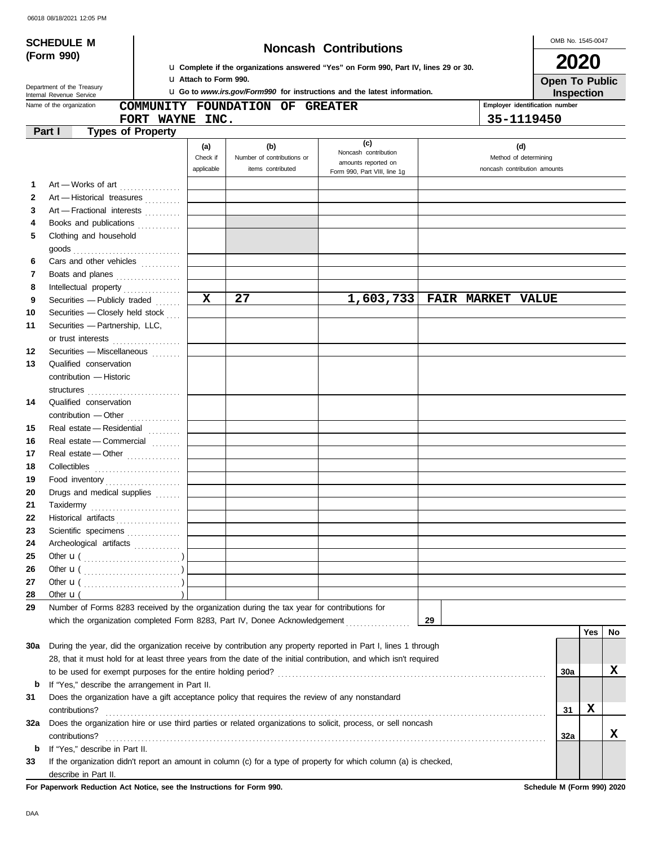## **SCHEDULE M Noncash Contributions**

OMB No. 1545-0047 **2020**

| La Complete if the organizations answered "Yes" on Form 990, Part IV, lines 29 or 30. |
|---------------------------------------------------------------------------------------|
| La Attach to Form 990.                                                                |

u **Go to** *www.irs.gov/Form990* **for instructions and the latest information.**

**Inspection Open To Public**

Department of the Treasury<br>Internal Revenue Service

**(Form 990)**

|                   | Name of the organization                                                                                           |                               | COMMUNITY FOUNDATION OF GREATER                        |                                                                                    |    | Employer identification number                               |     |             |    |
|-------------------|--------------------------------------------------------------------------------------------------------------------|-------------------------------|--------------------------------------------------------|------------------------------------------------------------------------------------|----|--------------------------------------------------------------|-----|-------------|----|
|                   | FORT WAYNE INC.                                                                                                    |                               |                                                        |                                                                                    |    | 35-1119450                                                   |     |             |    |
|                   | Part I<br><b>Types of Property</b>                                                                                 |                               |                                                        |                                                                                    |    |                                                              |     |             |    |
|                   |                                                                                                                    | (a)<br>Check if<br>applicable | (b)<br>Number of contributions or<br>items contributed | (c)<br>Noncash contribution<br>amounts reported on<br>Form 990, Part VIII, line 1g |    | (d)<br>Method of determining<br>noncash contribution amounts |     |             |    |
| 1                 | Art - Works of art                                                                                                 |                               |                                                        |                                                                                    |    |                                                              |     |             |    |
| $\mathbf{2}$      | Art - Historical treasures                                                                                         |                               |                                                        |                                                                                    |    |                                                              |     |             |    |
| 3                 | Art - Fractional interests                                                                                         |                               |                                                        |                                                                                    |    |                                                              |     |             |    |
| 4                 | Books and publications                                                                                             |                               |                                                        |                                                                                    |    |                                                              |     |             |    |
| 5                 | Clothing and household<br>goods                                                                                    |                               |                                                        |                                                                                    |    |                                                              |     |             |    |
| 6                 | Cars and other vehicles                                                                                            |                               |                                                        |                                                                                    |    |                                                              |     |             |    |
| 7                 | Boats and planes                                                                                                   |                               |                                                        |                                                                                    |    |                                                              |     |             |    |
| 8                 | Intellectual property                                                                                              |                               |                                                        |                                                                                    |    |                                                              |     |             |    |
| 9                 | Securities - Publicly traded                                                                                       | $\mathbf{x}$                  | 27                                                     | 1,603,733                                                                          |    | <b>FAIR MARKET VALUE</b>                                     |     |             |    |
| 10                | Securities - Closely held stock                                                                                    |                               |                                                        |                                                                                    |    |                                                              |     |             |    |
| 11                | Securities - Partnership, LLC,                                                                                     |                               |                                                        |                                                                                    |    |                                                              |     |             |    |
|                   | or trust interests                                                                                                 |                               |                                                        |                                                                                    |    |                                                              |     |             |    |
| $12 \overline{ }$ | Securities - Miscellaneous                                                                                         |                               |                                                        |                                                                                    |    |                                                              |     |             |    |
| 13                | Qualified conservation                                                                                             |                               |                                                        |                                                                                    |    |                                                              |     |             |    |
|                   | contribution - Historic                                                                                            |                               |                                                        |                                                                                    |    |                                                              |     |             |    |
|                   | structures                                                                                                         |                               |                                                        |                                                                                    |    |                                                              |     |             |    |
| 14                | Qualified conservation                                                                                             |                               |                                                        |                                                                                    |    |                                                              |     |             |    |
|                   |                                                                                                                    |                               |                                                        |                                                                                    |    |                                                              |     |             |    |
| 15                | Real estate - Residential                                                                                          |                               |                                                        |                                                                                    |    |                                                              |     |             |    |
| 16                | Real estate - Commercial                                                                                           |                               |                                                        |                                                                                    |    |                                                              |     |             |    |
| 17                | Real estate — Other $\ldots$                                                                                       |                               |                                                        |                                                                                    |    |                                                              |     |             |    |
| 18                |                                                                                                                    |                               |                                                        |                                                                                    |    |                                                              |     |             |    |
| 19                |                                                                                                                    |                               |                                                        |                                                                                    |    |                                                              |     |             |    |
| 20                | Drugs and medical supplies                                                                                         |                               |                                                        |                                                                                    |    |                                                              |     |             |    |
| 21                |                                                                                                                    |                               |                                                        |                                                                                    |    |                                                              |     |             |    |
| 22                | Historical artifacts                                                                                               |                               |                                                        |                                                                                    |    |                                                              |     |             |    |
| 23                | Scientific specimens                                                                                               |                               |                                                        |                                                                                    |    |                                                              |     |             |    |
| 24                | Archeological artifacts                                                                                            |                               |                                                        |                                                                                    |    |                                                              |     |             |    |
| 25                |                                                                                                                    |                               |                                                        |                                                                                    |    |                                                              |     |             |    |
| 26                |                                                                                                                    |                               |                                                        |                                                                                    |    |                                                              |     |             |    |
| 27                |                                                                                                                    |                               |                                                        |                                                                                    |    |                                                              |     |             |    |
| 28                | Other $\mathbf{u}$ (                                                                                               |                               |                                                        |                                                                                    |    |                                                              |     |             |    |
| 29                | Number of Forms 8283 received by the organization during the tax year for contributions for                        |                               |                                                        |                                                                                    |    |                                                              |     |             |    |
|                   | which the organization completed Form 8283, Part IV, Donee Acknowledgement                                         |                               |                                                        |                                                                                    | 29 |                                                              |     |             |    |
|                   |                                                                                                                    |                               |                                                        |                                                                                    |    |                                                              |     | <b>Yes</b>  | No |
| 30a               | During the year, did the organization receive by contribution any property reported in Part I, lines 1 through     |                               |                                                        |                                                                                    |    |                                                              |     |             |    |
|                   | 28, that it must hold for at least three years from the date of the initial contribution, and which isn't required |                               |                                                        |                                                                                    |    |                                                              |     |             |    |
|                   | to be used for exempt purposes for the entire holding period?                                                      |                               |                                                        |                                                                                    |    |                                                              | 30a |             | X  |
| b                 | If "Yes," describe the arrangement in Part II.                                                                     |                               |                                                        |                                                                                    |    |                                                              |     |             |    |
| 31                | Does the organization have a gift acceptance policy that requires the review of any nonstandard                    |                               |                                                        |                                                                                    |    |                                                              |     |             |    |
|                   | contributions?                                                                                                     |                               |                                                        |                                                                                    |    |                                                              | 31  | $\mathbf x$ |    |
| 32a               | Does the organization hire or use third parties or related organizations to solicit, process, or sell noncash      |                               |                                                        |                                                                                    |    |                                                              |     |             |    |
|                   | contributions?                                                                                                     |                               |                                                        |                                                                                    |    |                                                              | 32a |             | X  |
| b                 | If "Yes," describe in Part II.                                                                                     |                               |                                                        |                                                                                    |    |                                                              |     |             |    |
| 33                | If the organization didn't report an amount in column (c) for a type of property for which column (a) is checked,  |                               |                                                        |                                                                                    |    |                                                              |     |             |    |
|                   | describe in Part II.                                                                                               |                               |                                                        |                                                                                    |    |                                                              |     |             |    |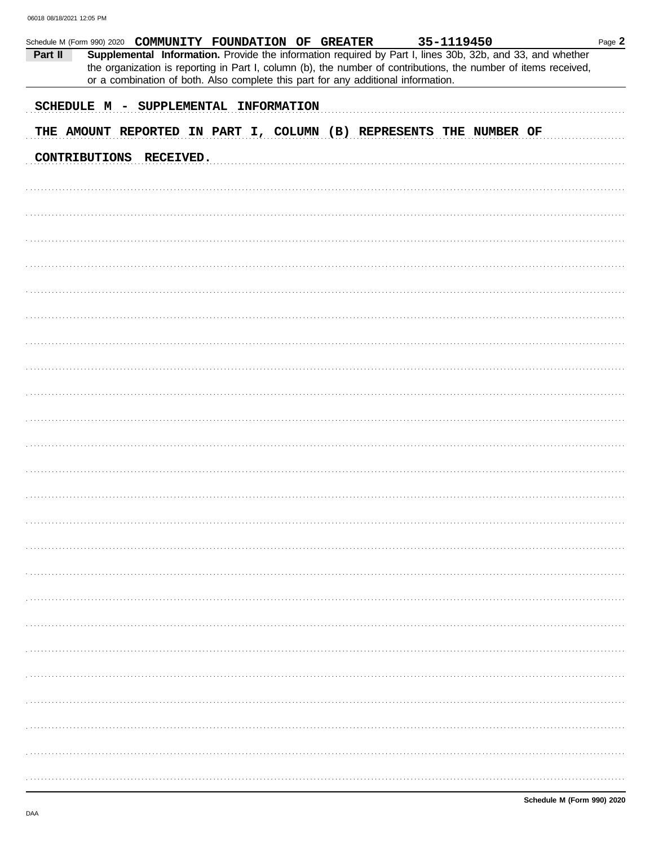| Schedule M (Form 990) 2020 COMMUNITY FOUNDATION OF GREATER |                                       |  |  |                                                                                                                                                                                                                                                                                                                   | 35-1119450 |  | Page 2 |
|------------------------------------------------------------|---------------------------------------|--|--|-------------------------------------------------------------------------------------------------------------------------------------------------------------------------------------------------------------------------------------------------------------------------------------------------------------------|------------|--|--------|
| Part II                                                    |                                       |  |  | Supplemental Information. Provide the information required by Part I, lines 30b, 32b, and 33, and whether<br>the organization is reporting in Part I, column (b), the number of contributions, the number of items received,<br>or a combination of both. Also complete this part for any additional information. |            |  |        |
|                                                            | SCHEDULE M - SUPPLEMENTAL INFORMATION |  |  |                                                                                                                                                                                                                                                                                                                   |            |  |        |
|                                                            |                                       |  |  |                                                                                                                                                                                                                                                                                                                   |            |  |        |
|                                                            |                                       |  |  | THE AMOUNT REPORTED IN PART I, COLUMN (B) REPRESENTS THE NUMBER OF                                                                                                                                                                                                                                                |            |  |        |
|                                                            | CONTRIBUTIONS RECEIVED.               |  |  |                                                                                                                                                                                                                                                                                                                   |            |  |        |
|                                                            |                                       |  |  |                                                                                                                                                                                                                                                                                                                   |            |  |        |
|                                                            |                                       |  |  |                                                                                                                                                                                                                                                                                                                   |            |  |        |
|                                                            |                                       |  |  |                                                                                                                                                                                                                                                                                                                   |            |  |        |
|                                                            |                                       |  |  |                                                                                                                                                                                                                                                                                                                   |            |  |        |
|                                                            |                                       |  |  |                                                                                                                                                                                                                                                                                                                   |            |  |        |
|                                                            |                                       |  |  |                                                                                                                                                                                                                                                                                                                   |            |  |        |
|                                                            |                                       |  |  |                                                                                                                                                                                                                                                                                                                   |            |  |        |
|                                                            |                                       |  |  |                                                                                                                                                                                                                                                                                                                   |            |  |        |
|                                                            |                                       |  |  |                                                                                                                                                                                                                                                                                                                   |            |  |        |
|                                                            |                                       |  |  |                                                                                                                                                                                                                                                                                                                   |            |  |        |
|                                                            |                                       |  |  |                                                                                                                                                                                                                                                                                                                   |            |  |        |
|                                                            |                                       |  |  |                                                                                                                                                                                                                                                                                                                   |            |  |        |
|                                                            |                                       |  |  |                                                                                                                                                                                                                                                                                                                   |            |  |        |
|                                                            |                                       |  |  |                                                                                                                                                                                                                                                                                                                   |            |  |        |
|                                                            |                                       |  |  |                                                                                                                                                                                                                                                                                                                   |            |  |        |
|                                                            |                                       |  |  |                                                                                                                                                                                                                                                                                                                   |            |  |        |
|                                                            |                                       |  |  |                                                                                                                                                                                                                                                                                                                   |            |  |        |
|                                                            |                                       |  |  |                                                                                                                                                                                                                                                                                                                   |            |  |        |
|                                                            |                                       |  |  |                                                                                                                                                                                                                                                                                                                   |            |  |        |
|                                                            |                                       |  |  |                                                                                                                                                                                                                                                                                                                   |            |  |        |
|                                                            |                                       |  |  |                                                                                                                                                                                                                                                                                                                   |            |  |        |
|                                                            |                                       |  |  |                                                                                                                                                                                                                                                                                                                   |            |  |        |
|                                                            |                                       |  |  |                                                                                                                                                                                                                                                                                                                   |            |  |        |
|                                                            |                                       |  |  |                                                                                                                                                                                                                                                                                                                   |            |  |        |
|                                                            |                                       |  |  |                                                                                                                                                                                                                                                                                                                   |            |  |        |
|                                                            |                                       |  |  |                                                                                                                                                                                                                                                                                                                   |            |  |        |
|                                                            |                                       |  |  |                                                                                                                                                                                                                                                                                                                   |            |  |        |
|                                                            |                                       |  |  |                                                                                                                                                                                                                                                                                                                   |            |  |        |
|                                                            |                                       |  |  |                                                                                                                                                                                                                                                                                                                   |            |  |        |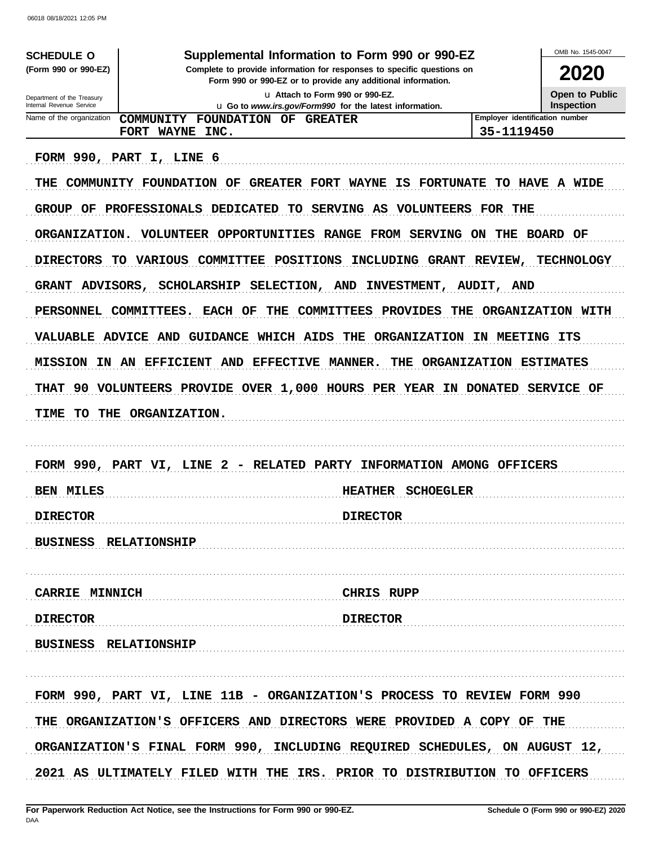06018 08/18/2021 12:05 PM

| <b>SCHEDULE O</b>                                                                                                                  | Supplemental Information to Form 990 or 990-EZ                                                                                                                                                                                                                                                                                                                                                                                                                                                                                                                                                                                                                       |                                                                      | OMB No. 1545-0047                                         |
|------------------------------------------------------------------------------------------------------------------------------------|----------------------------------------------------------------------------------------------------------------------------------------------------------------------------------------------------------------------------------------------------------------------------------------------------------------------------------------------------------------------------------------------------------------------------------------------------------------------------------------------------------------------------------------------------------------------------------------------------------------------------------------------------------------------|----------------------------------------------------------------------|-----------------------------------------------------------|
| (Form 990 or 990-EZ)                                                                                                               | Complete to provide information for responses to specific questions on                                                                                                                                                                                                                                                                                                                                                                                                                                                                                                                                                                                               |                                                                      | 2020                                                      |
|                                                                                                                                    | Form 990 or 990-EZ or to provide any additional information.                                                                                                                                                                                                                                                                                                                                                                                                                                                                                                                                                                                                         |                                                                      |                                                           |
| Department of the Treasury<br>Internal Revenue Service                                                                             | La Attach to Form 990 or 990-EZ.<br><b>u</b> Go to www.irs.gov/Form990 for the latest information.                                                                                                                                                                                                                                                                                                                                                                                                                                                                                                                                                                   |                                                                      | <b>Open to Public</b><br><b>Inspection</b>                |
| Name of the organization                                                                                                           | COMMUNITY FOUNDATION OF<br><b>GREATER</b>                                                                                                                                                                                                                                                                                                                                                                                                                                                                                                                                                                                                                            | Employer identification number                                       |                                                           |
|                                                                                                                                    | FORT WAYNE INC.                                                                                                                                                                                                                                                                                                                                                                                                                                                                                                                                                                                                                                                      | 35-1119450                                                           |                                                           |
| THE<br>GROUP OF<br><b>ORGANIZATION.</b><br><b>DIRECTORS</b><br>GRANT ADVISORS,<br>PERSONNEL<br><b>MISSION</b><br><b>THAT</b><br>90 | FORM 990, PART I, LINE 6<br>COMMUNITY FOUNDATION OF<br><b>GREATER FORT WAYNE</b><br>IS FORTUNATE TO HAVE A WIDE<br>PROFESSIONALS DEDICATED<br>SERVING AS VOLUNTEERS FOR THE<br>TO .<br>VOLUNTEER OPPORTUNITIES RANGE FROM SERVING ON<br><b>COMMITTEE</b><br><b>POSITIONS</b><br>INCLUDING GRANT REVIEW,<br>TO .<br>VARIOUS<br>SELECTION, AND INVESTMENT,<br><b>SCHOLARSHIP</b><br><b>COMMITTEES</b><br><b>PROVIDES</b><br>COMMITTEES.<br><b>EACH OF</b><br>THE<br>THE<br>VALUABLE ADVICE AND GUIDANCE WHICH AIDS<br><b>ORGANIZATION</b><br>THE<br>IN AN EFFICIENT AND EFFECTIVE MANNER.<br>THE<br>VOLUNTEERS PROVIDE OVER 1,000 HOURS PER YEAR IN DONATED SERVICE OF | THE<br>AUDIT, AND<br>IN MEETING ITS<br><b>ORGANIZATION ESTIMATES</b> | BOARD OF<br><b>TECHNOLOGY</b><br><b>ORGANIZATION WITH</b> |
| TIME<br>TO.                                                                                                                        | THE ORGANIZATION.<br>FORM 990, PART VI, LINE 2 - RELATED PARTY INFORMATION AMONG OFFICERS                                                                                                                                                                                                                                                                                                                                                                                                                                                                                                                                                                            |                                                                      |                                                           |
| <b>BEN MILES</b>                                                                                                                   | <b>HEATHER</b><br><b>SCHOEGLER</b>                                                                                                                                                                                                                                                                                                                                                                                                                                                                                                                                                                                                                                   |                                                                      |                                                           |
| <b>DIRECTOR</b>                                                                                                                    | <b>DIRECTOR</b>                                                                                                                                                                                                                                                                                                                                                                                                                                                                                                                                                                                                                                                      |                                                                      |                                                           |
| <b>BUSINESS RELATIONSHIP</b>                                                                                                       |                                                                                                                                                                                                                                                                                                                                                                                                                                                                                                                                                                                                                                                                      |                                                                      |                                                           |
| <b>CARRIE MINNICH</b>                                                                                                              | <b>CHRIS RUPP</b>                                                                                                                                                                                                                                                                                                                                                                                                                                                                                                                                                                                                                                                    |                                                                      |                                                           |
| <b>DIRECTOR</b>                                                                                                                    | <b>DIRECTOR</b>                                                                                                                                                                                                                                                                                                                                                                                                                                                                                                                                                                                                                                                      |                                                                      |                                                           |
| <b>BUSINESS RELATIONSHIP</b>                                                                                                       |                                                                                                                                                                                                                                                                                                                                                                                                                                                                                                                                                                                                                                                                      |                                                                      |                                                           |
|                                                                                                                                    | FORM 990, PART VI, LINE 11B - ORGANIZATION'S PROCESS TO REVIEW FORM 990                                                                                                                                                                                                                                                                                                                                                                                                                                                                                                                                                                                              |                                                                      |                                                           |
|                                                                                                                                    | THE ORGANIZATION'S OFFICERS AND DIRECTORS WERE PROVIDED A COPY OF THE                                                                                                                                                                                                                                                                                                                                                                                                                                                                                                                                                                                                |                                                                      |                                                           |
|                                                                                                                                    | ORGANIZATION'S FINAL FORM 990, INCLUDING REQUIRED SCHEDULES, ON AUGUST 12,                                                                                                                                                                                                                                                                                                                                                                                                                                                                                                                                                                                           |                                                                      |                                                           |
|                                                                                                                                    | 2021 AS ULTIMATELY FILED WITH THE IRS. PRIOR TO DISTRIBUTION TO OFFICERS                                                                                                                                                                                                                                                                                                                                                                                                                                                                                                                                                                                             |                                                                      |                                                           |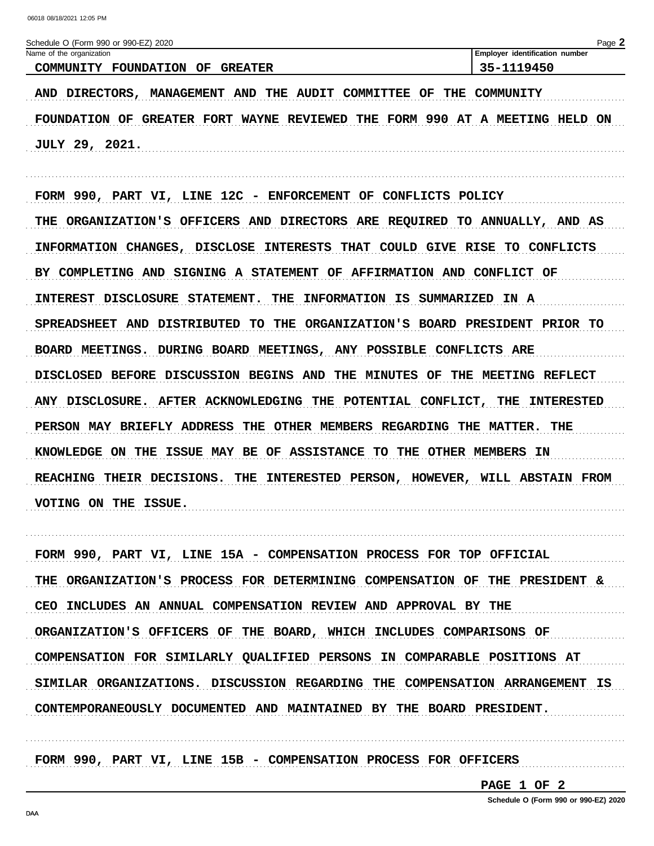| Schedule O (Form 990 or 990-EZ) 2020                                                  | Page 2                         |
|---------------------------------------------------------------------------------------|--------------------------------|
| Name of the organization                                                              | Employer identification number |
| COMMUNITY FOUNDATION OF GREATER                                                       | 35-1119450                     |
|                                                                                       |                                |
| <b>MANAGEMENT AND</b><br>THE AUDIT COMMITTEE OF<br><b>DIRECTORS,</b><br>AND           | THE COMMUNITY                  |
|                                                                                       |                                |
| GREATER FORT WAYNE REVIEWED THE FORM 990 AT A MEETING HELD<br>OF<br><b>FOUNDATION</b> | ON                             |

**JULY 29, 2021.** 

FORM 990, PART VI, LINE 12C - ENFORCEMENT OF CONFLICTS POLICY THE ORGANIZATION'S OFFICERS AND DIRECTORS ARE REQUIRED TO ANNUALLY, AND AS INFORMATION CHANGES, DISCLOSE INTERESTS THAT COULD GIVE RISE TO CONFLICTS BY COMPLETING AND SIGNING A STATEMENT OF AFFIRMATION AND CONFLICT OF INTEREST DISCLOSURE STATEMENT. THE INFORMATION IS SUMMARIZED IN A SPREADSHEET AND DISTRIBUTED TO THE ORGANIZATION'S BOARD PRESIDENT PRIOR TO BOARD MEETINGS. DURING BOARD MEETINGS, ANY POSSIBLE CONFLICTS ARE DISCLOSED BEFORE DISCUSSION BEGINS AND THE MINUTES OF THE MEETING REFLECT ANY DISCLOSURE. AFTER ACKNOWLEDGING THE POTENTIAL CONFLICT, THE INTERESTED PERSON MAY BRIEFLY ADDRESS THE OTHER MEMBERS REGARDING THE MATTER. THE KNOWLEDGE ON THE ISSUE MAY BE OF ASSISTANCE TO THE OTHER MEMBERS IN REACHING THEIR DECISIONS. THE INTERESTED PERSON, HOWEVER, WILL ABSTAIN FROM VOTING ON THE ISSUE.

FORM 990, PART VI, LINE 15A - COMPENSATION PROCESS FOR TOP OFFICIAL THE ORGANIZATION'S PROCESS FOR DETERMINING COMPENSATION OF THE PRESIDENT & CEO INCLUDES AN ANNUAL COMPENSATION REVIEW AND APPROVAL BY THE ORGANIZATION'S OFFICERS OF THE BOARD, WHICH INCLUDES COMPARISONS OF COMPENSATION FOR SIMILARLY QUALIFIED PERSONS IN COMPARABLE POSITIONS AT SIMILAR ORGANIZATIONS. DISCUSSION REGARDING THE COMPENSATION ARRANGEMENT IS CONTEMPORANEOUSLY DOCUMENTED AND MAINTAINED BY THE BOARD PRESIDENT.

FORM 990, PART VI, LINE 15B - COMPENSATION PROCESS FOR OFFICERS

PAGE 1 OF 2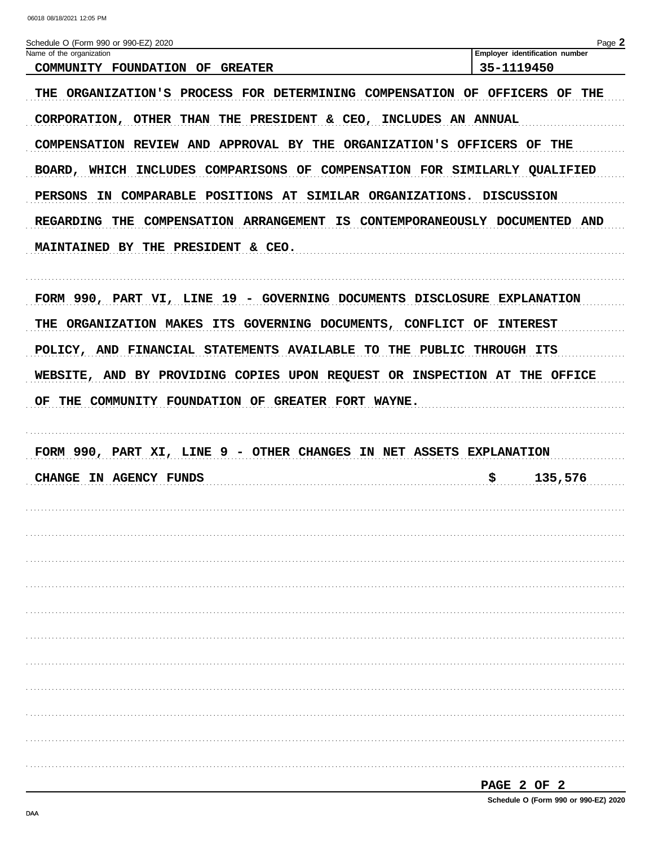| Schedule O (Form 990 or 990-EZ) 2020                                                                                                          |            | Page 2                         |
|-----------------------------------------------------------------------------------------------------------------------------------------------|------------|--------------------------------|
| Name of the organization<br>COMMUNITY FOUNDATION OF GREATER                                                                                   | 35-1119450 | Employer identification number |
| THE ORGANIZATION'S PROCESS FOR DETERMINING COMPENSATION OF OFFICERS OF THE<br>CORPORATION, OTHER THAN THE PRESIDENT & CEO, INCLUDES AN ANNUAL |            |                                |
| COMPENSATION REVIEW AND APPROVAL BY THE ORGANIZATION'S OFFICERS OF THE                                                                        |            |                                |
| BOARD, WHICH INCLUDES COMPARISONS OF COMPENSATION FOR SIMILARLY QUALIFIED                                                                     |            |                                |
| IN COMPARABLE POSITIONS AT SIMILAR ORGANIZATIONS. DISCUSSION<br>PERSONS                                                                       |            |                                |
| REGARDING THE COMPENSATION ARRANGEMENT IS CONTEMPORANEOUSLY DOCUMENTED AND                                                                    |            |                                |
| MAINTAINED BY THE PRESIDENT & CEO.                                                                                                            |            |                                |
|                                                                                                                                               |            |                                |
| FORM 990, PART VI, LINE 19 - GOVERNING DOCUMENTS DISCLOSURE EXPLANATION                                                                       |            |                                |
| ORGANIZATION MAKES ITS GOVERNING DOCUMENTS, CONFLICT OF INTEREST<br>THE                                                                       |            |                                |
| POLICY, AND FINANCIAL STATEMENTS AVAILABLE TO THE PUBLIC THROUGH ITS                                                                          |            |                                |
| WEBSITE, AND BY PROVIDING COPIES UPON REQUEST OR INSPECTION AT THE OFFICE                                                                     |            |                                |
|                                                                                                                                               |            |                                |
| THE COMMUNITY FOUNDATION OF GREATER FORT WAYNE.<br>ОF                                                                                         |            |                                |
|                                                                                                                                               |            |                                |
| FORM 990, PART XI, LINE 9 - OTHER CHANGES IN NET ASSETS EXPLANATION                                                                           |            |                                |
| CHANGE IN AGENCY FUNDS                                                                                                                        | \$         | 135,576                        |
|                                                                                                                                               |            |                                |
|                                                                                                                                               |            |                                |
|                                                                                                                                               |            |                                |
|                                                                                                                                               |            |                                |
|                                                                                                                                               |            |                                |
|                                                                                                                                               |            |                                |
|                                                                                                                                               |            |                                |
|                                                                                                                                               |            |                                |
|                                                                                                                                               |            |                                |
|                                                                                                                                               |            |                                |
|                                                                                                                                               |            |                                |
|                                                                                                                                               |            |                                |

| . .<br>., |  |  |
|-----------|--|--|
|           |  |  |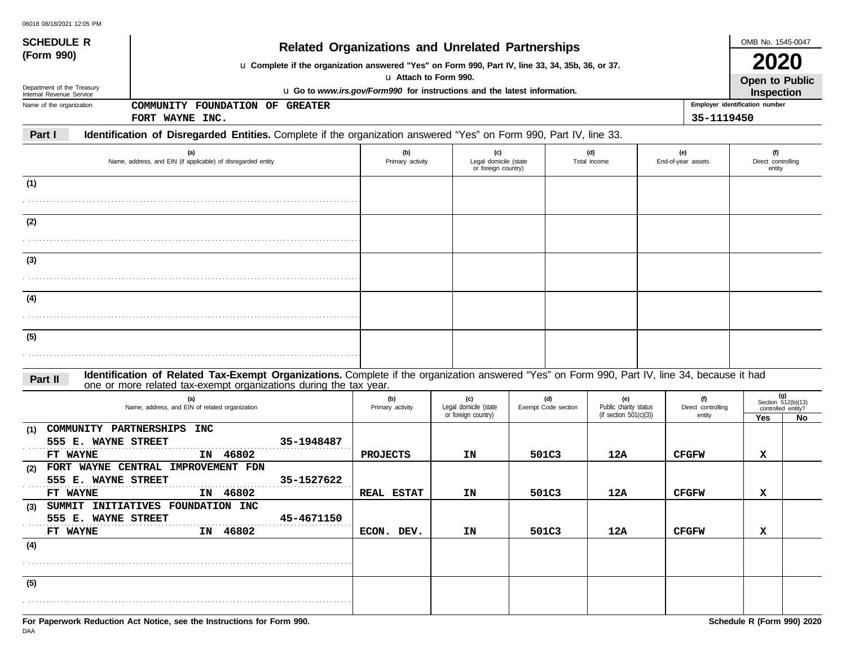| <b>SCHEDULE R</b>                                                                                                                                        |                                                                                                                                                                                                       | <b>Related Organizations and Unrelated Partnerships</b> |                     |                                                    |                              | OMB No. 1545-0047                                     |     |  |  |  |
|----------------------------------------------------------------------------------------------------------------------------------------------------------|-------------------------------------------------------------------------------------------------------------------------------------------------------------------------------------------------------|---------------------------------------------------------|---------------------|----------------------------------------------------|------------------------------|-------------------------------------------------------|-----|--|--|--|
| (Form 990)<br>Department of the Treasury<br>Internal Revenue Service                                                                                     | u Complete if the organization answered "Yes" on Form 990, Part IV, line 33, 34, 35b, 36, or 37.<br>u Attach to Form 990.<br>u Go to www.irs.gov/Form990 for instructions and the latest information. |                                                         |                     |                                                    |                              |                                                       |     |  |  |  |
| COMMUNITY FOUNDATION OF GREATER<br>Name of the organization                                                                                              |                                                                                                                                                                                                       |                                                         |                     |                                                    |                              | <b>Inspection</b><br>Employer identification number   |     |  |  |  |
| FORT WAYNE INC.                                                                                                                                          |                                                                                                                                                                                                       |                                                         |                     |                                                    | 35-1119450                   |                                                       |     |  |  |  |
| Identification of Disregarded Entities. Complete if the organization answered "Yes" on Form 990, Part IV, line 33.<br>Part I                             |                                                                                                                                                                                                       |                                                         |                     |                                                    |                              |                                                       |     |  |  |  |
| (a)<br>Name, address, and EIN (if applicable) of disregarded entity                                                                                      | (b)<br>Primary activity                                                                                                                                                                               | (c)<br>Legal domicile (state<br>or foreign country)     |                     | (d)<br>Total income                                | (e)<br>End-of-year assets    | (f)<br>Direct controlling<br>entity                   |     |  |  |  |
| (1)                                                                                                                                                      |                                                                                                                                                                                                       |                                                         |                     |                                                    |                              |                                                       |     |  |  |  |
|                                                                                                                                                          |                                                                                                                                                                                                       |                                                         |                     |                                                    |                              |                                                       |     |  |  |  |
| (2)                                                                                                                                                      |                                                                                                                                                                                                       |                                                         |                     |                                                    |                              |                                                       |     |  |  |  |
|                                                                                                                                                          |                                                                                                                                                                                                       |                                                         |                     |                                                    |                              |                                                       |     |  |  |  |
|                                                                                                                                                          |                                                                                                                                                                                                       |                                                         |                     |                                                    |                              |                                                       |     |  |  |  |
| (3)                                                                                                                                                      |                                                                                                                                                                                                       |                                                         |                     |                                                    |                              |                                                       |     |  |  |  |
|                                                                                                                                                          |                                                                                                                                                                                                       |                                                         |                     |                                                    |                              |                                                       |     |  |  |  |
| (4)                                                                                                                                                      |                                                                                                                                                                                                       |                                                         |                     |                                                    |                              |                                                       |     |  |  |  |
|                                                                                                                                                          |                                                                                                                                                                                                       |                                                         |                     |                                                    |                              |                                                       |     |  |  |  |
| (5)                                                                                                                                                      |                                                                                                                                                                                                       |                                                         |                     |                                                    |                              |                                                       |     |  |  |  |
|                                                                                                                                                          |                                                                                                                                                                                                       |                                                         |                     |                                                    |                              |                                                       |     |  |  |  |
| Identification of Related Tax-Exempt Organizations. Complete if the organization answered "Yes" on Form 990, Part IV, line 34, because it had<br>Part II |                                                                                                                                                                                                       |                                                         |                     |                                                    |                              |                                                       |     |  |  |  |
| one or more related tax-exempt organizations during the tax year.<br>(a)                                                                                 | (b)                                                                                                                                                                                                   | (c)                                                     | (d)                 | (e)                                                | (f)                          |                                                       | (g) |  |  |  |
| Name, address, and EIN of related organization                                                                                                           | Primary activity                                                                                                                                                                                      | Legal domicile (state<br>or foreign country)            | Exempt Code section | Public charity status<br>(if section $501(c)(3)$ ) | Direct controlling<br>entity | Section 512(b)(13)<br>controlled entity?<br>Yes<br>No |     |  |  |  |
| COMMUNITY PARTNERSHIPS INC<br>(1)                                                                                                                        |                                                                                                                                                                                                       |                                                         |                     |                                                    |                              |                                                       |     |  |  |  |
| 555 E. WAYNE STREET<br>35-1948487                                                                                                                        |                                                                                                                                                                                                       |                                                         |                     |                                                    |                              |                                                       |     |  |  |  |
| IN 46802<br>FT WAYNE<br>FORT WAYNE CENTRAL IMPROVEMENT FDN<br>(2)                                                                                        | <b>PROJECTS</b>                                                                                                                                                                                       | ΙN                                                      | 501C3               | 12A                                                | <b>CFGFW</b>                 | х                                                     |     |  |  |  |
| 555 E. WAYNE STREET<br>35-1527622                                                                                                                        |                                                                                                                                                                                                       |                                                         |                     |                                                    |                              |                                                       |     |  |  |  |
| IN 46802<br>FT WAYNE                                                                                                                                     | <b>REAL ESTAT</b>                                                                                                                                                                                     | ΙN                                                      | 501C3               | 12A                                                | <b>CFGFW</b>                 | х                                                     |     |  |  |  |
| SUMMIT INITIATIVES FOUNDATION INC<br>(3)<br>45-4671150<br>555 E. WAYNE STREET                                                                            |                                                                                                                                                                                                       |                                                         |                     |                                                    |                              |                                                       |     |  |  |  |
| IN 46802<br>FT WAYNE                                                                                                                                     | ECON. DEV.                                                                                                                                                                                            | ΙN                                                      | 501C3               | 12A                                                | <b>CFGFW</b>                 | x                                                     |     |  |  |  |
| (4)                                                                                                                                                      |                                                                                                                                                                                                       |                                                         |                     |                                                    |                              |                                                       |     |  |  |  |
|                                                                                                                                                          |                                                                                                                                                                                                       |                                                         |                     |                                                    |                              |                                                       |     |  |  |  |
| (5)                                                                                                                                                      |                                                                                                                                                                                                       |                                                         |                     |                                                    |                              |                                                       |     |  |  |  |
|                                                                                                                                                          |                                                                                                                                                                                                       |                                                         |                     |                                                    |                              |                                                       |     |  |  |  |
| For Paperwork Reduction Act Notice, see the Instructions for Form 990.                                                                                   |                                                                                                                                                                                                       |                                                         |                     |                                                    |                              | Schedule R (Form 990) 2020                            |     |  |  |  |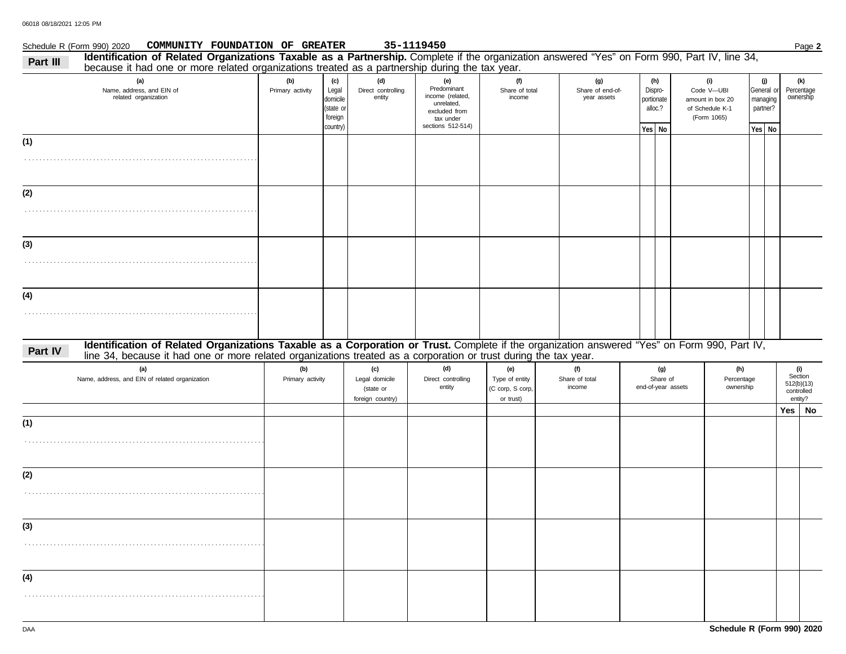## Schedule R (Form 990) 2020 Page **2 COMMUNITY FOUNDATION OF GREATER 35-1119450**

| Part III | Identification of Related Organizations Taxable as a Partnership. Complete if the organization answered "Yes" on Form 990, Part IV, line 34,<br>because it had one or more related organizations treated as a partnership during the tax year.                   |                         |                                                              |                                                        |                                                                                                         |                                                        |                                        |                                                     |                                                                         |                                                     |                                                       |
|----------|------------------------------------------------------------------------------------------------------------------------------------------------------------------------------------------------------------------------------------------------------------------|-------------------------|--------------------------------------------------------------|--------------------------------------------------------|---------------------------------------------------------------------------------------------------------|--------------------------------------------------------|----------------------------------------|-----------------------------------------------------|-------------------------------------------------------------------------|-----------------------------------------------------|-------------------------------------------------------|
|          | (a)<br>Name, address, and EIN of<br>related organization                                                                                                                                                                                                         | (b)<br>Primary activity | (c)<br>Legal<br>domicile<br>(state or<br>foreign<br>country) | (d)<br>Direct controlling<br>entity                    | (e)<br>Predominant<br>income (related,<br>unrelated,<br>excluded from<br>tax under<br>sections 512-514) | (f)<br>Share of total<br>income                        | (g)<br>Share of end-of-<br>year assets | (h)<br>Dispro-<br>portionate<br>alloc.?<br>Yes   No | (i)<br>Code V-UBI<br>amount in box 20<br>of Schedule K-1<br>(Form 1065) | (j)<br>General or<br>managing<br>partner?<br>Yes No | (k)<br>Percentage<br>ownership                        |
| (1)      |                                                                                                                                                                                                                                                                  |                         |                                                              |                                                        |                                                                                                         |                                                        |                                        |                                                     |                                                                         |                                                     |                                                       |
| (2)      |                                                                                                                                                                                                                                                                  |                         |                                                              |                                                        |                                                                                                         |                                                        |                                        |                                                     |                                                                         |                                                     |                                                       |
|          |                                                                                                                                                                                                                                                                  |                         |                                                              |                                                        |                                                                                                         |                                                        |                                        |                                                     |                                                                         |                                                     |                                                       |
| (3)      |                                                                                                                                                                                                                                                                  |                         |                                                              |                                                        |                                                                                                         |                                                        |                                        |                                                     |                                                                         |                                                     |                                                       |
| (4)      |                                                                                                                                                                                                                                                                  |                         |                                                              |                                                        |                                                                                                         |                                                        |                                        |                                                     |                                                                         |                                                     |                                                       |
| Part IV  | Identification of Related Organizations Taxable as a Corporation or Trust. Complete if the organization answered "Yes" on Form 990, Part IV,<br>line 34, because it had one or more related organizations treated as a corporation or trust during the tax year. |                         |                                                              |                                                        |                                                                                                         |                                                        |                                        |                                                     |                                                                         |                                                     |                                                       |
|          | (a)<br>Name, address, and EIN of related organization                                                                                                                                                                                                            | (b)<br>Primary activity |                                                              | (c)<br>Legal domicile<br>(state or<br>foreign country) | (d)<br>Direct controlling<br>entity                                                                     | (e)<br>Type of entity<br>(C corp, S corp,<br>or trust) | (f)<br>Share of total<br>income        | (g)<br>Share of<br>end-of-year assets               | (h)<br>Percentage<br>ownership                                          |                                                     | (i)<br>Section<br>512(b)(13)<br>controlled<br>entity? |
|          |                                                                                                                                                                                                                                                                  |                         |                                                              |                                                        |                                                                                                         |                                                        |                                        |                                                     |                                                                         |                                                     | Yes No                                                |
| (1)      |                                                                                                                                                                                                                                                                  |                         |                                                              |                                                        |                                                                                                         |                                                        |                                        |                                                     |                                                                         |                                                     |                                                       |
| (2)      |                                                                                                                                                                                                                                                                  |                         |                                                              |                                                        |                                                                                                         |                                                        |                                        |                                                     |                                                                         |                                                     |                                                       |
| (3)      |                                                                                                                                                                                                                                                                  |                         |                                                              |                                                        |                                                                                                         |                                                        |                                        |                                                     |                                                                         |                                                     |                                                       |
| (4)      |                                                                                                                                                                                                                                                                  |                         |                                                              |                                                        |                                                                                                         |                                                        |                                        |                                                     |                                                                         |                                                     |                                                       |
|          |                                                                                                                                                                                                                                                                  |                         |                                                              |                                                        |                                                                                                         |                                                        |                                        |                                                     |                                                                         |                                                     |                                                       |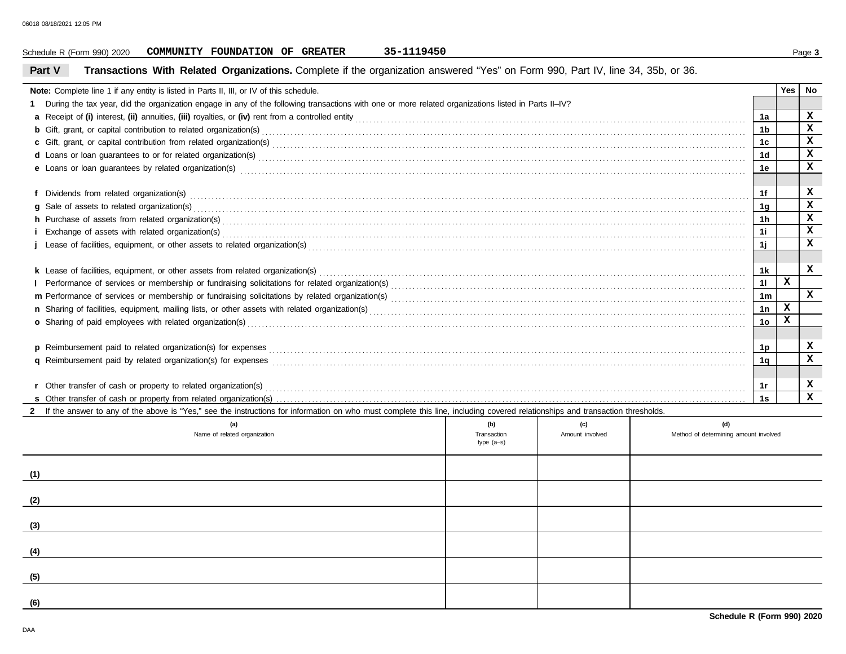|                                                                                                                                                                                                                                     | 35-1119450<br>COMMUNITY FOUNDATION OF GREATER<br>Schedule R (Form 990) 2020                                                                                                                                                    |                    |                        |                                              |      |     | Page 3      |  |
|-------------------------------------------------------------------------------------------------------------------------------------------------------------------------------------------------------------------------------------|--------------------------------------------------------------------------------------------------------------------------------------------------------------------------------------------------------------------------------|--------------------|------------------------|----------------------------------------------|------|-----|-------------|--|
| Part V                                                                                                                                                                                                                              | Transactions With Related Organizations. Complete if the organization answered "Yes" on Form 990, Part IV, line 34, 35b, or 36.                                                                                                |                    |                        |                                              |      |     |             |  |
|                                                                                                                                                                                                                                     | Note: Complete line 1 if any entity is listed in Parts II, III, or IV of this schedule.                                                                                                                                        |                    |                        |                                              |      | Yes | No          |  |
|                                                                                                                                                                                                                                     | During the tax year, did the organization engage in any of the following transactions with one or more related organizations listed in Parts II-IV?                                                                            |                    |                        |                                              |      |     |             |  |
|                                                                                                                                                                                                                                     |                                                                                                                                                                                                                                |                    |                        |                                              |      |     |             |  |
| <b>b</b> Gift, grant, or capital contribution to related organization(s) encourse contained and contained and contribution to related organization(s) encourse contained and contained and contained and contained and contained an |                                                                                                                                                                                                                                |                    |                        |                                              |      |     |             |  |
|                                                                                                                                                                                                                                     |                                                                                                                                                                                                                                |                    |                        |                                              | 1c.  |     | x           |  |
|                                                                                                                                                                                                                                     | d Loans or loan guarantees to or for related organization(s) encourance contained and contained and contained and contained and contained and contained and contained and contained and contained and contained and contained  |                    |                        |                                              | 1d   |     | x           |  |
|                                                                                                                                                                                                                                     |                                                                                                                                                                                                                                |                    |                        |                                              | 1е   |     | x           |  |
|                                                                                                                                                                                                                                     |                                                                                                                                                                                                                                |                    |                        |                                              |      |     |             |  |
|                                                                                                                                                                                                                                     |                                                                                                                                                                                                                                |                    |                        |                                              | 1f   |     | x           |  |
|                                                                                                                                                                                                                                     |                                                                                                                                                                                                                                |                    |                        |                                              | 1g   |     | x           |  |
|                                                                                                                                                                                                                                     | h Purchase of assets from related organization(s) encourance contains and contains a container and container and container and container and container and container and container and container and container and container a |                    |                        |                                              | 1h   |     | x           |  |
|                                                                                                                                                                                                                                     | Exchange of assets with related organization(s) exchange that contains a substantial contains a set of assets with related organization(s) exchange of assets with related organization(s)                                     |                    |                        |                                              | 1i - |     | x           |  |
|                                                                                                                                                                                                                                     |                                                                                                                                                                                                                                |                    |                        |                                              | 1j   |     | x           |  |
|                                                                                                                                                                                                                                     |                                                                                                                                                                                                                                |                    |                        |                                              |      |     |             |  |
|                                                                                                                                                                                                                                     | k Lease of facilities, equipment, or other assets from related organization(s)                                                                                                                                                 |                    |                        |                                              | 1k   |     | x           |  |
|                                                                                                                                                                                                                                     |                                                                                                                                                                                                                                |                    |                        |                                              | 11   | x   |             |  |
|                                                                                                                                                                                                                                     |                                                                                                                                                                                                                                |                    |                        |                                              | 1m   |     | X           |  |
|                                                                                                                                                                                                                                     |                                                                                                                                                                                                                                |                    |                        |                                              |      |     |             |  |
|                                                                                                                                                                                                                                     | o Sharing of paid employees with related organization(s) excess that contains a substantial container and starting of paid employees with related organization(s) excess that contains a substantial contains a substantial co |                    |                        |                                              | 1o   | x   |             |  |
|                                                                                                                                                                                                                                     |                                                                                                                                                                                                                                |                    |                        |                                              |      |     |             |  |
|                                                                                                                                                                                                                                     |                                                                                                                                                                                                                                |                    |                        |                                              | 1p   |     | x           |  |
|                                                                                                                                                                                                                                     | q Reimbursement paid by related organization(s) for expenses entity and contain an according to the system of Reimbursement paid by related organization(s) for expenses                                                       |                    |                        |                                              | 1q   |     | x           |  |
|                                                                                                                                                                                                                                     |                                                                                                                                                                                                                                |                    |                        |                                              |      |     |             |  |
|                                                                                                                                                                                                                                     |                                                                                                                                                                                                                                |                    |                        |                                              | 1r   |     | x           |  |
|                                                                                                                                                                                                                                     |                                                                                                                                                                                                                                |                    |                        |                                              | 1s   |     | $\mathbf x$ |  |
|                                                                                                                                                                                                                                     | If the answer to any of the above is "Yes," see the instructions for information on who must complete this line, including covered relationships and transaction thresholds.                                                   |                    |                        |                                              |      |     |             |  |
|                                                                                                                                                                                                                                     | (a)<br>Name of related organization                                                                                                                                                                                            | (b)<br>Transaction | (c)<br>Amount involved | (d)<br>Method of determining amount involved |      |     |             |  |
|                                                                                                                                                                                                                                     |                                                                                                                                                                                                                                | $type(a-s)$        |                        |                                              |      |     |             |  |
|                                                                                                                                                                                                                                     |                                                                                                                                                                                                                                |                    |                        |                                              |      |     |             |  |
| (1)                                                                                                                                                                                                                                 |                                                                                                                                                                                                                                |                    |                        |                                              |      |     |             |  |
| (2)                                                                                                                                                                                                                                 |                                                                                                                                                                                                                                |                    |                        |                                              |      |     |             |  |
|                                                                                                                                                                                                                                     |                                                                                                                                                                                                                                |                    |                        |                                              |      |     |             |  |
|                                                                                                                                                                                                                                     |                                                                                                                                                                                                                                |                    |                        |                                              |      |     |             |  |
| (4)                                                                                                                                                                                                                                 |                                                                                                                                                                                                                                |                    |                        |                                              |      |     |             |  |
|                                                                                                                                                                                                                                     |                                                                                                                                                                                                                                |                    |                        |                                              |      |     |             |  |
| (5)                                                                                                                                                                                                                                 |                                                                                                                                                                                                                                |                    |                        |                                              |      |     |             |  |
| (6)                                                                                                                                                                                                                                 |                                                                                                                                                                                                                                |                    |                        |                                              |      |     |             |  |
|                                                                                                                                                                                                                                     |                                                                                                                                                                                                                                |                    |                        |                                              |      |     |             |  |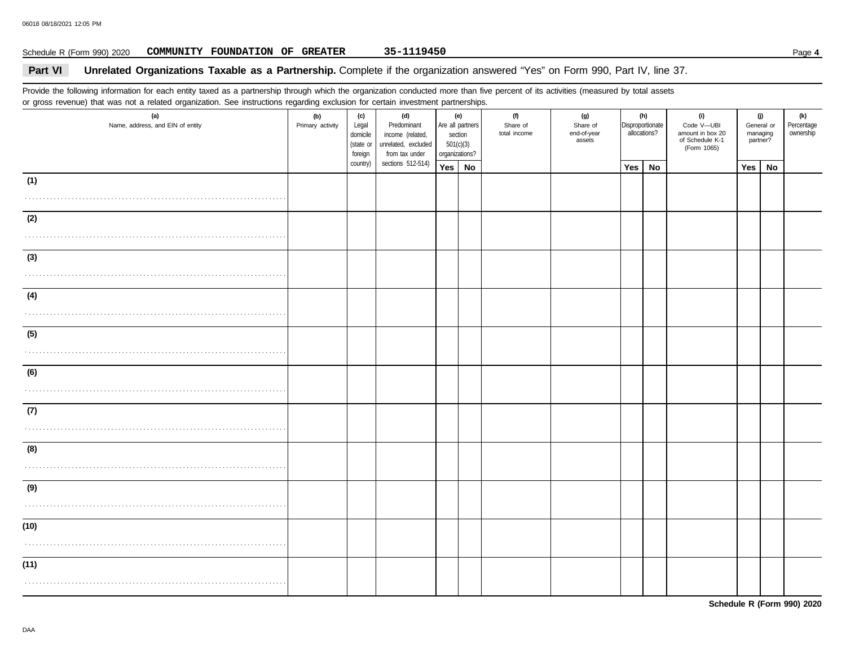## Schedule R (Form 990) 2020 Page **4 COMMUNITY FOUNDATION OF GREATER 35-1119450**

## **Part VI** Unrelated Organizations Taxable as a Partnership. Complete if the organization answered "Yes" on Form 990, Part IV, line 37.

Provide the following information for each entity taxed as a partnership through which the organization conducted more than five percent of its activities (measured by total assets or gross revenue) that was not a related organization. See instructions regarding exclusion for certain investment partnerships.

| (a)<br>Name, address, and EIN of entity | (b)<br>Primary activity | (c)<br>Legal<br>domicile<br>(state or<br>foreign | (d)<br>Predominant<br>income (related,<br>unrelated, excluded<br>from tax under | (e)<br>section<br>501(c)(3)<br>organizations? |           | Are all partners |  | (f)<br>Share of<br>total income | (g)<br>Share of<br>end-of-year<br>assets | allocations? | (h)<br>Disproportionate | (i)<br>Code V-UBI<br>amount in box 20<br>of Schedule K-1<br>(Form 1065) | (j)<br>General or<br>managing<br>partner? |  | (k)<br>Percentage<br>ownership |
|-----------------------------------------|-------------------------|--------------------------------------------------|---------------------------------------------------------------------------------|-----------------------------------------------|-----------|------------------|--|---------------------------------|------------------------------------------|--------------|-------------------------|-------------------------------------------------------------------------|-------------------------------------------|--|--------------------------------|
|                                         |                         | country)                                         | sections 512-514)                                                               | Yes                                           | <b>No</b> |                  |  | <b>Yes</b>                      | <b>No</b>                                |              | Yes                     | <b>No</b>                                                               |                                           |  |                                |
| (1)                                     |                         |                                                  |                                                                                 |                                               |           |                  |  |                                 |                                          |              |                         |                                                                         |                                           |  |                                |
|                                         |                         |                                                  |                                                                                 |                                               |           |                  |  |                                 |                                          |              |                         |                                                                         |                                           |  |                                |
| (2)                                     |                         |                                                  |                                                                                 |                                               |           |                  |  |                                 |                                          |              |                         |                                                                         |                                           |  |                                |
|                                         |                         |                                                  |                                                                                 |                                               |           |                  |  |                                 |                                          |              |                         |                                                                         |                                           |  |                                |
| (3)                                     |                         |                                                  |                                                                                 |                                               |           |                  |  |                                 |                                          |              |                         |                                                                         |                                           |  |                                |
|                                         |                         |                                                  |                                                                                 |                                               |           |                  |  |                                 |                                          |              |                         |                                                                         |                                           |  |                                |
| (4)                                     |                         |                                                  |                                                                                 |                                               |           |                  |  |                                 |                                          |              |                         |                                                                         |                                           |  |                                |
|                                         |                         |                                                  |                                                                                 |                                               |           |                  |  |                                 |                                          |              |                         |                                                                         |                                           |  |                                |
| (5)                                     |                         |                                                  |                                                                                 |                                               |           |                  |  |                                 |                                          |              |                         |                                                                         |                                           |  |                                |
|                                         |                         |                                                  |                                                                                 |                                               |           |                  |  |                                 |                                          |              |                         |                                                                         |                                           |  |                                |
| (6)                                     |                         |                                                  |                                                                                 |                                               |           |                  |  |                                 |                                          |              |                         |                                                                         |                                           |  |                                |
|                                         |                         |                                                  |                                                                                 |                                               |           |                  |  |                                 |                                          |              |                         |                                                                         |                                           |  |                                |
| (7)                                     |                         |                                                  |                                                                                 |                                               |           |                  |  |                                 |                                          |              |                         |                                                                         |                                           |  |                                |
|                                         |                         |                                                  |                                                                                 |                                               |           |                  |  |                                 |                                          |              |                         |                                                                         |                                           |  |                                |
| (8)                                     |                         |                                                  |                                                                                 |                                               |           |                  |  |                                 |                                          |              |                         |                                                                         |                                           |  |                                |
|                                         |                         |                                                  |                                                                                 |                                               |           |                  |  |                                 |                                          |              |                         |                                                                         |                                           |  |                                |
| (9)                                     |                         |                                                  |                                                                                 |                                               |           |                  |  |                                 |                                          |              |                         |                                                                         |                                           |  |                                |
|                                         |                         |                                                  |                                                                                 |                                               |           |                  |  |                                 |                                          |              |                         |                                                                         |                                           |  |                                |
| (10)                                    |                         |                                                  |                                                                                 |                                               |           |                  |  |                                 |                                          |              |                         |                                                                         |                                           |  |                                |
|                                         |                         |                                                  |                                                                                 |                                               |           |                  |  |                                 |                                          |              |                         |                                                                         |                                           |  |                                |
| (11)                                    |                         |                                                  |                                                                                 |                                               |           |                  |  |                                 |                                          |              |                         |                                                                         |                                           |  |                                |
|                                         |                         |                                                  |                                                                                 |                                               |           |                  |  |                                 |                                          |              |                         |                                                                         |                                           |  |                                |